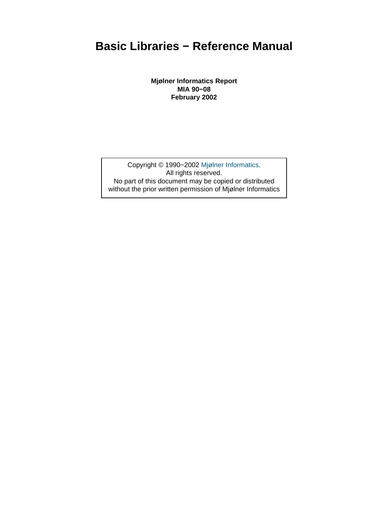# **Basic Libraries − Reference Manual**

**Mjølner Informatics Report MIA 90−08 February 2002**

Copyright © 1990−2002 Mjølner Informatics. All rights reserved. No part of this document may be copied or distributed without the prior written permis[sion of Mjølner Infor](http://www.mjolner.com)matics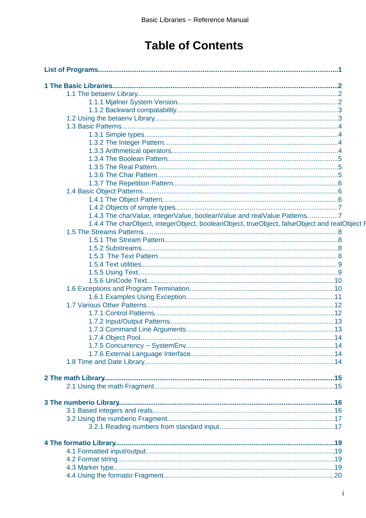| 1.4.3 The charValue, integerValue, booleanValue and realValue Patterns7                         |  |
|-------------------------------------------------------------------------------------------------|--|
| 1.4.4 The charObject, integerObject, booleanObject, trueObject, falseObject and realObject Patt |  |
|                                                                                                 |  |
|                                                                                                 |  |
|                                                                                                 |  |
|                                                                                                 |  |
|                                                                                                 |  |
|                                                                                                 |  |
|                                                                                                 |  |
|                                                                                                 |  |
|                                                                                                 |  |
|                                                                                                 |  |
|                                                                                                 |  |
|                                                                                                 |  |
|                                                                                                 |  |
|                                                                                                 |  |
|                                                                                                 |  |
|                                                                                                 |  |
|                                                                                                 |  |
|                                                                                                 |  |
|                                                                                                 |  |
|                                                                                                 |  |
|                                                                                                 |  |
|                                                                                                 |  |
|                                                                                                 |  |
|                                                                                                 |  |
|                                                                                                 |  |
|                                                                                                 |  |
|                                                                                                 |  |
|                                                                                                 |  |
|                                                                                                 |  |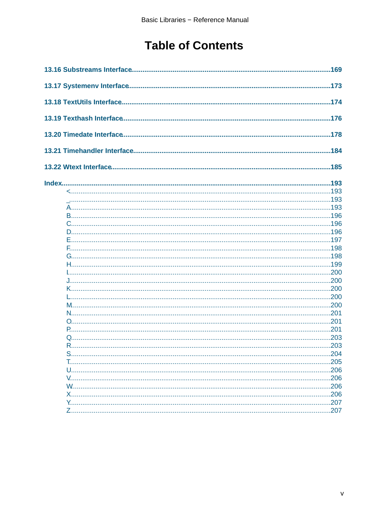| R. | .203 |
|----|------|
|    |      |
|    |      |
|    |      |
|    |      |
|    | .206 |
|    | .206 |
|    |      |
|    |      |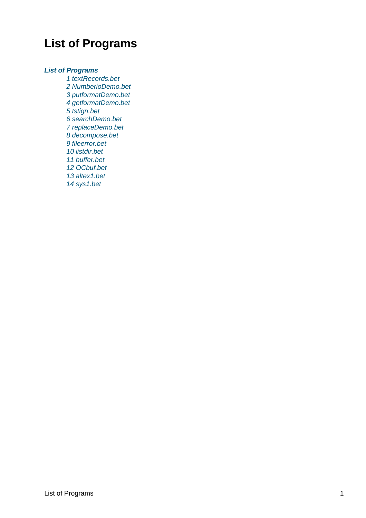# <span id="page-6-0"></span>**List of Programs**

#### **List of Programs**

1 textRecords.bet 2 NumberioDemo.bet 3 putformatDemo.bet [4 getforma](#page-7-0)tDemo.bet [5 tstign.bet](#page-14-0) [6 searchDemo.bet](#page-22-0) [7 replaceDemo.bet](#page-25-0) [8 decompose.bet](#page-25-0) [9 fileerror.b](#page-27-0)et [10 listdir.bet](#page-34-0) [11 buffer.bet](#page-35-0) [12 OCbuf.bet](#page-38-0) [13 altex1.bet](#page-39-0) [14 sys1.bet](#page-41-0)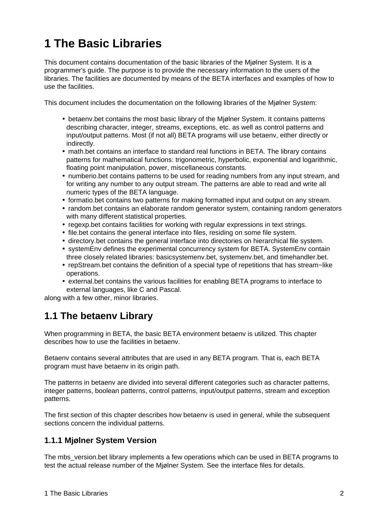# <span id="page-7-0"></span>**1 The Basic Libraries**

This document contains documentation of the basic libraries of the Mjølner System. It is a programmer's guide. The purpose is to provide the necessary information to the users of the libraries. The facilities are documented by means of the BETA interfaces and examples of how to use the facilities.

This document includes the documentation on the following libraries of the Mjølner System:

- betaenv.bet contains the most basic library of the Mjølner System. It contains patterns describing character, integer, streams, exceptions, etc. as well as control patterns and input/output patterns. Most (if not all) BETA programs will use betaenv, either directly or indirectly.
- math.bet contains an interface to standard real functions in BETA. The library contains patterns for mathematical functions: trigonometric, hyperbolic, exponential and logarithmic, floating point manipulation, power, miscellaneous constants.
- numberio.bet contains patterns to be used for reading numbers from any input stream, and for writing any number to any output stream. The patterns are able to read and write all numeric types of the BETA language.
- formatio.bet contains two patterns for making formatted input and output on any stream.
- random.bet contains an elaborate random generator system, containing random generators with many different statistical properties.
- regexp.bet contains facilities for working with regular expressions in text strings.
- file.bet contains the general interface into files, residing on some file system.
- directory.bet contains the general interface into directories on hierarchical file system.
- systemEnv defines the experimental concurrency system for BETA. SystemEnv contain three closely related libraries: basicsystemenv.bet, systemenv.bet, and timehandler.bet.
- repStream.bet contains the definition of a special type of repetitions that has stream−like operations.
- external.bet contains the various facilities for enabling BETA programs to interface to external languages, like C and Pascal.

along with a few other, minor libraries.

## **1.1 The betaenv Library**

When programming in BETA, the basic BETA environment betaenv is utilized. This chapter describes how to use the facilities in betaenv.

Betaenv contains several attributes that are used in any BETA program. That is, each BETA program must have betaenv in its origin path.

The patterns in betaenv are divided into several different categories such as character patterns, integer patterns, boolean patterns, control patterns, input/output patterns, stream and exception patterns.

The first section of this chapter describes how betaenv is used in general, while the subsequent sections concern the individual patterns.

### **1.1.1 Mjølner System Version**

The mbs version.bet library implements a few operations which can be used in BETA programs to test the actual release number of the Mjølner System. See the interface files for details.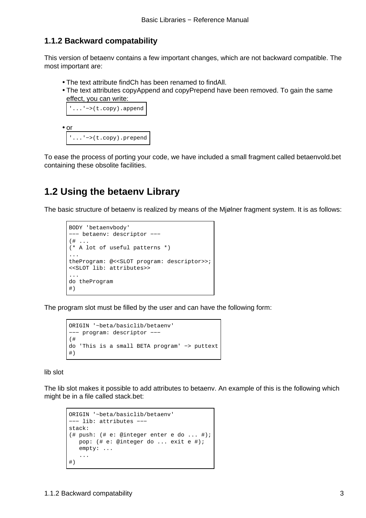#### **1.1.2 Backward compatability**

This version of betaenv contains a few important changes, which are not backward compatible. The most important are:

- The text attribute findCh has been renamed to findAll.
- The text attributes copyAppend and copyPrepend have been removed. To gain the same effect, you can write:

```
'...'−>(t.copy).append
```

```
• or
  '...'−>(t.copy).prepend
```
To ease the process of porting your code, we have included a small fragment called betaenvold.bet containing these obsolite facilities.

## **1.2 Using the betaenv Library**

The basic structure of betaenv is realized by means of the Mjølner fragment system. It is as follows:

```
BODY 'betaenvbody'
−−− betaenv: descriptor −−−
( \# \ldots(* A lot of useful patterns *)
...
theProgram: @<<SLOT program: descriptor>>;
<<SLOT lib: attributes>>
...
do theProgram
#)
```
The program slot must be filled by the user and can have the following form:

```
ORIGIN '~beta/basiclib/betaenv'
−−− program: descriptor −−−
(# 
do 'This is a small BETA program' −> puttext
#)
```
lib slot

The lib slot makes it possible to add attributes to betaenv. An example of this is the following which might be in a file called stack.bet:

```
ORIGIN '~beta/basiclib/betaenv'
−−− lib: attributes −−−
stack: 
(# push: (\# e: @integer enter e do ... #);
    pop: (# e: @integer do ... exit e #);
    empty: ...
    ... 
#)
```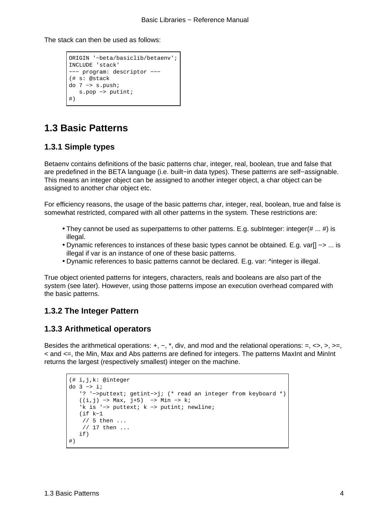The stack can then be used as follows:

```
ORIGIN '~beta/basiclib/betaenv';
INCLUDE 'stack'
−−− program: descriptor −−−
(# s: @stack
do 7 −> s.push; 
   s.pop −> putint;
#)
```
## **1.3 Basic Patterns**

#### **1.3.1 Simple types**

Betaenv contains definitions of the basic patterns char, integer, real, boolean, true and false that are predefined in the BETA language (i.e. built−in data types). These patterns are self−assignable. This means an integer object can be assigned to another integer object, a char object can be assigned to another char object etc.

For efficiency reasons, the usage of the basic patterns char, integer, real, boolean, true and false is somewhat restricted, compared with all other patterns in the system. These restrictions are:

- They cannot be used as superpatterns to other patterns. E.g. subinteger: integer( $\# \dots \#$ ) is illegal.
- Dynamic references to instances of these basic types cannot be obtained. E.g. var[] −> ... is illegal if var is an instance of one of these basic patterns.
- Dynamic references to basic patterns cannot be declared. E.g. var: ^integer is illegal.

True object oriented patterns for integers, characters, reals and booleans are also part of the system (see later). However, using those patterns impose an execution overhead compared with the basic patterns.

### **1.3.2 The Integer Pattern**

#### **1.3.3 Arithmetical operators**

Besides the arithmetical operations: +, -, \*, div, and mod and the relational operations: =, <>, >, >=, < and <=, the Min, Max and Abs patterns are defined for integers. The patterns MaxInt and MinInt returns the largest (respectively smallest) integer on the machine.

```
(# i,j,k: @integer
do 3 −> i; 
    '? '−>puttext; getint−>j; (* read an integer from keyboard *)
   ((i,j) -> Max, j+5) -> Min -> k;
    'k is '−> puttext; k −> putint; newline;
    (if k−1
    // 5 then ...
     // 17 then ...
    if)
#)
```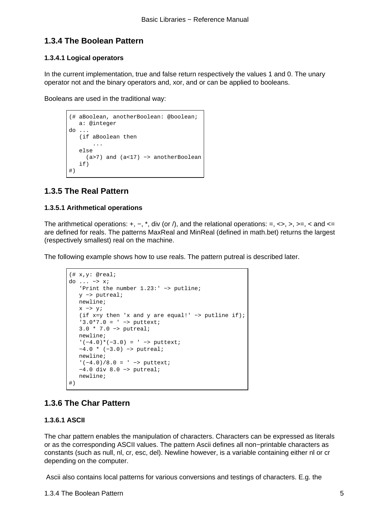### **1.3.4 The Boolean Pattern**

#### **1.3.4.1 Logical operators**

In the current implementation, true and false return respectively the values 1 and 0. The unary operator not and the binary operators and, xor, and or can be applied to booleans.

Booleans are used in the traditional way:

```
(# aBoolean, anotherBoolean: @boolean;
    a: @integer
do ...
   (if aBoolean then 
        ...
    else
      (a>7) and (a<17) −> anotherBoolean
    if)
#)
```
### **1.3.5 The Real Pattern**

#### **1.3.5.1 Arithmetical operations**

The arithmetical operations:  $+, -, *,$  div (or /), and the relational operations:  $=, \leq, >, >=, <$  and  $<=$ are defined for reals. The patterns MaxReal and MinReal (defined in math.bet) returns the largest (respectively smallest) real on the machine.

The following example shows how to use reals. The pattern putreal is described later.

```
(# x,y: @real;
do ... −> x;
    'Print the number 1.23:' −> putline;
    y −> putreal; 
    newline;
  x \rightarrow y; (if x=y then 'x and y are equal!' −> putline if);
    '3.0*7.0 = ' −> puttext;
    3.0 * 7.0 −> putreal;
    newline;
   '(-4.0)*(-3.0) = ' -> puttext; −4.0 * (−3.0) −> putreal;
    newline;
   '(-4.0)/8.0 = ' \rightarrow puttext; −4.0 div 8.0 −> putreal;
    newline;
#)
```
### **1.3.6 The Char Pattern**

#### **1.3.6.1 ASCII**

The char pattern enables the manipulation of characters. Characters can be expressed as literals or as the corresponding ASCII values. The pattern Ascii defines all non−printable characters as constants (such as null, nl, cr, esc, del). Newline however, is a variable containing either nl or cr depending on the computer.

Ascii also contains local patterns for various conversions and testings of characters. E.g. the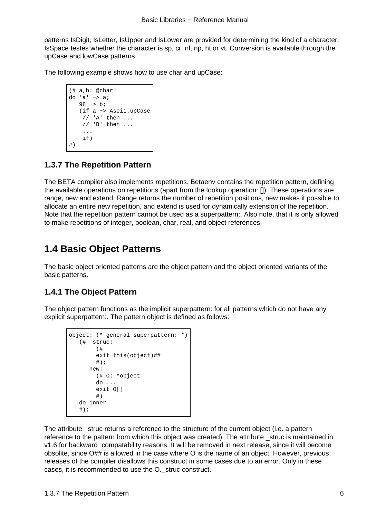patterns IsDigit, IsLetter, IsUpper and IsLower are provided for determining the kind of a character. IsSpace testes whether the character is sp, cr, nl, np, ht or vt. Conversion is available through the upCase and lowCase patterns.

The following example shows how to use char and upCase:

```
(# a,b: @char
do 'a' −> a; 
    98 −> b;
    (if a −> Ascii.upCase
   // 'A' then ... // 'B' then ...
     ...
     if)
#)
```
### **1.3.7 The Repetition Pattern**

The BETA compiler also implements repetitions. Betaenv contains the repetition pattern, defining the available operations on repetitions (apart from the lookup operation: []). These operations are range, new and extend. Range returns the number of repetition positions, new makes it possible to allocate an entire new repetition, and extend is used for dynamically extension of the repetition. Note that the repetition pattern cannot be used as a superpattern:. Also note, that it is only allowed to make repetitions of integer, boolean, char, real, and object references.

## **1.4 Basic Object Patterns**

The basic object oriented patterns are the object pattern and the object oriented variants of the basic patterns.

### **1.4.1 The Object Pattern**

The object pattern functions as the implicit superpattern: for all patterns which do not have any explicit superpattern:. The pattern object is defined as follows:

```
object: (* general superpattern: *)
    (# _struc:
         (#
         exit this(object)##
        #);
      _new:
         (# O: ^object
         do ... 
         exit O[]
         #)
    do inner
    #);
```
The attribute \_struc returns a reference to the structure of the current object (i.e. a pattern reference to the pattern from which this object was created). The attribute struc is maintained in v1.6 for backward−compatability reasons. It will be removed in next release, since it will become obsolite, since O## is allowed in the case where O is the name of an object. However, previous releases of the compiler disallows this construct in some cases due to an error. Only in these cases, it is recommended to use the O. struc construct.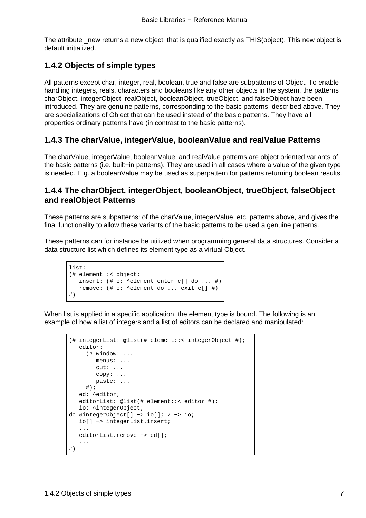The attribute new returns a new object, that is qualified exactly as THIS(object). This new object is default initialized.

#### **1.4.2 Objects of simple types**

All patterns except char, integer, real, boolean, true and false are subpatterns of Object. To enable handling integers, reals, characters and booleans like any other objects in the system, the patterns charObject, integerObject, realObject, booleanObject, trueObject, and falseObject have been introduced. They are genuine patterns, corresponding to the basic patterns, described above. They are specializations of Object that can be used instead of the basic patterns. They have all properties ordinary patterns have (in contrast to the basic patterns).

#### **1.4.3 The charValue, integerValue, booleanValue and realValue Patterns**

The charValue, integerValue, booleanValue, and realValue patterns are object oriented variants of the basic patterns (i.e. built−in patterns). They are used in all cases where a value of the given type is needed. E.g. a booleanValue may be used as superpattern for patterns returning boolean results.

#### **1.4.4 The charObject, integerObject, booleanObject, trueObject, falseObject and realObject Patterns**

These patterns are subpatterns: of the charValue, integerValue, etc. patterns above, and gives the final functionality to allow these variants of the basic patterns to be used a genuine patterns.

These patterns can for instance be utilized when programming general data structures. Consider a data structure list which defines its element type as a virtual Object.

```
list: 
(# element :< object;
   insert: (# e: ^element enter e[] do ... #)
    remove: (# e: ^element do ... exit e[] #)
#)
```
When list is applied in a specific application, the element type is bound. The following is an example of how a list of integers and a list of editors can be declared and manipulated:

```
(# integerList: @list(# element::< integerObject #); 
    editor: 
      (# window: ...
        menus: ...
         cut: ...
        copy: ...
        paste: ...
     \#);
    ed: ^editor;
    editorList: @list(# element::< editor #); 
    io: ^integerObject;
do &integerObject[] −> io[]; 7 −> io;
   io[] −> integerList.insert;
    ...
    editorList.remove −> ed[];
    ...
#)
```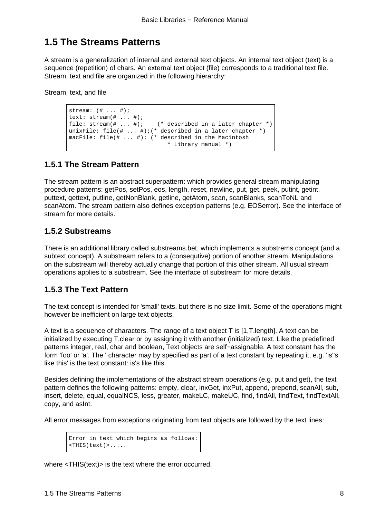## **1.5 The Streams Patterns**

A stream is a generalization of internal and external text objects. An internal text object (text) is a sequence (repetition) of chars. An external text object (file) corresponds to a traditional text file. Stream, text and file are organized in the following hierarchy:

Stream, text, and file

```
stream: (# ... #);
text: stream(# ... #);
file: stream(\# ... \#); (* described in a later chapter *)
unixFile: file(# ... #);(* described in a later chapter *)
macFile: file(# ... #); (* described in the Macintosh
                             * Library manual *)
```
### **1.5.1 The Stream Pattern**

The stream pattern is an abstract superpattern: which provides general stream manipulating procedure patterns: getPos, setPos, eos, length, reset, newline, put, get, peek, putint, getint, puttext, gettext, putline, getNonBlank, getline, getAtom, scan, scanBlanks, scanToNL and scanAtom. The stream pattern also defines exception patterns (e.g. EOSerror). See the interface of stream for more details.

### **1.5.2 Substreams**

There is an additional library called substreams.bet, which implements a substrems concept (and a subtext concept). A substream refers to a (consequtive) portion of another stream. Manipulations on the substream will thereby actually change that portion of this other stream. All usual stream operations applies to a substream. See the interface of substream for more details.

### **1.5.3 The Text Pattern**

The text concept is intended for 'small' texts, but there is no size limit. Some of the operations might however be inefficient on large text objects.

A text is a sequence of characters. The range of a text object T is [1,T.length]. A text can be initialized by executing T.clear or by assigning it with another (initialized) text. Like the predefined patterns integer, real, char and boolean, Text objects are self−assignable. A text constant has the form 'foo' or 'a'. The ' character may by specified as part of a text constant by repeating it, e.g. 'is''s like this' is the text constant: is's like this.

Besides defining the implementations of the abstract stream operations (e.g. put and get), the text pattern defines the following patterns: empty, clear, inxGet, inxPut, append, prepend, scanAll, sub, insert, delete, equal, equalNCS, less, greater, makeLC, makeUC, find, findAll, findText, findTextAll, copy, and asInt.

All error messages from exceptions originating from text objects are followed by the text lines:

```
Error in text which begins as follows:
<THIS(text)>.....
```
where <THIS(text)> is the text where the error occurred.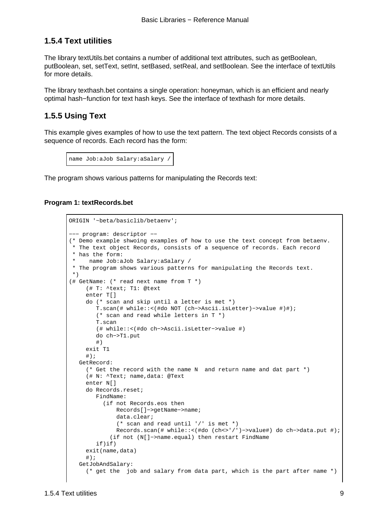### <span id="page-14-0"></span>**1.5.4 Text utilities**

The library textUtils.bet contains a number of additional text attributes, such as getBoolean, putBoolean, set, setText, setInt, setBased, setReal, and setBoolean. See the interface of textUtils for more details.

The library texthash.bet contains a single operation: honeyman, which is an efficient and nearly optimal hash−function for text hash keys. See the interface of texthash for more details.

#### **1.5.5 Using Text**

This example gives examples of how to use the text pattern. The text object Records consists of a sequence of records. Each record has the form:

```
name Job:aJob Salary:aSalary /
```
The program shows various patterns for manipulating the Records text:

#### **Program 1: textRecords.bet**

```
ORIGIN '~beta/basiclib/betaenv';
 −−− program: descriptor −−
(* Demo example shwoing examples of how to use the text concept from betaenv.
  * The text object Records, consists of a sequence of records. Each record
 * has the form:
     name Job:aJob Salary:aSalary /
 * The program shows various patterns for manipulating the Records text.
 *)
(# GetName: (* read next name from T *)
      (# T: ^text; T1: @text
      enter T[]
      do (* scan and skip until a letter is met *)
         T.scan(# while::<(#do NOT (ch−>Ascii.isLetter)−>value #)#);
         (* scan and read while letters in T *)
         T.scan
         (# while::<(#do ch−>Ascii.isLetter−>value #)
         do ch−>T1.put
         #)
      exit T1
     \#);
    GetRecord: 
      (* Get the record with the name N and return name and dat part *)
      (# N: ^Text; name,data: @Text
      enter N[]
      do Records.reset;
         FindName:
           (if not Records.eos then
               Records[]−>getName−>name;
               data.clear;
               (* scan and read until '/' is met *)
               Records.scan(# while::<(#do (ch<>'/')−>value#) do ch−>data.put #);
             (if not (N[]−>name.equal) then restart FindName 
        i f)i f)
      exit(name,data)
     #);
    GetJobAndSalary: 
      (* get the job and salary from data part, which is the part after name *)
```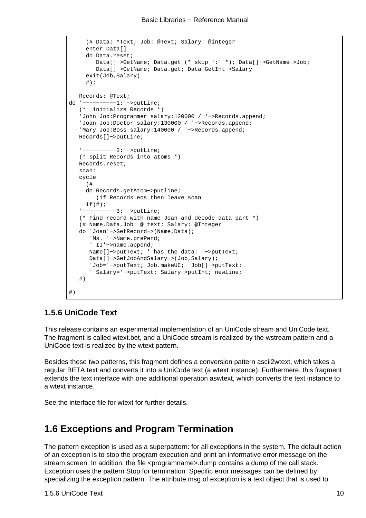```
 (# Data: ^Text; Job: @Text; Salary: @integer
      enter Data[]
      do Data.reset;
         Data[]−>GetName; Data.get (* skip ':' *); Data[]−>GetName−>Job;
         Data[]−>GetName; Data.get; Data.GetInt−>Salary
      exit(Job,Salary)
     \#);
    Records: @Text;
do '−−−−−−−−−−1:'−>putLine; 
    (* initialize Records *)
    'John Job:Programmer salary:120000 / '−>Records.append;
    'Joan Job:Doctor salary:130000 / '−>Records.append;
    'Mary Job:Boss salary:140000 / '−>Records.append;
    Records[]−>putLine;
    '−−−−−−−−−−2:'−>putLine;
    (* split Records into atoms *)
    Records.reset;
    scan:
    cycle
      (# 
      do Records.getAtom−>putline; 
         (if Records.eos then leave scan
      if)#);
    '−−−−−−−−−−3:'−>putLine;
    (* Find record with name Joan and decode data part *)
    (# Name,Data,Job: @ text; Salary: @Integer
    do 'Joan'−>GetRecord−>(Name,Data);
       'Ms. '−>Name.prePend; 
       ' II'−>name.append;
       Name[]−>putText; ' has the data: '−>putText;
       Data[]−>GetJobAndSalary−>(Job,Salary);
       'Job='−>putText; Job.makeUC; Job[]−>putText;
       ' Salary='−>putText; Salary−>putInt; newline;
    #)
#)
```
### **1.5.6 UniCode Text**

This release contains an experimental implementation of an UniCode stream and UniCode text. The fragment is called wtext.bet, and a UniCode stream is realized by the wstream pattern and a UniCode text is realized by the wtext pattern.

Besides these two patterns, this fragment defines a conversion pattern ascii2wtext, which takes a regular BETA text and converts it into a UniCode text (a wtext instance). Furthermere, this fragment extends the text interface with one additional operation aswtext, which converts the text instance to a wtext instance.

See the interface file for wtext for further details.

## **1.6 Exceptions and Program Termination**

The pattern exception is used as a superpattern: for all exceptions in the system. The default action of an exception is to stop the program execution and print an informative error message on the stream screen. In addition, the file <programname>.dump contains a dump of the call stack. Exception uses the pattern Stop for termination. Specific error messages can be defined by specializing the exception pattern. The attribute msg of exception is a text object that is used to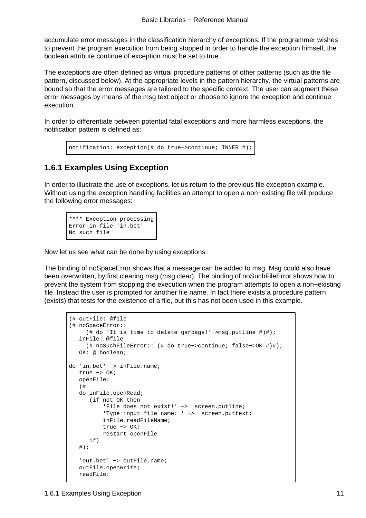accumulate error messages in the classification hierarchy of exceptions. If the programmer wishes to prevent the program execution from being stopped in order to handle the exception himself, the boolean attribute continue of exception must be set to true.

The exceptions are often defined as virtual procedure patterns of other patterns (such as the file pattern, discussed below). At the appropriate levels in the pattern hierarchy, the virtual patterns are bound so that the error messages are tailored to the specific context. The user can augment these error messages by means of the msg text object or choose to ignore the exception and continue execution.

In order to differentiate between potential fatal exceptions and more harmless exceptions, the notification pattern is defined as:

```
notification: exception(# do true−>continue; INNER #);
```
#### **1.6.1 Examples Using Exception**

In order to illustrate the use of exceptions, let us return to the previous file exception example. Without using the exception handling facilities an attempt to open a non−existing file will produce the following error messages:

```
**** Exception processing
Error in file 'in.bet'
No such file
```
Now let us see what can be done by using exceptions.

The binding of noSpaceError shows that a message can be added to msg. Msg could also have been overwritten, by first clearing msg (msg.clear). The binding of noSuchFileError shows how to prevent the system from stopping the execution when the program attempts to open a non−existing file. Instead the user is prompted for another file name. In fact there exists a procedure pattern (exists) that tests for the existence of a file, but this has not been used in this example.

```
(# outFile: @file
(# noSpaceError::
     (# do 'It is time to delete garbage!'−>msg.putline #)#); 
   inFile: @file 
     (# noSuchFileError:: (# do true−>continue; false−>OK #)#);
    OK: @ boolean; 
do 'in.bet' −> inFile.name;
    true −> OK;
    openFile: 
    (# 
    do inFile.openRead;
       (if not OK then
           'File does not exist!' −> screen.putline;
           'Type input file name: ' −> screen.puttext;
          inFile.readFileName;
          true −> OK;
          restart openFile
       if)
   #);
    'out.bet' −> outFile.name;
    outFile.openWrite;
    readFile:
```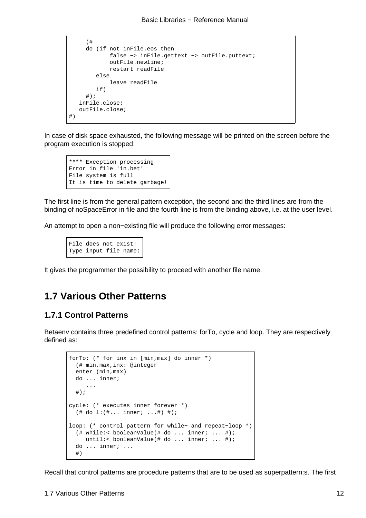```
 (# 
      do (if not inFile.eos then 
              false −> inFile.gettext −> outFile.puttext;
              outFile.newline;
             restart readFile
         else 
              leave readFile
         if)
     \#);
    inFile.close;
    outFile.close;
#)
```
In case of disk space exhausted, the following message will be printed on the screen before the program execution is stopped:

```
**** Exception processing
Error in file 'in.bet'
File system is full
It is time to delete garbage!
```
The first line is from the general pattern exception, the second and the third lines are from the binding of noSpaceError in file and the fourth line is from the binding above, i.e. at the user level.

An attempt to open a non−existing file will produce the following error messages:

```
File does not exist!
Type input file name:
```
It gives the programmer the possibility to proceed with another file name.

### **1.7 Various Other Patterns**

### **1.7.1 Control Patterns**

Betaenv contains three predefined control patterns: forTo, cycle and loop. They are respectively defined as:

```
forTo: (* for inx in [min,max] do inner *)
  (# min,max,inx: @integer
   enter (min,max) 
  do ... inner;
      ...
  \#);
cycle: (* executes inner forever *)
 (\# \text{ do } l: (\#... \text{ inner}; ... \#))loop: (* control pattern for while− and repeat−loop *)
   (# while:< booleanValue(# do ... inner; ... #);
     until:< booleanValue(# do ... inner; ... #);
   do ... inner; ...
   #)
```
Recall that control patterns are procedure patterns that are to be used as superpattern:s. The first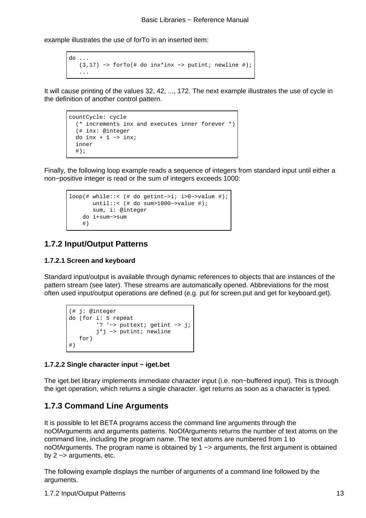example illustrates the use of forTo in an inserted item:

```
do ... 
   (3,17) -> forTo(# do inx*inx -> putint; newline #);
    ...
```
It will cause printing of the values 32, 42, ..., 172. The next example illustrates the use of cycle in the definition of another control pattern.

```
countCycle: cycle 
   (* increments inx and executes inner forever *)
   (# inx: @integer
   do inx + 1 −> inx;
   inner
  #);
```
Finally, the following loop example reads a sequence of integers from standard input until either a non−positive integer is read or the sum of integers exceeds 1000:

```
loop(# while::< (# do getint−>i; i>0−>value #);
       until::< (# do sum>1000−>value #);
       sum, i: @integer
    do i+sum−>sum
     #)
```
### **1.7.2 Input/Output Patterns**

#### **1.7.2.1 Screen and keyboard**

Standard input/output is available through dynamic references to objects that are instances of the pattern stream (see later). These streams are automatically opened. Abbreviations for the most often used input/output operations are defined (e.g. put for screen.put and get for keyboard.get).

```
(# j: @integer
do (for i: 5 repeat
         '? '−> puttext; getint −> j;
         j*j −> putint; newline
    for) 
#)
```
#### **1.7.2.2 Single character input − iget.bet**

The iget.bet library implements immediate character input (i.e. non−buffered input). This is through the iget operation, which returns a single character. iget returns as soon as a character is typed.

#### **1.7.3 Command Line Arguments**

It is possible to let BETA programs access the command line arguments through the noOfArguments and arguments patterns. NoOfArguments returns the number of text atoms on the command line, including the program name. The text atoms are numbered from 1 to noOfArguments. The program name is obtained by 1 -> arguments, the first argument is obtained by 2 −> arguments, etc.

The following example displays the number of arguments of a command line followed by the arguments.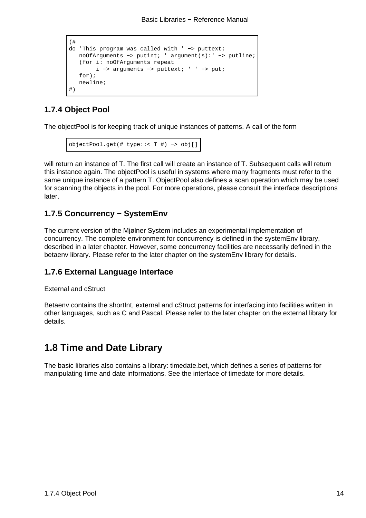```
(# 
do 'This program was called with ' −> puttext;
    noOfArguments −> putint; ' argument(s):' −> putline;
    (for i: noOfArguments repeat
         i −> arguments −> puttext; ' ' −> put;
    for); 
    newline;
#)
```
### **1.7.4 Object Pool**

The objectPool is for keeping track of unique instances of patterns. A call of the form

```
objectPool.get(# type::< T #) −> obj[]
```
will return an instance of T. The first call will create an instance of T. Subsequent calls will return this instance again. The objectPool is useful in systems where many fragments must refer to the same unique instance of a pattern T. ObjectPool also defines a scan operation which may be used for scanning the objects in the pool. For more operations, please consult the interface descriptions later.

### **1.7.5 Concurrency − SystemEnv**

The current version of the Mjølner System includes an experimental implementation of concurrency. The complete environment for concurrency is defined in the systemEnv library, described in a later chapter. However, some concurrency facilities are necessarily defined in the betaenv library. Please refer to the later chapter on the systemEnv library for details.

### **1.7.6 External Language Interface**

External and cStruct

Betaenv contains the shortInt, external and cStruct patterns for interfacing into facilities written in other languages, such as C and Pascal. Please refer to the later chapter on the external library for details.

## **1.8 Time and Date Library**

The basic libraries also contains a library: timedate.bet, which defines a series of patterns for manipulating time and date informations. See the interface of timedate for more details.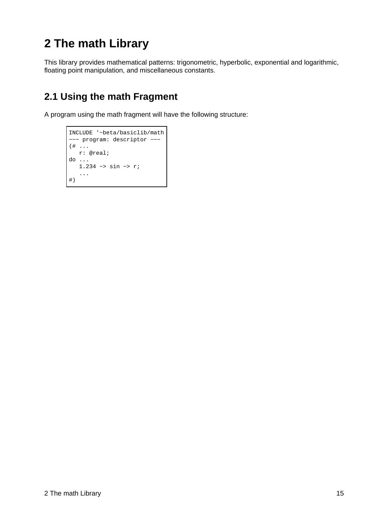# <span id="page-20-0"></span>**2 The math Library**

This library provides mathematical patterns: trigonometric, hyperbolic, exponential and logarithmic, floating point manipulation, and miscellaneous constants.

# **2.1 Using the math Fragment**

A program using the math fragment will have the following structure:

```
INCLUDE '~beta/basiclib/math
−−− program: descriptor −−−
(# ...
   r: @real;
do ...
  1.234 −> sin −> r;
    ...
#)
```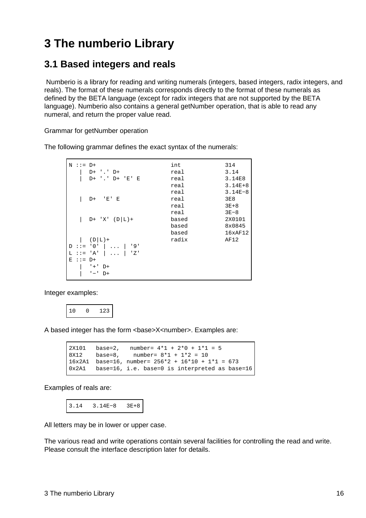# <span id="page-21-0"></span>**3 The numberio Library**

### **3.1 Based integers and reals**

 Numberio is a library for reading and writing numerals (integers, based integers, radix integers, and reals). The format of these numerals corresponds directly to the format of these numerals as defined by the BETA language (except for radix integers that are not supported by the BETA language). Numberio also contains a general getNumber operation, that is able to read any numeral, and return the proper value read.

Grammar for getNumber operation

| N<br>$: := D+$                                                                     | int   | 314         |
|------------------------------------------------------------------------------------|-------|-------------|
| $D+ '$ .' $D+$                                                                     | real  | 3.14        |
| $D+$ '.' $D+$ 'E' E                                                                | real  | 3.14E8      |
|                                                                                    | real  | $3.14E + 8$ |
|                                                                                    | real  | $3.14E - 8$ |
| $'E'$ E<br>D+                                                                      | real  | 3E8         |
|                                                                                    | real  | $3E+8$      |
|                                                                                    | real  | $3E-8$      |
| $D+ 'X'$ $(D L)+$                                                                  | based | 2X0101      |
|                                                                                    | based | 8x0845      |
|                                                                                    | based | 16xAF12     |
| $(D L)$ +                                                                          | radix | AF12        |
| ا 9 ا<br>'0'<br>D<br>$\therefore$ $\therefore$ =                                   |       |             |
| ' Z '<br>$\mathbf{I} : \mathbf{I} = \mathbf{I} \times \mathbf{A}$<br>$\cdots$<br>L |       |             |
| Е<br>$D+$<br>$: :=$                                                                |       |             |
| $+1$<br>$D+$                                                                       |       |             |
| $1 = 1$<br>$D+$                                                                    |       |             |
|                                                                                    |       |             |

The following grammar defines the exact syntax of the numerals:

Integer examples:

10 0 123

A based integer has the form <br/>base>X<number>. Examples are:

```
2X101 base=2, number= 4*1 + 2*0 + 1*1 = 5
8X12 base=8, number= 8*1 + 1*2 = 10
16x2A1 base=16, number= 256*2 + 16*10 + 1*1 = 673
0x2A1 base=16, i.e. base=0 is interpreted as base=16
```
Examples of reals are:

3.14 3.14E−8 3E+8

All letters may be in lower or upper case.

The various read and write operations contain several facilities for controlling the read and write. Please consult the interface description later for details.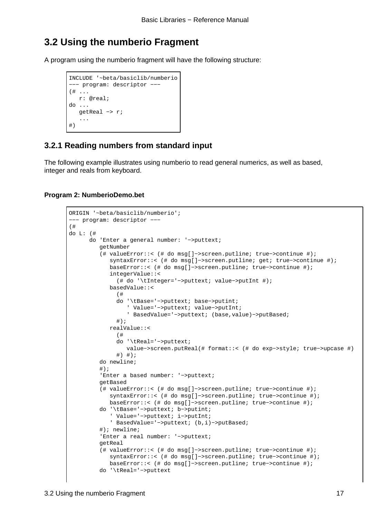## <span id="page-22-0"></span>**3.2 Using the numberio Fragment**

A program using the numberio fragment will have the following structure:

```
INCLUDE '~beta/basiclib/numberio
−−− program: descriptor −−−
( # . . . r: @real;
do ...
    getReal −> r;
    ...
#)
```
#### **3.2.1 Reading numbers from standard input**

The following example illustrates using numberio to read general numerics, as well as based, integer and reals from keyboard.

#### **Program 2: NumberioDemo.bet**

```
ORIGIN '~beta/basiclib/numberio';
−−− program: descriptor −−−
(#
do L: (#
       do 'Enter a general number: '−>puttext;
          getNumber
          (# valueError::< (# do msg[]−>screen.putline; true−>continue #);
             syntaxError::< (# do msg[]−>screen.putline; get; true−>continue #);
             baseError::< (# do msg[]−>screen.putline; true−>continue #);
             integerValue::<
               (# do '\tInteger='−>puttext; value−>putInt #);
             basedValue::<
 (#
               do '\tBase='−>puttext; base−>putint;
                   ' Value='−>puttext; value−>putInt;
                  ' BasedValue='−>puttext; (base,value)−>putBased;
              #);
             realValue::<
(#)
               do '\tReal='−>puttext; 
                  value−>screen.putReal(# format::< (# do exp−>style; true−>upcase #)
              #) #) ;
          do newline;
         \#) :
          'Enter a based number: '−>puttext;
          getBased
          (# valueError::< (# do msg[]−>screen.putline; true−>continue #);
             syntaxError::< (# do msg[]−>screen.putline; true−>continue #);
             baseError::< (# do msg[]−>screen.putline; true−>continue #);
          do '\tBase='−>puttext; b−>putint;
             ' Value='−>puttext; i−>putInt;
             ' BasedValue='−>puttext; (b,i)−>putBased;
          #); newline;
          'Enter a real number: '−>puttext;
          getReal
          (# valueError::< (# do msg[]−>screen.putline; true−>continue #);
             syntaxError::< (# do msg[]−>screen.putline; true−>continue #);
             baseError::< (# do msg[]−>screen.putline; true−>continue #);
          do '\tReal='−>puttext
```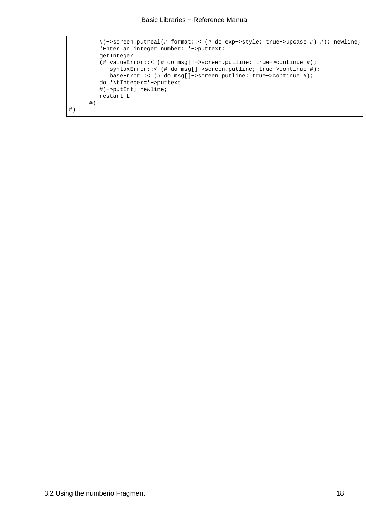```
 #)−>screen.putreal(# format::< (# do exp−>style; true−>upcase #) #); newline;
          'Enter an integer number: '−>puttext;
          getInteger
          (# valueError::< (# do msg[]−>screen.putline; true−>continue #);
             syntaxError::< (# do msg[]−>screen.putline; true−>continue #);
             baseError::< (# do msg[]−>screen.putline; true−>continue #);
          do '\tInteger='−>puttext
          #)−>putInt; newline;
          restart L
       #) 
\# )
```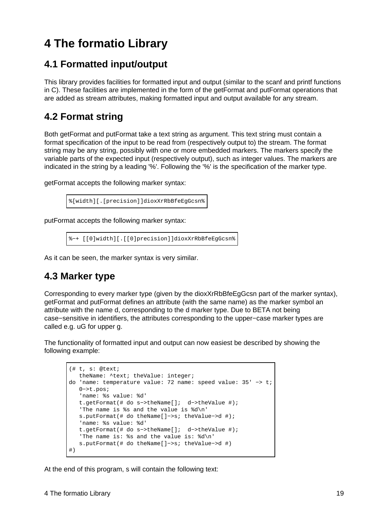# <span id="page-24-0"></span>**4 The formatio Library**

## **4.1 Formatted input/output**

This library provides facilities for formatted input and output (similar to the scanf and printf functions in C). These facilities are implemented in the form of the getFormat and putFormat operations that are added as stream attributes, making formatted input and output available for any stream.

## **4.2 Format string**

Both getFormat and putFormat take a text string as argument. This text string must contain a format specification of the input to be read from (respectively output to) the stream. The format string may be any string, possibly with one or more embedded markers. The markers specify the variable parts of the expected input (respectively output), such as integer values. The markers are indicated in the string by a leading '%'. Following the '%' is the specification of the marker type.

getFormat accepts the following marker syntax:

```
%[width][.[precision]]dioxXrRbBfeEgGcsn%
```
putFormat accepts the following marker syntax:

```
%−+ [[0]width][.[[0]precision]]dioxXrRbBfeEgGcsn%
```
As it can be seen, the marker syntax is very similar.

## **4.3 Marker type**

Corresponding to every marker type (given by the dioxXrRbBfeEgGcsn part of the marker syntax), getFormat and putFormat defines an attribute (with the same name) as the marker symbol an attribute with the name d, corresponding to the d marker type. Due to BETA not being case−sensitive in identifiers, the attributes corresponding to the upper−case marker types are called e.g. uG for upper g.

The functionality of formatted input and output can now easiest be described by showing the following example:

```
(# t, s: @text;
   theName: ^text; theValue: integer;
do 'name: temperature value: 72 name: speed value: 35' −> t;
   0−>t.pos;
   'name: %s value: %d'
   t.getFormat(# do s−>theName[]; d−>theValue #);
   'The name is %s and the value is %d\n'
   s.putFormat(# do theName[]−>s; theValue−>d #);
   'name: %s value: %d'
    t.getFormat(# do s−>theName[]; d−>theValue #);
    'The name is: %s and the value is: %d\n'
    s.putFormat(# do theName[]−>s; theValue−>d #)
#)
```
At the end of this program, s will contain the following text: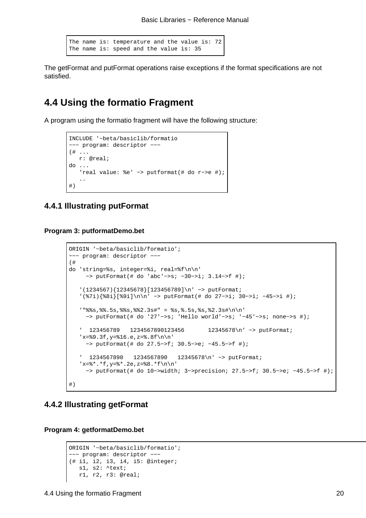```
The name is: temperature and the value is: 72
The name is: speed and the value is: 35
```
<span id="page-25-0"></span>The getFormat and putFormat operations raise exceptions if the format specifications are not satisfied.

### **4.4 Using the formatio Fragment**

A program using the formatio fragment will have the following structure:

```
INCLUDE '~beta/basiclib/formatio
−−− program: descriptor −−−
( \# \ldots r: @real;
do ...
    'real value: %e' −> putformat(# do r−>e #);
    ..
#)
```
#### **4.4.1 Illustrating putFormat**

**Program 3: putformatDemo.bet**

```
ORIGIN '~beta/basiclib/formatio';
−−− program: descriptor −−−
(#
do 'string=%s, integer=%i, real=%f\n\n'
     −> putFormat(# do 'abc'−>s; −30−>i; 3.14−>f #);
    '(1234567){12345678}[123456789]\n' −> putFormat;
    '(%7i){%8i}[%9i]\n\n' −> putFormat(# do 27−>i; 30−>i; −45−>i #);
   '"%%s,%%.5s,%%s,%%2.3s#" = %s,%.5s,%s,%2.3s#\n\n'
      −> putFormat(# do '27'−>s; 'Hello world'−>s; '−45'−>s; none−>s #);
    ' 123456789 1234567890123456 12345678\n' −> putFormat;
    'x=%9.3f,y=%16.e,z=%.8f\n\n'
      −> putFormat(# do 27.5−>f; 30.5−>e; −45.5−>f #);
    ' 1234567890 1234567890 12345678\n' −> putFormat;
   x= * . *f, y= * . 2e, z= 8. *f\n\times n' −> putFormat(# do 10−>width; 3−>precision; 27.5−>f; 30.5−>e; −45.5−>f #);
#)
```
#### **4.4.2 Illustrating getFormat**

**Program 4: getformatDemo.bet**

```
ORIGIN '~beta/basiclib/formatio';
−−− program: descriptor −−−
(# i1, i2, i3, i4, i5: @integer;
   s1, s2: ^text;
   r1, r2, r3: @real;
```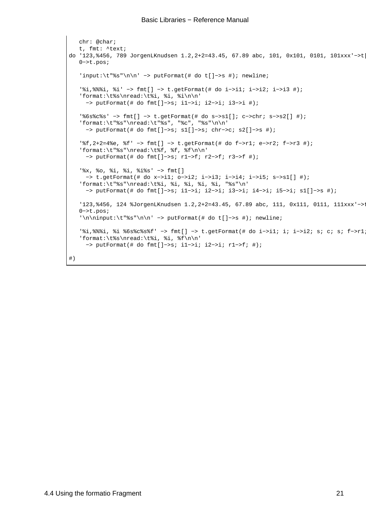```
 chr: @char;
    t, fmt: ^text;
do '123,%456, 789 JorgenLKnudsen 1.2,2+2=43.45, 67.89 abc, 101, 0x101, 0101, 101xxx'−>t[];
   0−>t.pos;
    'input:\t"%s"\n\n' −> putFormat(# do t[]−>s #); newline;
    '%i,%%%i, %i' −> fmt[] −> t.getFormat(# do i−>i1; i−>i2; i−>i3 #);
    'format:\t%s\nread:\t%i, %i, %i\n\n'
      −> putFormat(# do fmt[]−>s; i1−>i; i2−>i; i3−>i #);
    '%6s%c%s' −> fmt[] −> t.getFormat(# do s−>s1[]; c−>chr; s−>s2[] #);
    'format:\t"%s"\nread:\t"%s", "%c", "%s"\n\n'
      −> putFormat(# do fmt[]−>s; s1[]−>s; chr−>c; s2[]−>s #);
    '%f,2+2=4%e, %f' −> fmt[] −> t.getFormat(# do f−>r1; e−>r2; f−>r3 #);
    'format:\t"%s"\nread:\t%f, %f, %f\n\n'
      −> putFormat(# do fmt[]−>s; r1−>f; r2−>f; r3−>f #);
    '%x, %o, %i, %i, %i%s' −> fmt[] 
      −> t.getFormat(# do x−>i1; o−>i2; i−>i3; i−>i4; i−>i5; s−>s1[] #);
    'format:\t"%s"\nread:\t%i, %i, %i, %i, %i, "%s"\n'
      −> putFormat(# do fmt[]−>s; i1−>i; i2−>i; i3−>i; i4−>i; i5−>i; s1[]−>s #);
    '123,%456, 124 %JorgenLKnudsen 1.2,2+2=43.45, 67.89 abc, 111, 0x111, 0111, 111xxx'−>t[];
    0−>t.pos;
   '\n\ninput:\t"%s"\n\n' -> putFormat(# do t[]->s #); newline;
    '%i,%%%i, %i %6s%c%s%f' −> fmt[] −> t.getFormat(# do i−>i1; i; i−>i2; s; c; s; f−>r1; #);
    'format:\t%s\nread:\t%i, %i, %f\n\n'
      −> putFormat(# do fmt[]−>s; i1−>i; i2−>i; r1−>f; #);
#)
```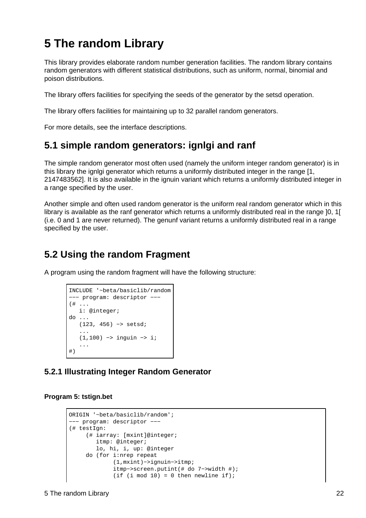# <span id="page-27-0"></span>**5 The random Library**

This library provides elaborate random number generation facilities. The random library contains random generators with different statistical distributions, such as uniform, normal, binomial and poison distributions.

The library offers facilities for specifying the seeds of the generator by the setsd operation.

The library offers facilities for maintaining up to 32 parallel random generators.

For more details, see the interface descriptions.

### **5.1 simple random generators: ignlgi and ranf**

The simple random generator most often used (namely the uniform integer random generator) is in this library the ignlgi generator which returns a uniformly distributed integer in the range [1, 2147483562]. It is also available in the ignuin variant which returns a uniformly distributed integer in a range specified by the user.

Another simple and often used random generator is the uniform real random generator which in this library is available as the ranf generator which returns a uniformly distributed real in the range [0, 1] (i.e. 0 and 1 are never returned). The genunf variant returns a uniformly distributed real in a range specified by the user.

### **5.2 Using the random Fragment**

A program using the random fragment will have the following structure:

```
INCLUDE '~beta/basiclib/random
−−− program: descriptor −−−
(# ...
   i: @integer;
do ...
   (123, 456) −> setsd;
 ...
    (1,100) −> inguin −> i;
    ...
#)
```
### **5.2.1 Illustrating Integer Random Generator**

**Program 5: tstign.bet**

```
ORIGIN '~beta/basiclib/random';
−−− program: descriptor −−−
(# testIgn:
    (# iarray: [mxint]@integer;
        itmp: @integer;
        lo, hi, i, up: @integer
    do (for i:nrep repeat
             (1,mxint)−>ignuin−>itmp;
             itmp−>screen.putint(# do 7−>width #);
            (if (i mod 10) = 0 then newline if);
```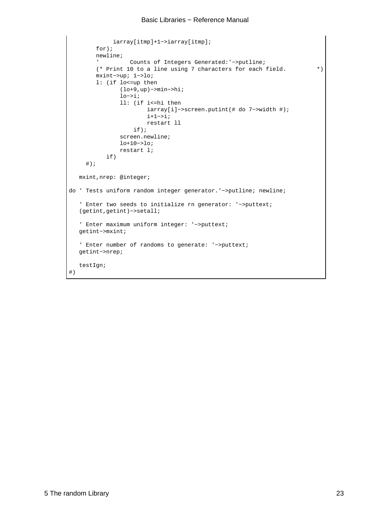#### Basic Libraries − Reference Manual

```
 iarray[itmp]+1−>iarray[itmp];
         for);
         newline;
                   ' Counts of Integers Generated:'−>putline;
         (* Print 10 to a line using 7 characters for each field. *)
         mxint−>up; 1−>lo;
         l: (if lo<=up then
                 (lo+9,up)−>min−>hi;
                lo−>i;
                ll: (if i<=hi then
                         iarray[i]−>screen.putint(# do 7−>width #);
                         i+1−>i;
                        restart ll
                     if);
                screen.newline;
                lo+10−>lo;
                restart l;
            if)
     \#);
    mxint,nrep: @integer;
do ' Tests uniform random integer generator.'−>putline; newline;
    ' Enter two seeds to initialize rn generator: '−>puttext;
    (getint,getint)−>setall;
    ' Enter maximum uniform integer: '−>puttext;
    getint−>mxint;
    ' Enter number of randoms to generate: '−>puttext;
    getint−>nrep;
    testIgn;
\# )
```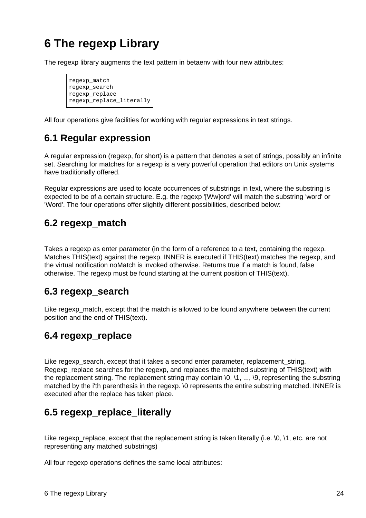# <span id="page-29-0"></span>**6 The regexp Library**

The regexp library augments the text pattern in betaenv with four new attributes:

regexp\_match regexp\_search regexp\_replace regexp\_replace\_literally

All four operations give facilities for working with regular expressions in text strings.

## **6.1 Regular expression**

A regular expression (regexp, for short) is a pattern that denotes a set of strings, possibly an infinite set. Searching for matches for a regexp is a very powerful operation that editors on Unix systems have traditionally offered.

Regular expressions are used to locate occurrences of substrings in text, where the substring is expected to be of a certain structure. E.g. the regexp '[Ww]ord' will match the substring 'word' or 'Word'. The four operations offer slightly different possibilities, described below:

## **6.2 regexp\_match**

Takes a regexp as enter parameter (in the form of a reference to a text, containing the regexp. Matches THIS(text) against the regexp. INNER is executed if THIS(text) matches the regexp, and the virtual notification noMatch is invoked otherwise. Returns true if a match is found, false otherwise. The regexp must be found starting at the current position of THIS(text).

### **6.3 regexp\_search**

Like regexp match, except that the match is allowed to be found anywhere between the current position and the end of THIS(text).

## **6.4 regexp\_replace**

Like regexp search, except that it takes a second enter parameter, replacement string. Regexp\_replace searches for the regexp, and replaces the matched substring of THIS(text) with the replacement string. The replacement string may contain  $\{0, \{1, \ldots, \emptyset\}$ , representing the substring matched by the i'th parenthesis in the regexp. \0 represents the entire substring matched. INNER is executed after the replace has taken place.

## **6.5 regexp\_replace\_literally**

Like regexp\_replace, except that the replacement string is taken literally (i.e. \0, \1, etc. are not representing any matched substrings)

All four regexp operations defines the same local attributes: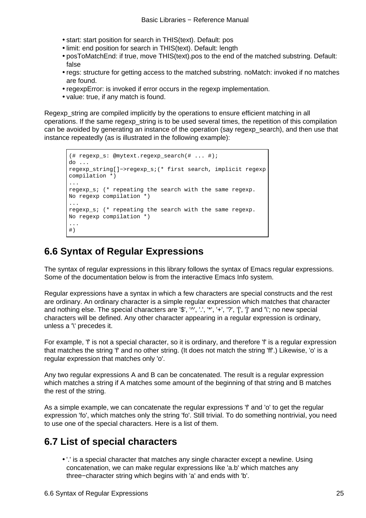- start: start position for search in THIS(text). Default: pos
- limit: end position for search in THIS(text). Default: length
- posToMatchEnd: if true, move THIS(text).pos to the end of the matched substring. Default: false
- regs: structure for getting access to the matched substring. noMatch: invoked if no matches are found.
- regexpError: is invoked if error occurs in the regexp implementation.
- value: true, if any match is found.

Regexp string are compiled implicitly by the operations to ensure efficient matching in all operations. If the same regexp\_string is to be used several times, the repetition of this compilation can be avoided by generating an instance of the operation (say regexp\_search), and then use that instance repeatedly (as is illustrated in the following example):

```
(# regexp_s: @mytext.regexp_search(# ... #);
do ...
regexp_string[]−>regexp_s;(* first search, implicit regexp
compilation *)
...
regexp_s; (* repeating the search with the same regexp.
No regexp compilation *)
...
regexp_s; (* repeating the search with the same regexp.
No regexp compilation *)
...
#)
```
## **6.6 Syntax of Regular Expressions**

The syntax of regular expressions in this library follows the syntax of Emacs regular expressions. Some of the documentation below is from the interactive Emacs Info system.

Regular expressions have a syntax in which a few characters are special constructs and the rest are ordinary. An ordinary character is a simple regular expression which matches that character and nothing else. The special characters are '\$', '^', '.', '\*', '+', '?', '[', ']' and '\'; no new special characters will be defined. Any other character appearing in a regular expression is ordinary, unless a '\' precedes it.

For example, 'f' is not a special character, so it is ordinary, and therefore 'f' is a regular expression that matches the string 'f' and no other string. (It does not match the string 'ff'.) Likewise, 'o' is a regular expression that matches only 'o'.

Any two regular expressions A and B can be concatenated. The result is a regular expression which matches a string if A matches some amount of the beginning of that string and B matches the rest of the string.

As a simple example, we can concatenate the regular expressions 'f' and 'o' to get the regular expression 'fo', which matches only the string 'fo'. Still trivial. To do something nontrivial, you need to use one of the special characters. Here is a list of them.

### **6.7 List of special characters**

• '.' is a special character that matches any single character except a newline. Using concatenation, we can make regular expressions like 'a.b' which matches any three−character string which begins with 'a' and ends with 'b'.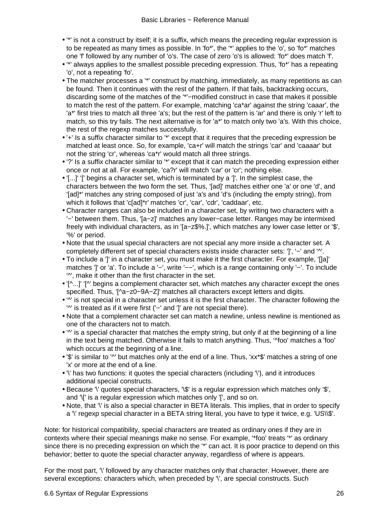- '\*' is not a construct by itself; it is a suffix, which means the preceding regular expression is to be repeated as many times as possible. In 'fo\*', the '\*' applies to the 'o', so 'fo\*' matches one 'f' followed by any number of 'o's. The case of zero 'o's is allowed: 'fo\*' does match 'f'.
- '\*' always applies to the smallest possible preceding expression. Thus, 'fo\*' has a repeating 'o', not a repeating 'fo'.
- The matcher processes a '\*' construct by matching, immediately, as many repetitions as can be found. Then it continues with the rest of the pattern. If that fails, backtracking occurs, discarding some of the matches of the '\*'−modified construct in case that makes it possible to match the rest of the pattern. For example, matching 'ca\*ar' against the string 'caaar', the 'a\*' first tries to match all three 'a's; but the rest of the pattern is 'ar' and there is only 'r' left to match, so this try fails. The next alternative is for 'a\*' to match only two 'a's. With this choice, the rest of the regexp matches successfully.
- '+' Is a suffix character similar to '\*' except that it requires that the preceding expression be matched at least once. So, for example, 'ca+r' will match the strings 'car' and 'caaaar' but not the string 'cr', whereas 'ca\*r' would match all three strings.
- '?' Is a suffix character similar to '\*' except that it can match the preceding expression either once or not at all. For example, 'ca?r' will match 'car' or 'cr'; nothing else.
- '[...]' '[' begins a character set, which is terminated by a ']'. In the simplest case, the characters between the two form the set. Thus, '[ad]' matches either one 'a' or one 'd', and '[ad]\*' matches any string composed of just 'a's and 'd's (including the empty string), from which it follows that 'c[ad]\*r' matches 'cr', 'car', 'cdr', 'caddaar', etc.
- Character ranges can also be included in a character set, by writing two characters with a '−' between them. Thus, '[a−z]' matches any lower−case letter. Ranges may be intermixed freely with individual characters, as in '[a−z\$%.]', which matches any lower case letter or '\$', '%' or period.
- Note that the usual special characters are not special any more inside a character set. A completely different set of special characters exists inside character sets: ']', '−' and '^'.
- To include a ']' in a character set, you must make it the first character. For example, '[]a]' matches ']' or 'a'. To include a '−', write '−−', which is a range containing only '−'. To include '^', make it other than the first character in the set.
- '[^...]' '[^' begins a complement character set, which matches any character except the ones specified. Thus, '[^a-z0-9A-Z]' matches all characters except letters and digits.
- '^' is not special in a character set unless it is the first character. The character following the '<sup>^'</sup> is treated as if it were first ('−' and ']' are not special there).
- Note that a complement character set can match a newline, unless newline is mentioned as one of the characters not to match.
- '<sup>N'</sup> is a special character that matches the empty string, but only if at the beginning of a line in the text being matched. Otherwise it fails to match anything. Thus, '^foo' matches a 'foo' which occurs at the beginning of a line.
- '\$' is similar to '^' but matches only at the end of a line. Thus, 'xx\*\$' matches a string of one 'x' or more at the end of a line.
- '\' has two functions: it quotes the special characters (including '\'), and it introduces additional special constructs.
- Because '\' quotes special characters, '\\$' is a regular expression which matches only '\$', and '\[' is a regular expression which matches only '[', and so on.
- Note, that '\' is also a special character in BETA literals. This implies, that in order to specify a '\' regexp special character in a BETA string literal, you have to type it twice, e.g. 'US\\\$'.

Note: for historical compatibility, special characters are treated as ordinary ones if they are in contexts where their special meanings make no sense. For example, '\*foo' treats '\*' as ordinary since there is no preceding expression on which the '\*' can act. It is poor practice to depend on this behavior; better to quote the special character anyway, regardless of where is appears.

For the most part, '\' followed by any character matches only that character. However, there are several exceptions: characters which, when preceded by '\', are special constructs. Such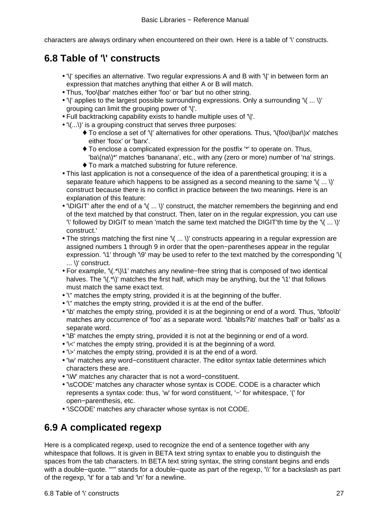characters are always ordinary when encountered on their own. Here is a table of '\' constructs.

## **6.8 Table of '\' constructs**

- '\|' specifies an alternative. Two regular expressions A and B with '\|' in between form an expression that matches anything that either A or B will match.
- Thus, 'foo\|bar' matches either 'foo' or 'bar' but no other string.
- $\lvert \cdot \rvert'$  applies to the largest possible surrounding expressions. Only a surrounding  $\lvert \cdot \rvert$  ...  $\lvert \cdot \rvert$ grouping can limit the grouping power of '\|'.
- Full backtracking capability exists to handle multiple uses of '\|'.
- '\(...\)' is a grouping construct that serves three purposes:
	- ♦ To enclose a set of '\|' alternatives for other operations. Thus, '\(foo\|bar\)x' matches either 'foox' or 'barx'.
	- ♦ To enclose a complicated expression for the postfix '\*' to operate on. Thus, 'ba\(na\)\*' matches 'bananana', etc., with any (zero or more) number of 'na' strings. ♦ To mark a matched substring for future reference.
	-
- This last application is not a consequence of the idea of a parenthetical grouping; it is a separate feature which happens to be assigned as a second meaning to the same '\( ... \)' construct because there is no conflict in practice between the two meanings. Here is an explanation of this feature:
- '\DIGIT' after the end of a '\( ... \)' construct, the matcher remembers the beginning and end of the text matched by that construct. Then, later on in the regular expression, you can use '\' followed by DIGIT to mean 'match the same text matched the DIGIT'th time by the '\ $(\ldots \)$ ' construct.'
- The strings matching the first nine '\( ... \)' constructs appearing in a regular expression are assigned numbers 1 through 9 in order that the open−parentheses appear in the regular expression. '\1' through '\9' may be used to refer to the text matched by the corresponding '\( ... \)' construct.
- For example, '\(.\*\)\1' matches any newline−free string that is composed of two identical halves. The '\(.\*\)' matches the first half, which may be anything, but the '\1' that follows must match the same exact text.
- '\'' matches the empty string, provided it is at the beginning of the buffer.
- '\'' matches the empty string, provided it is at the end of the buffer.
- '\b' matches the empty string, provided it is at the beginning or end of a word. Thus, '\bfoo\b' matches any occurrence of 'foo' as a separate word. '\bballs?\b' matches 'ball' or 'balls' as a separate word.
- '\B' matches the empty string, provided it is not at the beginning or end of a word.
- '\<' matches the empty string, provided it is at the beginning of a word.
- '\>' matches the empty string, provided it is at the end of a word.
- '\w' matches any word−constituent character. The editor syntax table determines which characters these are.
- '\W' matches any character that is not a word−constituent.
- '\sCODE' matches any character whose syntax is CODE. CODE is a character which represents a syntax code: thus, 'w' for word constituent, '−' for whitespace, '(' for open−parenthesis, etc.
- '\SCODE' matches any character whose syntax is not CODE.

## **6.9 A complicated regexp**

Here is a complicated regexp, used to recognize the end of a sentence together with any whitespace that follows. It is given in BETA text string syntax to enable you to distinguish the spaces from the tab characters. In BETA text string syntax, the string constant begins and ends with a double−quote. '""' stands for a double−quote as part of the regexp, '\\' for a backslash as part of the regexp, '\t' for a tab and '\n' for a newline.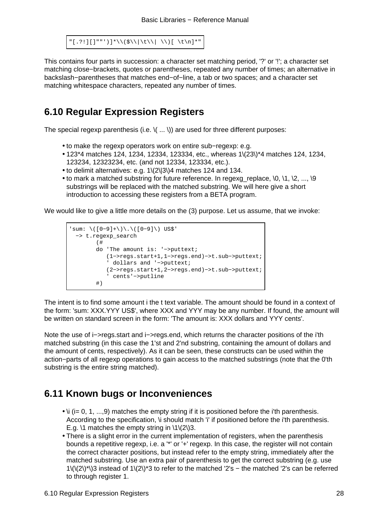```
"[ . ? ! ] [ ]""') ] * \ \{ \xi \} \ \{ \ \} \ \{ \ \} \
```
This contains four parts in succession: a character set matching period, '?' or '!'; a character set matching close−brackets, quotes or parentheses, repeated any number of times; an alternative in backslash−parentheses that matches end−of−line, a tab or two spaces; and a character set matching whitespace characters, repeated any number of times.

### **6.10 Regular Expression Registers**

The special regexp parenthesis (i.e.  $\langle$  ...  $\rangle$ )) are used for three different purposes:

- to make the regexp operators work on entire sub−regexp: e.g.
- 123\*4 matches 124, 1234, 12334, 123334, etc., whereas 1\(23\)\*4 matches 124, 1234, 123234, 12323234, etc. (and not 12334, 123334, etc.).
- to delimit alternatives: e.g. 1\(2\|3\)4 matches 124 and 134.
- to mark a matched substring for future reference. In regexg replace,  $\langle 0, \langle 1, \langle 2, \ldots, \langle 9 \rangle \rangle$ substrings will be replaced with the matched substring. We will here give a short introduction to accessing these registers from a BETA program.

We would like to give a little more details on the (3) purpose. Let us assume, that we invoke:

```
'sum: \([0−9]+\)\.\([0−9]\) US$'
  −> t.regexp_search 
        (# 
        do 'The amount is: '−>puttext;
          (1−>regs.start+1,1−>regs.end)−>t.sub−>puttext;
            ' dollars and '−>puttext;
           (2−>regs.start+1,2−>regs.end)−>t.sub−>puttext;
             ' cents'−>putline
         #)
```
The intent is to find some amount i the t text variable. The amount should be found in a context of the form: 'sum: XXX.YYY US\$', where XXX and YYY may be any number. If found, the amount will be written on standard screen in the form: 'The amount is: XXX dollars and YYY cents'.

Note the use of i−>regs.start and i−>regs.end, which returns the character positions of the i'th matched substring (in this case the 1'st and 2'nd substring, containing the amount of dollars and the amount of cents, respectively). As it can be seen, these constructs can be used within the action−parts of all regexp operations to gain access to the matched substrings (note that the 0'th substring is the entire string matched).

### **6.11 Known bugs or Inconveniences**

- $\mathbf{i}$  (i= 0, 1, ...,9) matches the empty string if it is positioned before the i'th parenthesis. According to the specification, \i should match 'i' if positioned before the i'th parenthesis. E.g.  $\setminus$ 1 matches the empty string in  $\setminus$ 1 $\setminus$ (2 $\setminus$ )3.
- There is a slight error in the current implementation of registers, when the parenthesis bounds a repetitive regexp, i.e. a '\*' or '+' regexp. In this case, the register will not contain the correct character positions, but instead refer to the empty string, immediately after the matched substring. Use an extra pair of parenthesis to get the correct substring (e.g. use  $1\langle (\langle 2\rangle)^* \rangle$ 3 instead of  $1\langle 2\rangle^*3$  to refer to the matched '2's – the matched '2's can be referred to through register 1.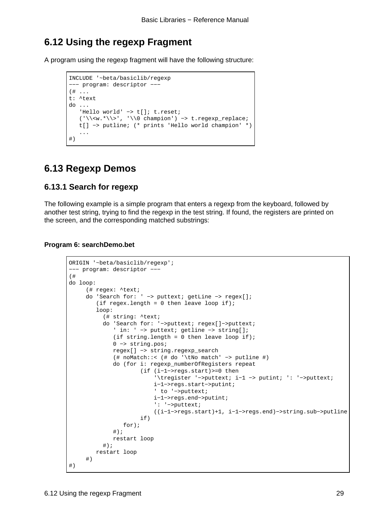### <span id="page-34-0"></span>**6.12 Using the regexp Fragment**

A program using the regexp fragment will have the following structure:

```
INCLUDE '~beta/basiclib/regexp
−−− program: descriptor −−−
( \# \ldotst: ^text
do ...
    'Hello world' −> t[]; t.reset;
    ('\\<w.*\\>', '\\0 champion') −> t.regexp_replace;
    t[] −> putline; (* prints 'Hello world champion' *)
 ...
#)
```
### **6.13 Regexp Demos**

#### **6.13.1 Search for regexp**

The following example is a simple program that enters a regexp from the keyboard, followed by another test string, trying to find the regexp in the test string. If found, the registers are printed on the screen, and the corresponding matched substrings:

#### **Program 6: searchDemo.bet**

```
ORIGIN '~beta/basiclib/regexp';
−−− program: descriptor −−−
(#
do loop:
      (# regex: ^text;
      do 'Search for: ' −> puttext; getLine −> regex[];
        (if regex.length = 0 then leave loop if);
         loop:
           (# string: ^text;
           do 'Search for: '−>puttext; regex[]−>puttext;
              ' in: ' −> puttext; getline −> string[];
             (if string.length = 0 then leave loop if);
              0 −> string.pos;
              regex[] −> string.regexp_search
              (# noMatch::< (# do '\tNo match' −> putline #)
              do (for i: regexp_numberOfRegisters repeat
                      (if (i−1−>regs.start)>=0 then
                          '\tregister '−>puttext; i−1 −> putint; ': '−>puttext;
                          i−1−>regs.start−>putint;
                          ' to '−>puttext;
                          i−1−>regs.end−>putint;
                          ': '−>puttext;
                          ((i−1−>regs.start)+1, i−1−>regs.end)−>string.sub−>putline
 if)
                 for);
             #);
              restart loop
          #);
         restart loop
      #)
#)
```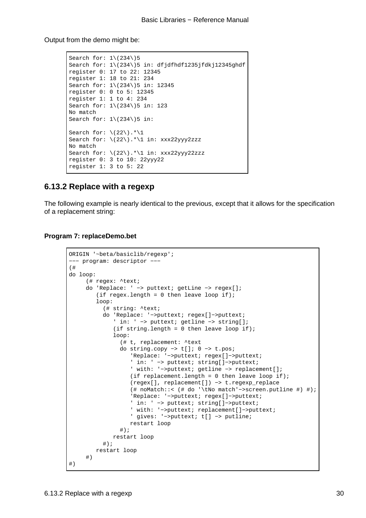<span id="page-35-0"></span>Output from the demo might be:

```
Search for: 1\(234\)5
Search for: 1\backslash(234\backslash)5 in: dfjdfhdf1235jfdkj12345ghdf
register 0: 17 to 22: 12345
register 1: 18 to 21: 234
Search for: 1\(234\)5 in: 12345
register 0: 0 to 5: 12345
register 1: 1 to 4: 234
Search for: 1\(234\)5 in: 123
No match
Search for: 1 \ (234) 5 in:
Search for: \(22)\. *\1Search for: \(22)\. *\1 in: xxx22yyy2zzz
No match
Search for: \(22\).*\1 in: xxx22yyy22zzz
register 0: 3 to 10: 22yyy22
register 1: 3 to 5: 22
```
#### **6.13.2 Replace with a regexp**

The following example is nearly identical to the previous, except that it allows for the specification of a replacement string:

#### **Program 7: replaceDemo.bet**

```
ORIGIN '~beta/basiclib/regexp';
−−− program: descriptor −−−
(#
do loop:
      (# regex: ^text;
      do 'Replace: ' −> puttext; getLine −> regex[];
        (if regex.length = 0 then leave loop if);
         loop:
           (# string: ^text;
           do 'Replace: '−>puttext; regex[]−>puttext;
              ' in: ' −> puttext; getline −> string[];
             (if string.length = 0 then leave loop if);
              loop:
                 (# t, replacement: ^text
                do string.copy −> t[]; 0 −> t.pos;
                    'Replace: '−>puttext; regex[]−>puttext;
                    ' in: ' −> puttext; string[]−>puttext;
                    ' with: '−>puttext; getline −> replacement[];
                   (if replacement.length = 0 then leave loop if);
                    (regex[], replacement[]) −> t.regexp_replace
                    (# noMatch::< (# do '\tNo match'−>screen.putline #) #);
                   'Replace: '−>puttext; regex[]−>puttext;
                    ' in: ' −> puttext; string[]−>puttext;
                    ' with: '−>puttext; replacement[]−>puttext;
                    ' gives: '−>puttext; t[] −> putline;
                   restart loop
               #);
              restart loop
           #);
         restart loop
      #)
#)
```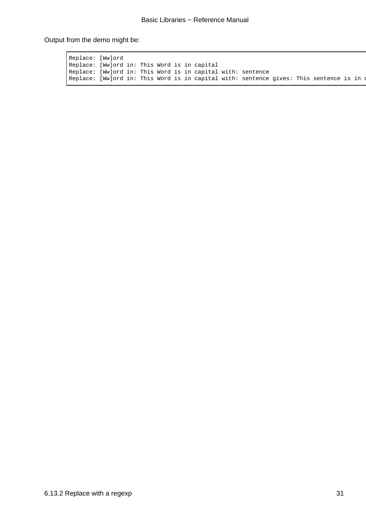Output from the demo might be:

Replace: [Ww]ord Replace: [Ww]ord in: This Word is in capital Replace: [Ww]ord in: This Word is in capital with: sentence Replace: [Ww]ord in: This Word is in capital with: sentence gives: This sentence is in capital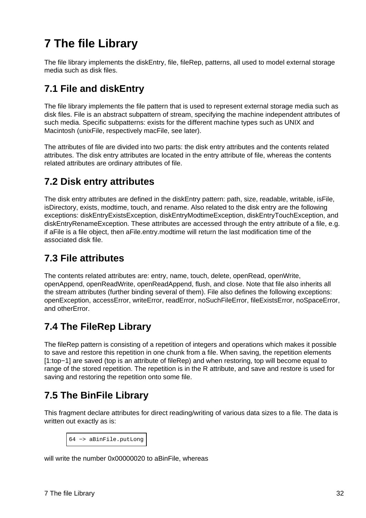# **7 The file Library**

The file library implements the diskEntry, file, fileRep, patterns, all used to model external storage media such as disk files.

# **7.1 File and diskEntry**

The file library implements the file pattern that is used to represent external storage media such as disk files. File is an abstract subpattern of stream, specifying the machine independent attributes of such media. Specific subpatterns: exists for the different machine types such as UNIX and Macintosh (unixFile, respectively macFile, see later).

The attributes of file are divided into two parts: the disk entry attributes and the contents related attributes. The disk entry attributes are located in the entry attribute of file, whereas the contents related attributes are ordinary attributes of file.

## **7.2 Disk entry attributes**

The disk entry attributes are defined in the diskEntry pattern: path, size, readable, writable, isFile, isDirectory, exists, modtime, touch, and rename. Also related to the disk entry are the following exceptions: diskEntryExistsException, diskEntryModtimeException, diskEntryTouchException, and diskEntryRenameException. These attributes are accessed through the entry attribute of a file, e.g. if aFile is a file object, then aFile.entry.modtime will return the last modification time of the associated disk file.

# **7.3 File attributes**

The contents related attributes are: entry, name, touch, delete, openRead, openWrite, openAppend, openReadWrite, openReadAppend, flush, and close. Note that file also inherits all the stream attributes (further binding several of them). File also defines the following exceptions: openException, accessError, writeError, readError, noSuchFileError, fileExistsError, noSpaceError, and otherError.

# **7.4 The FileRep Library**

The fileRep pattern is consisting of a repetition of integers and operations which makes it possible to save and restore this repetition in one chunk from a file. When saving, the repetition elements [1:top−1] are saved (top is an attribute of fileRep) and when restoring, top will become equal to range of the stored repetition. The repetition is in the R attribute, and save and restore is used for saving and restoring the repetition onto some file.

# **7.5 The BinFile Library**

This fragment declare attributes for direct reading/writing of various data sizes to a file. The data is written out exactly as is:

```
64 −> aBinFile.putLong
```
will write the number 0x00000020 to aBinFile, whereas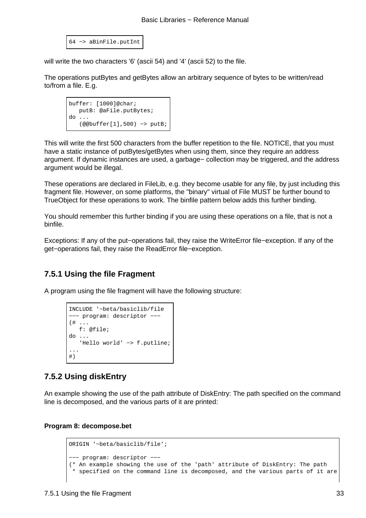64 −> aBinFile.putInt

will write the two characters '6' (ascii 54) and '4' (ascii 52) to the file.

The operations putBytes and getBytes allow an arbitrary sequence of bytes to be written/read to/from a file. E.g.

```
buffer: [1000]@char;
   putB: @aFile.putBytes;
do ...
    (@@buffer[1],500) −> putB;
```
This will write the first 500 characters from the buffer repetition to the file. NOTICE, that you must have a static instance of putBytes/getBytes when using them, since they require an address argument. If dynamic instances are used, a garbage− collection may be triggered, and the address argument would be illegal.

These operations are declared in FileLib, e.g. they become usable for any file, by just including this fragment file. However, on some platforms, the "binary" virtual of File MUST be further bound to TrueObject for these operations to work. The binfile pattern below adds this further binding.

You should remember this further binding if you are using these operations on a file, that is not a binfile.

Exceptions: If any of the put−operations fail, they raise the WriteError file−exception. If any of the get−operations fail, they raise the ReadError file−exception.

#### **7.5.1 Using the file Fragment**

A program using the file fragment will have the following structure:

```
INCLUDE '~beta/basiclib/file
−−− program: descriptor −−−
( \# \ldots f: @file;
do ...
    'Hello world' −> f.putline;
...
#)
```
#### **7.5.2 Using diskEntry**

An example showing the use of the path attribute of DiskEntry: The path specified on the command line is decomposed, and the various parts of it are printed:

#### **Program 8: decompose.bet**

```
ORIGIN '~beta/basiclib/file';
−−− program: descriptor −−−
(* An example showing the use of the 'path' attribute of DiskEntry: The path
  * specified on the command line is decomposed, and the various parts of it are
```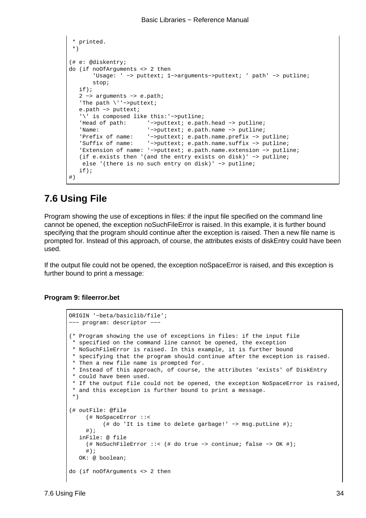```
 * printed.
  *)
(# e: @diskentry;
do (if noOfArguments <> 2 then
        'Usage: ' −> puttext; 1−>arguments−>puttext; ' path' −> putline;
       stop;
    if);
    2 −> arguments −> e.path;
    'The path \''−>puttext; 
    e.path −> puttext;
    '\' is composed like this:'−>putline;
                       '->puttext; e.path.head -> putline;
    'Name: '−>puttext; e.path.name −> putline;
    'Prefix of name: '−>puttext; e.path.name.prefix −> putline;
    'Suffix of name: '−>puttext; e.path.name.suffix −> putline;
    'Extension of name: '−>puttext; e.path.name.extension −> putline;
    (if e.exists then '(and the entry exists on disk)' −> putline;
     else '(there is no such entry on disk)' −> putline;
    if);
#)
```
#### **7.6 Using File**

Program showing the use of exceptions in files: if the input file specified on the command line cannot be opened, the exception noSuchFileError is raised. In this example, it is further bound specifying that the program should continue after the exception is raised. Then a new file name is prompted for. Instead of this approach, of course, the attributes exists of diskEntry could have been used.

If the output file could not be opened, the exception noSpaceError is raised, and this exception is further bound to print a message:

#### **Program 9: fileerror.bet**

```
ORIGIN '~beta/basiclib/file';
−−− program: descriptor −−−
(* Program showing the use of exceptions in files: if the input file
 * specified on the command line cannot be opened, the exception
 * NoSuchFileError is raised. In this example, it is further bound
 * specifying that the program should continue after the exception is raised.
 * Then a new file name is prompted for.
 * Instead of this approach, of course, the attributes 'exists' of DiskEntry
  * could have been used.
 * If the output file could not be opened, the exception NoSpaceError is raised,
 * and this exception is further bound to print a message.
 *)
(# outFile: @file
      (# NoSpaceError ::< 
           (# do 'It is time to delete garbage!' −> msg.putLine #); 
      #); 
    inFile: @ file 
     (# NoSuchFileError ::< (# do true −> continue; false −> OK #); 
      #);
    OK: @ boolean; 
do (if noOfArguments <> 2 then
```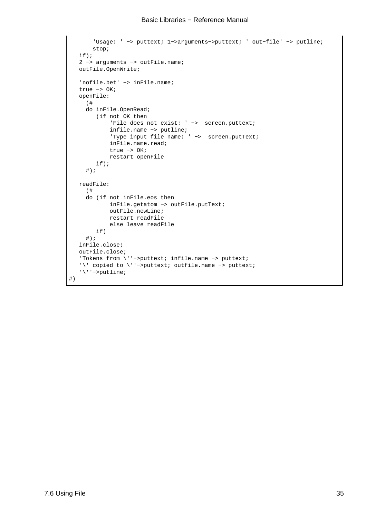```
 'Usage: ' −> puttext; 1−>arguments−>puttext; ' out−file' −> putline;
        stop;
    if);
    2 −> arguments −> outFile.name;
    outFile.OpenWrite;
    'nofile.bet' −> inFile.name;
    true −> OK;
    openFile: 
      (# 
      do inFile.OpenRead;
         (if not OK then
              'File does not exist: ' −> screen.puttext;
             infile.name −> putline;
             'Type input file name: ' −> screen.putText;
             inFile.name.read;
             true −> OK;
             restart openFile
         if);
     \# ) \, ;
    readFile: 
      (# 
      do (if not inFile.eos then 
             inFile.getatom −> outFile.putText;
             outFile.newLine;
             restart readFile
             else leave readFile
         if)
     #);
    inFile.close;
    outFile.close;
    'Tokens from \''−>puttext; infile.name −> puttext;
    '\' copied to \''−>puttext; outfile.name −> puttext;
    '\''−>putline;
#)
```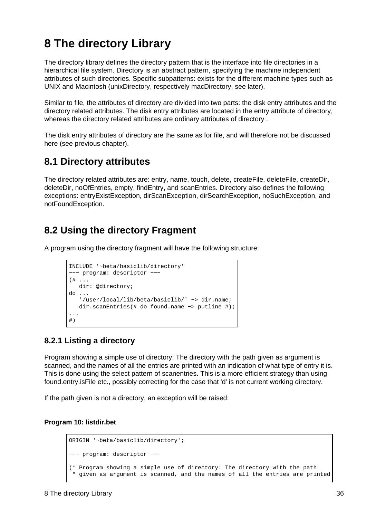# **8 The directory Library**

The directory library defines the directory pattern that is the interface into file directories in a hierarchical file system. Directory is an abstract pattern, specifying the machine independent attributes of such directories. Specific subpatterns: exists for the different machine types such as UNIX and Macintosh (unixDirectory, respectively macDirectory, see later).

Similar to file, the attributes of directory are divided into two parts: the disk entry attributes and the directory related attributes. The disk entry attributes are located in the entry attribute of directory, whereas the directory related attributes are ordinary attributes of directory .

The disk entry attributes of directory are the same as for file, and will therefore not be discussed here (see previous chapter).

### **8.1 Directory attributes**

The directory related attributes are: entry, name, touch, delete, createFile, deleteFile, createDir, deleteDir, noOfEntries, empty, findEntry, and scanEntries. Directory also defines the following exceptions: entryExistException, dirScanException, dirSearchException, noSuchException, and notFoundException.

# **8.2 Using the directory Fragment**

A program using the directory fragment will have the following structure:

```
INCLUDE '~beta/basiclib/directory'
−−− program: descriptor −−−
(# ...
   dir: @directory;
do ...
   '/user/local/lib/beta/basiclib/' −> dir.name;
   dir.scanEntries(# do found.name −> putline #);
...
#)
```
#### **8.2.1 Listing a directory**

Program showing a simple use of directory: The directory with the path given as argument is scanned, and the names of all the entries are printed with an indication of what type of entry it is. This is done using the select pattern of scanentries. This is a more efficient strategy than using found.entry.isFile etc., possibly correcting for the case that 'd' is not current working directory.

If the path given is not a directory, an exception will be raised:

#### **Program 10: listdir.bet**

```
ORIGIN '~beta/basiclib/directory';
 −−− program: descriptor −−−
(* Program showing a simple use of directory: The directory with the path 
  * given as argument is scanned, and the names of all the entries are printed
```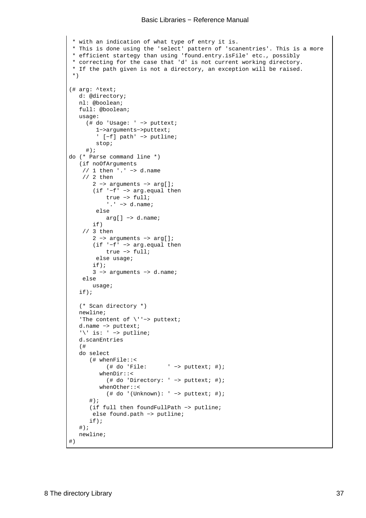```
 * with an indication of what type of entry it is.
  * This is done using the 'select' pattern of 'scanentries'. This is a more
 * efficient startegy than using 'found.entry.isFile' etc., possibly 
 * correcting for the case that 'd' is not current working directory.
 * If the path given is not a directory, an exception will be raised.
 *)
(# arg: ^text; 
   d: @directory; 
    nl: @boolean; 
    full: @boolean;
    usage:
      (# do 'Usage: ' −> puttext; 
         1−>arguments−>puttext; 
         ' [−f] path' −> putline;
         stop;
     \#);
do (* Parse command line *)
    (if noOfArguments
     // 1 then '.' −> d.name
     // 2 then
       2 −> arguments −> arg[];
        (if '−f' −> arg.equal then
            true −> full;
            '.' −> d.name;
         else
            arg[] −> d.name;
        if)
     // 3 then
        2 −> arguments −> arg[];
        (if '−f' −> arg.equal then
            true −> full;
         else usage;
        if);
        3 −> arguments −> d.name;
     else
        usage;
    if);
    (* Scan directory *)
    newline;
    'The content of \''−> puttext;
    d.name −> puttext;
    '\' is: ' −> putline;
    d.scanEntries
    (# 
    do select
       (# whenFile::<
            (# do 'File: ' −> puttext; #);
          whenDir::<
            (# do 'Directory: ' −> puttext; #);
          whenOther::<
            (# do '(Unknown): ' −> puttext; #);
      #);
       (if full then foundFullPath −> putline; 
        else found.path −> putline; 
       if);
   #);
    newline;
#)
```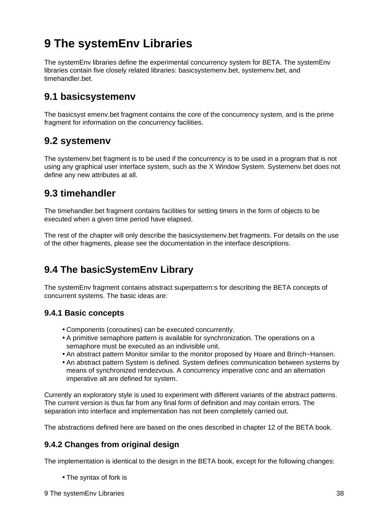# **9 The systemEnv Libraries**

The systemEnv libraries define the experimental concurrency system for BETA. The systemEnv libraries contain five closely related libraries: basicsystemenv.bet, systemenv.bet, and timehandler.bet.

### **9.1 basicsystemenv**

The basicsyst emenv.bet fragment contains the core of the concurrency system, and is the prime fragment for information on the concurrency facilities.

### **9.2 systemenv**

The systemenv.bet fragment is to be used if the concurrency is to be used in a program that is not using any graphical user interface system, such as the X Window System. Systemenv.bet does not define any new attributes at all.

### **9.3 timehandler**

The timehandler.bet fragment contains facilities for setting timers in the form of objects to be executed when a given time period have elapsed.

The rest of the chapter will only describe the basicsystemenv.bet fragments. For details on the use of the other fragments, please see the documentation in the interface descriptions.

# **9.4 The basicSystemEnv Library**

The systemEnv fragment contains abstract superpattern:s for describing the BETA concepts of concurrent systems. The basic ideas are:

#### **9.4.1 Basic concepts**

- Components (coroutines) can be executed concurrently.
- A primitive semaphore pattern is available for synchronization. The operations on a semaphore must be executed as an indivisible unit.
- An abstract pattern Monitor similar to the monitor proposed by Hoare and Brinch−Hansen.
- An abstract pattern System is defined. System defines communication between systems by means of synchronized rendezvous. A concurrency imperative conc and an alternation imperative alt are defined for system.

Currently an exploratory style is used to experiment with different variants of the abstract patterns. The current version is thus far from any final form of definition and may contain errors. The separation into interface and implementation has not been completely carried out.

The abstractions defined here are based on the ones described in chapter 12 of the BETA book.

#### **9.4.2 Changes from original design**

The implementation is identical to the design in the BETA book, except for the following changes:

- The syntax of fork is
- 9 The systemEnv Libraries 38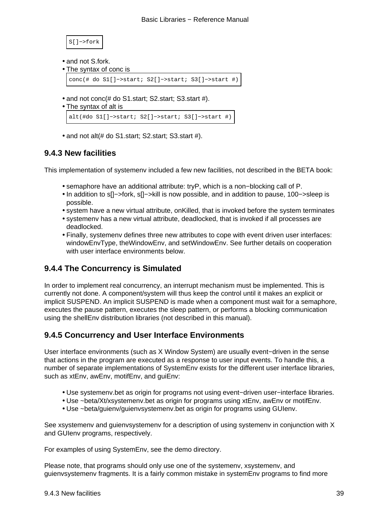

- and not S.fork.
- The syntax of conc is

```
conc(# do S1[]−>start; S2[]−>start; S3[]−>start #)
```
- and not conc(# do S1.start; S2.start; S3.start #).
- The syntax of alt is

```
alt(#do S1[]−>start; S2[]−>start; S3[]−>start #)
```
• and not alt(# do S1.start; S2.start; S3.start #).

#### **9.4.3 New facilities**

This implementation of systemenv included a few new facilities, not described in the BETA book:

- semaphore have an additional attribute: tryP, which is a non−blocking call of P.
- In addition to s[]−>fork, s[]−>kill is now possible, and in addition to pause, 100−>sleep is possible.
- system have a new virtual attribute, on Killed, that is invoked before the system terminates
- systemenv has a new virtual attribute, deadlocked, that is invoked if all processes are deadlocked.
- Finally, systemenv defines three new attributes to cope with event driven user interfaces: windowEnvType, theWindowEnv, and setWindowEnv. See further details on cooperation with user interface environments below.

#### **9.4.4 The Concurrency is Simulated**

In order to implement real concurrency, an interrupt mechanism must be implemented. This is currently not done. A component/system will thus keep the control until it makes an explicit or implicit SUSPEND. An implicit SUSPEND is made when a component must wait for a semaphore, executes the pause pattern, executes the sleep pattern, or performs a blocking communication using the shellEnv distribution libraries (not described in this manual).

#### **9.4.5 Concurrency and User Interface Environments**

User interface environments (such as X Window System) are usually event−driven in the sense that actions in the program are executed as a response to user input events. To handle this, a number of separate implementations of SystemEnv exists for the different user interface libraries, such as xtEnv, awEnv, motifEnv, and guiEnv:

- Use systemenv.bet as origin for programs not using event−driven user−interface libraries.
- Use ~beta/Xt/xsystemenv.bet as origin for programs using xtEnv, awEnv or motifEnv.
- Use ~beta/guienv/guienvsystemenv.bet as origin for programs using GUIenv.

See xsystemenv and guienvsystemenv for a description of using systemenv in conjunction with X and GUIenv programs, respectively.

For examples of using SystemEnv, see the demo directory.

Please note, that programs should only use one of the systemenv, xsystemenv, and guienvsystemenv fragments. It is a fairly common mistake in systemEnv programs to find more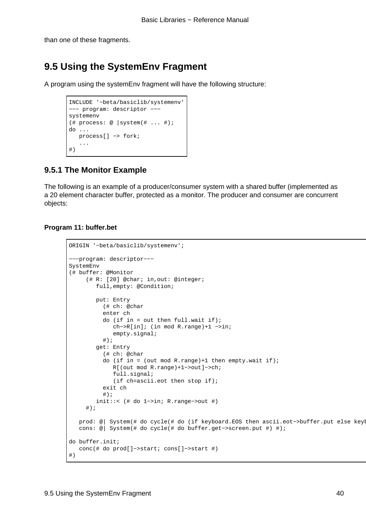than one of these fragments.

#### **9.5 Using the SystemEnv Fragment**

A program using the systemEnv fragment will have the following structure:

```
INCLUDE '~beta/basiclib/systemenv'
−−− program: descriptor −−−
systemenv
(# process: @ | system(# ... #);
do ...
    process[] −> fork;
    ...
#)
```
#### **9.5.1 The Monitor Example**

The following is an example of a producer/consumer system with a shared buffer (implemented as a 20 element character buffer, protected as a monitor. The producer and consumer are concurrent objects:

#### **Program 11: buffer.bet**

```
ORIGIN '~beta/basiclib/systemenv';
−−−program: descriptor−−−
SystemEnv
(# buffer: @Monitor
      (# R: [20] @char; in,out: @integer;
         full,empty: @Condition;
         put: Entry
           (# ch: @char
           enter ch
          do (if in = out then full.wait if);
              ch−>R[in]; (in mod R.range)+1 −>in;
              empty.signal; 
          \#);
         get: Entry
           (# ch: @char
          do (if in = (out mod R.range)+1 then empty.wait if);
              R[(out mod R.range)+1−>out]−>ch; 
              full.signal; 
              (if ch=ascii.eot then stop if);
           exit ch
          \#);
         init::< (# do 1−>in; R.range−>out #)
     \#);
   prod: @| System(# do cycle(# do (if keyboard.EOS then ascii.eot−>buffer.put else key}
    cons: @| System(# do cycle(# do buffer.get−>screen.put #) #);
do buffer.init;
    conc(# do prod[]−>start; cons[]−>start #)
#)
```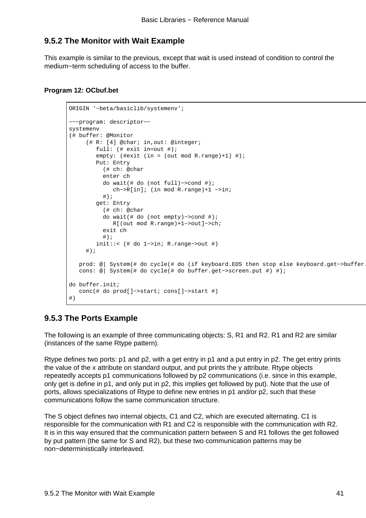#### **9.5.2 The Monitor with Wait Example**

This example is similar to the previous, except that wait is used instead of condition to control the medium−term scheduling of access to the buffer.

#### **Program 12: OCbuf.bet**

```
ORIGIN '~beta/basiclib/systemenv';
 −−−program: descriptor−−
systemenv
(# buffer: @Monitor
      (# R: [4] @char; in,out: @integer;
         full: (# exit in=out #);
         empty: (#exit (in = (out mod R.range)+1) #);
         Put: Entry
           (# ch: @char
           enter ch
           do wait(# do (not full)−>cond #);
              ch−>R[in]; (in mod R.range)+1 −>in;
          \#);
         get: Entry
           (# ch: @char
           do wait(# do (not empty)−>cond #);
             R[(out mod R.range)+1−>out]−>ch; 
           exit ch
          #);
         init::< (# do 1−>in; R.range−>out #)
     #);
  prod: @| System(# do cycle(# do (if keyboard.EOS then stop else keyboard.get->buffer
    cons: @| System(# do cycle(# do buffer.get−>screen.put #) #);
do buffer.init;
    conc(# do prod[]−>start; cons[]−>start #)
#)
```
#### **9.5.3 The Ports Example**

The following is an example of three communicating objects: S, R1 and R2. R1 and R2 are similar (instances of the same Rtype pattern).

Rtype defines two ports: p1 and p2, with a get entry in p1 and a put entry in p2. The get entry prints the value of the x attribute on standard output, and put prints the y attribute. Rtype objects repeatedly accepts p1 communications followed by p2 communications (i.e. since in this example, only get is define in p1, and only put in p2, this implies get followed by put). Note that the use of ports, allows specializations of Rtype to define new entries in p1 and/or p2, such that these communications follow the same communication structure.

The S object defines two internal objects, C1 and C2, which are executed alternating. C1 is responsible for the communication with R1 and C2 is responsible with the communication with R2. It is in this way ensured that the communication pattern between S and R1 follows the get followed by put pattern (the same for S and R2), but these two communication patterns may be non−deterministically interleaved.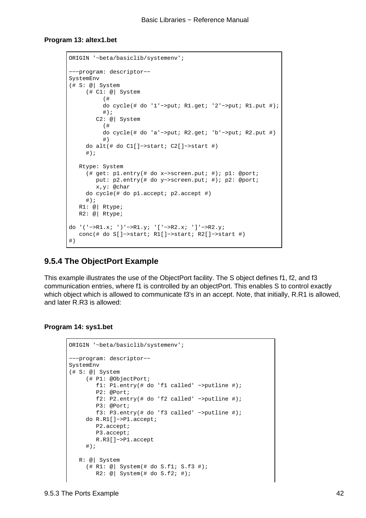#### **Program 13: altex1.bet**

```
ORIGIN '~beta/basiclib/systemenv';
−−−program: descriptor−−
SystemEnv
(# S: @| System
      (# C1: @| System
           (#
           do cycle(# do '1'−>put; R1.get; '2'−>put; R1.put #);
          #);
         C2: @| System
           (#
           do cycle(# do 'a'−>put; R2.get; 'b'−>put; R2.put #)
           #)
      do alt(# do C1[]−>start; C2[]−>start #)
     \#);
    Rtype: System
      (# get: p1.entry(# do x−>screen.put; #); p1: @port;
         put: p2.entry(# do y−>screen.put; #); p2: @port;
         x,y: @char
      do cycle(# do p1.accept; p2.accept #)
     \#);
    R1: @| Rtype;
    R2: @| Rtype;
do '('−>R1.x; ')'−>R1.y; '['−>R2.x; ']'−>R2.y;
    conc(# do S[]−>start; R1[]−>start; R2[]−>start #)
#)
```
#### **9.5.4 The ObjectPort Example**

This example illustrates the use of the ObjectPort facility. The S object defines f1, f2, and f3 communication entries, where f1 is controlled by an objectPort. This enables S to control exactly which object which is allowed to communicate f3's in an accept. Note, that initially, R.R1 is allowed, and later R.R3 is allowed:

#### **Program 14: sys1.bet**

```
ORIGIN '~beta/basiclib/systemenv'; 
−−−program: descriptor−− 
SystemEnv 
(# S: @| System
      (# P1: @ObjectPort;
         f1: P1.entry(# do 'f1 called' −>putline #);
         P2: @Port;
         f2: P2.entry(# do 'f2 called' −>putline #);
         P3: @Port;
         f3: P3.entry(# do 'f3 called' −>putline #);
      do R.R1[]−>P1.accept; 
         P2.accept; 
         P3.accept; 
         R.R3[]−>P1.accept
     \#);
    R: @| System
      (# R1: @| System(# do S.f1; S.f3 #);
        R2: \textcircled{e} System(# do S.f2; #);
```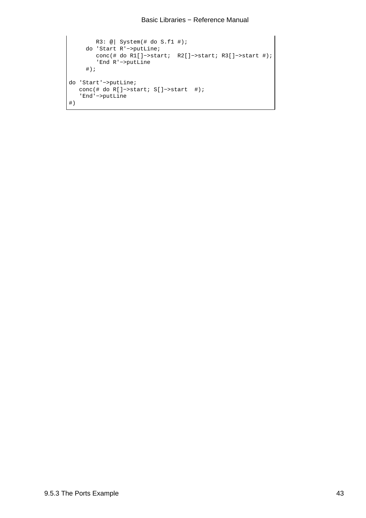```
R3: @| System(# do S.f1 #);
      do 'Start R'−>putLine;
        conc(# do R1[]−>start; R2[]−>start; R3[]−>start #);
         'End R'−>putLine
     \# ) \, ;
do 'Start'−>putLine;
    conc(# do R[]−>start; S[]−>start #);
    'End'−>putLine
\# )
```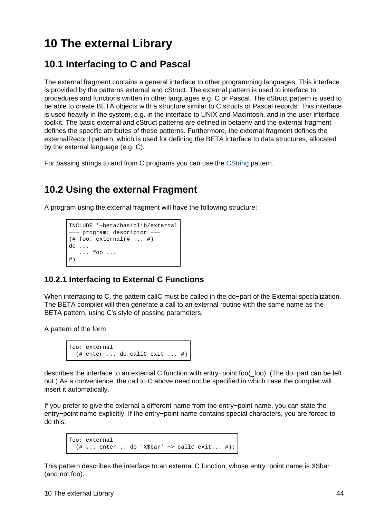# **10 The external Library**

# **10.1 Interfacing to C and Pascal**

The external fragment contains a general interface to other programming languages. This interface is provided by the patterns external and cStruct. The external pattern is used to interface to procedures and functions written in other languages e.g. C or Pascal. The cStruct pattern is used to be able to create BETA objects with a structure similar to C structs or Pascal records. This interface is used heavily in the system, e.g. in the interface to UNIX and Macintosh, and in the user interface toolkit. The basic external and cStruct patterns are defined in betaenv and the external fragment defines the specific attributes of these patterns. Furthermore, the external fragment defines the externalRecord pattern, which is used for defining the BETA interface to data structures, allocated by the external language (e.g. C).

For passing strings to and from C programs you can use the CString pattern.

### **10.2 Using the external Fragment**

A program using the external fragment will have the following structure:

```
INCLUDE '~beta/basiclib/external
−−− program: descriptor −−−
(\# \text{foo: external} (\# \dots \#))do ...
    ... foo ...
#)
```
#### **10.2.1 Interfacing to External C Functions**

When interfacing to C, the pattern callC must be called in the do–part of the External specialization. The BETA compiler will then generate a call to an external routine with the same name as the BETA pattern, using C's style of passing parameters.

A pattern of the form

```
foo: external
   (# enter ... do callC exit ... #)
```
describes the interface to an external C function with entry−point foo(\_foo). (The do−part can be left out.) As a convenience, the call to C above need not be specified in which case the compiler will insert it automatically.

If you prefer to give the external a different name from the entry−point name, you can state the entry−point name explicitly. If the entry−point name contains special characters, you are forced to do this:

```
foo: external
   (# ... enter... do 'X$bar' −> callC exit... #);
```
This pattern describes the interface to an external C function, whose entry−point name is X\$bar (and not foo).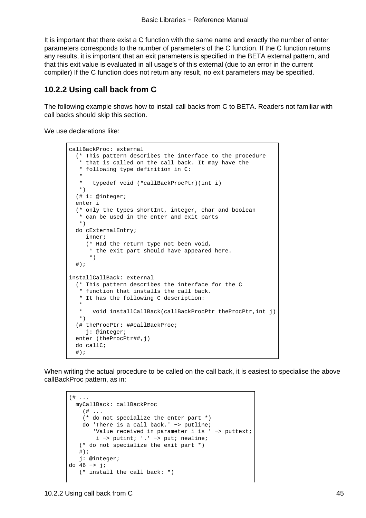It is important that there exist a C function with the same name and exactly the number of enter parameters corresponds to the number of parameters of the C function. If the C function returns any results, it is important that an exit parameters is specified in the BETA external pattern, and that this exit value is evaluated in all usage's of this external (due to an error in the current compiler) If the C function does not return any result, no exit parameters may be specified.

#### **10.2.2 Using call back from C**

The following example shows how to install call backs from C to BETA. Readers not familiar with call backs should skip this section.

We use declarations like:

```
callBackProc: external
   (* This pattern describes the interface to the procedure
    * that is called on the call back. It may have the
    * following type definition in C:
***
       typedef void (*callBackProcPtr)(int i)
    *)
   (# i: @integer;
   enter i
   (* only the types shortInt, integer, char and boolean
    can be used in the enter and exit parts
   *)
  do cExternalEntry;
     inner;
      (* Had the return type not been void,
       * the exit part should have appeared here.
       *)
   #);
installCallBack: external
   (* This pattern describes the interface for the C
    * function that installs the call back.
    * It has the following C description:
 *
      void installCallBack(callBackProcPtr theProcPtr, int j)
   *)
   (# theProcPtr: ##callBackProc;
      j: @integer;
   enter (theProcPtr##,j)
   do callC;
   #);
```
When writing the actual procedure to be called on the call back, it is easiest to specialise the above callBackProc pattern, as in:

```
(# ...
   myCallBack: callBackProc
    (# ...
     (* do not specialize the enter part *)
     do 'There is a call back.' −> putline;
         'Value received in parameter i is ' −> puttext;
         i −> putint; '.' −> put; newline;
    (* do not specialize the exit part *)
   \#);
    j: @integer;
do 46 −> j;
    (* install the call back: *)
```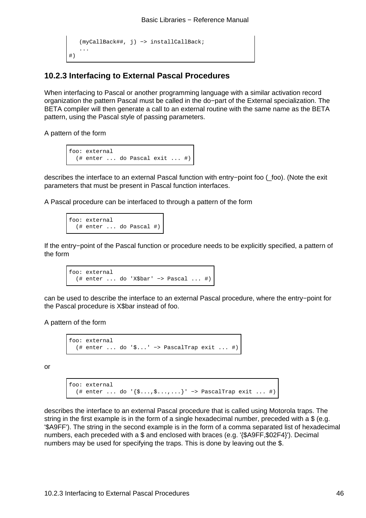```
 (myCallBack##, j) −> installCallBack;
 ...
#)
```
#### **10.2.3 Interfacing to External Pascal Procedures**

When interfacing to Pascal or another programming language with a similar activation record organization the pattern Pascal must be called in the do−part of the External specialization. The BETA compiler will then generate a call to an external routine with the same name as the BETA pattern, using the Pascal style of passing parameters.

A pattern of the form

```
foo: external
   (# enter ... do Pascal exit ... #)
```
describes the interface to an external Pascal function with entry−point foo (\_foo). (Note the exit parameters that must be present in Pascal function interfaces.

A Pascal procedure can be interfaced to through a pattern of the form

```
foo: external
   (# enter ... do Pascal #)
```
If the entry−point of the Pascal function or procedure needs to be explicitly specified, a pattern of the form

```
foo: external
   (# enter ... do 'X$bar' −> Pascal ... #)
```
can be used to describe the interface to an external Pascal procedure, where the entry−point for the Pascal procedure is X\$bar instead of foo.

A pattern of the form

```
foo: external
   (# enter ... do '$...' −> PascalTrap exit ... #)
```
or

```
foo: external
   (# enter ... do '{$...,$...,...}' −> PascalTrap exit ... #)
```
describes the interface to an external Pascal procedure that is called using Motorola traps. The string in the first example is in the form of a single hexadecimal number, preceded with a \$ (e.g. '\$A9FF'). The string in the second example is in the form of a comma separated list of hexadecimal numbers, each preceded with a \$ and enclosed with braces (e.g. '{\$A9FF,\$02F4}'). Decimal numbers may be used for specifying the traps. This is done by leaving out the \$.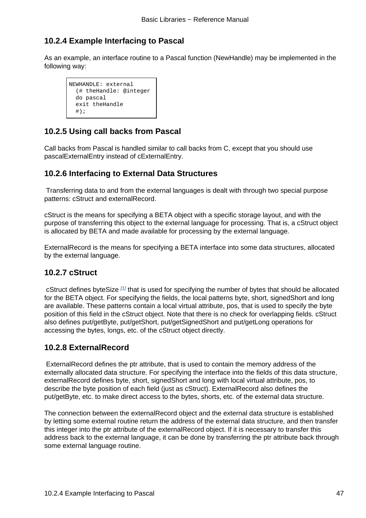#### **10.2.4 Example Interfacing to Pascal**

As an example, an interface routine to a Pascal function (NewHandle) may be implemented in the following way:

```
NEWHANDLE: external 
   (# theHandle: @integer 
   do pascal 
   exit theHandle 
  \#);
```
#### **10.2.5 Using call backs from Pascal**

Call backs from Pascal is handled similar to call backs from C, except that you should use pascalExternalEntry instead of cExternalEntry.

#### **10.2.6 Interfacing to External Data Structures**

 Transferring data to and from the external languages is dealt with through two special purpose patterns: cStruct and externalRecord.

cStruct is the means for specifying a BETA object with a specific storage layout, and with the purpose of transferring this object to the external language for processing. That is, a cStruct object is allocated by BETA and made available for processing by the external language.

ExternalRecord is the means for specifying a BETA interface into some data structures, allocated by the external language.

#### **10.2.7 cStruct**

cStruct defines byteSize  $^{[1]}$  that is used for specifying the number of bytes that should be allocated for the BETA object. For specifying the fields, the local patterns byte, short, signedShort and long are available. These patterns contain a local virtual attribute, pos, that is used to specify the byte position of this field in the cStruct object. Note that there is no check for overlapping fields. cStruct also defines put/getByte, [pu](#page-54-0)t/getShort, put/getSignedShort and put/getLong operations for accessing the bytes, longs, etc. of the cStruct object directly.

#### **10.2.8 ExternalRecord**

 ExternalRecord defines the ptr attribute, that is used to contain the memory address of the externally allocated data structure. For specifying the interface into the fields of this data structure, externalRecord defines byte, short, signedShort and long with local virtual attribute, pos, to describe the byte position of each field (just as cStruct). ExternalRecord also defines the put/getByte, etc. to make direct access to the bytes, shorts, etc. of the external data structure.

The connection between the externalRecord object and the external data structure is established by letting some external routine return the address of the external data structure, and then transfer this integer into the ptr attribute of the externalRecord object. If it is necessary to transfer this address back to the external language, it can be done by transferring the ptr attribute back through some external language routine.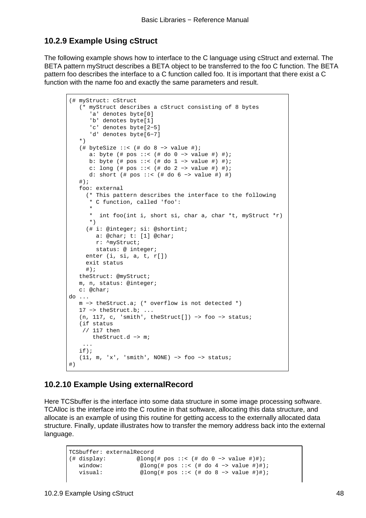#### **10.2.9 Example Using cStruct**

The following example shows how to interface to the C language using cStruct and external. The BETA pattern myStruct describes a BETA object to be transferred to the foo C function. The BETA pattern foo describes the interface to a C function called foo. It is important that there exist a C function with the name foo and exactly the same parameters and result.

```
(# myStruct: cStruct
    (* myStruct describes a cStruct consisting of 8 bytes
       'a' denotes byte[0]
       'b' denotes byte[1]
       'c' denotes byte[2−5]
       'd' denotes byte[6−7]
    *)
    (# byteSize ::< (# do 8 −> value #);
       a: byte (# pos ::< (# do 0 −> value #) #);
       b: byte (# pos ::< (# do 1 −> value #) #);
      c: long (# pos ::< (# do 2 −> value #) #);
      d: short (# pos ::< (# do 6 −> value #) #) 
   \#);
    foo: external 
      (* This pattern describes the interface to the following
       * C function, called 'foo':
\star * int foo(int i, short si, char a, char *t, myStruct *r) 
       *)
      (# i: @integer; si: @shortint;
        a: @char; t: [1] @char;
        r: ^myStruct;
         status: @ integer;
     enter (i, si, a, t, r[])
      exit status
     \#);
    theStruct: @myStruct;
    m, n, status: @integer;
    c: @char;
do ...
    m −> theStruct.a; (* overflow is not detected *)
   17 -> theStruct.b; ...
    (n, 117, c, 'smith', theStruct[]) −> foo −> status;
    (if status
     // 117 then
       theStruct.d −> m;
 ...
   if);
    (11, m, 'x', 'smith', NONE) −> foo −> status;
#)
```
#### **10.2.10 Example Using externalRecord**

Here TCSbuffer is the interface into some data structure in some image processing software. TCAlloc is the interface into the C routine in that software, allocating this data structure, and allocate is an example of using this routine for getting access to the externally allocated data structure. Finally, update illustrates how to transfer the memory address back into the external language.

```
TCSbuffer: externalRecord
(# display: @long(# pos ::< (# do 0 −> value #)#);
   window: @long(# pos ::< (# do 4 −> value #)#);
   visual: @long(# pos ::< (# do 8 −> value #)#);
```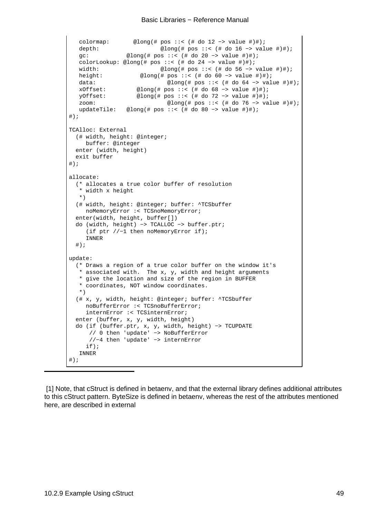```
 colormap: @long(# pos ::< (# do 12 −> value #)#);
   depth: @long(# pos ::< (# do 16 −> value #)#);
   gc: @long(# pos ::< (# do 20 −> value #)#);
   colorLookup: @long(# pos ::< (# do 24 −> value #)#);
   width: @long(# pos ::< (# do 56 −> value #)#);
  height: \text{along}(\# \text{pos} :: \text{((} \# \text{do } 60 \text{ -> value } \# \text{))}) data: @long(# pos ::< (# do 64 −> value #)#);
   xOffset: @long(# pos ::< (# do 68 −> value #)#);
   yOffset: @long(# pos ::< (# do 72 −> value #)#);
   zoom: @long(# pos ::< (# do 76 −> value #)#);
   updateTile: @long(# pos ::< (# do 80 −> value #)#);
\#) :
TCAlloc: External 
  (# width, height: @integer;
     buffer: @integer
  enter (width, height)
  exit buffer
#);
allocate:
  (* allocates a true color buffer of resolution
    * width x height
   *)
   (# width, height: @integer; buffer: ^TCSbuffer
     noMemoryError :< TCSnoMemoryError;
   enter(width, height, buffer[])
  do (width, height) −> TCALLOC −> buffer.ptr;
      (if ptr //−1 then noMemoryError if);
     INNER
  #);
update: 
   (* Draws a region of a true color buffer on the window it's
   associated with. The x, y, width and height arguments
    * give the location and size of the region in BUFFER 
    * coordinates, NOT window coordinates.
   *)
   (# x, y, width, height: @integer; buffer: ^TCSbuffer
     noBufferError :< TCSnoBufferError;
     internError :< TCSinternError;
  enter (buffer, x, y, width, height)
  do (if (buffer.ptr, x, y, width, height) −> TCUPDATE
      // 0 then 'update' −> NoBufferError
      //−4 then 'update' −> internError
     if);
   INNER
#);
```
 [1] Note, that cStruct is defined in betaenv, and that the external library defines additional attributes to this cStruct pattern. ByteSize is defined in betaenv, whereas the rest of the attributes mentioned here, are described in external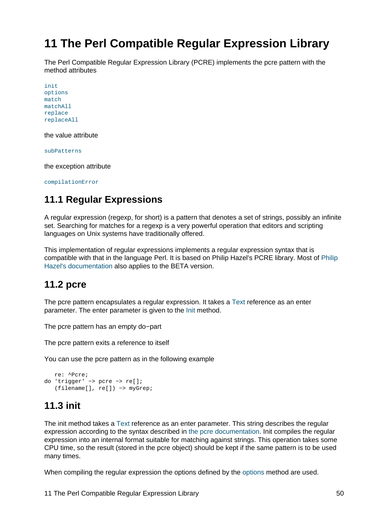# **11 The Perl Compatible Regular Expression Library**

The Perl Compatible Regular Expression Library (PCRE) implements the pcre pattern with the method attributes

init options match matchAll replace [replace](#page-56-0)All

[the value](#page-60-0) attribute

[subPattern](#page-60-0)s

the exception attribute

[compilation](#page-60-0)Error

## **11.1 Regular Expressions**

[A regular expressi](#page-60-0)on (regexp, for short) is a pattern that denotes a set of strings, possibly an infinite set. Searching for matches for a regexp is a very powerful operation that editors and scripting languages on Unix systems have traditionally offered.

This implementation of regular expressions implements a regular expression syntax that is compatible with that in the language Perl. It is based on Philip Hazel's PCRE library. Most of Philip Hazel's documentation also applies to the BETA version.

#### **11.2 pcre**

[The pcre pattern encap](#page-164-0)sulates a regular expression. It takes a Text reference as an enter parameter. The enter parameter is given to the Init method.

The pcre pattern has an empty do−part

The pcre pattern exits a reference to itself

You can use the pcre pattern as in the following example

```
 re: ^Pcre;
do 'trigger' −> pcre −> re[];
    (filename[], re[]) −> myGrep;
```
# **11.3 init**

The init method takes a Text reference as an enter parameter. This string describes the regular expression according to the syntax described in the pcre documentation. Init compiles the regular expression into an internal format suitable for matching against strings. This operation takes some CPU time, so the result [\(store](#page-13-0)d in the pcre object) should be kept if the same pattern is to be used many times.

When compiling the regular expression the options defined by the options method are used.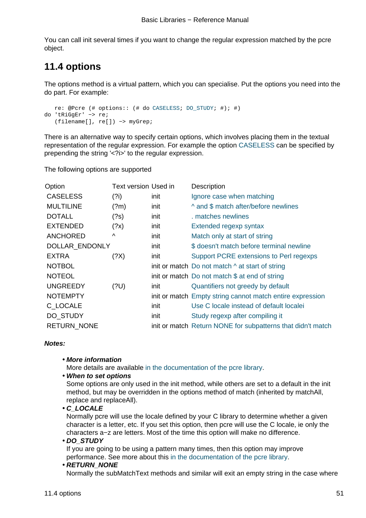<span id="page-56-0"></span>You can call init several times if you want to change the regular expression matched by the pcre object.

# **11.4 options**

The options method is a virtual pattern, which you can specialise. Put the options you need into the do part. For example:

```
 re: @Pcre (# options:: (# do CASELESS; DO_STUDY; #); #)
do 'tRiGgEr' −> re;
    (filename[], re[]) −> myGrep;
```
There is an alternative way to specif[y certain](#page-62-0) options, which involves placing them in the textual representation of the regular expression. For example the option CASELESS can be specified by prepending the string '<?i>' to the regular expression.

The following options are supported

| Option             | Text version Used in |      | Description                                                 |
|--------------------|----------------------|------|-------------------------------------------------------------|
| <b>CASELESS</b>    | (2i)                 | init | Ignore case when matching                                   |
| <b>MULTILINE</b>   | (2m)                 | init | ^ and \$ match after/before newlines                        |
| <b>DOTALL</b>      | (2s)                 | init | . matches newlines                                          |
| <b>EXTENDED</b>    | (?x)                 | init | Extended regexp syntax                                      |
| <b>ANCHORED</b>    | Λ                    | init | Match only at start of string                               |
| DOLLAR_ENDONLY     |                      | init | \$ doesn't match before terminal newline                    |
| <b>EXTRA</b>       | (?X)                 | init | Support PCRE extensions to Perl regexps                     |
| <b>NOTBOL</b>      |                      |      | init or match Do not match ^ at start of string             |
| <b>NOTEOL</b>      |                      |      | init or match Do not match $$$ at end of string             |
| <b>UNGREEDY</b>    | (2U)                 | init | Quantifiers not greedy by default                           |
| <b>NOTEMPTY</b>    |                      |      | init or match Empty string cannot match entire expression   |
| C LOCALE           |                      | init | Use C locale instead of default localei                     |
| <b>DO STUDY</b>    |                      | init | Study regexp after compiling it                             |
| <b>RETURN NONE</b> |                      |      | init or match Return NONE for subpatterns that didn't match |

#### **Notes:**

#### • **More information**

More details are available in the documentation of the pcre library.

#### • **When to set options**

Some options are only used in the init method, while others are set to a default in the init method, but may be overri[dden in the options method of match \(in](#page-164-0)herited by matchAll, replace and replaceAll).

#### • **C\_LOCALE**

Normally pcre will use the locale defined by your C library to determine whether a given character is a letter, etc. If you set this option, then pcre will use the C locale, ie only the characters a−z are letters. Most of the time this option will make no difference.

#### • **DO\_STUDY**

If you are going to be using a pattern many times, then this option may improve performance. See more about this in the documentation of the pcre library.

#### • **RETURN\_NONE**

Normally the subMatchText methods and similar will exit an empty string in the case where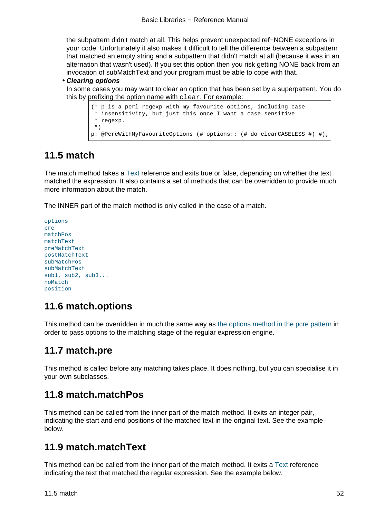<span id="page-57-0"></span>the subpattern didn't match at all. This helps prevent unexpected ref−NONE exceptions in your code. Unfortunately it also makes it difficult to tell the difference between a subpattern that matched an empty string and a subpattern that didn't match at all (because it was in an alternation that wasn't used). If you set this option then you risk getting NONE back from an invocation of subMatchText and your program must be able to cope with that.

#### • **Clearing options**

In some cases you may want to clear an option that has been set by a superpattern. You do this by prefixing the option name with clear. For example:

```
(* p is a perl regexp with my favourite options, including case
  * insensitivity, but just this once I want a case sensitive
  * regexp.
 *)
p: @PcreWithMyFavouriteOptions (# options:: (# do clearCASELESS #) #);
```
## **11.5 match**

The match method takes a Text reference and exits true or false, depending on whether the text matched the expression. It also contains a set of methods that can be overridden to provide much more information about the match.

The INNER part of the mat[ch me](#page-13-0)thod is only called in the case of a match.

```
options
pre
matchPos
matchText
preMatchText
postMatchText
subMatchPos
subMatchText
sub1, sub2, sub3...
noMatch
position
```
### **[11.6 match.op](#page-58-0)tions**

[This meth](#page-59-0)od can be overridden in much the same way as the options method in the pcre pattern in order to pass options to the matching stage of the regular expression engine.

### **11.7 match.pre**

This method is called before any matching takes place. It does nothing, but you can specialise it in your own subclasses.

### **11.8 match.matchPos**

This method can be called from the inner part of the match method. It exits an integer pair, indicating the start and end positions of the matched text in the original text. See the example below.

### **11.9 match.matchText**

This method can be called from the inner part of the match method. It exits a Text reference indicating the text that matched the regular expression. See the example below.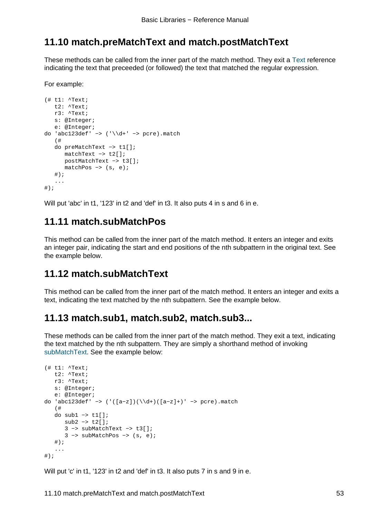### <span id="page-58-0"></span>**11.10 match.preMatchText and match.postMatchText**

These methods can be called from the inner part of the match method. They exit a Text reference indicating the text that preceeded (or followed) the text that matched the regular expression.

For example:

```
(# t1: ^Text;
   t2: ^Text;
   r3: ^Text;
   s: @Integer;
    e: @Integer;
do 'abc123def' −> ('\\d+' −> pcre).match
    (#
    do preMatchText −> t1[];
      matchText −> t2[];
      postMatchText −> t3[];
      matchPos −> (s, e);
   \#);
 ...
\#);
```
Will put 'abc' in t1, '123' in t2 and 'def' in t3. It also puts 4 in s and 6 in e.

## **11.11 match.subMatchPos**

This method can be called from the inner part of the match method. It enters an integer and exits an integer pair, indicating the start and end positions of the nth subpattern in the original text. See the example below.

## **11.12 match.subMatchText**

This method can be called from the inner part of the match method. It enters an integer and exits a text, indicating the text matched by the nth subpattern. See the example below.

### **11.13 match.sub1, match.sub2, match.sub3...**

These methods can be called from the inner part of the match method. They exit a text, indicating the text matched by the nth subpattern. They are simply a shorthand method of invoking subMatchText. See the example below:

```
(# t1: \text{``Text}; t2: ^Text;
    r3: ^Text;
    s: @Integer;
    e: @Integer;
do 'abc123def' −> ('([a−z])(\\d+)([a−z]+)' −> pcre).match
    (#
    do sub1 −> t1[];
      sub2 −> t2[];
       3 −> subMatchText −> t3[];
       3 −> subMatchPos −> (s, e);
   \#);
    ...
\#);
```
Will put 'c' in t1, '123' in t2 and 'def' in t3. It also puts 7 in s and 9 in e.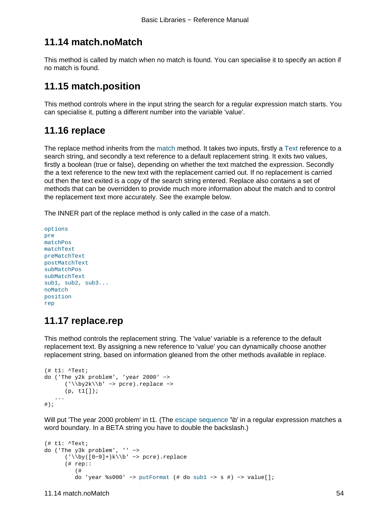### <span id="page-59-0"></span>**11.14 match.noMatch**

This method is called by match when no match is found. You can specialise it to specify an action if no match is found.

## **11.15 match.position**

This method controls where in the input string the search for a regular expression match starts. You can specialise it, putting a different number into the variable 'value'.

### **11.16 replace**

The replace method inherits from the match method. It takes two inputs, firstly a Text reference to a search string, and secondly a text reference to a default replacement string. It exits two values, firstly a boolean (true or false), depending on whether the text matched the expression. Secondly the a text reference to the new text with the replacement carried out. If no replacement is carried out then the text exited is a copy of th[e searc](#page-57-0)h string entered. Replace also cont[ains a](#page-13-0) set of methods that can be overridden to provide much more information about the match and to control the replacement text more accurately. See the example below.

The INNER part of the replace method is only called in the case of a match.

```
options
pre
matchPos
matchText
preMatchText
postMatchText
subMatchPos
subMatchText
sub1, sub2, sub3...
noMatch
position
rep
```
# **[11.17 replace.r](#page-58-0)ep**

This method controls the replacement string. The 'value' variable is a reference to the default replacement text. By assigning a new reference to 'value' you can dynamically choose another replacement string, based on information gleaned from the other methods available in replace.

```
( \# t1: \gammaText;
do ('The y2k problem', 'year 2000' −>
       ('\\by2k\\b' −> pcre).replace −>
      (p, t1[]); ...
\#);
```
Will put 'The year 2000 problem' in t1. (The escape sequence '\b' in a regular expression matches a word boundary. In a BETA string you have to double the backslash.)

```
(# t1: \text{``Texti}do ('The y3k problem', '' −>
       ('\\by([0−9]+)k\\b' −> pcre).replace
       (# rep::
           (#
          do 'year %s000' −> putFormat (# do sub1 −> s #) −> value[];
```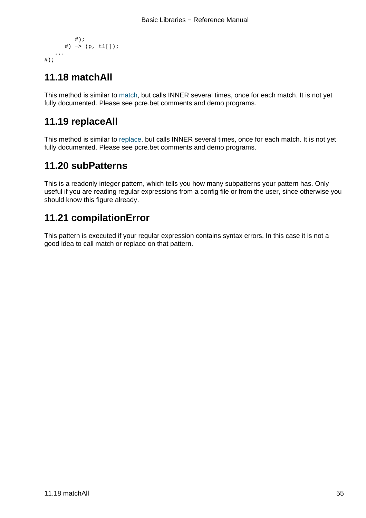```
\#);
        #) −> (p, t1[]);
     ...
\#);
```
# **11.18 matchAll**

This method is similar to match, but calls INNER several times, once for each match. It is not yet fully documented. Please see pcre.bet comments and demo programs.

# **11.19 replaceAll**

This method is similar to replace, but calls INNER several times, once for each match. It is not yet fully documented. Please see pcre.bet comments and demo programs.

# **11.20 subPatter[ns](#page-59-0)**

This is a readonly integer pattern, which tells you how many subpatterns your pattern has. Only useful if you are reading regular expressions from a config file or from the user, since otherwise you should know this figure already.

# **11.21 compilationError**

This pattern is executed if your regular expression contains syntax errors. In this case it is not a good idea to call match or replace on that pattern.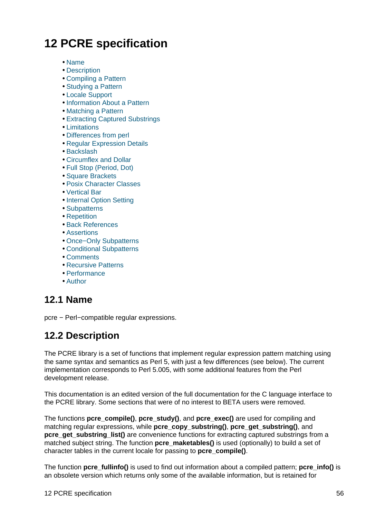# **12 PCRE specification**

- Name
- Description
- Compiling a Pattern
- Studying a Pattern
- Locale Support
- Information About a Pattern
- [Matching a Pattern](#page-62-0)
- [Extracting Capture](#page-63-0)d Substrings
- [Limitations](#page-64-0)
- [Differences from perl](#page-64-0)
- [Regular Expression](#page-66-0) Details
- [Backslash](#page-68-0)
- [Circumflex](#page-69-0) and Dollar
- [Full Stop \(Period, Do](#page-69-0)t)
- [Square Brackets](#page-71-0)
- [Posix Cha](#page-71-0)racter Classes
- [Vertical Bar](#page-74-0)
- [Internal Option Setting](#page-74-0)
- [Subpatterns](#page-74-0)
- [Repetition](#page-75-0)
- [Back Refere](#page-76-0)nces
- [Assertions](#page-76-0)
- [Once−Only S](#page-77-0)ubpatterns
- [Conditiona](#page-78-0)l Subpatterns
- [Comments](#page-80-0)
- [Recursive](#page-81-0) Patterns
- [Performance](#page-82-0)
- [Author](#page-84-0)

# **12.1 [Name](#page-85-0)**

pcre − [Perl−co](#page-87-0)mpatible regular expressions.

# **12.2 Description**

The PCRE library is a set of functions that implement regular expression pattern matching using the same syntax and semantics as Perl 5, with just a few differences (see below). The current implementation corresponds to Perl 5.005, with some additional features from the Perl development release.

This documentation is an edited version of the full documentation for the C language interface to the PCRE library. Some sections that were of no interest to BETA users were removed.

The functions **pcre\_compile()**, **pcre\_study()**, and **pcre\_exec()** are used for compiling and matching regular expressions, while **pcre\_copy\_substring()**, **pcre\_get\_substring()**, and **pcre\_get\_substring\_list()** are convenience functions for extracting captured substrings from a matched subject string. The function **pcre** maketables() is used (optionally) to build a set of character tables in the current locale for passing to **pcre\_compile()**.

The function **pcre\_fullinfo()** is used to find out information about a compiled pattern; **pcre\_info()** is an obsolete version which returns only some of the available information, but is retained for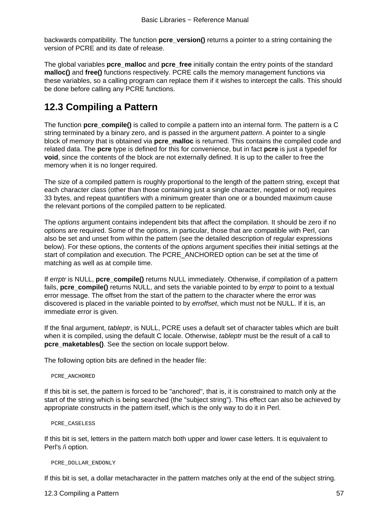<span id="page-62-0"></span>backwards compatibility. The function **pcre\_version()** returns a pointer to a string containing the version of PCRE and its date of release.

The global variables **pcre malloc** and **pcre free** initially contain the entry points of the standard **malloc()** and **free()** functions respectively. PCRE calls the memory management functions via these variables, so a calling program can replace them if it wishes to intercept the calls. This should be done before calling any PCRE functions.

### **12.3 Compiling a Pattern**

The function **pcre** compile() is called to compile a pattern into an internal form. The pattern is a C string terminated by a binary zero, and is passed in the argument *pattern*. A pointer to a single block of memory that is obtained via **pcre\_malloc** is returned. This contains the compiled code and related data. The **pcre** type is defined for this for convenience, but in fact **pcre** is just a typedef for **void**, since the contents of the block are not externally defined. It is up to the caller to free the memory when it is no longer required.

The size of a compiled pattern is roughly proportional to the length of the pattern string, except that each character class (other than those containing just a single character, negated or not) requires 33 bytes, and repeat quantifiers with a minimum greater than one or a bounded maximum cause the relevant portions of the compiled pattern to be replicated.

The options argument contains independent bits that affect the compilation. It should be zero if no options are required. Some of the options, in particular, those that are compatible with Perl, can also be set and unset from within the pattern (see the detailed description of regular expressions below). For these options, the contents of the *options* argument specifies their initial settings at the start of compilation and execution. The PCRE\_ANCHORED option can be set at the time of matching as well as at compile time.

If errptr is NULL, **pcre\_compile()** returns NULL immediately. Otherwise, if compilation of a pattern fails, **pcre\_compile()** returns NULL, and sets the variable pointed to by errptr to point to a textual error message. The offset from the start of the pattern to the character where the error was discovered is placed in the variable pointed to by erroffset, which must not be NULL. If it is, an immediate error is given.

If the final argument, tableptr, is NULL, PCRE uses a default set of character tables which are built when it is compiled, using the default C locale. Otherwise, *tableptr* must be the result of a call to **pcre\_maketables()**. See the section on locale support below.

The following option bits are defined in the header file:

PCRE\_ANCHORED

If this bit is set, the pattern is forced to be "anchored", that is, it is constrained to match only at the start of the string which is being searched (the "subject string"). This effect can also be achieved by appropriate constructs in the pattern itself, which is the only way to do it in Perl.

PCRE\_CASELESS

If this bit is set, letters in the pattern match both upper and lower case letters. It is equivalent to Perl's /i option.

PCRE\_DOLLAR\_ENDONLY

If this bit is set, a dollar metacharacter in the pattern matches only at the end of the subject string.

12.3 Compiling a Pattern 57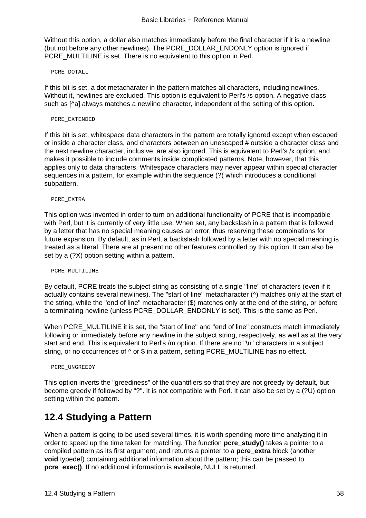<span id="page-63-0"></span>Without this option, a dollar also matches immediately before the final character if it is a newline (but not before any other newlines). The PCRE\_DOLLAR\_ENDONLY option is ignored if PCRE\_MULTILINE is set. There is no equivalent to this option in Perl.

PCRE\_DOTALL

If this bit is set, a dot metacharater in the pattern matches all characters, including newlines. Without it, newlines are excluded. This option is equivalent to Perl's /s option. A negative class such as [^a] always matches a newline character, independent of the setting of this option.

```
 PCRE_EXTENDED
```
If this bit is set, whitespace data characters in the pattern are totally ignored except when escaped or inside a character class, and characters between an unescaped # outside a character class and the next newline character, inclusive, are also ignored. This is equivalent to Perl's /x option, and makes it possible to include comments inside complicated patterns. Note, however, that this applies only to data characters. Whitespace characters may never appear within special character sequences in a pattern, for example within the sequence (?( which introduces a conditional subpattern.

PCRE\_EXTRA

This option was invented in order to turn on additional functionality of PCRE that is incompatible with Perl, but it is currently of very little use. When set, any backslash in a pattern that is followed by a letter that has no special meaning causes an error, thus reserving these combinations for future expansion. By default, as in Perl, a backslash followed by a letter with no special meaning is treated as a literal. There are at present no other features controlled by this option. It can also be set by a (?X) option setting within a pattern.

PCRE MULTILINE

By default, PCRE treats the subject string as consisting of a single "line" of characters (even if it actually contains several newlines). The "start of line" metacharacter (^) matches only at the start of the string, while the "end of line" metacharacter (\$) matches only at the end of the string, or before a terminating newline (unless PCRE\_DOLLAR\_ENDONLY is set). This is the same as Perl.

When PCRE\_MULTILINE it is set, the "start of line" and "end of line" constructs match immediately following or immediately before any newline in the subject string, respectively, as well as at the very start and end. This is equivalent to Perl's /m option. If there are no "\n" characters in a subject string, or no occurrences of  $\wedge$  or \$ in a pattern, setting PCRE\_MULTILINE has no effect.

PCRE\_UNGREEDY

This option inverts the "greediness" of the quantifiers so that they are not greedy by default, but become greedy if followed by "?". It is not compatible with Perl. It can also be set by a (?U) option setting within the pattern.

### **12.4 Studying a Pattern**

When a pattern is going to be used several times, it is worth spending more time analyzing it in order to speed up the time taken for matching. The function **pcre study()** takes a pointer to a compiled pattern as its first argument, and returns a pointer to a **pcre\_extra** block (another **void** typedef) containing additional information about the pattern; this can be passed to **pcre\_exec()**. If no additional information is available, NULL is returned.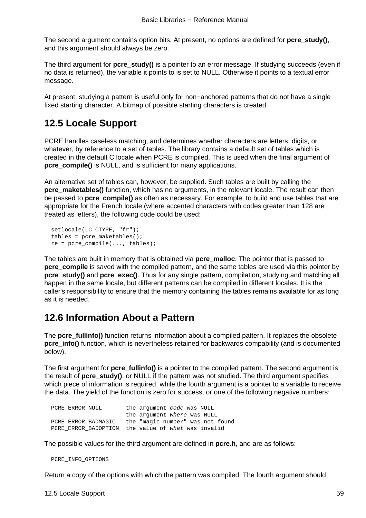<span id="page-64-0"></span>The second argument contains option bits. At present, no options are defined for **pcre\_study()**, and this argument should always be zero.

The third argument for **pcre** study() is a pointer to an error message. If studying succeeds (even if no data is returned), the variable it points to is set to NULL. Otherwise it points to a textual error message.

At present, studying a pattern is useful only for non−anchored patterns that do not have a single fixed starting character. A bitmap of possible starting characters is created.

### **12.5 Locale Support**

PCRE handles caseless matching, and determines whether characters are letters, digits, or whatever, by reference to a set of tables. The library contains a default set of tables which is created in the default C locale when PCRE is compiled. This is used when the final argument of **pcre\_compile()** is NULL, and is sufficient for many applications.

An alternative set of tables can, however, be supplied. Such tables are built by calling the **pcre\_maketables()** function, which has no arguments, in the relevant locale. The result can then be passed to **pcre\_compile()** as often as necessary. For example, to build and use tables that are appropriate for the French locale (where accented characters with codes greater than 128 are treated as letters), the following code could be used:

```
setlocale(LC_CTYPE, "fr");
tables = pore maketables();
 re = pcre_compile(..., tables);
```
The tables are built in memory that is obtained via **pcre\_malloc**. The pointer that is passed to **pcre** compile is saved with the compiled pattern, and the same tables are used via this pointer by **pcre\_study()** and **pcre\_exec()**. Thus for any single pattern, compilation, studying and matching all happen in the same locale, but different patterns can be compiled in different locales. It is the caller's responsibility to ensure that the memory containing the tables remains available for as long as it is needed.

## **12.6 Information About a Pattern**

The **pcre\_fullinfo()** function returns information about a compiled pattern. It replaces the obsolete **pcre info()** function, which is nevertheless retained for backwards compability (and is documented below).

The first argument for **pcre** fullinfo() is a pointer to the compiled pattern. The second argument is the result of **pcre** study(), or NULL if the pattern was not studied. The third argument specifies which piece of information is required, while the fourth argument is a pointer to a variable to receive the data. The yield of the function is zero for success, or one of the following negative numbers:

| PCRE ERROR NULL     | the argument code was NULL                         |
|---------------------|----------------------------------------------------|
|                     | the argument where was NULL                        |
| PCRE ERROR BADMAGIC | the "magic number" was not found                   |
|                     | PCRE ERROR BADOPTION the value of what was invalid |

The possible values for the third argument are defined in **pcre.h**, and are as follows:

PCRE\_INFO\_OPTIONS

Return a copy of the options with which the pattern was compiled. The fourth argument should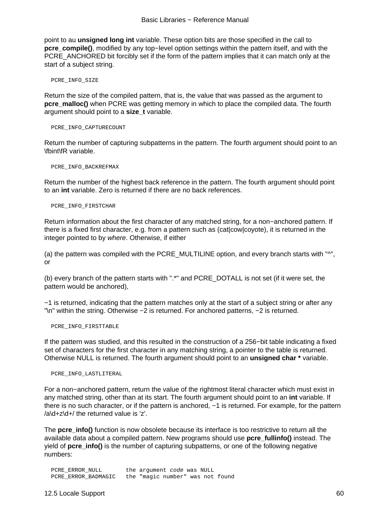point to au **unsigned long int** variable. These option bits are those specified in the call to **pcre\_compile()**, modified by any top−level option settings within the pattern itself, and with the PCRE\_ANCHORED bit forcibly set if the form of the pattern implies that it can match only at the start of a subject string.

PCRE\_INFO\_SIZE

Return the size of the compiled pattern, that is, the value that was passed as the argument to **pcre\_malloc()** when PCRE was getting memory in which to place the compiled data. The fourth argument should point to a **size\_t** variable.

PCRE\_INFO\_CAPTURECOUNT

Return the number of capturing subpatterns in the pattern. The fourth argument should point to an \fbint\fR variable.

PCRE\_INFO\_BACKREFMAX

Return the number of the highest back reference in the pattern. The fourth argument should point to an **int** variable. Zero is returned if there are no back references.

PCRE\_INFO\_FIRSTCHAR

Return information about the first character of any matched string, for a non−anchored pattern. If there is a fixed first character, e.g. from a pattern such as (cat|cow|coyote), it is returned in the integer pointed to by where. Otherwise, if either

(a) the pattern was compiled with the PCRE\_MULTILINE option, and every branch starts with "^", or

(b) every branch of the pattern starts with ".\*" and PCRE\_DOTALL is not set (if it were set, the pattern would be anchored),

−1 is returned, indicating that the pattern matches only at the start of a subject string or after any "\n" within the string. Otherwise −2 is returned. For anchored patterns, −2 is returned.

PCRE\_INFO\_FIRSTTABLE

If the pattern was studied, and this resulted in the construction of a 256−bit table indicating a fixed set of characters for the first character in any matching string, a pointer to the table is returned. Otherwise NULL is returned. The fourth argument should point to an **unsigned char \*** variable.

PCRE\_INFO\_LASTLITERAL

For a non−anchored pattern, return the value of the rightmost literal character which must exist in any matched string, other than at its start. The fourth argument should point to an **int** variable. If there is no such character, or if the pattern is anchored, −1 is returned. For example, for the pattern /a\d+z\d+/ the returned value is 'z'.

The **pcre** info() function is now obsolete because its interface is too restrictive to return all the available data about a compiled pattern. New programs should use **pcre\_fullinfo()** instead. The yield of **pcre\_info()** is the number of capturing subpatterns, or one of the following negative numbers:

PCRE\_ERROR\_NULL the argument code was NULL PCRE\_ERROR\_BADMAGIC the "magic number" was not found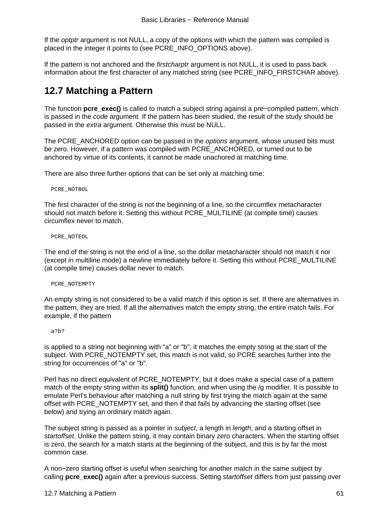<span id="page-66-0"></span>If the *optptr* argument is not NULL, a copy of the options with which the pattern was compiled is placed in the integer it points to (see PCRE\_INFO\_OPTIONS above).

If the pattern is not anchored and the *firstcharptr* argument is not NULL, it is used to pass back information about the first character of any matched string (see PCRE\_INFO\_FIRSTCHAR above).

### **12.7 Matching a Pattern**

The function **pcre\_exec()** is called to match a subject string against a pre–compiled pattern, which is passed in the code argument. If the pattern has been studied, the result of the study should be passed in the extra argument. Otherwise this must be NULL.

The PCRE ANCHORED option can be passed in the *options* argument, whose unused bits must be zero. However, if a pattern was compiled with PCRE\_ANCHORED, or turned out to be anchored by virtue of its contents, it cannot be made unachored at matching time.

There are also three further options that can be set only at matching time:

PCRE\_NOTBOL

The first character of the string is not the beginning of a line, so the circumflex metacharacter should not match before it. Setting this without PCRE\_MULTILINE (at compile time) causes circumflex never to match.

PCRE\_NOTEOL

The end of the string is not the end of a line, so the dollar metacharacter should not match it nor (except in multiline mode) a newline immediately before it. Setting this without PCRE\_MULTILINE (at compile time) causes dollar never to match.

PCRE\_NOTEMPTY

An empty string is not considered to be a valid match if this option is set. If there are alternatives in the pattern, they are tried. If all the alternatives match the empty string, the entire match fails. For example, if the pattern

a?b?

is applied to a string not beginning with "a" or "b", it matches the empty string at the start of the subject. With PCRE\_NOTEMPTY set, this match is not valid, so PCRE searches further into the string for occurrences of "a" or "b".

Perl has no direct equivalent of PCRE\_NOTEMPTY, but it does make a special case of a pattern match of the empty string within its **split()** function, and when using the /g modifier. It is possible to emulate Perl's behaviour after matching a null string by first trying the match again at the same offset with PCRE\_NOTEMPTY set, and then if that fails by advancing the starting offset (see below) and trying an ordinary match again.

The subject string is passed as a pointer in *subject*, a length in *length*, and a starting offset in startoffset. Unlike the pattern string, it may contain binary zero characters. When the starting offset is zero, the search for a match starts at the beginning of the subject, and this is by far the most common case.

A non−zero starting offset is useful when searching for another match in the same subject by calling **pcre\_exec()** again after a previous success. Setting startoffset differs from just passing over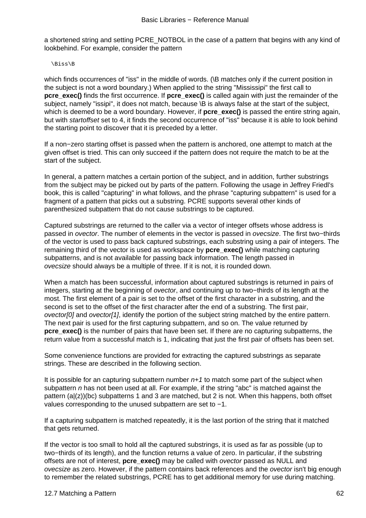a shortened string and setting PCRE\_NOTBOL in the case of a pattern that begins with any kind of lookbehind. For example, consider the pattern

\Biss\B

which finds occurrences of "iss" in the middle of words. (\B matches only if the current position in the subject is not a word boundary.) When applied to the string "Mississipi" the first call to **pcre\_exec()** finds the first occurrence. If **pcre\_exec()** is called again with just the remainder of the subject, namely "issipi", it does not match, because \B is always false at the start of the subject, which is deemed to be a word boundary. However, if **pcre\_exec()** is passed the entire string again, but with startoffset set to 4, it finds the second occurrence of "iss" because it is able to look behind the starting point to discover that it is preceded by a letter.

If a non−zero starting offset is passed when the pattern is anchored, one attempt to match at the given offset is tried. This can only succeed if the pattern does not require the match to be at the start of the subject.

In general, a pattern matches a certain portion of the subject, and in addition, further substrings from the subject may be picked out by parts of the pattern. Following the usage in Jeffrey Friedl's book, this is called "capturing" in what follows, and the phrase "capturing subpattern" is used for a fragment of a pattern that picks out a substring. PCRE supports several other kinds of parenthesized subpattern that do not cause substrings to be captured.

Captured substrings are returned to the caller via a vector of integer offsets whose address is passed in ovector. The number of elements in the vector is passed in ovecsize. The first two-thirds of the vector is used to pass back captured substrings, each substring using a pair of integers. The remaining third of the vector is used as workspace by **pcre** exec() while matching capturing subpatterns, and is not available for passing back information. The length passed in ovecsize should always be a multiple of three. If it is not, it is rounded down.

When a match has been successful, information about captured substrings is returned in pairs of integers, starting at the beginning of ovector, and continuing up to two−thirds of its length at the most. The first element of a pair is set to the offset of the first character in a substring, and the second is set to the offset of the first character after the end of a substring. The first pair, ovector[0] and ovector[1], identify the portion of the subject string matched by the entire pattern. The next pair is used for the first capturing subpattern, and so on. The value returned by **pcre\_exec()** is the number of pairs that have been set. If there are no capturing subpatterns, the return value from a successful match is 1, indicating that just the first pair of offsets has been set.

Some convenience functions are provided for extracting the captured substrings as separate strings. These are described in the following section.

It is possible for an capturing subpattern number  $n+1$  to match some part of the subject when subpattern  $n$  has not been used at all. For example, if the string "abc" is matched against the pattern (a|(z))(bc) subpatterns 1 and 3 are matched, but 2 is not. When this happens, both offset values corresponding to the unused subpattern are set to −1.

If a capturing subpattern is matched repeatedly, it is the last portion of the string that it matched that gets returned.

If the vector is too small to hold all the captured substrings, it is used as far as possible (up to two−thirds of its length), and the function returns a value of zero. In particular, if the substring offsets are not of interest, **pcre\_exec()** may be called with ovector passed as NULL and ovecsize as zero. However, if the pattern contains back references and the ovector isn't big enough to remember the related substrings, PCRE has to get additional memory for use during matching.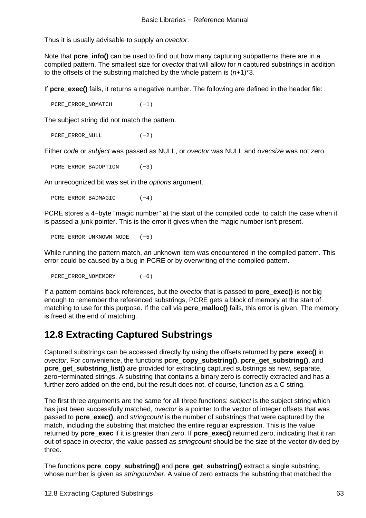<span id="page-68-0"></span>Thus it is usually advisable to supply an ovector.

Note that **pcre\_info()** can be used to find out how many capturing subpatterns there are in a compiled pattern. The smallest size for *ovector* that will allow for *n* captured substrings in addition to the offsets of the substring matched by the whole pattern is  $(n+1)^*3$ .

If **pcre\_exec()** fails, it returns a negative number. The following are defined in the header file:

PCRE\_ERROR\_NOMATCH (−1)

The subject string did not match the pattern.

PCRE\_ERROR\_NULL (−2)

Either code or subject was passed as NULL, or ovector was NULL and ovecsize was not zero.

PCRE ERROR\_BADOPTION (−3)

An unrecognized bit was set in the options argument.

PCRE\_ERROR\_BADMAGIC (−4)

PCRE stores a 4−byte "magic number" at the start of the compiled code, to catch the case when it is passed a junk pointer. This is the error it gives when the magic number isn't present.

PCRE\_ERROR\_UNKNOWN\_NODE (−5)

While running the pattern match, an unknown item was encountered in the compiled pattern. This error could be caused by a bug in PCRE or by overwriting of the compiled pattern.

PCRE ERROR\_NOMEMORY (−6)

If a pattern contains back references, but the *ovector* that is passed to **pcre** exec() is not big enough to remember the referenced substrings, PCRE gets a block of memory at the start of matching to use for this purpose. If the call via **pcre malloc()** fails, this error is given. The memory is freed at the end of matching.

### **12.8 Extracting Captured Substrings**

Captured substrings can be accessed directly by using the offsets returned by **pcre\_exec()** in ovector. For convenience, the functions **pcre\_copy\_substring()**, **pcre\_get\_substring()**, and **pcre\_get\_substring\_list()** are provided for extracting captured substrings as new, separate, zero−terminated strings. A substring that contains a binary zero is correctly extracted and has a further zero added on the end, but the result does not, of course, function as a C string.

The first three arguments are the same for all three functions: *subject* is the subject string which has just been successfully matched, ovector is a pointer to the vector of integer offsets that was passed to **pcre\_exec()**, and *stringcount* is the number of substrings that were captured by the match, including the substring that matched the entire regular expression. This is the value returned by **pcre\_exec** if it is greater than zero. If **pcre\_exec()** returned zero, indicating that it ran out of space in *ovector*, the value passed as *stringcount* should be the size of the vector divided by three.

The functions **pcre\_copy\_substring()** and **pcre\_get\_substring()** extract a single substring, whose number is given as *stringnumber*. A value of zero extracts the substring that matched the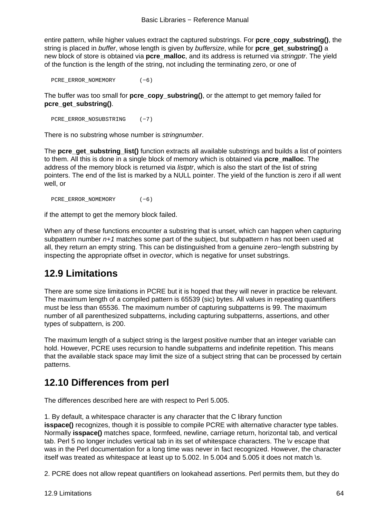<span id="page-69-0"></span>entire pattern, while higher values extract the captured substrings. For **pcre\_copy\_substring()**, the string is placed in *buffer*, whose length is given by *buffersize*, while for **pcre** get substring() a new block of store is obtained via **pcre\_malloc**, and its address is returned via stringptr. The yield of the function is the length of the string, not including the terminating zero, or one of

```
PCRE_ERROR_NOMEMORY (−6)
```
The buffer was too small for **pcre** copy substring(), or the attempt to get memory failed for **pcre\_get\_substring()**.

```
 PCRE_ERROR_NOSUBSTRING (−7)
```
There is no substring whose number is stringnumber.

The **pcre\_get\_substring\_list()** function extracts all available substrings and builds a list of pointers to them. All this is done in a single block of memory which is obtained via **pcre\_malloc**. The address of the memory block is returned via *listotr*, which is also the start of the list of string pointers. The end of the list is marked by a NULL pointer. The yield of the function is zero if all went well, or

```
 PCRE_ERROR_NOMEMORY (−6)
```
if the attempt to get the memory block failed.

When any of these functions encounter a substring that is unset, which can happen when capturing subpattern number  $n+1$  matches some part of the subject, but subpattern n has not been used at all, they return an empty string. This can be distinguished from a genuine zero−length substring by inspecting the appropriate offset in ovector, which is negative for unset substrings.

### **12.9 Limitations**

There are some size limitations in PCRE but it is hoped that they will never in practice be relevant. The maximum length of a compiled pattern is 65539 (sic) bytes. All values in repeating quantifiers must be less than 65536. The maximum number of capturing subpatterns is 99. The maximum number of all parenthesized subpatterns, including capturing subpatterns, assertions, and other types of subpattern, is 200.

The maximum length of a subject string is the largest positive number that an integer variable can hold. However, PCRE uses recursion to handle subpatterns and indefinite repetition. This means that the available stack space may limit the size of a subject string that can be processed by certain patterns.

### **12.10 Differences from perl**

The differences described here are with respect to Perl 5.005.

1. By default, a whitespace character is any character that the C library function **isspace()** recognizes, though it is possible to compile PCRE with alternative character type tables. Normally **isspace()** matches space, formfeed, newline, carriage return, horizontal tab, and vertical tab. Perl 5 no longer includes vertical tab in its set of whitespace characters. The \v escape that was in the Perl documentation for a long time was never in fact recognized. However, the character itself was treated as whitespace at least up to 5.002. In 5.004 and 5.005 it does not match \s.

2. PCRE does not allow repeat quantifiers on lookahead assertions. Perl permits them, but they do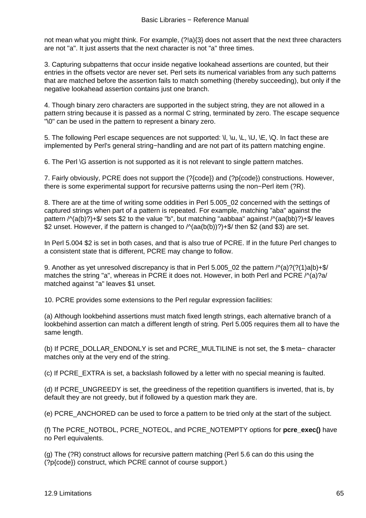not mean what you might think. For example, (?!a){3} does not assert that the next three characters are not "a". It just asserts that the next character is not "a" three times.

3. Capturing subpatterns that occur inside negative lookahead assertions are counted, but their entries in the offsets vector are never set. Perl sets its numerical variables from any such patterns that are matched before the assertion fails to match something (thereby succeeding), but only if the negative lookahead assertion contains just one branch.

4. Though binary zero characters are supported in the subject string, they are not allowed in a pattern string because it is passed as a normal C string, terminated by zero. The escape sequence "\0" can be used in the pattern to represent a binary zero.

5. The following Perl escape sequences are not supported: \I, \u, \L, \U, \E, \Q. In fact these are implemented by Perl's general string−handling and are not part of its pattern matching engine.

6. The Perl \G assertion is not supported as it is not relevant to single pattern matches.

7. Fairly obviously, PCRE does not support the (?{code}) and (?p{code}) constructions. However, there is some experimental support for recursive patterns using the non−Perl item (?R).

8. There are at the time of writing some oddities in Perl 5.005\_02 concerned with the settings of captured strings when part of a pattern is repeated. For example, matching "aba" against the pattern /^(a(b)?)+\$/ sets \$2 to the value "b", but matching "aabbaa" against /^(aa(bb)?)+\$/ leaves \$2 unset. However, if the pattern is changed to  $\sqrt{(aa(b(b))?)}+$  then \$2 (and \$3) are set.

In Perl 5.004 \$2 is set in both cases, and that is also true of PCRE. If in the future Perl changes to a consistent state that is different, PCRE may change to follow.

9. Another as yet unresolved discrepancy is that in Perl 5.005 02 the pattern  $\sqrt{(a)}$ ?(?(1)alb)+\$/ matches the string "a", whereas in PCRE it does not. However, in both Perl and PCRE /^(a)?a/ matched against "a" leaves \$1 unset.

10. PCRE provides some extensions to the Perl regular expression facilities:

(a) Although lookbehind assertions must match fixed length strings, each alternative branch of a lookbehind assertion can match a different length of string. Perl 5.005 requires them all to have the same length.

(b) If PCRE\_DOLLAR\_ENDONLY is set and PCRE\_MULTILINE is not set, the \$ meta− character matches only at the very end of the string.

(c) If PCRE\_EXTRA is set, a backslash followed by a letter with no special meaning is faulted.

(d) If PCRE\_UNGREEDY is set, the greediness of the repetition quantifiers is inverted, that is, by default they are not greedy, but if followed by a question mark they are.

(e) PCRE\_ANCHORED can be used to force a pattern to be tried only at the start of the subject.

(f) The PCRE\_NOTBOL, PCRE\_NOTEOL, and PCRE\_NOTEMPTY options for **pcre\_exec()** have no Perl equivalents.

(g) The (?R) construct allows for recursive pattern matching (Perl 5.6 can do this using the (?p{code}) construct, which PCRE cannot of course support.)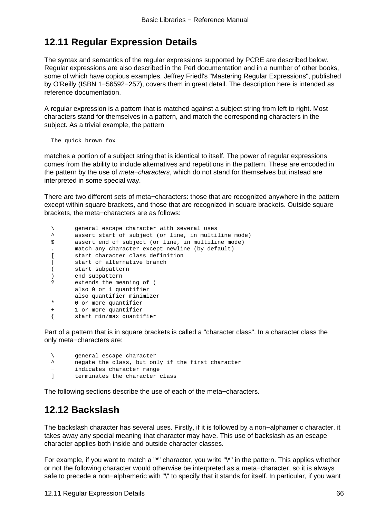### <span id="page-71-0"></span>**12.11 Regular Expression Details**

The syntax and semantics of the regular expressions supported by PCRE are described below. Regular expressions are also described in the Perl documentation and in a number of other books, some of which have copious examples. Jeffrey Friedl's "Mastering Regular Expressions", published by O'Reilly (ISBN 1−56592−257), covers them in great detail. The description here is intended as reference documentation.

A regular expression is a pattern that is matched against a subject string from left to right. Most characters stand for themselves in a pattern, and match the corresponding characters in the subject. As a trivial example, the pattern

The quick brown fox

matches a portion of a subject string that is identical to itself. The power of regular expressions comes from the ability to include alternatives and repetitions in the pattern. These are encoded in the pattern by the use of meta−characters, which do not stand for themselves but instead are interpreted in some special way.

There are two different sets of meta−characters: those that are recognized anywhere in the pattern except within square brackets, and those that are recognized in square brackets. Outside square brackets, the meta−characters are as follows:

|                     | general escape character with several uses           |
|---------------------|------------------------------------------------------|
| $\hat{\phantom{a}}$ | assert start of subject (or line, in multiline mode) |
| \$                  | assert end of subject (or line, in multiline mode)   |
|                     | match any character except newline (by default)      |
|                     | start character class definition                     |
|                     | start of alternative branch                          |
|                     | start subpattern                                     |
|                     | end subpattern                                       |
| ?                   | extends the meaning of (                             |
|                     | also 0 or 1 quantifier                               |
|                     | also quantifier minimizer                            |
| $\star$             | 0 or more quantifier                                 |
| $+$                 | 1 or more quantifier                                 |
|                     | start min/max quantifier                             |
|                     |                                                      |

Part of a pattern that is in square brackets is called a "character class". In a character class the only meta−characters are:

```
 \ general escape character
 ^ negate the class, but only if the first character
      indicates character range
 ] terminates the character class
```
The following sections describe the use of each of the meta−characters.

### **12.12 Backslash**

The backslash character has several uses. Firstly, if it is followed by a non−alphameric character, it takes away any special meaning that character may have. This use of backslash as an escape character applies both inside and outside character classes.

For example, if you want to match a "\*" character, you write "\\*" in the pattern. This applies whether or not the following character would otherwise be interpreted as a meta−character, so it is always safe to precede a non−alphameric with "\" to specify that it stands for itself. In particular, if you want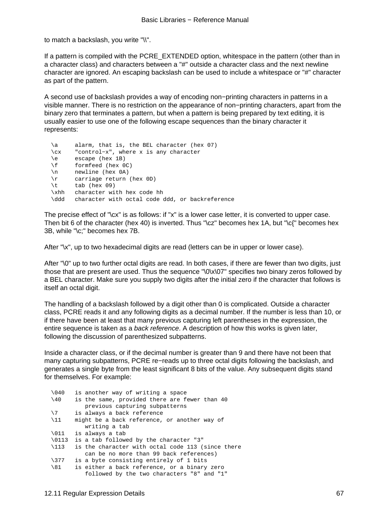to match a backslash, you write "\\".

If a pattern is compiled with the PCRE\_EXTENDED option, whitespace in the pattern (other than in a character class) and characters between a "#" outside a character class and the next newline character are ignored. An escaping backslash can be used to include a whitespace or "#" character as part of the pattern.

A second use of backslash provides a way of encoding non−printing characters in patterns in a visible manner. There is no restriction on the appearance of non−printing characters, apart from the binary zero that terminates a pattern, but when a pattern is being prepared by text editing, it is usually easier to use one of the following escape sequences than the binary character it represents:

 \a alarm, that is, the BEL character (hex 07) \cx "control−x", where x is any character \e escape (hex 1B) \f formfeed (hex 0C) \n newline (hex 0A) \r carriage return (hex 0D) \t tab (hex 09) \xhh character with hex code hh \ddd character with octal code ddd, or backreference

The precise effect of "\cx" is as follows: if "x" is a lower case letter, it is converted to upper case. Then bit 6 of the character (hex 40) is inverted. Thus "\cz" becomes hex 1A, but "\c{" becomes hex 3B, while "\c;" becomes hex 7B.

After "\x", up to two hexadecimal digits are read (letters can be in upper or lower case).

After "\0" up to two further octal digits are read. In both cases, if there are fewer than two digits, just those that are present are used. Thus the sequence "\0\x\07" specifies two binary zeros followed by a BEL character. Make sure you supply two digits after the initial zero if the character that follows is itself an octal digit.

The handling of a backslash followed by a digit other than 0 is complicated. Outside a character class, PCRE reads it and any following digits as a decimal number. If the number is less than 10, or if there have been at least that many previous capturing left parentheses in the expression, the entire sequence is taken as a *back reference*. A description of how this works is given later, following the discussion of parenthesized subpatterns.

Inside a character class, or if the decimal number is greater than 9 and there have not been that many capturing subpatterns, PCRE re−reads up to three octal digits following the backslash, and generates a single byte from the least significant 8 bits of the value. Any subsequent digits stand for themselves. For example:

| $\backslash$ 040 | is another way of writing a space                 |
|------------------|---------------------------------------------------|
| $\backslash$ 40  | is the same, provided there are fewer than 40     |
|                  | previous capturing subpatterns                    |
| $\setminus 7$    | is always a back reference                        |
| $\setminus$ 11   | might be a back reference, or another way of      |
|                  | writing a tab                                     |
| $\setminus$ 011  | is always a tab                                   |
|                  | \0113 is a tab followed by the character "3"      |
| $\backslash$ 113 | is the character with octal code 113 (since there |
|                  | can be no more than 99 back references)           |
| $\backslash$ 377 | is a byte consisting entirely of 1 bits           |
| \81              | is either a back reference, or a binary zero      |
|                  | followed by the two characters "8" and "1"        |
|                  |                                                   |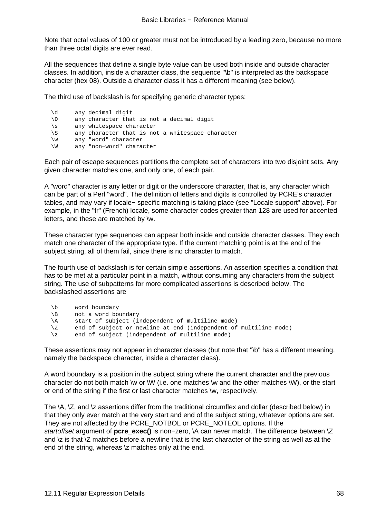Note that octal values of 100 or greater must not be introduced by a leading zero, because no more than three octal digits are ever read.

All the sequences that define a single byte value can be used both inside and outside character classes. In addition, inside a character class, the sequence "\b" is interpreted as the backspace character (hex 08). Outside a character class it has a different meaning (see below).

The third use of backslash is for specifying generic character types:

| \d            | any decimal digit                                |
|---------------|--------------------------------------------------|
| $\setminus D$ | any character that is not a decimal digit        |
| \s            | any whitespace character                         |
| $\setminus S$ | any character that is not a whitespace character |
| $\vee$        | any "word" character                             |
| $\setminus W$ | any "non-word" character                         |

Each pair of escape sequences partitions the complete set of characters into two disjoint sets. Any given character matches one, and only one, of each pair.

A "word" character is any letter or digit or the underscore character, that is, any character which can be part of a Perl "word". The definition of letters and digits is controlled by PCRE's character tables, and may vary if locale− specific matching is taking place (see "Locale support" above). For example, in the "fr" (French) locale, some character codes greater than 128 are used for accented letters, and these are matched by \w.

These character type sequences can appear both inside and outside character classes. They each match one character of the appropriate type. If the current matching point is at the end of the subject string, all of them fail, since there is no character to match.

The fourth use of backslash is for certain simple assertions. An assertion specifies a condition that has to be met at a particular point in a match, without consuming any characters from the subject string. The use of subpatterns for more complicated assertions is described below. The backslashed assertions are

| \b            | word boundary                                                    |
|---------------|------------------------------------------------------------------|
| $\Bbb B$      | not a word boundary                                              |
| $\setminus A$ | start of subject (independent of multiline mode)                 |
| \Z.           | end of subject or newline at end (independent of multiline mode) |
| $\chi$        | end of subject (independent of multiline mode)                   |

These assertions may not appear in character classes (but note that "\b" has a different meaning, namely the backspace character, inside a character class).

A word boundary is a position in the subject string where the current character and the previous character do not both match \w or \W (i.e. one matches \w and the other matches \W), or the start or end of the string if the first or last character matches \w, respectively.

The \A, \Z, and \z assertions differ from the traditional circumflex and dollar (described below) in that they only ever match at the very start and end of the subject string, whatever options are set. They are not affected by the PCRE\_NOTBOL or PCRE\_NOTEOL options. If the startoffset argument of **pcre\_exec()** is non−zero, \A can never match. The difference between \Z and  $\&$  is that  $\&$  matches before a newline that is the last character of the string as well as at the end of the string, whereas \z matches only at the end.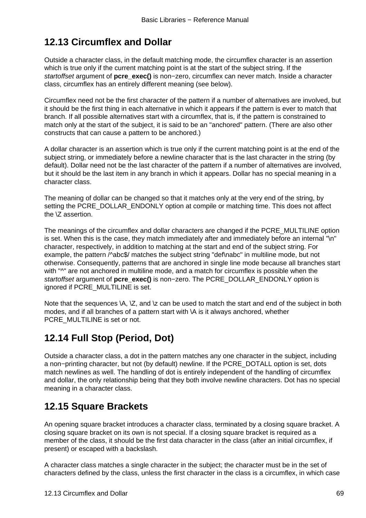## **12.13 Circumflex and Dollar**

Outside a character class, in the default matching mode, the circumflex character is an assertion which is true only if the current matching point is at the start of the subject string. If the startoffset argument of **pcre\_exec()** is non−zero, circumflex can never match. Inside a character class, circumflex has an entirely different meaning (see below).

Circumflex need not be the first character of the pattern if a number of alternatives are involved, but it should be the first thing in each alternative in which it appears if the pattern is ever to match that branch. If all possible alternatives start with a circumflex, that is, if the pattern is constrained to match only at the start of the subject, it is said to be an "anchored" pattern. (There are also other constructs that can cause a pattern to be anchored.)

A dollar character is an assertion which is true only if the current matching point is at the end of the subject string, or immediately before a newline character that is the last character in the string (by default). Dollar need not be the last character of the pattern if a number of alternatives are involved, but it should be the last item in any branch in which it appears. Dollar has no special meaning in a character class.

The meaning of dollar can be changed so that it matches only at the very end of the string, by setting the PCRE\_DOLLAR\_ENDONLY option at compile or matching time. This does not affect the \Z assertion.

The meanings of the circumflex and dollar characters are changed if the PCRE\_MULTILINE option is set. When this is the case, they match immediately after and immediately before an internal "\n" character, respectively, in addition to matching at the start and end of the subject string. For example, the pattern /^abc\$/ matches the subject string "def\nabc" in multiline mode, but not otherwise. Consequently, patterns that are anchored in single line mode because all branches start with "^" are not anchored in multiline mode, and a match for circumflex is possible when the startoffset argument of **pcre\_exec()** is non−zero. The PCRE\_DOLLAR\_ENDONLY option is ignored if PCRE\_MULTILINE is set.

Note that the sequences  $\mathcal{A}, \mathcal{Z},$  and  $\mathcal{Z}$  can be used to match the start and end of the subject in both modes, and if all branches of a pattern start with \A is it always anchored, whether PCRE\_MULTILINE is set or not.

## **12.14 Full Stop (Period, Dot)**

Outside a character class, a dot in the pattern matches any one character in the subject, including a non−printing character, but not (by default) newline. If the PCRE\_DOTALL option is set, dots match newlines as well. The handling of dot is entirely independent of the handling of circumflex and dollar, the only relationship being that they both involve newline characters. Dot has no special meaning in a character class.

## **12.15 Square Brackets**

An opening square bracket introduces a character class, terminated by a closing square bracket. A closing square bracket on its own is not special. If a closing square bracket is required as a member of the class, it should be the first data character in the class (after an initial circumflex, if present) or escaped with a backslash.

A character class matches a single character in the subject; the character must be in the set of characters defined by the class, unless the first character in the class is a circumflex, in which case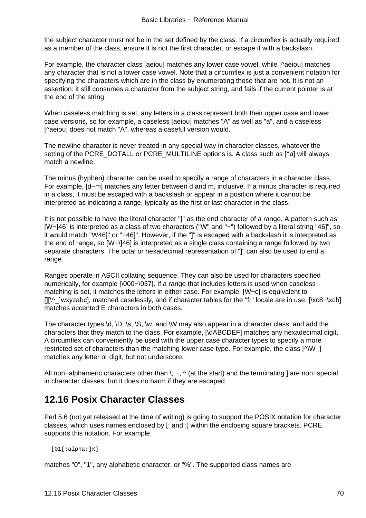the subject character must not be in the set defined by the class. If a circumflex is actually required as a member of the class, ensure it is not the first character, or escape it with a backslash.

For example, the character class [aeiou] matches any lower case vowel, while [^aeiou] matches any character that is not a lower case vowel. Note that a circumflex is just a convenient notation for specifying the characters which are in the class by enumerating those that are not. It is not an assertion: it still consumes a character from the subject string, and fails if the current pointer is at the end of the string.

When caseless matching is set, any letters in a class represent both their upper case and lower case versions, so for example, a caseless [aeiou] matches "A" as well as "a", and a caseless [^aeiou] does not match "A", whereas a caseful version would.

The newline character is never treated in any special way in character classes, whatever the setting of the PCRE\_DOTALL or PCRE\_MULTILINE options is. A class such as [^a] will always match a newline.

The minus (hyphen) character can be used to specify a range of characters in a character class. For example, [d−m] matches any letter between d and m, inclusive. If a minus character is required in a class, it must be escaped with a backslash or appear in a position where it cannot be interpreted as indicating a range, typically as the first or last character in the class.

It is not possible to have the literal character "]" as the end character of a range. A pattern such as [W−]46] is interpreted as a class of two characters ("W" and "−") followed by a literal string "46]", so it would match "W46]" or "−46]". However, if the "]" is escaped with a backslash it is interpreted as the end of range, so [W−\]46] is interpreted as a single class containing a range followed by two separate characters. The octal or hexadecimal representation of "]" can also be used to end a range.

Ranges operate in ASCII collating sequence. They can also be used for characters specified numerically, for example [\000-\037]. If a range that includes letters is used when caseless matching is set, it matches the letters in either case. For example, [W−c] is equivalent to [][\^\_`wxyzabc], matched caselessly, and if character tables for the "fr" locale are in use, [\xc8−\xcb] matches accented E characters in both cases.

The character types  $\backslash d$ ,  $\backslash D$ ,  $\backslash s$ ,  $\backslash S$ ,  $\backslash w$ , and  $\backslash W$  may also appear in a character class, and add the characters that they match to the class. For example, [\dABCDEF] matches any hexadecimal digit. A circumflex can conveniently be used with the upper case character types to specify a more restricted set of characters than the matching lower case type. For example, the class [^\W\_] matches any letter or digit, but not underscore.

All non–alphameric characters other than \, –, ^ (at the start) and the terminating ] are non–special in character classes, but it does no harm if they are escaped.

#### **12.16 Posix Character Classes**

Perl 5.6 (not yet released at the time of writing) is going to support the POSIX notation for character classes, which uses names enclosed by [: and :] within the enclosing square brackets. PCRE supports this notation. For example,

```
 [01[:alpha:]%]
```
matches "0", "1", any alphabetic character, or "%". The supported class names are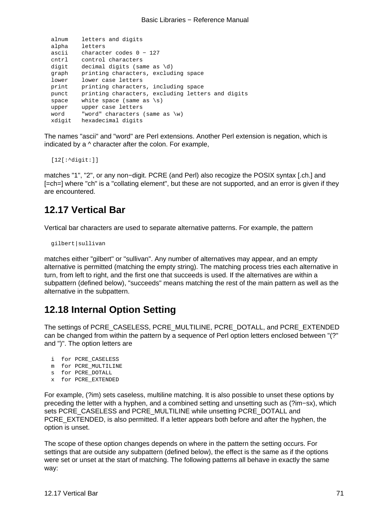| alnum  | letters and digits                                |
|--------|---------------------------------------------------|
| alpha  | letters                                           |
| ascii  | character codes $0 - 127$                         |
| cntrl  | control characters                                |
| digit  | decimal digits (same as $\{d\}$ )                 |
| qraph  | printing characters, excluding space              |
| lower  | lower case letters                                |
| print  | printing characters, including space              |
| punct  | printing characters, excluding letters and digits |
| space  | white space (same as $\succeq$ s)                 |
| upper  | upper case letters                                |
| word   | "word" characters (same as \w)                    |
| xdigit | hexadecimal digits                                |
|        |                                                   |

The names "ascii" and "word" are Perl extensions. Another Perl extension is negation, which is indicated by a ^ character after the colon. For example,

[12[:^digit:]]

matches "1", "2", or any non−digit. PCRE (and Perl) also recogize the POSIX syntax [.ch.] and [=ch=] where "ch" is a "collating element", but these are not supported, and an error is given if they are encountered.

#### **12.17 Vertical Bar**

Vertical bar characters are used to separate alternative patterns. For example, the pattern

gilbert|sullivan

matches either "gilbert" or "sullivan". Any number of alternatives may appear, and an empty alternative is permitted (matching the empty string). The matching process tries each alternative in turn, from left to right, and the first one that succeeds is used. If the alternatives are within a subpattern (defined below), "succeeds" means matching the rest of the main pattern as well as the alternative in the subpattern.

#### **12.18 Internal Option Setting**

The settings of PCRE\_CASELESS, PCRE\_MULTILINE, PCRE\_DOTALL, and PCRE\_EXTENDED can be changed from within the pattern by a sequence of Perl option letters enclosed between "(?" and ")". The option letters are

- i for PCRE\_CASELESS
- m for PCRE\_MULTILINE
- s for PCRE\_DOTALL
- x for PCRE\_EXTENDED

For example, (?im) sets caseless, multiline matching. It is also possible to unset these options by preceding the letter with a hyphen, and a combined setting and unsetting such as (?im−sx), which sets PCRE\_CASELESS and PCRE\_MULTILINE while unsetting PCRE\_DOTALL and PCRE\_EXTENDED, is also permitted. If a letter appears both before and after the hyphen, the option is unset.

The scope of these option changes depends on where in the pattern the setting occurs. For settings that are outside any subpattern (defined below), the effect is the same as if the options were set or unset at the start of matching. The following patterns all behave in exactly the same way: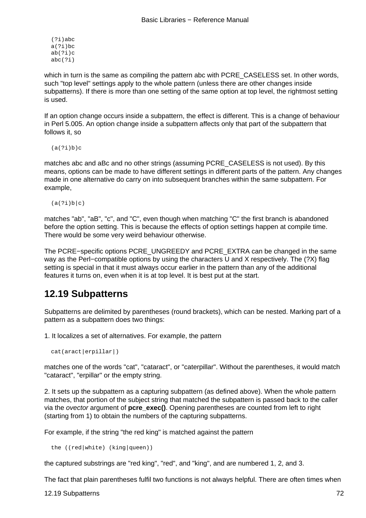(?i)abc a(?i)bc ab(?i)c abc(?i)

which in turn is the same as compiling the pattern abc with PCRE CASELESS set. In other words, such "top level" settings apply to the whole pattern (unless there are other changes inside subpatterns). If there is more than one setting of the same option at top level, the rightmost setting is used.

If an option change occurs inside a subpattern, the effect is different. This is a change of behaviour in Perl 5.005. An option change inside a subpattern affects only that part of the subpattern that follows it, so

 $(a(2i)h)c$ 

matches abc and aBc and no other strings (assuming PCRE\_CASELESS is not used). By this means, options can be made to have different settings in different parts of the pattern. Any changes made in one alternative do carry on into subsequent branches within the same subpattern. For example,

 $(a(?i)b|c)$ 

matches "ab", "aB", "c", and "C", even though when matching "C" the first branch is abandoned before the option setting. This is because the effects of option settings happen at compile time. There would be some very weird behaviour otherwise.

The PCRE−specific options PCRE\_UNGREEDY and PCRE\_EXTRA can be changed in the same way as the Perl−compatible options by using the characters U and X respectively. The (?X) flag setting is special in that it must always occur earlier in the pattern than any of the additional features it turns on, even when it is at top level. It is best put at the start.

#### **12.19 Subpatterns**

Subpatterns are delimited by parentheses (round brackets), which can be nested. Marking part of a pattern as a subpattern does two things:

1. It localizes a set of alternatives. For example, the pattern

```
 cat(aract|erpillar|)
```
matches one of the words "cat", "cataract", or "caterpillar". Without the parentheses, it would match "cataract", "erpillar" or the empty string.

2. It sets up the subpattern as a capturing subpattern (as defined above). When the whole pattern matches, that portion of the subject string that matched the subpattern is passed back to the caller via the ovector argument of **pcre\_exec()**. Opening parentheses are counted from left to right (starting from 1) to obtain the numbers of the capturing subpatterns.

For example, if the string "the red king" is matched against the pattern

```
 the ((red|white) (king|queen))
```
the captured substrings are "red king", "red", and "king", and are numbered 1, 2, and 3.

The fact that plain parentheses fulfil two functions is not always helpful. There are often times when

12.19 Subpatterns 72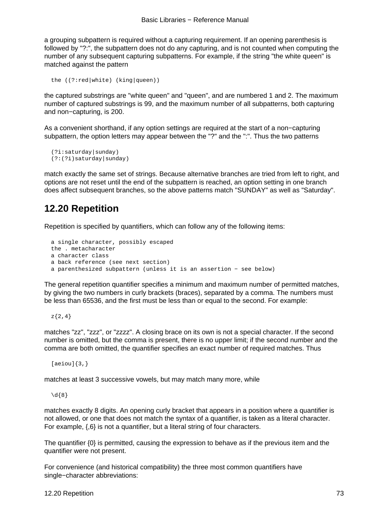a grouping subpattern is required without a capturing requirement. If an opening parenthesis is followed by "?:", the subpattern does not do any capturing, and is not counted when computing the number of any subsequent capturing subpatterns. For example, if the string "the white queen" is matched against the pattern

```
 the ((?:red|white) (king|queen))
```
the captured substrings are "white queen" and "queen", and are numbered 1 and 2. The maximum number of captured substrings is 99, and the maximum number of all subpatterns, both capturing and non−capturing, is 200.

As a convenient shorthand, if any option settings are required at the start of a non−capturing subpattern, the option letters may appear between the "?" and the ":". Thus the two patterns

```
 (?i:saturday|sunday)
 (?:(?i)saturday|sunday)
```
match exactly the same set of strings. Because alternative branches are tried from left to right, and options are not reset until the end of the subpattern is reached, an option setting in one branch does affect subsequent branches, so the above patterns match "SUNDAY" as well as "Saturday".

### **12.20 Repetition**

Repetition is specified by quantifiers, which can follow any of the following items:

```
 a single character, possibly escaped
 the . metacharacter
 a character class
 a back reference (see next section)
 a parenthesized subpattern (unless it is an assertion − see below)
```
The general repetition quantifier specifies a minimum and maximum number of permitted matches, by giving the two numbers in curly brackets (braces), separated by a comma. The numbers must be less than 65536, and the first must be less than or equal to the second. For example:

z{2,4}

matches "zz", "zzz", or "zzzz". A closing brace on its own is not a special character. If the second number is omitted, but the comma is present, there is no upper limit; if the second number and the comma are both omitted, the quantifier specifies an exact number of required matches. Thus

 $[aeiou]{3}$ 

matches at least 3 successive vowels, but may match many more, while

 $\d{8}$ 

matches exactly 8 digits. An opening curly bracket that appears in a position where a quantifier is not allowed, or one that does not match the syntax of a quantifier, is taken as a literal character. For example, {,6} is not a quantifier, but a literal string of four characters.

The quantifier  $\{0\}$  is permitted, causing the expression to behave as if the previous item and the quantifier were not present.

For convenience (and historical compatibility) the three most common quantifiers have single−character abbreviations: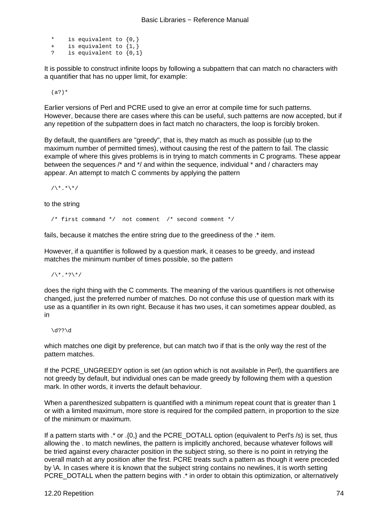\* is equivalent to {0,} + is equivalent to {1,} ? is equivalent to {0,1}

It is possible to construct infinite loops by following a subpattern that can match no characters with a quantifier that has no upper limit, for example:

 $(a?)$  \*

Earlier versions of Perl and PCRE used to give an error at compile time for such patterns. However, because there are cases where this can be useful, such patterns are now accepted, but if any repetition of the subpattern does in fact match no characters, the loop is forcibly broken.

By default, the quantifiers are "greedy", that is, they match as much as possible (up to the maximum number of permitted times), without causing the rest of the pattern to fail. The classic example of where this gives problems is in trying to match comments in C programs. These appear between the sequences /\* and \*/ and within the sequence, individual \* and / characters may appear. An attempt to match C comments by applying the pattern

 $/\backslash *$ .  $*\backslash *$ /

to the string

/\* first command \*/ not comment /\* second comment \*/

fails, because it matches the entire string due to the greediness of the .\* item.

However, if a quantifier is followed by a question mark, it ceases to be greedy, and instead matches the minimum number of times possible, so the pattern

 $1$   $*$ . \*?\\*/

does the right thing with the C comments. The meaning of the various quantifiers is not otherwise changed, just the preferred number of matches. Do not confuse this use of question mark with its use as a quantifier in its own right. Because it has two uses, it can sometimes appear doubled, as in

 $\lambda$ ssb/d

which matches one digit by preference, but can match two if that is the only way the rest of the pattern matches.

If the PCRE\_UNGREEDY option is set (an option which is not available in Perl), the quantifiers are not greedy by default, but individual ones can be made greedy by following them with a question mark. In other words, it inverts the default behaviour.

When a parenthesized subpattern is quantified with a minimum repeat count that is greater than 1 or with a limited maximum, more store is required for the compiled pattern, in proportion to the size of the minimum or maximum.

If a pattern starts with .\* or .{0,} and the PCRE\_DOTALL option (equivalent to Perl's /s) is set, thus allowing the . to match newlines, the pattern is implicitly anchored, because whatever follows will be tried against every character position in the subject string, so there is no point in retrying the overall match at any position after the first. PCRE treats such a pattern as though it were preceded by \A. In cases where it is known that the subject string contains no newlines, it is worth setting PCRE\_DOTALL when the pattern begins with .\* in order to obtain this optimization, or alternatively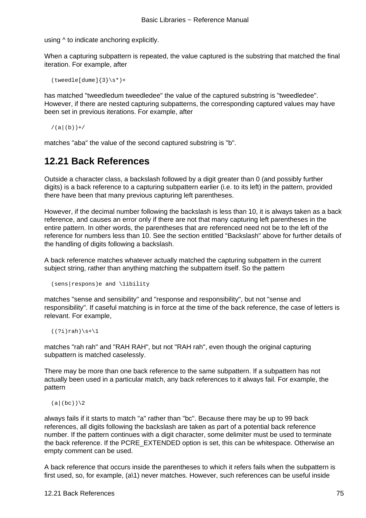using ^ to indicate anchoring explicitly.

When a capturing subpattern is repeated, the value captured is the substring that matched the final iteration. For example, after

 $(tweedle[dume]{3}\s$ 

has matched "tweedledum tweedledee" the value of the captured substring is "tweedledee". However, if there are nested capturing subpatterns, the corresponding captured values may have been set in previous iterations. For example, after

 $/(a|(b))$ +/

matches "aba" the value of the second captured substring is "b".

#### **12.21 Back References**

Outside a character class, a backslash followed by a digit greater than 0 (and possibly further digits) is a back reference to a capturing subpattern earlier (i.e. to its left) in the pattern, provided there have been that many previous capturing left parentheses.

However, if the decimal number following the backslash is less than 10, it is always taken as a back reference, and causes an error only if there are not that many capturing left parentheses in the entire pattern. In other words, the parentheses that are referenced need not be to the left of the reference for numbers less than 10. See the section entitled "Backslash" above for further details of the handling of digits following a backslash.

A back reference matches whatever actually matched the capturing subpattern in the current subject string, rather than anything matching the subpattern itself. So the pattern

(sens|respons)e and \1ibility

matches "sense and sensibility" and "response and responsibility", but not "sense and responsibility". If caseful matching is in force at the time of the back reference, the case of letters is relevant. For example,

```
((?i)rah)\s + \1
```
matches "rah rah" and "RAH RAH", but not "RAH rah", even though the original capturing subpattern is matched caselessly.

There may be more than one back reference to the same subpattern. If a subpattern has not actually been used in a particular match, any back references to it always fail. For example, the pattern

 $(a|(bc))\$ 2

always fails if it starts to match "a" rather than "bc". Because there may be up to 99 back references, all digits following the backslash are taken as part of a potential back reference number. If the pattern continues with a digit character, some delimiter must be used to terminate the back reference. If the PCRE\_EXTENDED option is set, this can be whitespace. Otherwise an empty comment can be used.

A back reference that occurs inside the parentheses to which it refers fails when the subpattern is first used, so, for example, (a\1) never matches. However, such references can be useful inside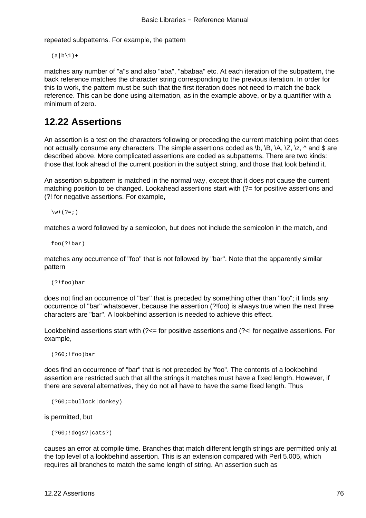repeated subpatterns. For example, the pattern

 $(a|b\1)$ +

matches any number of "a"s and also "aba", "ababaa" etc. At each iteration of the subpattern, the back reference matches the character string corresponding to the previous iteration. In order for this to work, the pattern must be such that the first iteration does not need to match the back reference. This can be done using alternation, as in the example above, or by a quantifier with a minimum of zero.

#### **12.22 Assertions**

An assertion is a test on the characters following or preceding the current matching point that does not actually consume any characters. The simple assertions coded as  $\mathbb{R}$ ,  $\mathbb{R}$ ,  $\mathbb{R}$ ,  $\mathbb{R}$ ,  $\mathbb{R}$ ,  $\mathbb{R}$ ,  $\mathbb{R}$ ,  $\mathbb{R}$ ,  $\mathbb{R}$ ,  $\mathbb{R}$ ,  $\mathbb{R}$ ,  $\mathbb{R}$ ,  $\mathbb{R}$ ,  $\mathbb{R}$ ,  $\mathbb{R}$ ,  $\math$ described above. More complicated assertions are coded as subpatterns. There are two kinds: those that look ahead of the current position in the subject string, and those that look behind it.

An assertion subpattern is matched in the normal way, except that it does not cause the current matching position to be changed. Lookahead assertions start with (?= for positive assertions and (?! for negative assertions. For example,

 $\forall w + ( ? = ; )$ 

matches a word followed by a semicolon, but does not include the semicolon in the match, and

foo(?!bar)

matches any occurrence of "foo" that is not followed by "bar". Note that the apparently similar pattern

(?!foo)bar

does not find an occurrence of "bar" that is preceded by something other than "foo"; it finds any occurrence of "bar" whatsoever, because the assertion (?!foo) is always true when the next three characters are "bar". A lookbehind assertion is needed to achieve this effect.

Lookbehind assertions start with (?<= for positive assertions and (?<! for negative assertions. For example,

```
 (?60;!foo)bar
```
does find an occurrence of "bar" that is not preceded by "foo". The contents of a lookbehind assertion are restricted such that all the strings it matches must have a fixed length. However, if there are several alternatives, they do not all have to have the same fixed length. Thus

```
 (?60;=bullock|donkey)
```
is permitted, but

(?60;!dogs?|cats?)

causes an error at compile time. Branches that match different length strings are permitted only at the top level of a lookbehind assertion. This is an extension compared with Perl 5.005, which requires all branches to match the same length of string. An assertion such as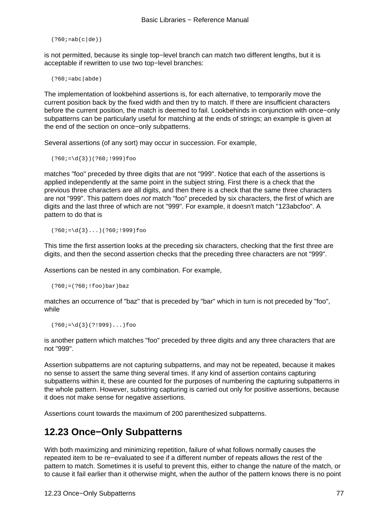$(?60; =ab(c|de))$ 

is not permitted, because its single top−level branch can match two different lengths, but it is acceptable if rewritten to use two top−level branches:

 $(?60; =abc|abc)$ 

The implementation of lookbehind assertions is, for each alternative, to temporarily move the current position back by the fixed width and then try to match. If there are insufficient characters before the current position, the match is deemed to fail. Lookbehinds in conjunction with once−only subpatterns can be particularly useful for matching at the ends of strings; an example is given at the end of the section on once−only subpatterns.

Several assertions (of any sort) may occur in succession. For example,

 $(?60;=\d{3})(?60;1999)$ foo

matches "foo" preceded by three digits that are not "999". Notice that each of the assertions is applied independently at the same point in the subject string. First there is a check that the previous three characters are all digits, and then there is a check that the same three characters are not "999". This pattern does not match "foo" preceded by six characters, the first of which are digits and the last three of which are not "999". For example, it doesn't match "123abcfoo". A pattern to do that is

 $(?60;=\d{3}...)(?60;1999)$ foo

This time the first assertion looks at the preceding six characters, checking that the first three are digits, and then the second assertion checks that the preceding three characters are not "999".

Assertions can be nested in any combination. For example,

```
 (?60;=(?60;!foo)bar)baz
```
matches an occurrence of "baz" that is preceded by "bar" which in turn is not preceded by "foo", while

```
(?60;=\ddot{3}(?1999)...)foo
```
is another pattern which matches "foo" preceded by three digits and any three characters that are not "999".

Assertion subpatterns are not capturing subpatterns, and may not be repeated, because it makes no sense to assert the same thing several times. If any kind of assertion contains capturing subpatterns within it, these are counted for the purposes of numbering the capturing subpatterns in the whole pattern. However, substring capturing is carried out only for positive assertions, because it does not make sense for negative assertions.

Assertions count towards the maximum of 200 parenthesized subpatterns.

#### **12.23 Once−Only Subpatterns**

With both maximizing and minimizing repetition, failure of what follows normally causes the repeated item to be re−evaluated to see if a different number of repeats allows the rest of the pattern to match. Sometimes it is useful to prevent this, either to change the nature of the match, or to cause it fail earlier than it otherwise might, when the author of the pattern knows there is no point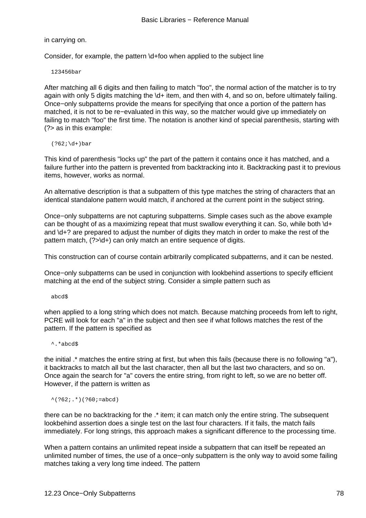in carrying on.

Consider, for example, the pattern \d+foo when applied to the subject line

123456bar

After matching all 6 digits and then failing to match "foo", the normal action of the matcher is to try again with only 5 digits matching the \d+ item, and then with 4, and so on, before ultimately failing. Once−only subpatterns provide the means for specifying that once a portion of the pattern has matched, it is not to be re−evaluated in this way, so the matcher would give up immediately on failing to match "foo" the first time. The notation is another kind of special parenthesis, starting with (?> as in this example:

 $(?62; \ddot{\text{d}}+)$ bar

This kind of parenthesis "locks up" the part of the pattern it contains once it has matched, and a failure further into the pattern is prevented from backtracking into it. Backtracking past it to previous items, however, works as normal.

An alternative description is that a subpattern of this type matches the string of characters that an identical standalone pattern would match, if anchored at the current point in the subject string.

Once−only subpatterns are not capturing subpatterns. Simple cases such as the above example can be thought of as a maximizing repeat that must swallow everything it can. So, while both \d+ and \d+? are prepared to adjust the number of digits they match in order to make the rest of the pattern match, (?>\d+) can only match an entire sequence of digits.

This construction can of course contain arbitrarily complicated subpatterns, and it can be nested.

Once−only subpatterns can be used in conjunction with lookbehind assertions to specify efficient matching at the end of the subject string. Consider a simple pattern such as

abcd\$

when applied to a long string which does not match. Because matching proceeds from left to right, PCRE will look for each "a" in the subject and then see if what follows matches the rest of the pattern. If the pattern is specified as

^.\*abcd\$

the initial .\* matches the entire string at first, but when this fails (because there is no following "a"), it backtracks to match all but the last character, then all but the last two characters, and so on. Once again the search for "a" covers the entire string, from right to left, so we are no better off. However, if the pattern is written as

 $*(?62;.*)(?60;=abcd)$ 

there can be no backtracking for the .\* item; it can match only the entire string. The subsequent lookbehind assertion does a single test on the last four characters. If it fails, the match fails immediately. For long strings, this approach makes a significant difference to the processing time.

When a pattern contains an unlimited repeat inside a subpattern that can itself be repeated an unlimited number of times, the use of a once−only subpattern is the only way to avoid some failing matches taking a very long time indeed. The pattern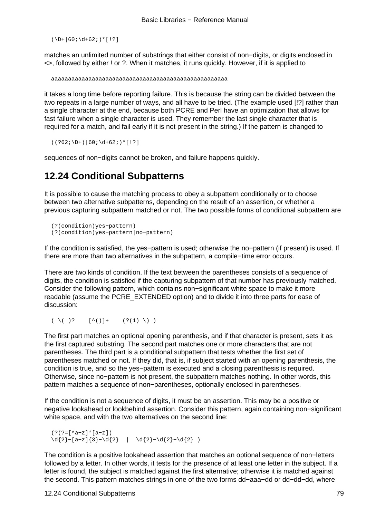$(\D+|60;\d+62;)*[!]$ 

matches an unlimited number of substrings that either consist of non−digits, or digits enclosed in <>, followed by either ! or ?. When it matches, it runs quickly. However, if it is applied to

```
 aaaaaaaaaaaaaaaaaaaaaaaaaaaaaaaaaaaaaaaaaaaaaaaaaaaa
```
it takes a long time before reporting failure. This is because the string can be divided between the two repeats in a large number of ways, and all have to be tried. (The example used [!?] rather than a single character at the end, because both PCRE and Perl have an optimization that allows for fast failure when a single character is used. They remember the last single character that is required for a match, and fail early if it is not present in the string.) If the pattern is changed to

```
((?62; \D+) | 60; \d+62; )*[?]
```
sequences of non−digits cannot be broken, and failure happens quickly.

## **12.24 Conditional Subpatterns**

It is possible to cause the matching process to obey a subpattern conditionally or to choose between two alternative subpatterns, depending on the result of an assertion, or whether a previous capturing subpattern matched or not. The two possible forms of conditional subpattern are

```
 (?(condition)yes−pattern)
 (?(condition)yes−pattern|no−pattern)
```
If the condition is satisfied, the yes−pattern is used; otherwise the no−pattern (if present) is used. If there are more than two alternatives in the subpattern, a compile−time error occurs.

There are two kinds of condition. If the text between the parentheses consists of a sequence of digits, the condition is satisfied if the capturing subpattern of that number has previously matched. Consider the following pattern, which contains non−significant white space to make it more readable (assume the PCRE\_EXTENDED option) and to divide it into three parts for ease of discussion:

 $(\ \ ( \ \ ) ? \ \ [^{\wedge}() ] + ( ?(1) ) )$ 

The first part matches an optional opening parenthesis, and if that character is present, sets it as the first captured substring. The second part matches one or more characters that are not parentheses. The third part is a conditional subpattern that tests whether the first set of parentheses matched or not. If they did, that is, if subject started with an opening parenthesis, the condition is true, and so the yes−pattern is executed and a closing parenthesis is required. Otherwise, since no−pattern is not present, the subpattern matches nothing. In other words, this pattern matches a sequence of non−parentheses, optionally enclosed in parentheses.

If the condition is not a sequence of digits, it must be an assertion. This may be a positive or negative lookahead or lookbehind assertion. Consider this pattern, again containing non−significant white space, and with the two alternatives on the second line:

```
(?('?=[^Aa-z]*[a-z])\d{2} - [a-z]{3} - \d{2} | \d{2} - \d{2} - \d{2} )
```
The condition is a positive lookahead assertion that matches an optional sequence of non−letters followed by a letter. In other words, it tests for the presence of at least one letter in the subject. If a letter is found, the subject is matched against the first alternative; otherwise it is matched against the second. This pattern matches strings in one of the two forms dd−aaa−dd or dd−dd−dd, where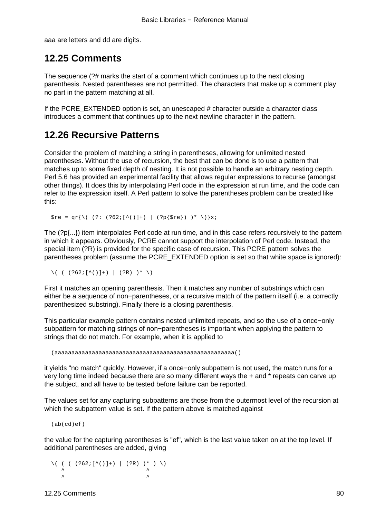aaa are letters and dd are digits.

#### **12.25 Comments**

The sequence (?# marks the start of a comment which continues up to the next closing parenthesis. Nested parentheses are not permitted. The characters that make up a comment play no part in the pattern matching at all.

If the PCRE EXTENDED option is set, an unescaped # character outside a character class introduces a comment that continues up to the next newline character in the pattern.

#### **12.26 Recursive Patterns**

Consider the problem of matching a string in parentheses, allowing for unlimited nested parentheses. Without the use of recursion, the best that can be done is to use a pattern that matches up to some fixed depth of nesting. It is not possible to handle an arbitrary nesting depth. Perl 5.6 has provided an experimental facility that allows regular expressions to recurse (amongst other things). It does this by interpolating Perl code in the expression at run time, and the code can refer to the expression itself. A Perl pattern to solve the parentheses problem can be created like this:

 $\frac{1}{2}$ re = qr{\( (?: (?62;[^()]+) | (?p{ $\frac{1}{2}$ re}) )\* \)}x;

The (?p{...}) item interpolates Perl code at run time, and in this case refers recursively to the pattern in which it appears. Obviously, PCRE cannot support the interpolation of Perl code. Instead, the special item (?R) is provided for the specific case of recursion. This PCRE pattern solves the parentheses problem (assume the PCRE\_EXTENDED option is set so that white space is ignored):

 $\setminus$ ( ( (?62;[^()]+) | (?R) )\*  $\setminus$ )

First it matches an opening parenthesis. Then it matches any number of substrings which can either be a sequence of non−parentheses, or a recursive match of the pattern itself (i.e. a correctly parenthesized substring). Finally there is a closing parenthesis.

This particular example pattern contains nested unlimited repeats, and so the use of a once−only subpattern for matching strings of non−parentheses is important when applying the pattern to strings that do not match. For example, when it is applied to

(aaaaaaaaaaaaaaaaaaaaaaaaaaaaaaaaaaaaaaaaaaaaaaaaaaaaa()

it yields "no match" quickly. However, if a once−only subpattern is not used, the match runs for a very long time indeed because there are so many different ways the + and \* repeats can carve up the subject, and all have to be tested before failure can be reported.

The values set for any capturing subpatterns are those from the outermost level of the recursion at which the subpattern value is set. If the pattern above is matched against

 $(ab(cd)ef)$ 

the value for the capturing parentheses is "ef", which is the last value taken on at the top level. If additional parentheses are added, giving

\( ( (  $( ?62; [^())]+)$  |  $(?R)$  ) \* ) \)  $\lambda$   $\lambda$  $\lambda$   $\lambda$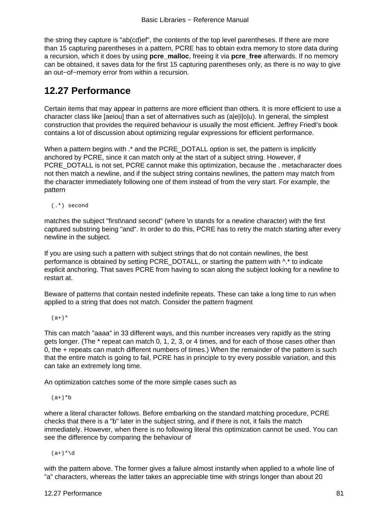the string they capture is "ab(cd)ef", the contents of the top level parentheses. If there are more than 15 capturing parentheses in a pattern, PCRE has to obtain extra memory to store data during a recursion, which it does by using **pcre\_malloc**, freeing it via **pcre\_free** afterwards. If no memory can be obtained, it saves data for the first 15 capturing parentheses only, as there is no way to give an out−of−memory error from within a recursion.

## **12.27 Performance**

Certain items that may appear in patterns are more efficient than others. It is more efficient to use a character class like [aeiou] than a set of alternatives such as (a|e|i|o|u). In general, the simplest construction that provides the required behaviour is usually the most efficient. Jeffrey Friedl's book contains a lot of discussion about optimizing regular expressions for efficient performance.

When a pattern begins with .\* and the PCRE\_DOTALL option is set, the pattern is implicitly anchored by PCRE, since it can match only at the start of a subject string. However, if PCRE\_DOTALL is not set. PCRE cannot make this optimization, because the . metacharacter does not then match a newline, and if the subject string contains newlines, the pattern may match from the character immediately following one of them instead of from the very start. For example, the pattern

(.\*) second

matches the subject "first\nand second" (where \n stands for a newline character) with the first captured substring being "and". In order to do this, PCRE has to retry the match starting after every newline in the subject.

If you are using such a pattern with subject strings that do not contain newlines, the best performance is obtained by setting PCRE\_DOTALL, or starting the pattern with ^.\* to indicate explicit anchoring. That saves PCRE from having to scan along the subject looking for a newline to restart at.

Beware of patterns that contain nested indefinite repeats. These can take a long time to run when applied to a string that does not match. Consider the pattern fragment

 $(a+)$ \*

This can match "aaaa" in 33 different ways, and this number increases very rapidly as the string gets longer. (The \* repeat can match 0, 1, 2, 3, or 4 times, and for each of those cases other than 0, the + repeats can match different numbers of times.) When the remainder of the pattern is such that the entire match is going to fail, PCRE has in principle to try every possible variation, and this can take an extremely long time.

An optimization catches some of the more simple cases such as

 $(a+) * b$ 

where a literal character follows. Before embarking on the standard matching procedure, PCRE checks that there is a "b" later in the subject string, and if there is not, it fails the match immediately. However, when there is no following literal this optimization cannot be used. You can see the difference by comparing the behaviour of

 $h^{*}(a+1)$ 

with the pattern above. The former gives a failure almost instantly when applied to a whole line of "a" characters, whereas the latter takes an appreciable time with strings longer than about 20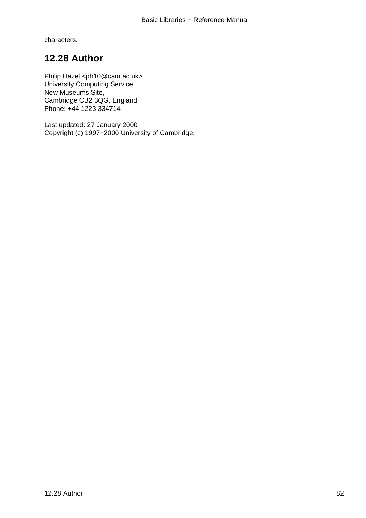characters.

## **12.28 Author**

Philip Hazel <ph10@cam.ac.uk> University Computing Service, New Museums Site, Cambridge CB2 3QG, England. Phone: +44 1223 334714

Last updated: 27 January 2000 Copyright (c) 1997−2000 University of Cambridge.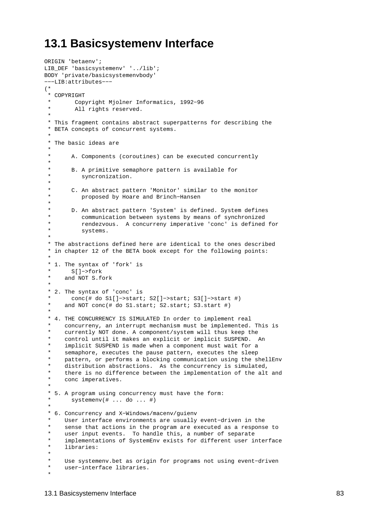# **13.1 Basicsystemenv Interface**

```
ORIGIN 'betaenv';
LIB_DEF 'basicsystemenv' '../lib';
BODY 'private/basicsystemenvbody'
−−−LIB:attributes−−−
(*
  * COPYRIGHT 
        Copyright Mjolner Informatics, 1992-96
        All rights reserved.
 * 
  * This fragment contains abstract superpatterns for describing the
  * BETA concepts of concurrent systems.
 * 
  * The basic ideas are
 * 
  * A. Components (coroutines) can be executed concurrently
 * 
  * B. A primitive semaphore pattern is available for
           syncronization.
 * 
  * C. An abstract pattern 'Monitor' similar to the monitor
            * proposed by Hoare and Brinch−Hansen
 * 
  * D. An abstract pattern 'System' is defined. System defines
           communication between systems by means of synchronized
           rendezvous. A concurreny imperative 'conc' is defined for
           systems.
 * 
  * The abstractions defined here are identical to the ones described
  * in chapter 12 of the BETA book except for the following points:
 * 
  * 1. The syntax of 'fork' is
       S[]−>fork
     and NOT S.fork
 * 
  * 2. The syntax of 'conc' is
        * conc(# do S1[]−>start; S2[]−>start; S3[]−>start #)
     and NOT conc(# do S1.start; S2.start; S3.start #)
 * 
  * 4. THE CONCURRENCY IS SIMULATED In order to implement real
     concurreny, an interrupt mechanism must be implemented. This is
     currently NOT done. A component/system will thus keep the
     control until it makes an explicit or implicit SUSPEND. An
     implicit SUSPEND is made when a component must wait for a
     semaphore, executes the pause pattern, executes the sleep
     pattern, or performs a blocking communication using the shellEnv
     distribution abstractions. As the concurrency is simulated,
     there is no difference between the implementation of the alt and
     conc imperatives.
 * 
  * 5. A program using concurrency must have the form:
       systemenv(# ... do ... #)
 * 
  * 6. Concurrency and X−Windows/macenv/guienv
     User interface environments are usually event-driven in the
     sense that actions in the program are executed as a response to
     user input events. To handle this, a number of separate
     implementations of SystemEnv exists for different user interface
     libraries:
 * 
     Use systemenv.bet as origin for programs not using event-driven
  * user−interface libraries.
 *
```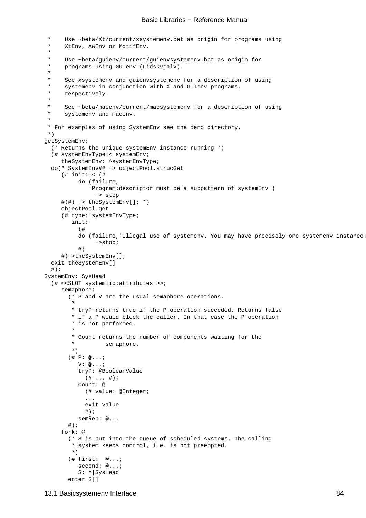#### Basic Libraries − Reference Manual

```
* Use ~beta/Xt/current/xsystemenv.bet as origin for programs using<br>* * ***** AvEny or MotifEny
      XtEnv, AwEnv or MotifEnv.
  * 
  * Use ~beta/guienv/current/guienvsystemenv.bet as origin for
      programs using GUIenv (Lidskvjalv).
 * 
  * See xsystemenv and guienvsystemenv for a description of using
      systemenv in conjunction with X and GUIenv programs,
  * respectively.
 * 
  * See ~beta/macenv/current/macsystemenv for a description of using
      systemeny and maceny.
 * 
  * For examples of using SystemEnv see the demo directory.
  *)
getSystemEnv: 
   (* Returns the unique systemEnv instance running *)
   (# systemEnvType:< systemEnv;
     theSystemEnv: ^systemEnvType;
   do(* SystemEnv## −> objectPool.strucGet 
     ( # init::< ( #
           do (failure, 
               'Program:descriptor must be a subpattern of systemEnv')
                −> stop
      #)#) −> theSystemEnv[]; *)
      objectPool.get
      (# type::systemEnvType;
         init::
           (# 
           do (failure,'Illegal use of systemenv. You may have precisely one systemenv instance!')
                −>stop;
           #)
      #)−>theSystemEnv[];
   exit theSystemEnv[]
  #);
SystemEnv: SysHead
   (# <<SLOT systemlib:attributes >>;
     semaphore:
        (* P and V are the usual semaphore operations.
 * 
         * tryP returns true if the P operation succeded. Returns false
         * if a P would block the caller. In that case the P operation
         * is not performed.
 * 
         * Count returns the number of components waiting for the
                  semaphore.
         *)
        (# P: @...;
           V: @...;
           tryP: @BooleanValue
            ( # ... #); Count: @
             (# value: @Integer;
             ...
             exit value
            \#);
           semRep: @...
       \#);
     fork: @
        (* S is put into the queue of scheduled systems. The calling
         * system keeps control, i.e. is not preempted.
         *)
        (# first: @...;
           second: @...;
           S: ^|SysHead 
        enter S[]
```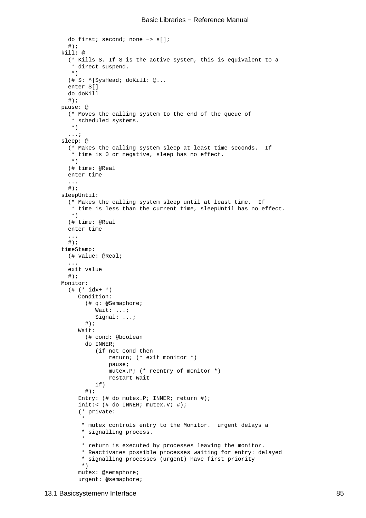```
 do first; second; none −> s[];
      \#);
     kill: @
        (* Kills S. If S is the active system, this is equivalent to a
         * direct suspend.
        *)
        (# S: ^|SysHead; doKill: @...
        enter S[] 
       do doKill
       \#);
     pause: @
        (* Moves the calling system to the end of the queue of
         * scheduled systems.
         *)
        ...;
     sleep: @
        (* Makes the calling system sleep at least time seconds. If
        * time is 0 or negative, sleep has no effect.
        *)
        (# time: @Real
       enter time 
        ... 
       #);
     sleepUntil:
        (* Makes the calling system sleep until at least time. If
         * time is less than the current time, sleepUntil has no effect.
        *)
        (# time: @Real
       enter time 
        ... 
      \#);
     timeStamp:
       (# value: @Real;
        ...
       exit value
      \#);
    Monitor:
        (# (* idx+ *)
         Condition:
             (# q: @Semaphore;
               Wait: ...;
               Signal: ...;
            \#);
          Wait:
             (# cond: @boolean 
             do INNER;
                (if not cond then 
                    return; (* exit monitor *)
                    pause;
                    mutex.P; (* reentry of monitor *)
                    restart Wait
                if)
            \#);
           Entry: (# do mutex.P; INNER; return #);
           init:< (# do INNER; mutex.V; #);
           (* private:
 * 
            * mutex controls entry to the Monitor. urgent delays a
            * signalling process.
 * 
            * return is executed by processes leaving the monitor.
            * Reactivates possible processes waiting for entry: delayed
            * signalling processes (urgent) have first priority
            *)
           mutex: @semaphore;
           urgent: @semaphore;
```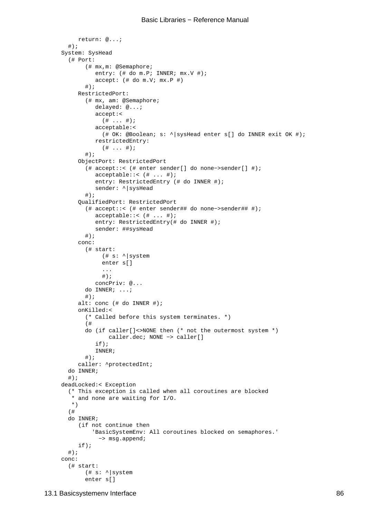```
 return: @...;
       #);
     System: SysHead
        (# Port:
             (# mx,m: @Semaphore;
               entry: (# do m.P; INNER; mx.V #);
               accept: (\# do m.V: mx.P #)#);
          RestrictedPort:
             (# mx, am: @Semaphore;
                delayed: @...;
                accept:<
                 ( # ... #); acceptable:<
                  (# OK: @Boolean; s: ^|sysHead enter s[] do INNER exit OK #);
                restrictedEntry:
                 ( # ... #);#);
          ObjectPort: RestrictedPort
             (# accept::< (# enter sender[] do none−>sender[] #);
                acceptable::< (# ... #);
               entry: RestrictedEntry (# do INNER #);
               sender: \wedge| sysHead
            #);
          QualifiedPort: RestrictedPort
             (# accept::< (# enter sender## do none−>sender## #);
                acceptable::< (# ... #);
                entry: RestrictedEntry(# do INNER #);
                sender: ##sysHead
            #);
          conc:
             (# start:
                  (# s: ^|system
                  enter s[]
 ...
                 \#);
                concPriv: @...
             do INNER; ...; 
            #);
          alt: conc (# do INNER #);
          onKilled:<
             (* Called before this system terminates. *)
             (# 
             do (if caller[]<>NONE then (* not the outermost system *)
                    caller.dec; NONE −> caller[]
                if);
                INNER;
            #);
          caller: ^protectedInt;
       do INNER;
       \#);
     deadLocked:< Exception
        (* This exception is called when all coroutines are blocked
         * and none are waiting for I/O.
        *)
        (# 
       do INNER;
           (if not continue then
               'BasicSystemEnv: All coroutines blocked on semaphores.'
                 −> msg.append;
           if);
       #);
     conc:
        (# start:
             (# s: ^|system
             enter s[]
```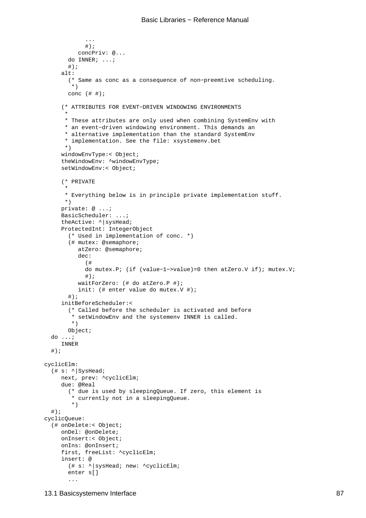```
 ...
            #);
          concPriv: @...
        do INNER; ...; 
       #);
     a1t:
        (* Same as conc as a consequence of non−preemtive scheduling.
         *)
        conc (# #);
      (* ATTRIBUTES FOR EVENT−DRIVEN WINDOWING ENVIRONMENTS
\star * These attributes are only used when combining SystemEnv with
       * an event−driven windowing environment. This demands an
       * alternative implementation than the standard SystemEnv
       * implementation. See the file: xsystemenv.bet
      *windowEnvType:< Object;
     theWindowEnv: ^windowEnvType;
     setWindowEnv:< Object;
      (* PRIVATE
\star * Everything below is in principle private implementation stuff.
       *)
     private: @ ...;
     BasicScheduler: ...; 
     theActive: \land sysHead;
     ProtectedInt: IntegerObject
        (* Used in implementation of conc. *)
        (# mutex: @semaphore;
          atZero: @semaphore;
          dec:
             (# 
             do mutex.P; (if (value−1−>value)=0 then atZero.V if); mutex.V;
            \#);
          waitForZero: (# do atZero.P #);
          init: (# enter value do mutex.V #);
       #);
     initBeforeScheduler:< 
        (* Called before the scheduler is activated and before
         * setWindowEnv and the systemenv INNER is called.
         *)
        Object;
  do ...;
     INNER
  #);
cyclicElm:
   (# s: ^|SysHead;
    next, prev: ^cyclicElm;
     due: @Real
        (* due is used by sleepingQueue. If zero, this element is
         * currently not in a sleepingQueue.
         *)
   #);
cyclicQueue:
   (# onDelete:< Object;
     onDel: @onDelete;
    onInsert:< Object;
    onIns: @onInsert;
     first, freeList: ^cyclicElm;
     insert: @
        (# s: ^|sysHead; new: ^cyclicElm;
        enter s[]
        ...
```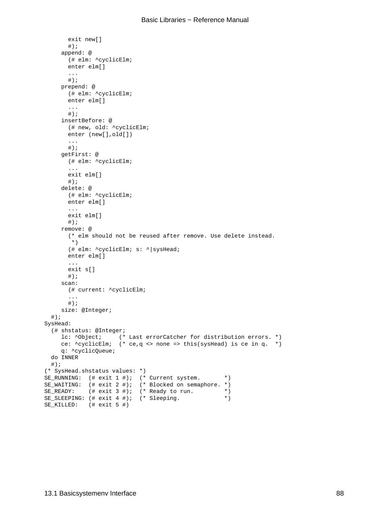```
 exit new[]
       \#);
     append: @
        (# elm: ^cyclicElm;
        enter elm[]
         ...
       \#);
     prepend: @
        (# elm: ^cyclicElm;
        enter elm[] 
         ...
       #);
     insertBefore: @
         (# new, old: ^cyclicElm;
         enter (new[],old[])
         ...
       #);
     getFirst: @
        (# elm: ^cyclicElm;
         ...
        exit elm[]
       \#);
     delete: @
        (# elm: ^cyclicElm;
        enter elm[]
        ...
        exit elm[]
       \#);
     remove: @ 
        (* elm should not be reused after remove. Use delete instead.
         *)
        (# elm: ^cyclicElm; s: ^|sysHead;
        enter elm[]
         ...
        exit s[]
       \#);
     scan:
        (# current: ^cyclicElm;
         ...
       #);
     size: @Integer;
  #);
SysHead: 
   (# shstatus: @Integer; 
     lc: ^Object; (* Last errorCatcher for distribution errors. *)
     ce: ^cyclicElm; (* ce,q <> none => this(sysHead) is ce in q. *)
     q: ^cyclicQueue;
   do INNER
  \#);
(* SysHead.shstatus values: *)
SE_RUNNING: (\# \text{exit 1 } \#); (* Current system. *)
SE_WAITING: (# exit 2 #); (* Blocked on semaphore. *)
SE_READY: (\# \text{ exit } 3 \#); (* \text{ Ready to run. } * )<br>SE SLEEPING: (\# \text{ exit } 4 \#); (* \text{ Sleeping. } * )SE_SLEEPING: (# exit 4 #); (* Sleeping.
SE_KILLED: (# exit 5 #)
```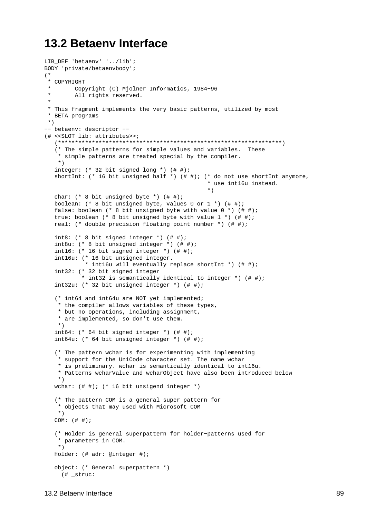# **13.2 Betaenv Interface**

```
LIB_DEF 'betaenv' '../lib';
BODY 'private/betaenvbody';
(*
  * COPYRIGHT
        Copyright (C) Mjolner Informatics, 1984-96
        All rights reserved.
 *
  * This fragment implements the very basic patterns, utilized by most
  * BETA programs
  *)
−− betaenv: descriptor −−
(# <<SLOT lib: attributes>>;
    (******************************************************************)
    (* The simple patterns for simple values and variables. These
    * simple patterns are treated special by the compiler.
    *)
   integer: (* 32 bit signed long *) (# #);
   shortInt: (* 16 bit unsigned half *) (# #); (* do not use shortInt anymore,
                                                 * use int16u instead.
\star )
   char: (* 8 bit unsigned byte *) (# #);
   boolean: (* 8 bit unsigned byte, values 0 or 1 *) (# #);
   false: boolean (* 8 bit unsigned byte with value 0 *) (# #);
   true: boolean (* 8 bit unsigned byte with value 1 *) (# #);
   real: (* double precision floating point number *) (# #);
   int8: (* 8 bit signed integer *) (# #); 
   int8u: (* 8 bit unsigned integer *) (# #);
   int16: (* 16 bit signed integer *) (# #);
   int16u: (* 16 bit unsigned integer.
            * int16u will eventually replace shortInt *) (# #);
   int32: (* 32 bit signed integer
            * int32 is semantically identical to integer *) (# #);
   int32u: (* 32 bit unsigned integer *) (# #);
    (* int64 and int64u are NOT yet implemented;
     * the compiler allows variables of these types,
    * but no operations, including assignment,
    * are implemented, so don't use them.
    *)
   int64: (* 64 bit signed integer *) (# #); 
   int64u: (* 64 bit unsigned integer *) (# #);
    (* The pattern wchar is for experimenting with implementing
     * support for the UniCode character set. The name wchar
    * is preliminary. wchar is semantically identical to int16u.
     * Patterns wcharValue and wcharObject have also been introduced below
     *)
   wchar: (\# \#); (* 16 bit unsigend integer *)
    (* The pattern COM is a general super pattern for
    * objects that may used with Microsoft COM
    *)
   COM: (# #); 
    (* Holder is general superpattern for holder−patterns used for 
     * parameters in COM.
    *)
   Holder: (# adr: @integer #); 
   object: (* General superpattern *)
      (# _struc:
```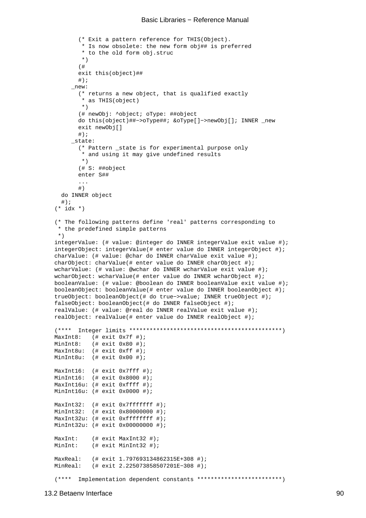```
 (* Exit a pattern reference for THIS(Object).
         * Is now obsolete: the new form obj## is preferred
         * to the old form obj.struc
        *)
        (#
        exit this(object)##
       #);
     _new: 
        (* returns a new object, that is qualified exactly
         * as THIS(object)
        *)
        (# newObj: ^object; oType: ##object
        do this(object)##−>oType##; &oType[]−>newObj[]; INNER _new
        exit newObj[]
       #);
     _state: 
        (* Pattern _state is for experimental purpose only
        * and using it may give undefined results 
        *)
        (# S: ##object
        enter S##
        ...
        #)
  do INNER object
  \#);
(* idx * ) (* The following patterns define 'real' patterns corresponding to
  * the predefined simple patterns
 *)
integerValue: (# value: @integer do INNER integerValue exit value #);
integerObject: integerValue(# enter value do INNER integerObject #);
charValue: (# value: @char do INNER charValue exit value #);
charObject: charValue(# enter value do INNER charObject #);
wcharValue: (# value: @wchar do INNER wcharValue exit value #);
wcharObject: wcharValue(# enter value do INNER wcharObject #);
booleanValue: (# value: @boolean do INNER booleanValue exit value #);
booleanObject: booleanValue(# enter value do INNER booleanObject #);
trueObject: booleanObject(# do true−>value; INNER trueObject #);
falseObject: booleanObject(# do INNER falseObject #);
realValue: (# value: @real do INNER realValue exit value #);
realObject: realValue(# enter value do INNER realObject #);
 (**** Integer limits *********************************************) 
MaxInt8: (# exit 0x7f #);
MinInt8: (# exit 0x80 #);
MaxInt8u: (# exit 0xff #);
MinInt8u: (# exit 0x00 #);
MaxInt16: (# exit 0x7fff #);
MinInt16: (# exit 0x8000 #);
MaxInt16u: (# exit 0xffff #);
MinInt16u: (# exit 0x0000 #);
MaxInt32: (# exit 0x7fffffff #);
MinInt32: (# exit 0x80000000 #);
MaxInt32u: (# exit 0xffffffff #);
MinInt32u: (# exit 0x00000000 #);
MaxInt: (# exit MaxInt32 #);
MinInt: (# exit MinInt32 #);
MaxReal: (# exit 1.797693134862315E+308 #);
MinReal: (# exit 2.225073858507201E−308 #);
```

```
 (**** Implementation dependent constants *************************)
```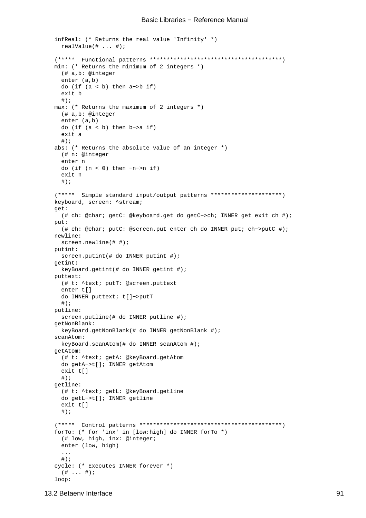```
infReal: (* Returns the real value 'Infinity' *)
  realValue(# ... #);
 (***** Functional patterns ***************************************)
min: (* Returns the minimum of 2 integers *)
  (# a,b: @integer
   enter (a,b)
  do (if (a < b) then a−>b if)
  exit b
  #);
max: (* Returns the maximum of 2 integers *)
  (# a,b: @integer
   enter (a,b)
  do (if (a < b) then b−>a if)
   exit a
  #);
abs: (* Returns the absolute value of an integer *)
  (# n: @integer
   enter n
  do (if (n < 0) then −n−>n if)
  exit n
  #);
 (***** Simple standard input/output patterns *********************)
keyboard, screen: ^stream;
get:
   (# ch: @char; getC: @keyboard.get do getC−>ch; INNER get exit ch #);
put:
  (# ch: @char; putC: @screen.put enter ch do INNER put; ch−>putC #);
newline:
  screen.newline(# #);
putint:
 screen.putint(# do INNER putint #);
getint:
  keyBoard.getint(# do INNER getint #);
puttext:
   (# t: ^text; putT: @screen.puttext
   enter t[]
  do INNER puttext; t[]−>putT
   #);
putline:
 screen.putline(# do INNER putline #);
getNonBlank:
  keyBoard.getNonBlank(# do INNER getNonBlank #);
scanAtom:
  keyBoard.scanAtom(# do INNER scanAtom #);
getAtom:
  (# t: ^text; getA: @keyBoard.getAtom
  do getA−>t[]; INNER getAtom
  exit t[]
 \#);
getline:
  (# t: ^text; getL: @keyBoard.getline
  do getL−>t[]; INNER getline
  exit t[]
  \#);
 (***** Control patterns ******************************************)
forTo: (* for 'inx' in [low:high] do INNER forTo *)
  (# low, high, inx: @integer;
  enter (low, high)
   ... 
   #);
cycle: (* Executes INNER forever *)
   (# ... #);
loop:
```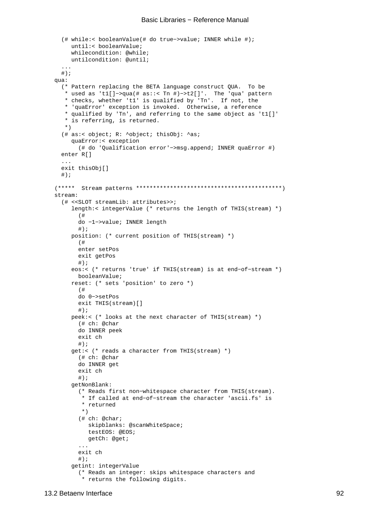```
 (# while:< booleanValue(# do true−>value; INNER while #);
       until:< booleanValue;
       whilecondition: @while;
       untilcondition: @until;
 ...
    #);
  qua:
     (* Pattern replacing the BETA language construct QUA. To be
       * used as 't1[]−>qua(# as::< Tn #)−>t2[]'. The 'qua' pattern
       * checks, whether 't1' is qualified by 'Tn'. If not, the
       * 'quaError' exception is invoked. Otherwise, a reference
       * qualified by 'Tn', and referring to the same object as 't1[]'
       * is referring, is returned.
      *)
      (# as:< object; R: ^object; thisObj: ^as;
        quaError:< exception
          (# do 'Qualification error'−>msg.append; INNER quaError #)
     enter R[]
      ... 
    exit thisObj[]
    #);
   (***** Stream patterns *******************************************)
  stream: 
      (# <<SLOT streamLib: attributes>>;
       length:< integerValue (* returns the length of THIS(stream) *)
           (#
           do −1−>value; INNER length
           #);
       position: (* current position of THIS(stream) *)
           (# 
           enter setPos
          exit getPos
           #);
       eos:< (* returns 'true' if THIS(stream) is at end−of−stream *)
          booleanValue;
       reset: (* sets 'position' to zero *)
           (#
           do 0−>setPos
           exit THIS(stream)[]
           #);
       peek:< (* looks at the next character of THIS(stream) *)
           (# ch: @char
          do INNER peek
          exit ch
           #);
       get:< (* reads a character from THIS(stream) *)
           (# ch: @char
          do INNER get
          exit ch
          #);
       getNonBlank: 
           (* Reads first non−whitespace character from THIS(stream).
            * If called at end−of−stream the character 'ascii.fs' is
            * returned
           *)
           (# ch: @char;
             skipblanks: @scanWhiteSpace;
             testEOS: @EOS;
            getCh: @get;
           ...
           exit ch
          #);
       getint: integerValue
           (* Reads an integer: skips whitespace characters and
            * returns the following digits.
```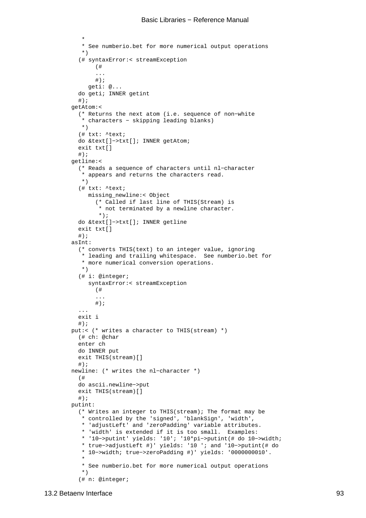```
 * 
            * See numberio.bet for more numerical output operations
           *)
           (# syntaxError:< streamException
( # ...
               #);
             geti: @... 
           do geti; INNER getint
          #);
       getAtom:<
           (* Returns the next atom (i.e. sequence of non−white
            * characters − skipping leading blanks)
           *)
           (# txt: ^text;
           do &text[]−>txt[]; INNER getAtom;
          exit txt[]
           #);
       getline:<
           (* Reads a sequence of characters until nl−character
            * appears and returns the characters read.
           *)
           (# txt: ^text;
            missing_newline:< Object
                (* Called if last line of THIS(Stream) is
                 * not terminated by a newline character.
                 *);
           do &text[]−>txt[]; INNER getline
           exit txt[]
          #);
       asInt:
           (* converts THIS(text) to an integer value, ignoring
            * leading and trailing whitespace. See numberio.bet for
           * more numerical conversion operations.
           *)
           (# i: @integer;
             syntaxError:< streamException
 (# 
                ...
                #);
           ...
           exit i
          #);
       put:< (* writes a character to THIS(stream) *)
           (# ch: @char
           enter ch
          do INNER put
          exit THIS(stream)[]
          \#);
       newline: (* writes the nl−character *) 
           (#
          do ascii.newline−>put
          exit THIS(stream)[]
         \#);
       putint: 
           (* Writes an integer to THIS(stream); The format may be
            * controlled by the 'signed', 'blankSign', 'width',
           * 'adjustLeft' and 'zeroPadding' variable attributes.
            * 'width' is extended if it is too small. Examples:
            * '10−>putint' yields: '10'; '10*pi−>putint(# do 10−>width;
            * true−>adjustLeft #)' yields: '10 '; and '10−>putint(# do
            * 10−>width; true−>zeroPadding #)' yields: '0000000010'.
 * 
            * See numberio.bet for more numerical output operations
            *)
           (# n: @integer;
```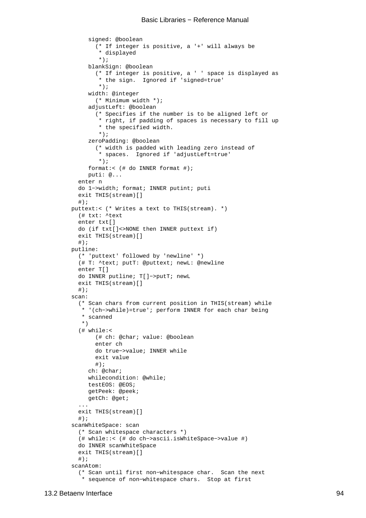```
signed: @boolean
        (* If integer is positive, a '+' will always be
         * displayed
         *);
     blankSign: @boolean 
        (* If integer is positive, a ' ' space is displayed as
         * the sign. Ignored if 'signed=true'
         *);
     width: @integer
        (* Minimum width *);
     adjustLeft: @boolean
        (* Specifies if the number is to be aligned left or
          * right, if padding of spaces is necessary to fill up
         * the specified width.
         *);
     zeroPadding: @boolean
        (* width is padded with leading zero instead of
         * spaces. Ignored if 'adjustLeft=true'
         *);
     format:< (# do INNER format #);
     puti: @...
   enter n
   do 1−>width; format; INNER putint; puti
   exit THIS(stream)[]
  #);
puttext:< (* Writes a text to THIS(stream). *)
   (# txt: ^text
   enter txt[]
   do (if txt[]<>NONE then INNER puttext if)
   exit THIS(stream)[]
  #);
putline: 
   (* 'puttext' followed by 'newline' *)
   (# T: ^text; putT: @puttext; newL: @newline
   enter T[]
   do INNER putline; T[]−>putT; newL
   exit THIS(stream)[]
  #);
scan: 
   (* Scan chars from current position in THIS(stream) while
     * '(ch−>while)=true'; perform INNER for each char being
    * scanned
    *)
   (# while:<
        (# ch: @char; value: @boolean
        enter ch
        do true−>value; INNER while
        exit value
       \#);
     ch: @char;
     whilecondition: @while;
     testEOS: @EOS;
     getPeek: @peek;
    getCh: @get;
   ...
   exit THIS(stream)[]
  \#);
scanWhiteSpace: scan 
   (* Scan whitespace characters *)
   (# while::< (# do ch−>ascii.isWhiteSpace−>value #)
   do INNER scanWhiteSpace
   exit THIS(stream)[]
  #);
scanAtom: 
   (* Scan until first non−whitespace char. Scan the next
     * sequence of non−whitespace chars. Stop at first
```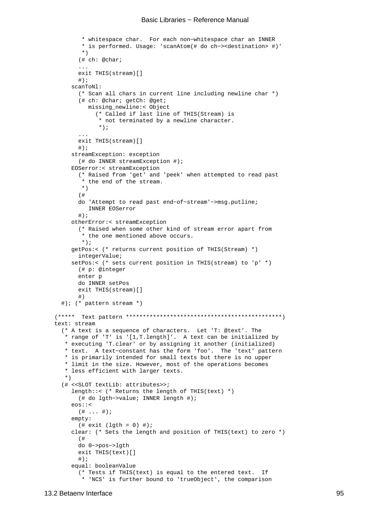```
 * whitespace char. For each non−whitespace char an INNER
         * is performed. Usage: 'scanAtom(# do ch−><destination> #)'
         *)
        (# ch: @char;
        ...
        exit THIS(stream)[]
       \#);
     scanToNl: 
        (* Scan all chars in current line including newline char *)
        (# ch: @char; getCh: @get;
          missing_newline:< Object
             (* Called if last line of THIS(Stream) is
              * not terminated by a newline character.
              *);
        ...
        exit THIS(stream)[]
        #);
    streamException: exception
        (# do INNER streamException #);
    EOSerror:< streamException
        (* Raised from 'get' and 'peek' when attempted to read past
         * the end of the stream.
        *)
        (# 
        do 'Attempt to read past end−of−stream'−>msg.putline; 
           INNER EOSerror
       \#);
     otherError:< streamException
        (* Raised when some other kind of stream error apart from
         * the one mentioned above occurs.
         *);
    getPos:< (* returns current position of THIS(Stream) *)
        integerValue;
    setPos:< (* sets current position in THIS(stream) to 'p' *)
        (# p: @integer
        enter p
        do INNER setPos
       exit THIS(stream)[]
        #)
  #); (* pattern stream *)
 (***** Text pattern **********************************************)
text: stream
   (* A text is a sequence of characters. Let 'T: @text'. The
    * range of 'T' is '[1,T.length]'. A text can be initialized by
    * executing 'T.clear' or by assigning it another (initialized)
    * text. A text−constant has the form 'foo'. The 'text' pattern
    * is primarily intended for small texts but there is no upper
    * limit in the size. However, most of the operations becomes
    * less efficient with larger texts.
   *)
   (# <<SLOT textLib: attributes>>;
    length::< (* Returns the length of THIS(text) *) 
        (# do lgth−>value; INNER length #);
    eos::<
       (# ... #);
    empty: 
       (\# exit (lgth = 0) #);clear: (* Sets the length and position of THIS(text) to zero *)
        (#
       do 0−>pos−>lgth
        exit THIS(text)[]
       #);
     equal: booleanValue
        (* Tests if THIS(text) is equal to the entered text. If
         'NCS' is further bound to 'trueObject', the comparison
```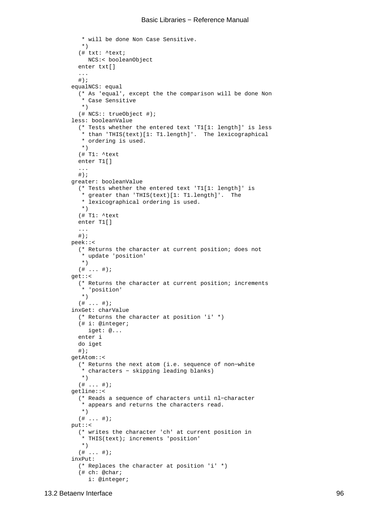```
 * will be done Non Case Sensitive.
    *)
   (# txt: ^text;
    NCS:< booleanObject
   enter txt[]
   ...
  #);
equalNCS: equal
   (* As 'equal', except the the comparison will be done Non
    * Case Sensitive
   *)
   (# NCS:: trueObject #);
less: booleanValue
   (* Tests whether the entered text 'T1[1: length]' is less
    * than 'THIS(text)[1: T1.length]'. The lexicographical
    * ordering is used.
   *)
   (# T1: ^text
   enter T1[]
   ...
  #);
greater: booleanValue
   (* Tests whether the entered text 'T1[1: length]' is
    * greater than 'THIS(text)[1: T1.length]'. The
    * lexicographical ordering is used.
   *)
   (# T1: ^text
   enter T1[]
   ...
  \#);
peek::<
   (* Returns the character at current position; does not
    * update 'position'
    *)
  ( # ... #);get::<
   (* Returns the character at current position; increments
    * 'position'
    *) 
  ( # ... #);
inxGet: charValue
   (* Returns the character at position 'i' *)
   (# i: @integer;
    iget: @...
   enter i
  do iget
  \#);
getAtom::<
   (* Returns the next atom (i.e. sequence of non−white
    * characters − skipping leading blanks)
   *)
  ( # ... #);getline::<
   (* Reads a sequence of characters until nl−character
    * appears and returns the characters read.
   *)
   (# ... #);
put::<
   (* writes the character 'ch' at current position in
    * THIS(text); increments 'position'
    *) 
   (# ... #);
inxPut: 
   (* Replaces the character at position 'i' *)
   (# ch: @char;
     i: @integer;
```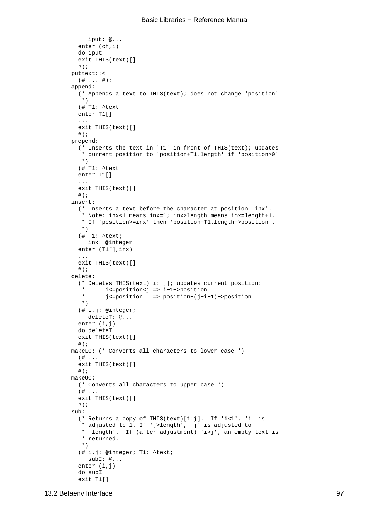```
iput: @...
   enter (ch,i)
   do iput
   exit THIS(text)[]
  \#);
puttext::<
  ( # ... #);append: 
   (* Appends a text to THIS(text); does not change 'position'
   *)
   (# T1: ^text
   enter T1[]
   ...
  exit THIS(text)[]
  \#);
prepend: 
   (* Inserts the text in 'T1' in front of THIS(text); updates
   * current position to 'position+T1.length' if 'position>0'
   *)
   (# T1: ^text
   enter T1[]
   ...
   exit THIS(text)[]
  \#);
insert: 
   (* Inserts a text before the character at position 'inx'.
    * Note: inx<1 means inx=1; inx>length means inx=length+1.
    * If 'position>=inx' then 'position+T1.length−>position'.
   *)
   (# T1: ^text;
    inx: @integer
   enter (T1[],inx)
   ...
   exit THIS(text)[]
  \#);
delete: 
   (* Deletes THIS(text)[i: j]; updates current position:
  * i<=position<j => i−1->position<br>* i<=position => position (i i
            * j<=position => position−(j−i+1)−>position
    *)
   (# i,j: @integer; 
    deleteT: @...
   enter (i,j)
   do deleteT
   exit THIS(text)[]
   #);
makeLC: (* Converts all characters to lower case *)
   (# ...
   exit THIS(text)[]
  \#);
makeUC: 
   (* Converts all characters to upper case *)
  ( # . . . exit THIS(text)[]
  \#);
sub:
   (* Returns a copy of THIS(text)[i:j]. If 'i<1', 'i' is
    * adjusted to 1. If 'j>length', 'j' is adjusted to
    * 'length'. If (after adjustment) 'i>j', an empty text is
    * returned.
    *)
   (# i,j: @integer; T1: ^text;
     subI: @...
   enter (i,j)
   do subI
   exit T1[]
```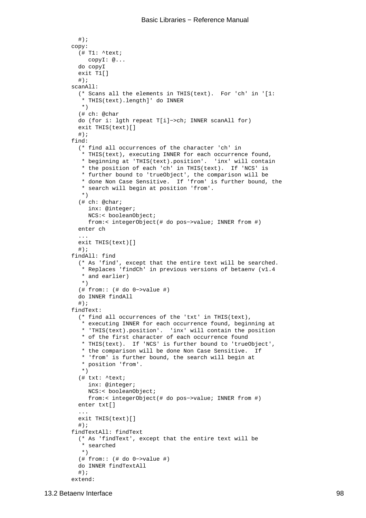```
#);
copy: 
   (# T1: ^text;
    copyI: @...
   do copyI
   exit T1[]
  \#);
scanAll: 
   (* Scans all the elements in THIS(text). For 'ch' in '[1:
    * THIS(text).length]' do INNER
   *)
   (# ch: @char
   do (for i: lgth repeat T[i]−>ch; INNER scanAll for)
   exit THIS(text)[]
   #);
find:
   (* find all occurrences of the character 'ch' in
    * THIS(text), executing INNER for each occurrence found,
    * beginning at 'THIS(text).position'. 'inx' will contain
    * the position of each 'ch' in THIS(text). If 'NCS' is
    * further bound to 'trueObject', the comparison will be
    * done Non Case Sensitive. If 'from' is further bound, the
    * search will begin at position 'from'.
    *)
   (# ch: @char;
     inx: @integer;
     NCS:< booleanObject;
     from:< integerObject(# do pos−>value; INNER from #)
   enter ch
   ...
   exit THIS(text)[]
   #);
findAll: find
   (* As 'find', except that the entire text will be searched.
    * Replaces 'findCh' in previous versions of betaenv (v1.4
    * and earlier)
    *)
   (# from:: (# do 0−>value #)
   do INNER findAll
  #);
findText:
   (* find all occurrences of the 'txt' in THIS(text),
     * executing INNER for each occurrence found, beginning at
    * 'THIS(text).position'. 'inx' will contain the position
    * of the first character of each occurrence found
    * THIS(text). If 'NCS' is further bound to 'trueObject',
    * the comparison will be done Non Case Sensitive. If
    * 'from' is further bound, the search will begin at
    * position 'from'.
    *)
   (# txt: ^text;
     inx: @integer;
     NCS:< booleanObject;
     from:< integerObject(# do pos−>value; INNER from #)
   enter txt[]
   ...
   exit THIS(text)[]
   #);
findTextAll: findText
   (* As 'findText', except that the entire text will be
    * searched
    *)
   (# from:: (# do 0−>value #)
   do INNER findTextAll
  \#);
extend:
```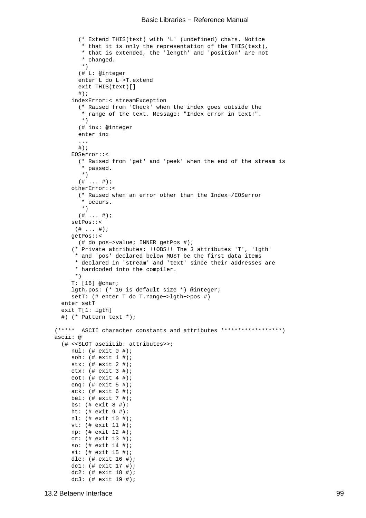```
 (* Extend THIS(text) with 'L' (undefined) chars. Notice
         * that it is only the representation of the THIS(text),
         * that is extended, the 'length' and 'position' are not
         * changed.
         *)
        (# L: @integer
        enter L do L−>T.extend
        exit THIS(text)[]
        #);
     indexError:< streamException
        (* Raised from 'Check' when the index goes outside the
         * range of the text. Message: "Index error in text!".
         *)
        (# inx: @integer 
        enter inx
        ...
        #);
     EOSerror::<
        (* Raised from 'get' and 'peek' when the end of the stream is
         * passed.
         *) 
        (# ... #);
     otherError::<
        (* Raised when an error other than the Index−/EOSerror
         * occurs.
         *) 
       ( # ... #);setPos::<
      ( # ... #);getPos::<
        (# do pos−>value; INNER getPos #);
      (* Private attributes: !!OBS!! The 3 attributes 'T', 'lgth'
       * and 'pos' declared below MUST be the first data items
       * declared in 'stream' and 'text' since their addresses are
       * hardcoded into the compiler.
       *)
     T: [16] @char;
     lgth,pos: (* 16 is default size *) @integer;
     setT: (# enter T do T.range−>lgth−>pos #)
   enter setT
   exit T[1: lgth]
   #) (* Pattern text *); 
 (***** ASCII character constants and attributes ******************)
ascii: @
   (# <<SLOT asciiLib: attributes>>;
     nul: (# exit 0 #);
     soh: (# exit 1 #);
     stx: (# exit 2 #);
     etx: (# exit 3 #);
     eot: (\# \text{exit } 4 \#):enq: (# exit 5 #);
     ack: (# exit 6 #);
     bel: (# exit 7 #);
    bs: (# exit 8 #);
     ht: (# exit 9 #);
     nl: (# exit 10 #);
     vt: (# exit 11 #);
     np: (# exit 12 #);
     cr: (# exit 13 #);
     so: (# exit 14 #);
     si: (# exit 15 #);
     dle: (# exit 16 #);
     dc1: (# exit 17 #);
     dc2: (# exit 18 #);
     dc3: (# exit 19 #);
```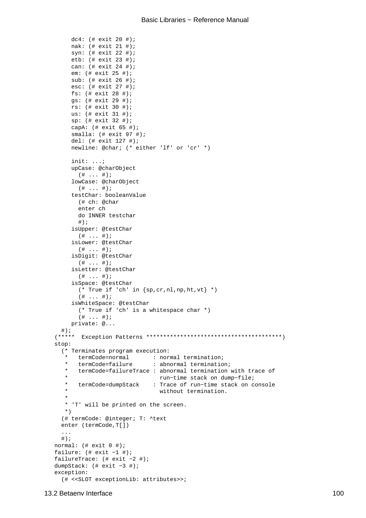```
dc4: (\# exit 20 \#);
       nak: (# exit 21 #);
       syn: (# exit 22 #);
       etb: (# exit 23 #);
       can: (# exit 24 #);
       em: (# exit 25 #);
       sub: (# exit 26 #);
       esc: (# exit 27 #);
       fs: (# exit 28 #);
       gs: (# exit 29 #);
       rs: (# exit 30 #);
       us: (# exit 31 #);
       sp: (# exit 32 #);
       capA: (# exit 65 #);
       smalla: (# exit 97 #);
       del: (# exit 127 #);
       newline: @char; (* either 'lf' or 'cr' *)
       init: ...;
       upCase: @charObject
         ( # ... #);lowCase: @charObject
         ( # ... #);testChar: booleanValue
           (# ch: @char
           enter ch
          do INNER testchar
         \#);
       isUpper: @testChar
          (# ... #);
       isLower: @testChar
         ( # ... #);isDigit: @testChar
         ( # ... #);isLetter: @testChar
           (# ... #);
       isSpace: @testChar
         (* True if 'ch' in \{sp, cr, nl, np, ht, vt\} *)
          ( # ... #);isWhiteSpace: @testChar
          (* True if 'ch' is a whitespace char *) 
          ( # ... #);
       private: @...
    #);
   (***** Exception Patterns ****************************************)
  stop: 
     (* Terminates program execution: 
      * termCode=normal : normal termination; 
       * termCode=failure : abnormal termination;
       * termCode=failureTrace : abnormal termination with trace of
                                  run-time stack on dump-file;
       * termCode=dumpStack : Trace of run−time stack on console 
                                  without termination.
 * 
       * 'T' will be printed on the screen.
      *)
     (# termCode: @integer; T: ^text
     enter (termCode,T[])
     ...
     #);
  normal: (# exit 0 #);
  failure: (# exit −1 #);
  failureTrace: (# exit −2 #);
  dumpStack: (# exit −3 #);
  exception:
      (# <<SLOT exceptionLib: attributes>>;
```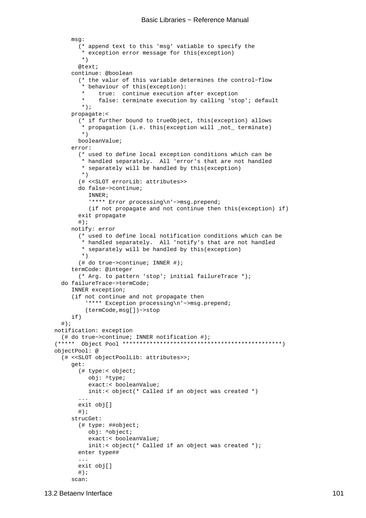```
msg:
        (* append text to this 'msg' vatiable to specify the
         * exception error message for this(exception)
         *)
       @text;
     continue: @boolean
        (* the valur of this variable determines the control−flow
         * behaviour of this(exception): 
             true: continue execution after exception
         * false: terminate execution by calling 'stop'; default
         *);
     propagate:<
        (* if further bound to trueObject, this(exception) allows
          propagation (i.e. this(exception will _not_ terminate)
         *)
        booleanValue;
     error:
        (* used to define local exception conditions which can be
         * handled separately. All 'error's that are not handled
         * separately will be handled by this(exception)
         *)
        (# <<SLOT errorLib: attributes>>
        do false−>continue;
           INNER;
           '**** Error processing\n'−>msg.prepend;
           (if not propagate and not continue then this(exception) if)
        exit propagate
       \#);
     notify: error
        (* used to define local notification conditions which can be
         * handled separately. All 'notify's that are not handled
         * separately will be handled by this(exception)
         *)
        (# do true−>continue; INNER #);
     termCode: @integer
        (* Arg. to pattern 'stop'; initial failureTrace *);
   do failureTrace−>termCode;
      INNER exception;
      (if not continue and not propagate then
          '**** Exception processing\n'−>msg.prepend;
          (termCode,msg[])−>stop
      if)
  #);
notification: exception
   (# do true−>continue; INNER notification #);
 (***** Object Pool ***********************************************)
objectPool: @
   (# <<SLOT objectPoolLib: attributes>>;
     get: 
        (# type:< object;
           obj: ^type;
           exact:< booleanValue;
           init:< object(* Called if an object was created *)
        ...
        exit obj[]
       \#);
     strucGet: 
        (# type: ##object;
           obj: ^object;
           exact:< booleanValue;
           init:< object(* Called if an object was created *);
        enter type##
        ...
        exit obj[]
       #);
```
scan: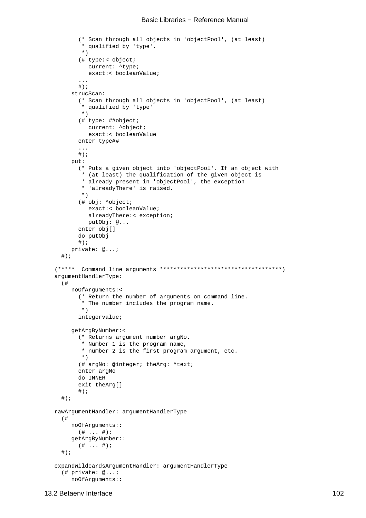```
 (* Scan through all objects in 'objectPool', (at least)
            * qualified by 'type'.
            *)
           (# type:< object;
              current: ^type;
              exact:< booleanValue;
 ...
           #);
        strucScan: 
           (* Scan through all objects in 'objectPool', (at least)
            * qualified by 'type'
            *)
           (# type: ##object;
              current: ^object;
              exact:< booleanValue
           enter type##
           ...
          #);
        put: 
           (* Puts a given object into 'objectPool'. If an object with
            * (at least) the qualification of the given object is
            * already present in 'objectPool', the exception
            * 'alreadyThere' is raised.
            *)
           (# obj: ^object;
              exact:< booleanValue;
              alreadyThere:< exception;
             putObj: @...
           enter obj[]
           do putObj
          #);
        private: @...;
     #);
    (***** Command line arguments ************************************)
  argumentHandlerType:
      (# 
        noOfArguments:< 
           (* Return the number of arguments on command line.
            * The number includes the program name.
            *)
           integervalue;
        getArgByNumber:<
           (* Returns argument number argNo. 
            * Number 1 is the program name, 
            * number 2 is the first program argument, etc.
            *)
           (# argNo: @integer; theArg: ^text;
           enter argNo
           do INNER
           exit theArg[]
          \#);
      #);
  rawArgumentHandler: argumentHandlerType
      (# 
       noOfArguments::
           (# ... #);
        getArgByNumber::
          ( # ... #);#);
   expandWildcardsArgumentHandler: argumentHandlerType
      (# private: @...;
        noOfArguments::
```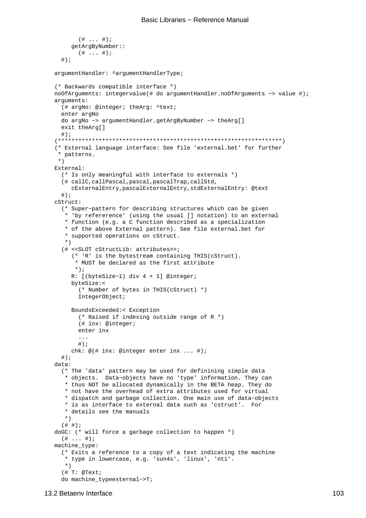```
( # ... #)getArgByNumber::
          ( # ... #);#);
  argumentHandler: ^argumentHandlerType;
   (* Backwards compatible interface *)
  noOfArguments: integervalue(# do argumentHandler.noOfArguments −> value #);
  arguments: 
      (# argNo: @integer; theArg: ^text;
     enter argNo
     do argNo −> argumentHandler.getArgByNumber −> theArg[]
     exit theArg[]
     #);
    (******************************************************************)
    (* External language interface: See file 'external.bet' for further
    * patterns.
    *)
  External:
     (* Is only meaningful with interface to externals *)
     (# callC,callPascal,pascal,pascalTrap,callStd,
        cExternalEntry,pascalExternalEntry,stdExternalEntry: @text
    \#);
  cStruct: 
     (* Super−pattern for describing structures which can be given
       * 'by refererence' (using the usual [] notation) to an external
      * function (e.g. a C function described as a specialization
       * of the above External pattern). See file external.bet for
      * supported operations on cStruct.
      *)
      (# <<SLOT cStructLib: attributes>>;
         (* 'R' is the bytestream containing THIS(cStruct). 
          * MUST be declared as the first attribute
          *);
       R: [(byteSize−1) div 4 + 1] @integer;
       byteSize:< 
           (* Number of bytes in THIS(cStruct) *)
           IntegerObject;
       BoundsExceeded:< Exception
           (* Raised if indexing outside range of R *)
           (# inx: @integer; 
           enter inx
 ...
           #);
       chk: @(# inx: @integer enter inx ... #);
     #);
  data:
      (* The 'data' pattern may be used for definining simple data
       * objects. Data−objects have no 'type' information. They can
      * thus NOT be allocated dynamically in the BETA heap. They do
       * not have the overhead of extra attributes used for virtual
       * dispatch and garbage collection. One main use of data−objects
      * is as interface to external data such as 'cstruct'. For
       * details see the manuals
      *)
     (# #);
  doGC: (* will force a garbage collection to happen *)
     (# ... #);
  machine_type:
      (* Exits a reference to a copy of a text indicating the machine
       * type in lowercase, e.g. 'sun4s', 'linux', 'nti'.
      *)
      (# T: @Text;
     do machine_typeexternal−>T;
```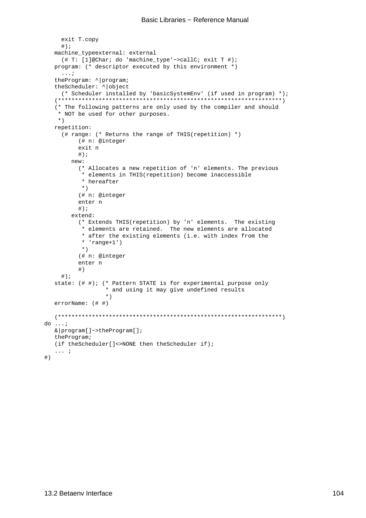```
 exit T.copy
     \#);
   machine_typeexternal: external
      (# T: [1]@Char; do 'machine_type'−>callC; exit T #);
   program: (* descriptor executed by this environment *)
      ...;
   theProgram: ^|program;
   theScheduler: ^|object
      (* Scheduler installed by 'basicSystemEnv' (if used in program) *);
    (******************************************************************)
    (* The following patterns are only used by the compiler and should
     * NOT be used for other purposes.
     *)
   repetition: 
      (# range: (* Returns the range of THIS(repetition) *)
            (# n: @integer
           exit n
            #);
        new: 
            (* Allocates a new repetition of 'n' elements. The previous
            * elements in THIS(repetition) become inaccessible
            * hereafter
            *)
           (# n: @integer
           enter n
          \#);
        extend:
            (* Extends THIS(repetition) by 'n' elements. The existing
             * elements are retained. The new elements are allocated
            * after the existing elements (i.e. with index from the
            * 'range+1')
            *)
            (# n: @integer
            enter n
            #)
     \#);
   state: (# #); (* Pattern STATE is for experimental purpose only
                    * and using it may give undefined results 
\left( \begin{array}{c} \star \\ \star \end{array} \right)errorName: (# #)
    (******************************************************************)
do ...;
    &|program[]−>theProgram[];
    theProgram;
   (if theScheduler[]<>NONE then theScheduler if);
    ... ;
#)
```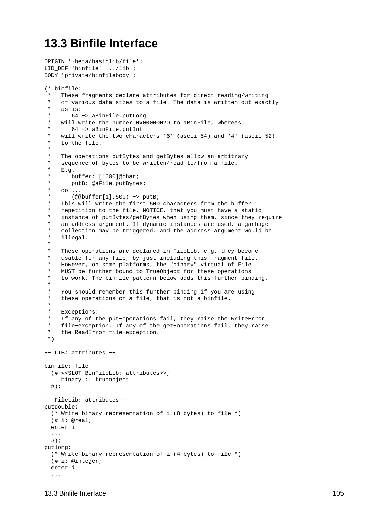### **13.3 Binfile Interface**

```
ORIGIN '~beta/basiclib/file';
LIB_DEF 'binfile' '../lib';
BODY 'private/binfilebody';
(* binfile:
    These fragments declare attributes for direct reading/writing
    of various data sizes to a file. The data is written out exactly
  * as is:
        * 64 −> aBinFile.putLong 
    will write the number 0x00000020 to aBinFile, whereas
  * 64 −> aBinFile.putInt
  * will write the two characters '6' (ascii 54) and '4' (ascii 52)
  * to the file.
 * 
  * The operations putBytes and getBytes allow an arbitrary
  * sequence of bytes to be written/read to/from a file.
    E.9.
       buffer: [1000]@char;
       putB: @aFile.putBytes;
  * do ...
         * (@@buffer[1],500) −> putB;
    This will write the first 500 characters from the buffer
    repetition to the file. NOTICE, that you must have a static
     instance of putBytes/getBytes when using them, since they require
     an address argument. If dynamic instances are used, a garbage-
    collection may be triggered, and the address argument would be
    illegal.
 * 
    These operations are declared in FileLib, e.g. they become
    usable for any file, by just including this fragment file.
    However, on some platforms, the "binary" virtual of File
    MUST be further bound to TrueObject for these operations
    to work. The binfile pattern below adds this further binding.
 * 
  * You should remember this further binding if you are using 
  * these operations on a file, that is not a binfile.
 * 
    Exceptions:
    If any of the put-operations fail, they raise the WriteError
  * file−exception. If any of the get−operations fail, they raise 
     the ReadError file-exception.
  *)
−− LIB: attributes −−
binfile: file
   (# <<SLOT BinFileLib: attributes>>;
    binary :: trueobject
  #);
−− FileLib: attributes −−
putdouble: 
   (* Write binary representation of i (8 bytes) to file *)
   (# i: @real;
  enter i
 ...
 #);
putlong: 
   (* Write binary representation of i (4 bytes) to file *)
   (# i: @integer;
  enter i
   ...
```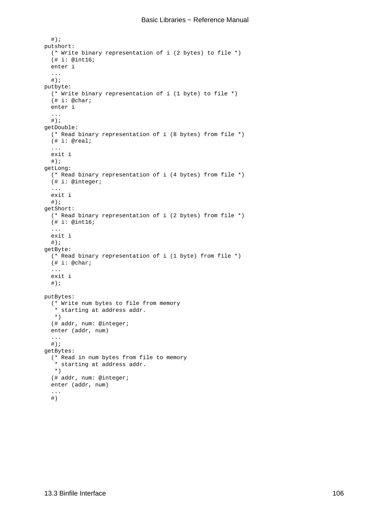```
#);
putshort: 
   (* Write binary representation of i (2 bytes) to file *)
   (# i: @int16;
   enter i
   ...
  #);
putbyte: 
  (* Write binary representation of i (1 byte) to file *)
   (# i: @char;
   enter i
   ...
  #);
getDouble:
   (* Read binary representation of i (8 bytes) from file *)
   (# i: @real;
   ...
   exit i
  \#);
getLong:
   (* Read binary representation of i (4 bytes) from file *)
   (# i: @integer;
   ...
  exit i
  \#);
getShort:
   (* Read binary representation of i (2 bytes) from file *)
   (# i: @int16;
   ...
  exit i
  \#);
getByte:
  (* Read binary representation of i (1 byte) from file *)
   (# i: @char;
   ...
   exit i
  \#);
putBytes:
   (* Write num bytes to file from memory
   * starting at address addr.
   *)
   (# addr, num: @integer;
   enter (addr, num)
   ...
  #);
getBytes:
   (* Read in num bytes from file to memory
    * starting at address addr.
   *)
   (# addr, num: @integer;
   enter (addr, num)
   ...
   #)
```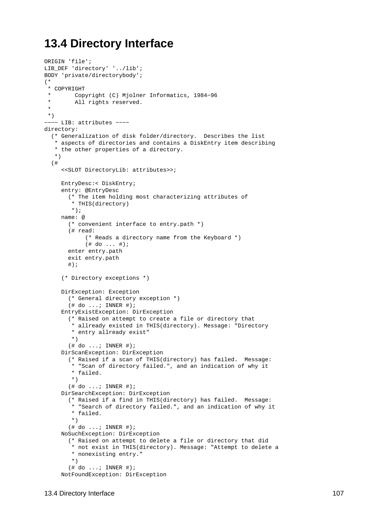## **13.4 Directory Interface**

```
ORIGIN 'file';
LIB_DEF 'directory' '../lib';
BODY 'private/directorybody';
(*
  * COPYRIGHT
          * Copyright (C) Mjolner Informatics, 1984−96
         All rights reserved.
 \ddot{\phantom{0}} *)
−−−− LIB: attributes −−−−
directory:
   (* Generalization of disk folder/directory. Describes the list
    * aspects of directories and contains a DiskEntry item describing
    * the other properties of a directory.
    *)
   (#
      <<SLOT DirectoryLib: attributes>>;
     EntryDesc:< DiskEntry;
     entry: @EntryDesc
        (* The item holding most characterizing attributes of
          * THIS(directory)
        *);
     name: @
        (* convenient interface to entry.path *)
        (# read:
              (* Reads a directory name from the Keyboard *)
              (# do ... #);
        enter entry.path
        exit entry.path
       #);
      (* Directory exceptions *)
     DirException: Exception
        (* General directory exception *)
       (\# \text{do} \dots; \text{INNER } \#);EntryExistException: DirException
        (* Raised on attempt to create a file or directory that
         * allready existed in THIS(directory). Message: "Directory
         * entry allready exist"
         *)
       (\# do \dots; i \text{INNER } \#);DirScanException: DirException
        (* Raised if a scan of THIS(directory) has failed. Message:
          * "Scan of directory failed.", and an indication of why it
         * failed.
         *)
       (\# \text{do} \dots; \text{INNER } \#);DirSearchException: DirException
        (* Raised if a find in THIS(directory) has failed. Message:
         * "Search of directory failed.", and an indication of why it
         * failed.
         *)
       (\# \text{do} \dots; \text{INNER } \#);NoSuchException: DirException
        (* Raised on attempt to delete a file or directory that did
          * not exist in THIS(directory). Message: "Attempt to delete a
         * nonexisting entry."
         *)
       (\# \text{do} \dots; \text{INNER } \#);NotFoundException: DirException
```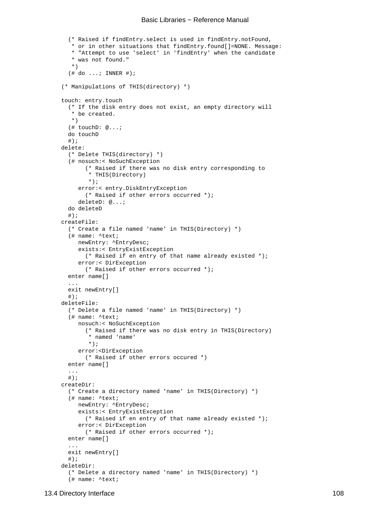#### Basic Libraries − Reference Manual

```
 (* Raised if findEntry.select is used in findEntry.notFound,
    * or in other situations that findEntry.found[]=NONE. Message:
    * "Attempt to use 'select' in 'findEntry' when the candidate
    * was not found."
    *)
  (\# \text{do} \dots; \text{INNER } \#); (* Manipulations of THIS(directory) *)
touch: entry.touch
   (* If the disk entry does not exist, an empty directory will
    * be created.
   *)
   (# touchD: @...; 
  do touchD 
 \#);
delete:
   (* Delete THIS(directory) *)
   (# nosuch:< NoSuchException
        (* Raised if there was no disk entry corresponding to
         * THIS(Directory)
         *);
      error:< entry.DiskEntryException
        (* Raised if other errors occurred *);
      deleteD: @...; 
  do deleteD
  \#);
createFile:
   (* Create a file named 'name' in THIS(Directory) *)
   (# name: ^text;
      newEntry: ^EntryDesc;
      exists:< EntryExistException
       (* Raised if en entry of that name already existed *);
      error:< DirException
       (* Raised if other errors occurred *);
   enter name[]
   ...
   exit newEntry[]
  #);
deleteFile: 
   (* Delete a file named 'name' in THIS(Directory) *)
  (# name: ^text;
      nosuch:< NoSuchException
        (* Raised if there was no disk entry in THIS(Directory)
         * named 'name'
         *);
      error:<DirException
        (* Raised if other errors occured *)
   enter name[]
   ...
  #);
createDir:
   (* Create a directory named 'name' in THIS(Directory) *)
   (# name: ^text;
      newEntry: ^EntryDesc;
      exists:< EntryExistException
        (* Raised if en entry of that name already existed *);
      error:< DirException
       (* Raised if other errors occurred *);
   enter name[]
   ...
  exit newEntry[]
  \#);
deleteDir:
   (* Delete a directory named 'name' in THIS(Directory) *)
   (# name: ^text;
```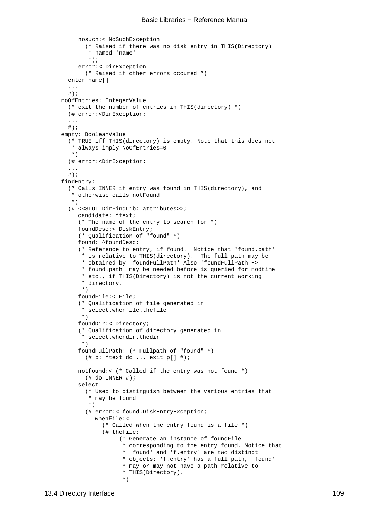```
 nosuch:< NoSuchException
             (* Raised if there was no disk entry in THIS(Directory)
              * named 'name'
              *);
           error:< DirException
             (* Raised if other errors occured *)
        enter name[]
        ...
       #);
    noOfEntries: IntegerValue
        (* exit the number of entries in THIS(directory) *)
        (# error:<DirException; 
        ... 
      #);
    empty: BooleanValue
        (* TRUE iff THIS(directory) is empty. Note that this does not
         * always imply NoOfEntries=0
        *)
        (# error:<DirException; 
        ... 
       #);
    findEntry:
        (* Calls INNER if entry was found in THIS(directory), and
         * otherwise calls notFound
        *)
        (# <<SLOT DirFindLib: attributes>>;
         candidate: ^text;
           (* The name of the entry to search for *)
          foundDesc:< DiskEntry;
           (* Qualification of "found" *)
          found: ^foundDesc;
           (* Reference to entry, if found. Notice that 'found.path'
            * is relative to THIS(directory). The full path may be
            * obtained by 'foundFullPath' Also 'foundFullPath −>
            * found.path' may be needed before is queried for modtime
            * etc., if THIS(Directory) is not the current working
            * directory.
            *)
          foundFile:< File; 
           (* Qualification of file generated in
            * select.whenfile.thefile
            *)
          foundDir:< Directory;
           (* Qualification of directory generated in
            * select.whendir.thedir
            *)
          foundFullPath: (* Fullpath of "found" *)
             (# p: ^text do ... exit p[] #);
          notfound:< (* Called if the entry was not found *)
            ( # do INNER # );
          select:
             (* Used to distinguish between the various entries that
              * may be found
              *)
             (# error:< found.DiskEntryException;
               whenFile:<
                  (* Called when the entry found is a file *)
                  (# thefile: 
                        (* Generate an instance of foundFile
                         * corresponding to the entry found. Notice that
                        * 'found' and 'f.entry' are two distinct
                        * objects; 'f.entry' has a full path, 'found'
                        * may or may not have a path relative to
                        * THIS(Directory).
\star )
```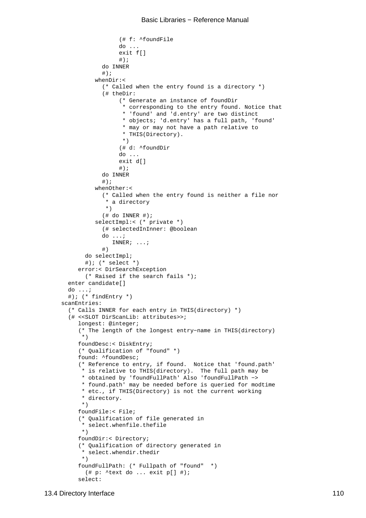```
 (# f: ^foundFile 
                       do ...
                       exit f[]
                       #);
                  do INNER
                 #);
               whenDir:<
                  (* Called when the entry found is a directory *)
                  (# theDir: 
                       (* Generate an instance of foundDir
                         * corresponding to the entry found. Notice that
                        * 'found' and 'd.entry' are two distinct
                        * objects; 'd.entry' has a full path, 'found'
                        * may or may not have a path relative to
                        * THIS(Directory).
\star )
                       (# d: ^foundDir 
                       do ...
                       exit d[]
 #);
                  do INNER
                 #);
               whenOther:<
                  (* Called when the entry found is neither a file nor
                   * a directory
\left( \begin{array}{c} \star \\ \star \end{array} \right)( # do INNER #);
               selectImpl:< (* private *)
                  (# selectedInInner: @boolean
                  do ...;
                     INNER; ...;
 #)
             do selectImpl;
             #); (* select *)
          error:< DirSearchException
             (* Raised if the search fails *);
        enter candidate[]
       do ...;
        #); (* findEntry *)
    scanEntries:
        (* Calls INNER for each entry in THIS(directory) *)
        (# <<SLOT DirScanLib: attributes>>;
          longest: @integer;
           (* The length of the longest entry−name in THIS(directory)
           *)
         foundDesc:< DiskEntry;
           (* Qualification of "found" *)
          found: ^foundDesc;
           (* Reference to entry, if found. Notice that 'found.path'
            * is relative to THIS(directory). The full path may be
            * obtained by 'foundFullPath' Also 'foundFullPath −>
            * found.path' may be needed before is queried for modtime
            * etc., if THIS(Directory) is not the current working
            * directory.
           *)
          foundFile:< File; 
           (* Qualification of file generated in
            * select.whenfile.thefile
            *)
          foundDir:< Directory;
           (* Qualification of directory generated in
            * select.whendir.thedir
            *)
          foundFullPath: (* Fullpath of "found" *)
             (# p: ^text do ... exit p[] #);
          select:
```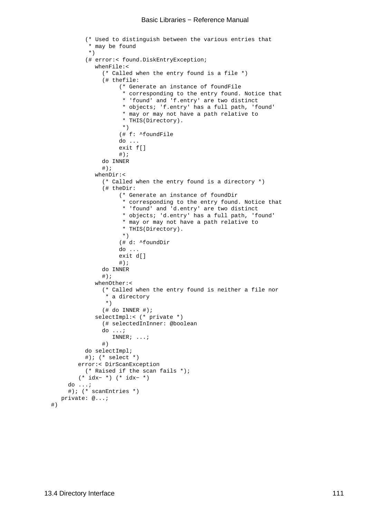```
 (* Used to distinguish between the various entries that
             * may be found
             *)
            (# error:< found.DiskEntryException;
              whenFile:<
                 (* Called when the entry found is a file *)
                  (# thefile: 
                       (* Generate an instance of foundFile
                        * corresponding to the entry found. Notice that
                        * 'found' and 'f.entry' are two distinct
                        * objects; 'f.entry' has a full path, 'found'
                        * may or may not have a path relative to
                        * THIS(Directory).
\rightarrow )
                       (# f: ^foundFile 
                       do ...
                      exit f[]
                     #);
                 do INNER
                #);
              whenDir:<
                 (* Called when the entry found is a directory *)
                  (# theDir: 
                       (* Generate an instance of foundDir
                        * corresponding to the entry found. Notice that
                        * 'found' and 'd.entry' are two distinct
                        * objects; 'd.entry' has a full path, 'found'
                        * may or may not have a path relative to
                        * THIS(Directory).
\star )
                       (# d: ^foundDir 
                      do ...
                      exit d[]
\#);
                 do INNER
                #);
              whenOther:<
                  (* Called when the entry found is neither a file nor
                  * a directory
                  *)
                ( # do INNER #);
               selectImpl:< (* private *)
                 (# selectedInInner: @boolean
                 do ...;
                    INNER; ...;
 #)
            do selectImpl;
           #); (* \text{ select } *)error:< DirScanException
            (* Raised if the scan fails *);
           (* idx− *) (* idx− *)
       do ...;
       #); (* scanEntries *)
    private: @...;
```
#)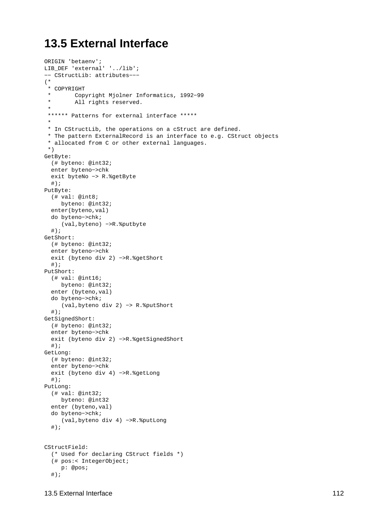#### **13.5 External Interface**

```
ORIGIN 'betaenv';
LIB_DEF 'external' '../lib';
−− CStructLib: attributes−−−
(*
  * COPYRIGHT
          * Copyright Mjolner Informatics, 1992−99
         All rights reserved.
 *
  ****** Patterns for external interface *****
 * 
  * In CStructLib, the operations on a cStruct are defined.
  * The pattern ExternalRecord is an interface to e.g. CStruct objects
  * allocated from C or other external languages.
  *)
GetByte: 
  (# byteno: @int32;
   enter byteno−>chk
   exit byteNo −> R.%getByte
  \#);
PutByte: 
   (# val: @int8;
      byteno: @int32;
  enter(byteno, val)
   do byteno−>chk;
      (val,byteno) −>R.%putbyte
  \#) :
GetShort: 
   (# byteno: @int32;
   enter byteno−>chk 
   exit (byteno div 2) −>R.%getShort
   #);
PutShort: 
   (# val: @int16;
     byteno: @int32;
  enter (byteno, val)
   do byteno−>chk;
      (val,byteno div 2) −> R.%putShort
  #);
GetSignedShort: 
   (# byteno: @int32;
   enter byteno−>chk 
  exit (byteno div 2) ->R.%getSignedShort
   #);
GetLong: 
   (# byteno: @int32;
   enter byteno−>chk
   exit (byteno div 4) −>R.%getLong
  #);
PutLong: 
   (# val: @int32;
     byteno: @int32
  enter (byteno, val)
   do byteno−>chk; 
      (val,byteno div 4) −>R.%putLong
  #);
CStructField: 
   (* Used for declaring CStruct fields *)
   (# pos:< IntegerObject; 
     p: @pos; 
  #);
```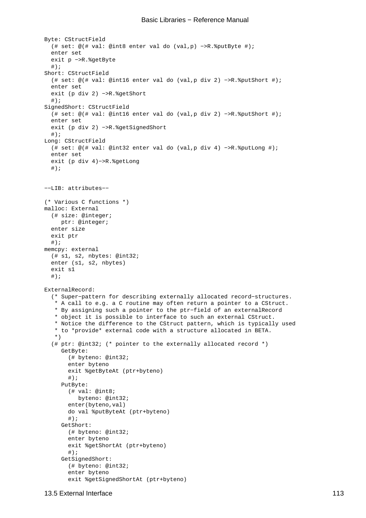```
Byte: CStructField
  (# set: @(# val: @int8 enter val do (val,p) −>R.%putByte #);
   enter set
   exit p −>R.%getByte
  \#);
Short: CStructField
   (# set: @(# val: @int16 enter val do (val,p div 2) −>R.%putShort #);
   enter set
   exit (p div 2) −>R.%getShort
  #);
SignedShort: CStructField
   (# set: @(# val: @int16 enter val do (val,p div 2) −>R.%putShort #);
   enter set
   exit (p div 2) −>R.%getSignedShort
   #);
Long: CStructField
   (# set: @(# val: @int32 enter val do (val,p div 4) −>R.%putLong #);
   enter set
   exit (p div 4)−>R.%getLong
   #);
−−LIB: attributes−−
(* Various C functions *)
malloc: External
   (# size: @integer;
    ptr: @integer;
   enter size
   exit ptr
  \#);
memcpy: external
   (# s1, s2, nbytes: @int32;
   enter (s1, s2, nbytes)
   exit s1
  #);
ExternalRecord: 
   (* Super−pattern for describing externally allocated record−structures.
    * A call to e.g. a C routine may often return a pointer to a CStruct.
    * By assigning such a pointer to the ptr−field of an externalRecord 
    * object it is possible to interface to such an external CStruct.
    * Notice the difference to the CStruct pattern, which is typically used
    * to *provide* external code with a structure allocated in BETA.
    *)
   (# ptr: @int32; (* pointer to the externally allocated record *)
     GetByte: 
        (# byteno: @int32;
        enter byteno
        exit %getByteAt (ptr+byteno)
       \#);
     PutByte: 
        (# val: @int8;
           byteno: @int32;
        enter(byteno,val)
        do val %putByteAt (ptr+byteno)
       \# ) \; ;
     GetShort: 
        (# byteno: @int32;
        enter byteno
        exit %getShortAt (ptr+byteno)
       \#);
     GetSignedShort: 
        (# byteno: @int32;
        enter byteno
        exit %getSignedShortAt (ptr+byteno)
```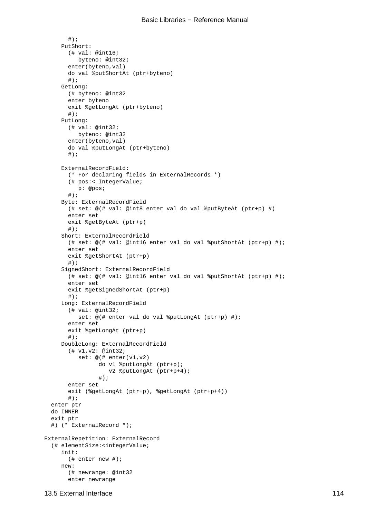```
#);
     PutShort: 
        (# val: @int16;
           byteno: @int32;
        enter(byteno,val)
        do val %putShortAt (ptr+byteno)
       \# ) \, ;
     GetLong: 
        (# byteno: @int32
        enter byteno
        exit %getLongAt (ptr+byteno)
       #);
     PutLong: 
        (# val: @int32;
           byteno: @int32
        enter(byteno,val)
        do val %putLongAt (ptr+byteno)
       #);
     ExternalRecordField: 
        (* For declaring fields in ExternalRecords *)
        (# pos:< IntegerValue; 
           p: @pos;
       \#);
     Byte: ExternalRecordField
        (# set: @(# val: @int8 enter val do val %putByteAt (ptr+p) #)
        enter set
        exit %getByteAt (ptr+p)
       \#);
     Short: ExternalRecordField
        (# set: @(# val: @int16 enter val do val %putShortAt (ptr+p) #);
        enter set
        exit %getShortAt (ptr+p)
       \# ) \, ;
     SignedShort: ExternalRecordField
        (# set: @(# val: @int16 enter val do val %putShortAt (ptr+p) #);
        enter set
        exit %getSignedShortAt (ptr+p)
       #);
     Long: ExternalRecordField
        (# val: @int32;
           set: @(# enter val do val %putLongAt (ptr+p) #);
        enter set
        exit %getLongAt (ptr+p)
       \#);
     DoubleLong: ExternalRecordField
        (# v1,v2: @int32; 
          set: @(# enter(v1, v2)
                  do v1 %putLongAt (ptr+p);
                     v2 %putLongAt (ptr+p+4);
                  #);
        enter set
        exit (%getLongAt (ptr+p), %getLongAt (ptr+p+4))
       \#);
   enter ptr
  do INNER
   exit ptr
   #) (* ExternalRecord *);
ExternalRepetition: ExternalRecord
   (# elementSize:<integerValue;
     init:
        (# enter new #);
     new: 
        (# newrange: @int32
        enter newrange
```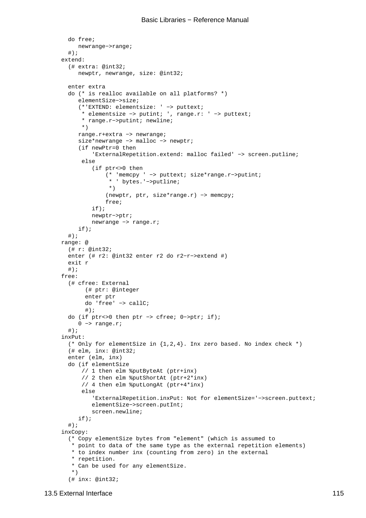```
 do free;
          newrange−>range;
       \#);
     extend:
        (# extra: @int32;
           newptr, newrange, size: @int32;
        enter extra
        do (* is realloc available on all platforms? *)
           elementSize−>size;
           (*'EXTEND: elementsize: ' −> puttext;
            * elementsize −> putint; ', range.r: ' −> puttext;
            * range.r−>putint; newline;
            *)
           range.r+extra −> newrange;
           size*newrange −> malloc −> newptr;
           (if newPtr=0 then
               'ExternalRepetition.extend: malloc failed' −> screen.putline;
            else
               (if ptr<>0 then
                    (* 'memcpy ' −> puttext; size*range.r−>putint; 
                     * ' bytes.'−>putline;
\rightarrow )
                    (newptr, ptr, size*range.r) −> memcpy;
                   free;
               if);
               newptr−>ptr;
               newrange −> range.r;
           if);
       \#);
     range: @
        (# r: @int32;
        enter (# r2: @int32 enter r2 do r2−r−>extend #)
        exit r
       #);
     free:
        (# cfree: External
             (# ptr: @integer
             enter ptr
             do 'free' −> callC;
             #);
       do (if ptr<>0 then ptr −> cfree; 0−>ptr; if);
           0 −> range.r;
       #);
     inxPut:
       (* Only for elementSize in \{1,2,4\}. Inx zero based. No index check *)
        (# elm, inx: @int32;
       enter (elm, inx)
       do (if elementSize
            // 1 then elm %putByteAt (ptr+inx) 
            // 2 then elm %putShortAt (ptr+2*inx) 
            // 4 then elm %putLongAt (ptr+4*inx) 
            else
               'ExternalRepetition.inxPut: Not for elementSize='−>screen.puttext;
               elementSize−>screen.putInt; 
               screen.newline;
           if);
       #);
     inxCopy:
        (* Copy elementSize bytes from "element" (which is assumed to 
         * point to data of the same type as the external repetition elements)
         * to index number inx (counting from zero) in the external 
         * repetition. 
         * Can be used for any elementSize.
         *)
        (# inx: @int32;
```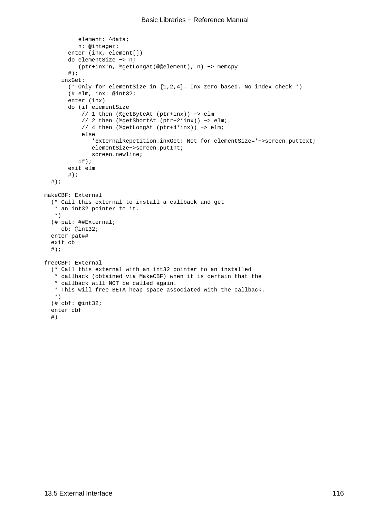```
 element: ^data;
           n: @integer;
        enter (inx, element[])
        do elementSize −> n;
           (ptr+inx*n, %getLongAt(@@element), n) −> memcpy
       #);
     inxGet:
        (* Only for elementSize in {1,2,4}. Inx zero based. No index check *)
        (# elm, inx: @int32;
        enter (inx)
        do (if elementSize
            // 1 then (%getByteAt (ptr+inx)) −> elm
            // 2 then (%getShortAt (ptr+2*inx)) −> elm;
            // 4 then (%getLongAt (ptr+4*inx)) −> elm;
            else
                'ExternalRepetition.inxGet: Not for elementSize='−>screen.puttext;
                elementSize−>screen.putInt; 
                screen.newline;
           if);
        exit elm
       #);
  #);
makeCBF: External
   (* Call this external to install a callback and get
    * an int32 pointer to it.
    *)
   (# pat: ##External;
    cb: @int32;
   enter pat##
   exit cb
  #);
freeCBF: External
   (* Call this external with an int32 pointer to an installed
    * callback (obtained via MakeCBF) when it is certain that the
    * callback will NOT be called again.
    * This will free BETA heap space associated with the callback.
    *)
   (# cbf: @int32;
   enter cbf
   #)
```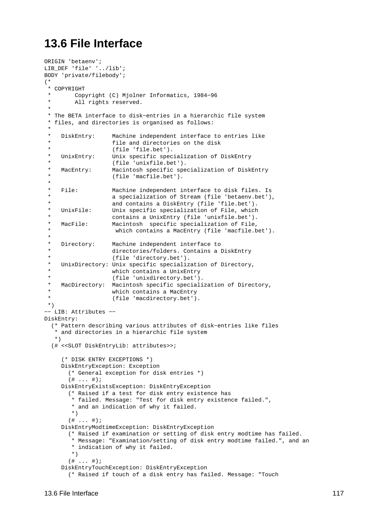## **13.6 File Interface**

```
ORIGIN 'betaenv';
LIB_DEF 'file' '../lib';
BODY 'private/filebody';
(*
  * COPYRIGHT
          * Copyright (C) Mjolner Informatics, 1984−96
         All rights reserved.
 *
  * The BETA interface to disk−entries in a hierarchic file system
  * files, and directories is organised as follows:
 * 
  * DiskEntry: Machine independent interface to entries like
                   file and directories on the disk
  * (file 'file.bet').
    UnixEntry: Unix specific specialization of DiskEntry
                   (file 'unixfile.bet').
    MacEntry: Macintosh specific specialization of DiskEntry
                   (file 'macfile.bet').
 * 
  * File: Machine independent interface to disk files. Is 
                   a specialization of Stream (file 'betaenv.bet'),
                   and contains a DiskEntry (file 'file.bet').
  * UnixFile: Unix specific specialization of File, which 
                   contains a UnixEntry (file 'unixfile.bet').
  * MacFile: Macintosh specific specialization of File,
                    which contains a MacEntry (file 'macfile.bet').
 * 
  * Directory: Machine independent interface to 
                   directories/folders. Contains a DiskEntry
                   (file 'directory.bet').
    UnixDirectory: Unix specific specialization of Directory,
                   which contains a UnixEntry
                   (file 'unixdirectory.bet').
  * MacDirectory: Macintosh specific specialization of Directory,
  * which contains a MacEntry 
                   (file 'macdirectory.bet').
  *)
−− LIB: Attributes −−
DiskEntry:
   (* Pattern describing various attributes of disk−entries like files
    * and directories in a hierarchic file system
   *)
   (# <<SLOT DiskEntryLib: attributes>>;
      (* DISK ENTRY EXCEPTIONS *)
    DiskEntryException: Exception
        (* General exception for disk entries *)
       ( # ... #);DiskEntryExistsException: DiskEntryException
        (* Raised if a test for disk entry existence has
         failed. Message: "Test for disk entry existence failed.",
         * and an indication of why it failed.
        *)
       ( # ... #);DiskEntryModtimeException: DiskEntryException
        (* Raised if examination or setting of disk entry modtime has failed.
         * Message: "Examination/setting of disk entry modtime failed.", and an
         * indication of why it failed.
        *)
       ( # ... #);DiskEntryTouchException: DiskEntryException
        (* Raised if touch of a disk entry has failed. Message: "Touch
```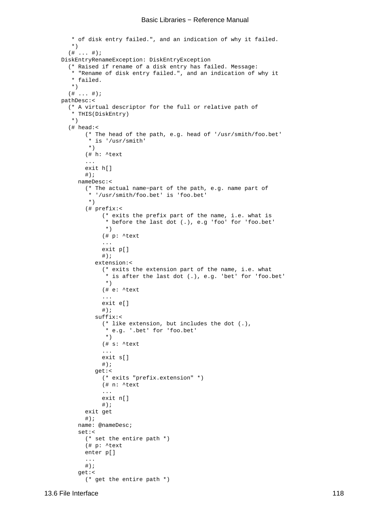```
 * of disk entry failed.", and an indication of why it failed.
        *)
        (# ... #);
     DiskEntryRenameException: DiskEntryException
        (* Raised if rename of a disk entry has failed. Message:
         * "Rename of disk entry failed.", and an indication of why it
        * failed.
        *)
       ( # ... #);pathDesc:<
        (* A virtual descriptor for the full or relative path of
        * THIS(DiskEntry)
        *)
        (# head:<
             (* The head of the path, e.g. head of '/usr/smith/foo.bet'
              * is '/usr/smith'
              *)
             (# h: ^text
             ... 
             exit h[] 
             #);
          nameDesc:< 
             (* The actual name−part of the path, e.g. name part of
              * '/usr/smith/foo.bet' is 'foo.bet'
              *) 
             (# prefix:<
                  (* exits the prefix part of the name, i.e. what is
                   * before the last dot (.), e.g 'foo' for 'foo.bet'
                   *)
                  (# p: ^text 
                  ... 
                  exit p[]
                  #);
               extension:<
                  (* exits the extension part of the name, i.e. what
                   * is after the last dot (.), e.g. 'bet' for 'foo.bet'
                   *)
                  (# e: ^text 
                  ... 
                  exit e[]
                 \#);
               suffix:<
                  (* like extension, but includes the dot (.),
                   * e.g. '.bet' for 'foo.bet'
                   *)
                  (# s: ^text
 ...
                  exit s[]
                 \#);
               get:<
                  (* exits "prefix.extension" *)
                  (# n: ^text 
                  ... 
                  exit n[]
                 \#);
             exit get
            \#);
          name: @nameDesc;
          set:< 
             (* set the entire path *)
             (# p: ^text 
             enter p[]
             ... 
             #);
          get:< 
             (* get the entire path *)
```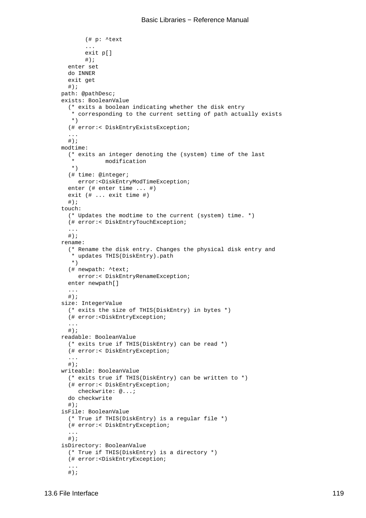```
 (# p: ^text 
             ... 
             exit p[]
            \#);
        enter set
       do INNER
       exit get
       #);
     path: @pathDesc;
     exists: BooleanValue
        (* exits a boolean indicating whether the disk entry
         * corresponding to the current setting of path actually exists
        *)
        (# error:< DiskEntryExistsException;
        ...
       #);
    modtime: 
        (* exits an integer denoting the (system) time of the last
                  modification
        *)
        (# time: @integer;
          error:<DiskEntryModTimeException;
        enter (# enter time ... #)
       exit (# ... exit time #)
       \#);
     touch:
        (* Updates the modtime to the current (system) time. *)
        (# error:< DiskEntryTouchException;
        ...
      \#);
     rename:
        (* Rename the disk entry. Changes the physical disk entry and
         * updates THIS(DiskEntry).path
         *)
        (# newpath: ^text;
          error:< DiskEntryRenameException;
       enter newpath[]
        ...
       #);
     size: IntegerValue
        (* exits the size of THIS(DiskEntry) in bytes *)
        (# error:<DiskEntryException;
 ... 
      #);
     readable: BooleanValue
        (* exits true if THIS(DiskEntry) can be read *)
        (# error:< DiskEntryException;
        ... 
      #);
     writeable: BooleanValue
        (* exits true if THIS(DiskEntry) can be written to *)
        (# error:< DiskEntryException;
           checkwrite: @...; 
       do checkwrite
       \#);
     isFile: BooleanValue
        (* True if THIS(DiskEntry) is a regular file *)
        (# error:< DiskEntryException;
        ...
       #);
     isDirectory: BooleanValue
        (* True if THIS(DiskEntry) is a directory *)
        (# error:<DiskEntryException;
        ...
       #);
```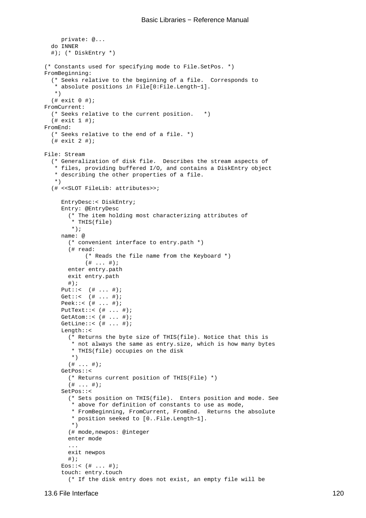```
private: @...
   do INNER
   #); (* DiskEntry *)
(* Constants used for specifying mode to File.SetPos. *)
FromBeginning: 
   (* Seeks relative to the beginning of a file. Corresponds to
    * absolute positions in File[0:File.Length−1].
    *)
   (# exit 0 #);
FromCurrent: 
   (* Seeks relative to the current position. *)
   (# exit 1 #); 
FromEnd: 
   (* Seeks relative to the end of a file. *)
   (# exit 2 #);
File: Stream
   (* Generalization of disk file. Describes the stream aspects of
    * files, providing buffered I/O, and contains a DiskEntry object
    * describing the other properties of a file.
    *)
   (# <<SLOT FileLib: attributes>>;
     EntryDesc:< DiskEntry;
     Entry: @EntryDesc
        (* The item holding most characterizing attributes of
         * THIS(file)
         *);
     name: @
        (* convenient interface to entry.path *)
        (# read:
             (* Reads the file name from the Keyboard *)
            ( # ... #); enter entry.path
        exit entry.path
       \#);
     Put::< (\# ... \#);
     Get::< (# ... #);
     Peek::< (# ... #);
     PutText::< (\# ... \#);
     GetAtom::< (# ... #);
     GetLine::< (# ... #);
     Length::<
        (* Returns the byte size of THIS(file). Notice that this is
         * not always the same as entry.size, which is how many bytes
         * THIS(file) occupies on the disk
         *)
       ( # ... #);GetPos::<
        (* Returns current position of THIS(File) *)
       ( # ... #);SetPos::<
        (* Sets position on THIS(file). Enters position and mode. See
         * above for definition of constants to use as mode,
         * FromBeginning, FromCurrent, FromEnd. Returns the absolute
         * position seeked to [0..File.Length−1].
         *)
        (# mode,newpos: @integer
        enter mode
        ... 
        exit newpos
       \#);
     Eos::< ( # ... # ) ;
     touch: entry.touch
        (* If the disk entry does not exist, an empty file will be
```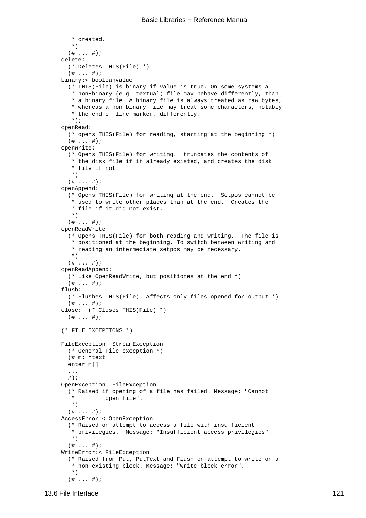```
 * created.
   *)
  ( # ... #);delete:
   (* Deletes THIS(File) *)
  ( # ... #);binary:< booleanvalue
   (* THIS(File) is binary if value is true. On some systems a
    * non−binary (e.g. textual) file may behave differently, than
    * a binary file. A binary file is always treated as raw bytes,
    * whereas a non−binary file may treat some characters, notably
    * the end−of−line marker, differently.
    *);
openRead:
   (* opens THIS(File) for reading, starting at the beginning *)
  ( # ... #);openWrite:
   (* Opens THIS(File) for writing. truncates the contents of
    the disk file if it already existed, and creates the disk
    * file if not
   *)
  ( # ... #);openAppend:
   (* Opens THIS(File) for writing at the end. Setpos cannot be
    * used to write other places than at the end. Creates the
    * file if it did not exist.
   *)
  (# ... #);
openReadWrite:
   (* Opens THIS(File) for both reading and writing. The file is
    * positioned at the beginning. To switch between writing and
    * reading an intermediate setpos may be necessary.
   *)
  ( # ... #);openReadAppend:
   (* Like OpenReadWrite, but positiones at the end *)
  ( # ... #);flush: 
   (* Flushes THIS(File). Affects only files opened for output *)
  ( # . . . #)close: (* Closes THIS(File) *)
  ( # ... #); (* FILE EXCEPTIONS *)
FileException: StreamException
  (* General File exception *)
  (# m: ^text
  enter m[]
   ...
 \#);
OpenException: FileException
   (* Raised if opening of a file has failed. Message: "Cannot
             open file".
   *)
  ( # ... #);
AccessError:< OpenException
   (* Raised on attempt to access a file with insufficient
   * privilegies. Message: "Insufficient access privilegies".
   *)
  ( # ... #);WriteError:< FileException
   (* Raised from Put, PutText and Flush on attempt to write on a
    * non−existing block. Message: "Write block error".
   *)
  ( # ... #);
```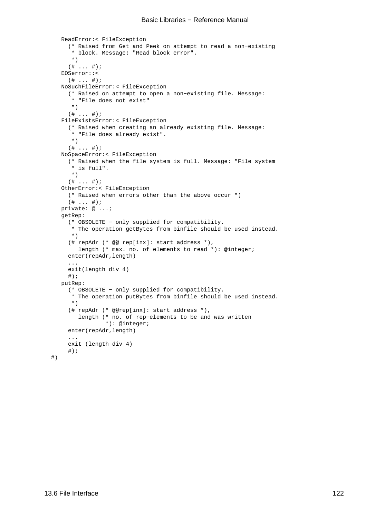```
ReadError:< FileException
   (* Raised from Get and Peek on attempt to read a non−existing
    * block. Message: "Read block error".
   *)
  ( # ... #);EOSerror::< 
  ( # ... #);NoSuchFileError:< FileException
   (* Raised on attempt to open a non−existing file. Message:
    * "File does not exist"
    *)
  ( # ... #);FileExistsError:< FileException
   (* Raised when creating an already existing file. Message:
    * "File does already exist".
    *)
  ( # ... #);NoSpaceError:< FileException
   (* Raised when the file system is full. Message: "File system
    * is full".
   *)
   (# ... #);
OtherError:< FileException
   (* Raised when errors other than the above occur *)
  ( # ... #);
private: @ ...; 
getRep:
   (* OBSOLETE − only supplied for compatibility. 
    * The operation getBytes from binfile should be used instead.
   *)
   (# repAdr (* @@ rep[inx]: start address *),
      length (* max. no. of elements to read *): @integer;
   enter(repAdr,length)
   ...
   exit(length div 4)
  \#);
putRep:
   (* OBSOLETE − only supplied for compatibility. 
    * The operation putBytes from binfile should be used instead.
    *)
   (# repAdr (* @@rep[inx]: start address *),
      length (* no. of rep−elements to be and was written
              *): @integer;
   enter(repAdr,length)
   ...
   exit (length div 4)
  #);
```
#)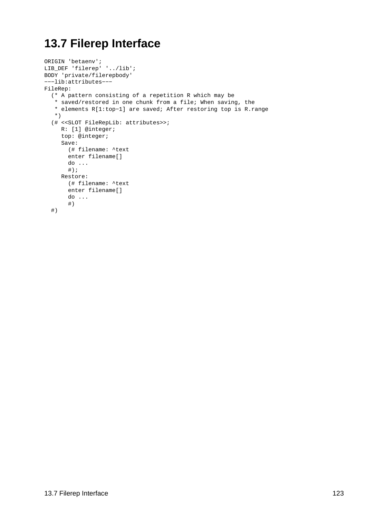# **13.7 Filerep Interface**

```
ORIGIN 'betaenv';
LIB_DEF 'filerep' '../lib';
BODY 'private/filerepbody'
−−−lib:attributes−−−
FileRep:
   (* A pattern consisting of a repetition R which may be
    * saved/restored in one chunk from a file; When saving, the
    * elements R[1:top−1] are saved; After restoring top is R.range
    *)
   (# <<SLOT FileRepLib: attributes>>;
    R: [1] @integer;
     top: @integer;
     Save:
        (# filename: ^text 
        enter filename[]
       do ...
       \#);
     Restore:
        (# filename: ^text
        enter filename[] 
        do ...
        #)
   #)
```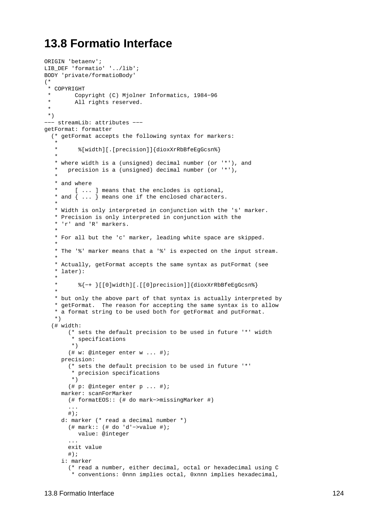### **13.8 Formatio Interface**

```
ORIGIN 'betaenv';
LIB_DEF 'formatio' '../lib';
BODY 'private/formatioBody'
(*
  * COPYRIGHT
        Copyright (C) Mjolner Informatics, 1984-96
        All rights reserved.
 \ddot{\phantom{a}} *)
−−− streamLib: attributes −−−
getFormat: formatter
   (* getFormat accepts the following syntax for markers:
 * 
           * %[width][.[precision]]{dioxXrRbBfeEgGcsn%}
 * 
    * where width is a (unsigned) decimal number (or '*'), and
     precision is a (unsigned) decimal number (or '*'),
 * 
    * and where
         [ ... ] means that the enclodes is optional,
    * and { ... } means one if the enclosed characters.
 * 
    * Width is only interpreted in conjunction with the 's' marker.
    * Precision is only interpreted in conjunction with the
    * 'r' and 'R' markers.
 * 
    * For all but the 'c' marker, leading white space are skipped.
 * 
    * The '%' marker means that a '%' is expected on the input stream.
 * 
    * Actually, getFormat accepts the same syntax as putFormat (see
    * later):
 * 
           * %{−+ }[[0]width][.[[0]precision]]{dioxXrRbBfeEgGcsn%}
 * 
    * but only the above part of that syntax is actually interpreted by
    * getFormat. The reason for accepting the same syntax is to allow
    * a format string to be used both for getFormat and putFormat.
    *)
   (# width:
        (* sets the default precision to be used in future '*' width
         * specifications
         *)
        (# w: @integer enter w ... #);
     precision:
        (* sets the default precision to be used in future '*'
         * precision specifications
         *)
        (# p: @integer enter p ... #);
     marker: scanForMarker
        (# formatEOS:: (# do mark−>missingMarker #)
 ...
        #);
     d: marker (* read a decimal number *)
        (# mark:: (# do 'd'−>value #);
          value: @integer
        ... 
        exit value
       \#);
     i: marker
        (* read a number, either decimal, octal or hexadecimal using C
         * conventions: 0nnn implies octal, 0xnnn implies hexadecimal,
```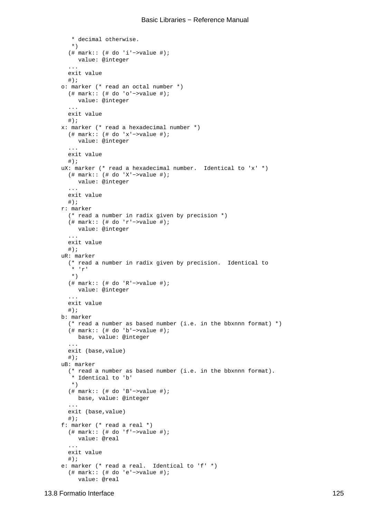```
 * decimal otherwise.
        *)
        (# mark:: (# do 'i'−>value #);
         value: @integer
 ... 
       exit value
      \#);
     o: marker (* read an octal number *)
        (# mark:: (# do 'o'−>value #);
          value: @integer
        ... 
       exit value
      \#);
     x: marker (* read a hexadecimal number *)
        (# mark:: (# do 'x'−>value #);
          value: @integer
        ... 
       exit value
      \#);
     uX: marker (* read a hexadecimal number. Identical to 'x' *)
        (# mark:: (# do 'X'−>value #);
          value: @integer
        ... 
       exit value
      \#);
     r: marker
        (* read a number in radix given by precision *)
        (# mark:: (# do 'r'−>value #);
          value: @integer
        ... 
       exit value
      #);
     uR: marker
        (* read a number in radix given by precision. Identical to
        * 'r'
        *)
        (# mark:: (# do 'R'−>value #);
          value: @integer
        ... 
       exit value
      \#);
    b: marker
        (* read a number as based number (i.e. in the bbxnnn format) *)
        (# mark:: (# do 'b'−>value #);
          base, value: @integer
 ... 
       exit (base,value)
      \#);
     uB: marker
        (* read a number as based number (i.e. in the bbxnnn format).
         * Identical to 'b'
        *)
        (# mark:: (# do 'B'−>value #);
          base, value: @integer
        ... 
       exit (base,value)
      \#);
     f: marker (* read a real *)
        (# mark:: (# do 'f'−>value #);
           value: @real
        ... 
       exit value
      \#);
     e: marker (* read a real. Identical to 'f' *)
        (# mark:: (# do 'e'−>value #);
           value: @real
```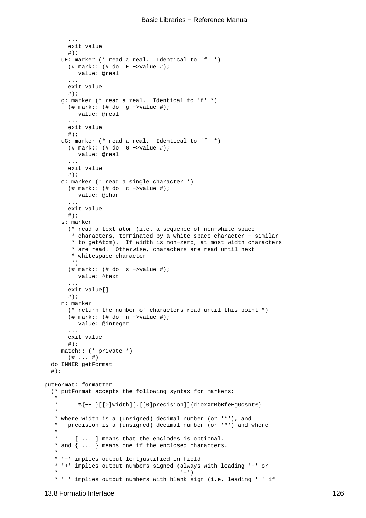```
 ... 
        exit value
       \#);
     uE: marker (* read a real. Identical to 'f' *)
        (# mark:: (# do 'E'−>value #);
          value: @real
 ... 
       exit value
      \#);
     g: marker (* read a real. Identical to 'f' *)
        (# mark:: (# do 'g'−>value #);
          value: @real
        ... 
        exit value
       \#);
     uG: marker (* read a real. Identical to 'f' *)
        (# mark:: (# do 'G'−>value #);
          value: @real
 ... 
       exit value
        #);
     c: marker (* read a single character *)
        (# mark:: (# do 'c'−>value #);
          value: @char
        ... 
       exit value
      \#);
     s: marker 
        (* read a text atom (i.e. a sequence of non−white space
        * characters, terminated by a white space character − similar
        * to getAtom). If width is non−zero, at most width characters
        * are read. Otherwise, characters are read until next
        * whitespace character
        *)
        (# mark:: (# do 's'−>value #);
          value: ^text
        ... 
        exit value[]
       #);
     n: marker
        (* return the number of characters read until this point *)
        (# mark:: (# do 'n'−>value #);
          value: @integer
        ... 
       exit value
       #);
    match:: (* private *)
       (# ... #)
   do INNER getFormat
  \#);
putFormat: formatter
   (* putFormat accepts the following syntax for markers:
 * 
    * %{−+ }[[0]width][.[[0]precision]]{dioxXrRbBfeEgGcsnt%}
 * 
    * where width is a (unsigned) decimal number (or '*'), and
     precision is a (unsigned) decimal number (or '*') and where
 * 
    * [ ... ] means that the enclodes is optional,
    * and { ... } means one if the enclosed characters.
 * 
    * '−' implies output leftjustified in field
    * '+' implies output numbers signed (always with leading '+' or
 * '−')
    * ' ' implies output numbers with blank sign (i.e. leading ' ' if
```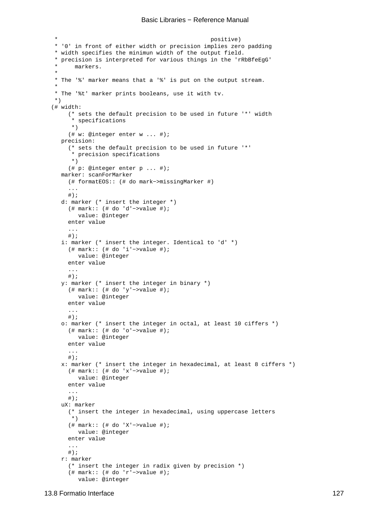#### Basic Libraries − Reference Manual

```
 * positive)
   * '0' in front of either width or precision implies zero padding
   * width specifies the minimun width of the output field.
   * precision is interpreted for various things in the 'rRbBfeEgG'
        markers.
 * 
   * The '%' marker means that a '%' is put on the output stream.
 * 
   * The '%t' marker prints booleans, use it with tv.
   *)
  (# width:
       (* sets the default precision to be used in future '*' width
         * specifications
        *)
       (# w: @integer enter w ... #);
    precision:
       (* sets the default precision to be used in future '*'
        * precision specifications
        *)
       (# p: @integer enter p ... #);
    marker: scanForMarker
       (# formatEOS:: (# do mark−>missingMarker #)
       ...
      #);
    d: marker (* insert the integer *)
       (# mark:: (# do 'd'−>value #);
          value: @integer
       enter value
        ... 
      #);
    i: marker (* insert the integer. Identical to 'd' *)
       (# mark:: (# do 'i'−>value #);
          value: @integer
       enter value
        ... 
      \#);
    y: marker (* insert the integer in binary *)
       (# mark:: (# do 'y'−>value #);
          value: @integer
       enter value
 ...
      #);
    o: marker (* insert the integer in octal, at least 10 ciffers *)
       (# mark:: (# do 'o'−>value #);
          value: @integer
       enter value
        ... 
      #);
    x: marker (* insert the integer in hexadecimal, at least 8 ciffers *)
       (# mark:: (# do 'x'−>value #);
          value: @integer
       enter value
        ... 
      \#);
    uX: marker
       (* insert the integer in hexadecimal, using uppercase letters
        *)
       (# mark:: (# do 'X'−>value #);
          value: @integer
       enter value
       ... 
      \#);
    r: marker
        (* insert the integer in radix given by precision *)
        (# mark:: (# do 'r'−>value #);
          value: @integer
```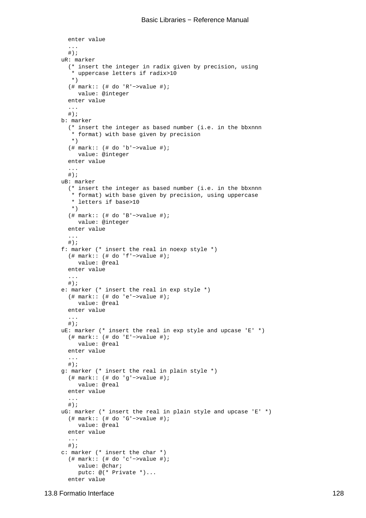```
 enter value
        ... 
       \#);
     uR: marker
        (* insert the integer in radix given by precision, using
         * uppercase letters if radix>10
        *)
        (# mark:: (# do 'R'−>value #);
           value: @integer
        enter value
        ... 
       #);
     b: marker
        (* insert the integer as based number (i.e. in the bbxnnn
         * format) with base given by precision
        *)
        (# mark:: (# do 'b'−>value #);
          value: @integer
        enter value
        ... 
       #);
     uB: marker
        (* insert the integer as based number (i.e. in the bbxnnn
         * format) with base given by precision, using uppercase
        * letters if base>10
         *)
        (# mark:: (# do 'B'−>value #);
          value: @integer
        enter value
        ... 
       \#);
     f: marker (* insert the real in noexp style *)
        (# mark:: (# do 'f'−>value #);
          value: @real
        enter value
        ... 
       #);
     e: marker (* insert the real in exp style *)
        (# mark:: (# do 'e'−>value #);
          value: @real
        enter value
 ... 
       \# ) \; ;
     uE: marker (* insert the real in exp style and upcase 'E' *)
        (# mark:: (# do 'E'−>value #);
          value: @real
        enter value
        ... 
       #);
    g: marker (* insert the real in plain style *)
        (# mark:: (# do 'g'−>value #);
          value: @real
        enter value
        ... 
       \# ) \; ;
     uG: marker (* insert the real in plain style and upcase 'E' *)
        (# mark:: (# do 'G'−>value #);
           value: @real
        enter value
        ... 
       #);
     c: marker (* insert the char *)
        (# mark:: (# do 'c'−>value #);
           value: @char;
           putc: @(* Private *)... 
        enter value
```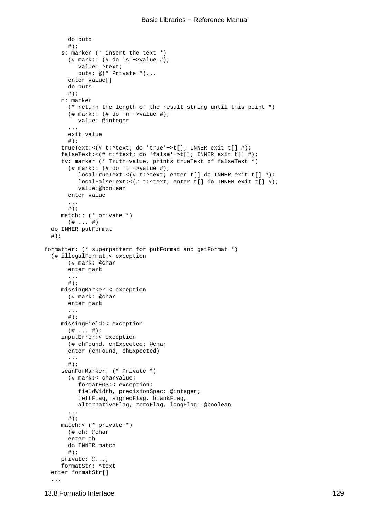```
 do putc
       \#);
     s: marker (* insert the text *)
        (# mark:: (# do 's'−>value #);
          value: ^text;
           puts: @(* Private *)...
        enter value[]
        do puts
       \#);
     n: marker
        (* return the length of the result string until this point *)
        (# mark:: (# do 'n'−>value #);
           value: @integer
        ... 
        exit value
       \#);
     trueText:<(# t:^text; do 'true'−>t[]; INNER exit t[] #);
     falseText:<(# t:^text; do 'false'−>t[]; INNER exit t[] #); 
     tv: marker (* Truth−value, prints trueText of falseText *)
        (# mark:: (# do 't'−>value #);
           localTrueText:<(# t:^text; enter t[] do INNER exit t[] #); 
           localFalseText:<(# t:^text; enter t[] do INNER exit t[] #); 
           value:@boolean
        enter value
        ...
       #);
     match:: (* private *)
        (# ... #)
   do INNER putFormat
  #);
formatter: (* superpattern for putFormat and getFormat *)
   (# illegalFormat:< exception
        (# mark: @char
        enter mark
        ...
       #);
     missingMarker:< exception
        (# mark: @char
        enter mark
        ...
       #);
     missingField:< exception
       ( # ... #);inputError:< exception
        (# chFound, chExpected: @char
        enter (chFound, chExpected)
        ...
       #);
     scanForMarker: (* Private *)
        (# mark:< charValue;
           formatEOS:< exception;
           fieldWidth, precisionSpec: @integer;
           leftFlag, signedFlag, blankFlag,
           alternativeFlag, zeroFlag, longFlag: @boolean
        ...
       \#);
     match:< (* private *)
        (# ch: @char
        enter ch
        do INNER match
       \#);
     private: @...;
     formatStr: ^text
   enter formatStr[]
   ...
```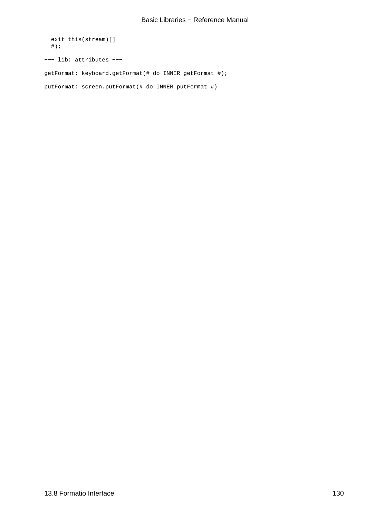exit this(stream)[]  $\#$ ); −−− lib: attributes −−− getFormat: keyboard.getFormat(# do INNER getFormat #); putFormat: screen.putFormat(# do INNER putFormat #)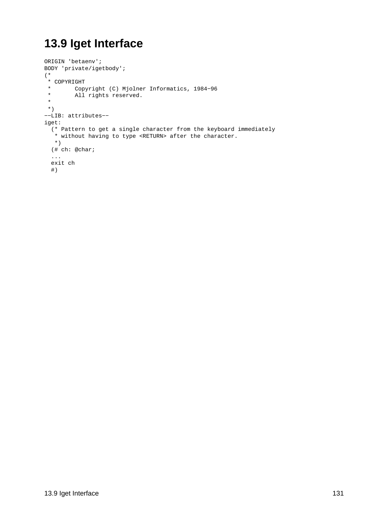# **13.9 Iget Interface**

```
ORIGIN 'betaenv';
BODY 'private/igetbody';
(*
* COPYRIGHT<br>* COPY
  * Copyright (C) Mjolner Informatics, 1984−96
       All rights reserved.
  *
 *)
−−LIB: attributes−−
iget:
  (* Pattern to get a single character from the keyboard immediately
   * without having to type <RETURN> after the character.
   *)
  (# ch: @char;
  ...
  exit ch
  #)
```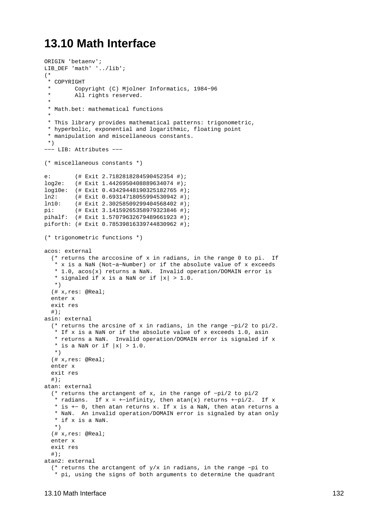#### **13.10 Math Interface**

```
ORIGIN 'betaenv';
LIB_DEF 'math' '../lib';
(*
  * COPYRIGHT
         * Copyright (C) Mjolner Informatics, 1984−96
         All rights reserved.
 *
  * Math.bet: mathematical functions
 * 
  * This library provides mathematical patterns: trigonometric,
  * hyperbolic, exponential and logarithmic, floating point
  * manipulation and miscellaneous constants.
  *)
−−− LIB: Attributes −−−
(* miscellaneous constants *)
e: (# Exit 2.7182818284590452354 #);
log2e: (# Exit 1.4426950408889634074 #);
log10e: (# Exit 0.43429448190325182765 #);
ln2: (# Exit 0.69314718055994530942 #);
ln10: (# Exit 2.30258509299404568402 #);
pi: (# Exit 3.14159265358979323846 #);
pihalf: (# Exit 1.57079632679489661923 #);
piforth: (# Exit 0.78539816339744830962 #);
(* trigonometric functions *)
acos: external
   (* returns the arccosine of x in radians, in the range 0 to pi. If
    * x is a NaN (Not−a−Number) or if the absolute value of x exceeds
    * 1.0, acos(x) returns a NaN. Invalid operation/DOMAIN error is
   * signaled if x is a NaN or if |x| > 1.0.
   *)
   (# x,res: @Real;
  enter x
  exit res
  \#);
asin: external
   (* returns the arcsine of x in radians, in the range −pi/2 to pi/2.
    * If x is a NaN or if the absolute value of x exceeds 1.0, asin
    * returns a NaN. Invalid operation/DOMAIN error is signaled if x
   * is a NaN or if |x| > 1.0.
    *)
   (# x,res: @Real;
   enter x
   exit res
  #);
atan: external
   (* returns the arctangent of x, in the range of −pi/2 to pi/2
    radians. If x = +-\infty, then \arctan(x) returns +-pi/2. If x
    * is +− 0, then atan returns x. If x is a NaN, then atan returns a
    * NaN. An invalid operation/DOMAIN error is signaled by atan only
    * if x is a NaN.
    *)
   (# x,res: @Real;
  enter x
  exit res
  #);
atan2: external
   (* returns the arctangent of y/x in radians, in the range −pi to
    * pi, using the signs of both arguments to determine the quadrant
```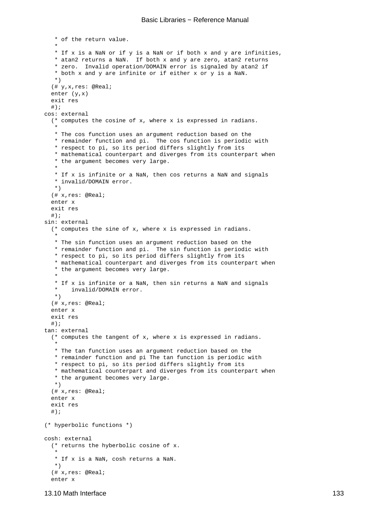```
 * of the return value.
 * 
    * If x is a NaN or if y is a NaN or if both x and y are infinities,
    * atan2 returns a NaN. If both x and y are zero, atan2 returns
    * zero. Invalid operation/DOMAIN error is signaled by atan2 if
    * both x and y are infinite or if either x or y is a NaN.
   *)
   (# y,x,res: @Real;
   enter (y,x)
   exit res
  \#);
cos: external
   (* computes the cosine of x, where x is expressed in radians.
 * 
    * The cos function uses an argument reduction based on the
    * remainder function and pi. The cos function is periodic with
    * respect to pi, so its period differs slightly from its
    * mathematical counterpart and diverges from its counterpart when
    * the argument becomes very large.
 * 
    * If x is infinite or a NaN, then cos returns a NaN and signals
    * invalid/DOMAIN error.
   *)
   (# x,res: @Real;
  enter x
  exit res
  \#);
sin: external
   (* computes the sine of x, where x is expressed in radians.
 * 
   * The sin function uses an argument reduction based on the
    * remainder function and pi. The sin function is periodic with
    * respect to pi, so its period differs slightly from its
    * mathematical counterpart and diverges from its counterpart when
    * the argument becomes very large.
 * 
    * If x is infinite or a NaN, then sin returns a NaN and signals
    * invalid/DOMAIN error.
   *)
   (# x,res: @Real;
   enter x
  exit res
  \#);
tan: external
   (* computes the tangent of x, where x is expressed in radians.
 * 
   * The tan function uses an argument reduction based on the
    * remainder function and pi The tan function is periodic with
    * respect to pi, so its period differs slightly from its
    * mathematical counterpart and diverges from its counterpart when
    * the argument becomes very large.
   *)
   (# x,res: @Real;
   enter x
   exit res
   #);
(* hyperbolic functions *)
cosh: external
   (* returns the hyberbolic cosine of x.
 * 
    * If x is a NaN, cosh returns a NaN.
    *)
   (# x,res: @Real;
   enter x
```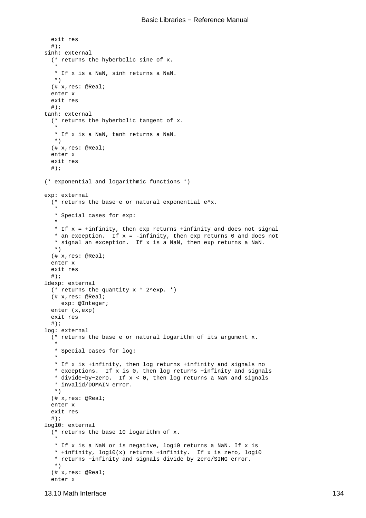```
 exit res
 \#);
sinh: external
   (* returns the hyberbolic sine of x.
 * 
    * If x is a NaN, sinh returns a NaN.
   *)
   (# x,res: @Real;
  enter x
   exit res
  \#);
tanh: external
   (* returns the hyberbolic tangent of x.
 * 
    * If x is a NaN, tanh returns a NaN.
   *)
   (# x,res: @Real;
  enter x
  exit res
   #);
(* exponential and logarithmic functions *)
exp: external
   (* returns the base−e or natural exponential e^x.
 * 
    * Special cases for exp:
 * 
    * If x = +infinity, then exp returns +infinity and does not signal
    * an exception. If x = -infinity, then exp returns 0 and does not
    * signal an exception. If x is a NaN, then exp returns a NaN.
    *)
   (# x,res: @Real;
   enter x
  exit res
  \#);
ldexp: external
  (* returns the quantity x * 2^{\circ}exp. *)
   (# x,res: @Real;
    exp: @Integer;
  enter (x,exp)
  exit res
  \#);
log: external
   (* returns the base e or natural logarithm of its argument x.
 * 
    * Special cases for log:
 * 
    * If x is +infinity, then log returns +infinity and signals no
    * exceptions. If x is 0, then log returns −infinity and signals
    * divide−by−zero. If x < 0, then log returns a NaN and signals
    * invalid/DOMAIN error.
   *)
   (# x,res: @Real;
  enter x
  exit res
   #);
log10: external
   (* returns the base 10 logarithm of x.
 * 
    * If x is a NaN or is negative, log10 returns a NaN. If x is
    * +infinity, log10(x) returns +infinity. If x is zero, log10
    * returns −infinity and signals divide by zero/SING error.
    *)
   (# x,res: @Real;
   enter x
```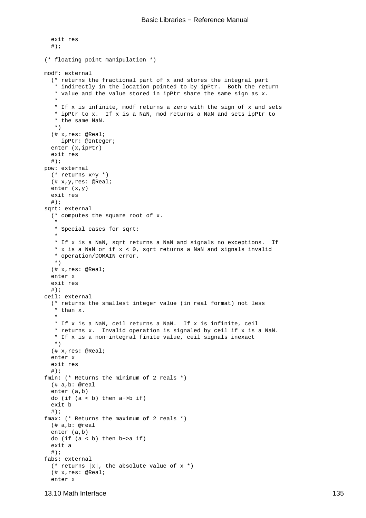```
 exit res
  \#);
(* floating point manipulation *)
modf: external
   (* returns the fractional part of x and stores the integral part
    * indirectly in the location pointed to by ipPtr. Both the return
    * value and the value stored in ipPtr share the same sign as x.
 * 
    * If x is infinite, modf returns a zero with the sign of x and sets
    * ipPtr to x. If x is a NaN, mod returns a NaN and sets ipPtr to
    * the same NaN.
    *)
   (# x,res: @Real;
     ipPtr: @Integer;
   enter (x,ipPtr)
   exit res
  \#);
pow: external
   (* returns x^y *)
   (# x,y,res: @Real;
   enter (x,y)
   exit res
  \#);
sqrt: external
   (* computes the square root of x.
 * 
    * Special cases for sqrt:
    * 
    * If x is a NaN, sqrt returns a NaN and signals no exceptions. If
    * x is a NaN or if x < 0, sqrt returns a NaN and signals invalid
    * operation/DOMAIN error.
    *)
   (# x,res: @Real;
   enter x
   exit res
   #);
ceil: external
   (* returns the smallest integer value (in real format) not less
    * than x.
 * 
    * If x is a NaN, ceil returns a NaN. If x is infinite, ceil
    * returns x. Invalid operation is signaled by ceil if x is a NaN.
    * If x is a non−integral finite value, ceil signals inexact
    *)
   (# x,res: @Real;
   enter x
   exit res
  \#);
fmin: (* Returns the minimum of 2 reals *)
   (# a,b: @real
   enter (a,b)
   do (if (a < b) then a−>b if)
   exit b
  #);
fmax: (* Returns the maximum of 2 reals *)
   (# a,b: @real
   enter (a,b)
   do (if (a < b) then b−>a if)
   exit a
  \#);
fabs: external
  (* returns |x|, the absolute value of x *)
   (# x,res: @Real;
   enter x
```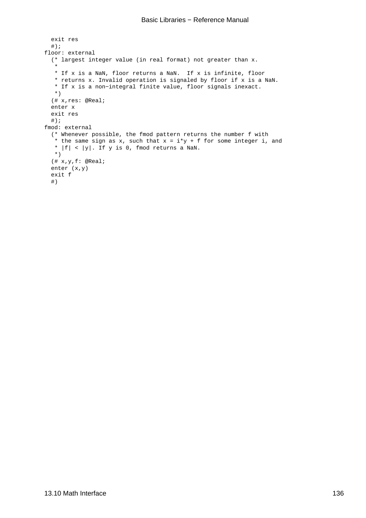```
 exit res
 \#);
floor: external
   (* largest integer value (in real format) not greater than x.
 * 
   * If x is a NaN, floor returns a NaN. If x is infinite, floor
    * returns x. Invalid operation is signaled by floor if x is a NaN.
    * If x is a non−integral finite value, floor signals inexact.
    *)
   (# x,res: @Real;
  enter x
  exit res
  #);
fmod: external
   (* Whenever possible, the fmod pattern returns the number f with
   * the same sign as x, such that x = i*y + f for some integer i, and
   * |f| < |y|. If y is 0, fmod returns a NaN.
   *)
   (# x,y,f: @Real;
  enter (x,y)
  exit f
   #)
```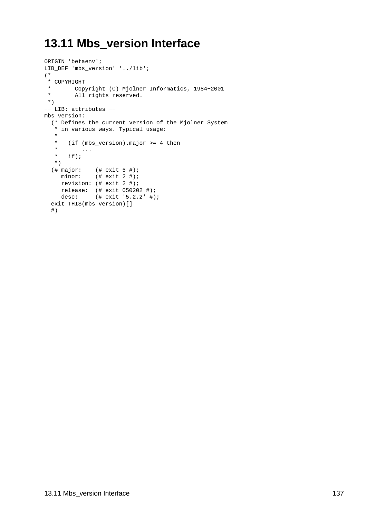# **13.11 Mbs\_version Interface**

```
ORIGIN 'betaenv';
LIB_DEF 'mbs_version' '../lib';
(*
* COPYRIGHT
 * Copyright (C) Mjolner Informatics, 1984−2001
       All rights reserved.
 *)
−− LIB: attributes −−
mbs_version:
  (* Defines the current version of the Mjolner System 
   * in various ways. Typical usage:
   * 
   * (if (mbs_version).major >= 4 then
  * \dots<br>* if);
     if);
   *)
 (# major: (# exit 5 #);
     minor: (# exit 2 #);
    revision: (# exit 2 #);
     release: (# exit 050202 #);
     desc: (# exit '5.2.2' #);
   exit THIS(mbs_version)[]
   #)
```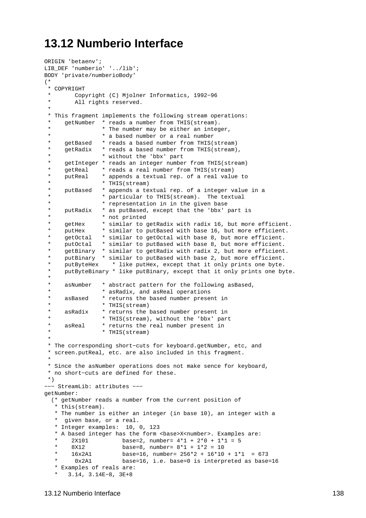#### **13.12 Numberio Interface**

```
ORIGIN 'betaenv';
LIB_DEF 'numberio' '../lib';
BODY 'private/numberioBody'
(*
  * COPYRIGHT
        Copyright (C) Mjolner Informatics, 1992-96
        All rights reserved.
 *
  * This fragment implements the following stream operations:
      * getNumber * reads a number from THIS(stream).
                 * * The number may be either an integer, 
                 * * a based number or a real number
  * getBased * reads a based number from THIS(stream)
      * getRadix * reads a based number from THIS(stream), 
                * without the 'bbx' part
  * getInteger * reads an integer number from THIS(stream)
      * getReal * reads a real number from THIS(stream)
     putReal * appends a textual rep. of a real value to
                * THIS(stream)
  * putBased * appends a textual rep. of a integer value in a 
                * particular to THIS(stream). The textual
                 * * representation in in the given base
  * putRadix * as putBased, except that the 'bbx' part is
                 * * not printed
  * getHex * similar to getRadix with radix 16, but more efficient.
      * putHex * similar to putBased with base 16, but more efficient.
      * getOctal * similar to getOctal with base 8, but more efficient.
      * putOctal * similar to putBased with base 8, but more efficient.
     etBinary * similar to getRadix with radix 2, but more efficient.
     putBinary * similar to putBased with base 2, but more efficient.
     putByteHex * like putHex, except that it only prints one byte.
     putByteBinary * like putBinary, except that it only prints one byte.
 * 
  * asNumber * abstract pattern for the following asBased,
  * * asRadix, and asReal operations
  * asBased * returns the based number present in
  * * THIS(stream)
  * asRadix * returns the based number present in
  * * THIS(stream), without the 'bbx' part
  * asReal * returns the real number present in
                 * * THIS(stream)
 * 
 * The corresponding short−cuts for keyboard.getNumber, etc, and 
  * screen.putReal, etc. are also included in this fragment.
 * 
  * Since the asNumber operations does not make sence for keyboard,
  * no short−cuts are defined for these.
 *)
−−− StreamLib: attributes −−−
getNumber: 
   (* getNumber reads a number from the current position of 
   this(stream).
    * The number is either an integer (in base 10), an integer with a
    given base, or a real.
    * Integer examples: 10, 0, 123
   * A based integer has the form <br/>base>X<number>. Examples are:
       2X101 base=2, number= 4*1 + 2*0 + 1*1 = 58X12 base=8, number= 8*1 + 1*2 = 10<br>16x2A1 base=16, number= 256*2 + 16*10base=16, number= 256*2 + 16*10 + 1*1 = 6730x2A1 base=16, i.e. base=0 is interpreted as base=16
    * Examples of reals are:
      3.14, 3.14E−8, 3E+8
```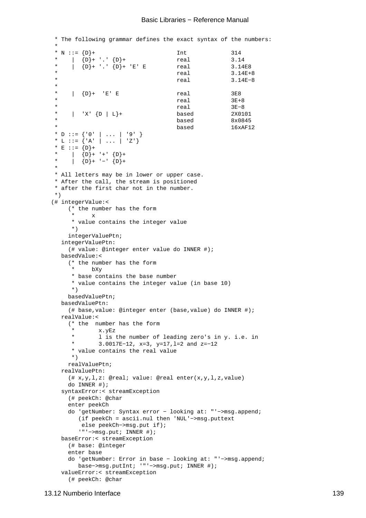```
 * The following grammar defines the exact syntax of the numbers:
 *
   * N ::= {D}+ Int 314
  * | {D}+ '.' {D}+ real 3.14<br>* | {D}+ '.' {D}+ 'E' E real 3.14E8
       \{D\} + '.' \{D\} + 'E' E real
                                    real 3.14E+8
                                    real 3.14E-8
 *
  * | {D}+ 'E' E real 3E8<br>* real 3E+8
 * real 3E+8
 * real 3E−8
   * | 'X' {D | L}+ based 2X0101
 * based 8x0845
                                    based 16xAF12
  * D ::= \{ '0' \mid ... \mid '9' \}* L ::= \{ 'A' \mid ... \mid 'Z' \}* E := \{D\} +<br>* | In1+\left\{\n \begin{array}{ccc} 1 & \text{if } D+ & \text{if } D & \text{if } D \end{array}\n \right\} * | {D}+ '−' {D}+
 * 
   * All letters may be in lower or upper case.
   * After the call, the stream is positioned
   * after the first char not in the number.
   *)
  (# integerValue:<
       (* the number has the form
        * x
        * value contains the integer value
        *)
       integerValuePtn;
    integerValuePtn:
       (# value: @integer enter value do INNER #);
    basedValue:<
       (* the number has the form
            * bXy
        * base contains the base number
        * value contains the integer value (in base 10)
        *)
       basedValuePtn;
    basedValuePtn:
       (# base,value: @integer enter (base,value) do INNER #);
    realValue:<
      (* the number has the form 
               * x.yEz
        * l is the number of leading zero's in y. i.e. in
             3.0017E−12, x=3, y=17,l=2 and z=−12
        * value contains the real value
        *)
       realValuePtn;
    realValuePtn:
      (\# x,y,1,z: @real; value: @real enter(x,y,l,z,value)
       do INNER #);
    syntaxError:< streamException
       (# peekCh: @char
       enter peekCh
       do 'getNumber: Syntax error − looking at: "'−>msg.append;
          (if peekCh = ascii.nul then 'NUL'−>msg.puttext
          else peekCh−>msg.put if);
          '"'−>msg.put; INNER #);
    baseError:< streamException
       (# base: @integer
       enter base
       do 'getNumber: Error in base − looking at: "'−>msg.append; 
          base−>msg.putInt; '"'−>msg.put; INNER #);
    valueError:< streamException
       (# peekCh: @char
```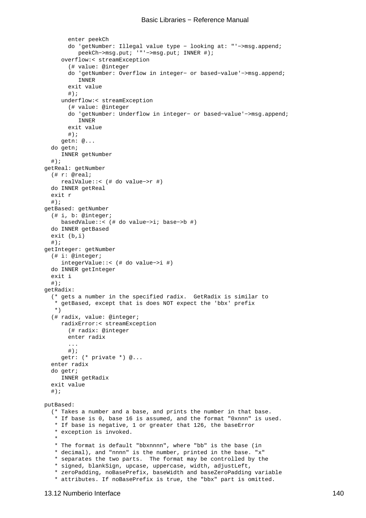```
 enter peekCh
        do 'getNumber: Illegal value type − looking at: "'−>msg.append;
           peekCh−>msg.put; '"'−>msg.put; INNER #);
     overflow:< streamException
        (# value: @integer
        do 'getNumber: Overflow in integer− or based−value'−>msg.append;
           INNER
        exit value
       #);
     underflow:< streamException
        (# value: @integer
        do 'getNumber: Underflow in integer− or based−value'−>msg.append;
           INNER
        exit value
       \#);
     getn: @...
   do getn;
      INNER getNumber
  \#);
getReal: getNumber
   (# r: @real;
     realValue::< (# do value−>r #)
   do INNER getReal
  exit r
  #);
getBased: getNumber
   (# i, b: @integer;
     basedValue::< (# do value−>i; base−>b #)
  do INNER getBased
  exit (b,i)
  #);
getInteger: getNumber
   (# i: @integer;
     integerValue::< (# do value−>i #)
   do INNER getInteger
   exit i
  #);
getRadix:
   (* gets a number in the specified radix. GetRadix is similar to
    getBased, except that is does NOT expect the 'bbx' prefix
    *)
   (# radix, value: @integer;
     radixError:< streamException
        (# radix: @integer
        enter radix
        ...
       #);
     getr: (* private *) @...
   enter radix
   do getr;
      INNER getRadix
   exit value
  #);
putBased:
   (* Takes a number and a base, and prints the number in that base.
    * If base is 0, base 16 is assumed, and the format "0xnnn" is used.
    * If base is negative, 1 or greater that 126, the baseError
    * exception is invoked.
 * 
    * The format is default "bbxnnnn", where "bb" is the base (in
    * decimal), and "nnnn" is the number, printed in the base. "x"
    * separates the two parts. The format may be controlled by the
    * signed, blankSign, upcase, uppercase, width, adjustLeft,
    * zeroPadding, noBasePrefix, baseWidth and baseZeroPadding variable
    * attributes. If noBasePrefix is true, the "bbx" part is omitted.
```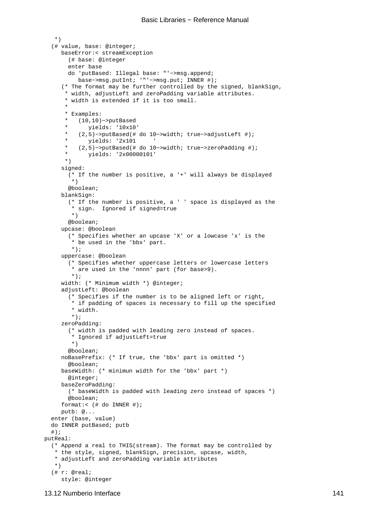```
 *)
   (# value, base: @integer;
     baseError:< streamException
        (# base: @integer
        enter base
        do 'putBased: Illegal base: "'−>msg.append; 
           base−>msg.putInt; '"'−>msg.put; INNER #);
      (* The format may be further controlled by the signed, blankSign,
       * width, adjustLeft and zeroPadding variable attributes. 
       * width is extended if it is too small.
 *
       * Examples:
           * (10,10)−>putBased
             vields: '10x10'
           * (2,5)−>putBased(# do 10−>width; true−>adjustLeft #);
             yields: '2x101
           * (2,5)−>putBased(# do 10−>width; true−>zeroPadding #);
             yields: '2x00000101'
       *)
     signed:
        (* If the number is positive, a '+' will always be displayed
         *)
        @boolean;
     blankSign:
        (* If the number is positive, a ' ' space is displayed as the
         * sign. Ignored if signed=true
         *)
        @boolean;
     upcase: @boolean
        (* Specifies whether an upcase 'X' or a lowcase 'x' is the
         * be used in the 'bbx' part.
         *);
     uppercase: @boolean
        (* Specifies whether uppercase letters or lowercase letters
         * are used in the 'nnnn' part (for base>9).
         *);
     width: (* Minimum width *) @integer;
     adjustLeft: @boolean
        (* Specifies if the number is to be aligned left or right,
         * if padding of spaces is necessary to fill up the specified
         * width.
         *);
     zeroPadding:
        (* width is padded with leading zero instead of spaces.
         * Ignored if adjustLeft=true
         *)
        @boolean;
     noBasePrefix: (* If true, the 'bbx' part is omitted *)
        @boolean;
     baseWidth: (* minimun width for the 'bbx' part *)
        @integer;
     baseZeroPadding:
        (* baseWidth is padded with leading zero instead of spaces *)
        @boolean;
     format:< (# do INNER #);
    putb: @...
   enter (base, value)
   do INNER putBased; putb
  \#);
putReal:
   (* Append a real to THIS(stream). The format may be controlled by
    * the style, signed, blankSign, precision, upcase, width,
    * adjustLeft and zeroPadding variable attributes
    *)
   (# r: @real;
     style: @integer
```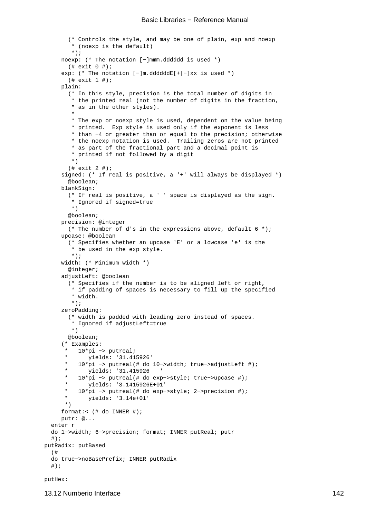```
 (* Controls the style, and may be one of plain, exp and noexp
         * (noexp is the default)
        ^{\star} ) ^{\star}noexp: (* The notation [−]mmm.dddddd is used *)
        (# exit 0 #);
     exp: (* The notation [−]m.ddddddE[+|−]xx is used *)
        (# exit 1 #);
     plain:
        (* In this style, precision is the total number of digits in
         * the printed real (not the number of digits in the fraction,
         * as in the other styles).
 * 
         * The exp or noexp style is used, dependent on the value being
         * printed. Exp style is used only if the exponent is less
         * than −4 or greater than or equal to the precision; otherwise
         * the noexp notation is used. Trailing zeros are not printed
         * as part of the fractional part and a decimal point is
         * printed if not followed by a digit
         *)
        (# exit 2 #);
     signed: (* If real is positive, a '+' will always be displayed *)
        @boolean;
     blankSign:
        (* If real is positive, a ' ' space is displayed as the sign.
         * Ignored if signed=true
         *)
        @boolean;
     precision: @integer
       (* The number of d's in the expressions above, default 6 *);
     upcase: @boolean
        (* Specifies whether an upcase 'E' or a lowcase 'e' is the
         * be used in the exp style.
         *);
     width: (* Minimum width *)
        @integer;
     adjustLeft: @boolean
        (* Specifies if the number is to be aligned left or right,
         * if padding of spaces is necessary to fill up the specified
         * width.
         *);
     zeroPadding:
        (* width is padded with leading zero instead of spaces.
         * Ignored if adjustLeft=true
         *)
        @boolean;
      (* Examples:
         10*pi −> putreal;
             yields: '31.415926'
       * 10*pi −> putreal(# do 10−>width; true−>adjustLeft #);
             yields: '31.415926
           * 10*pi −> putreal(# do exp−>style; true−>upcase #);
             yields: '3.1415926E+01'
       * 10*pi −> putreal(# do exp−>style; 2−>precision #);
             yields: '3.14e+01'
       *)
     format:< (# do INNER #);
     putr: @...
   enter r
   do 1−>width; 6−>precision; format; INNER putReal; putr
  \#);
putRadix: putBased
   (#
   do true−>noBasePrefix; INNER putRadix 
  #);
```

```
putHex:
```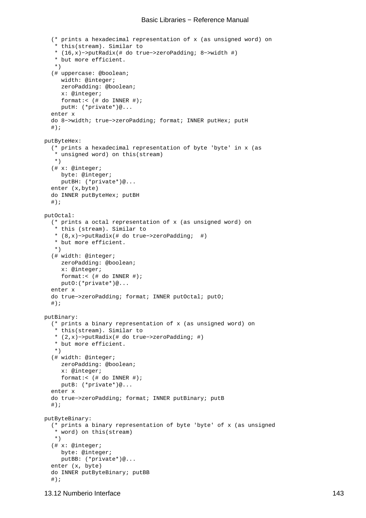```
 (* prints a hexadecimal representation of x (as unsigned word) on
    * this(stream). Similar to
    * (16,x)−>putRadix(# do true−>zeroPadding; 8−>width #)
    * but more efficient.
    *) 
   (# uppercase: @boolean;
     width: @integer;
     zeroPadding: @boolean;
     x: @integer;
     format:< (# do INNER #);
     putH: (*private*)@...
   enter x
   do 8−>width; true−>zeroPadding; format; INNER putHex; putH
  #);
putByteHex:
   (* prints a hexadecimal representation of byte 'byte' in x (as
   * unsigned word) on this(stream)
   *)
   (# x: @integer;
    byte: @integer;
    putBH: (*private*)@...
   enter (x,byte)
   do INNER putByteHex; putBH
  \#);
putOctal:
   (* prints a octal representation of x (as unsigned word) on
    * this (stream). Similar to
    * (8,x)−>putRadix(# do true−>zeroPadding; #)
    * but more efficient.
    *)
   (# width: @integer;
    zeroPadding: @boolean;
     x: @integer;
     format:< (# do INNER #);
     putO:(*private*)@...
   enter x
   do true−>zeroPadding; format; INNER putOctal; putO;
  #);
putBinary:
   (* prints a binary representation of x (as unsigned word) on
     * this(stream). Similar to
    * (2,x)−>putRadix(# do true−>zeroPadding; #)
    * but more efficient.
    *)
   (# width: @integer;
    zeroPadding: @boolean;
     x: @integer;
    format:< (# do INNER #);
    putB: (*private*)@...
   enter x
   do true−>zeroPadding; format; INNER putBinary; putB
   #);
putByteBinary:
   (* prints a binary representation of byte 'byte' of x (as unsigned
    * word) on this(stream)
   *)
   (# x: @integer;
    byte: @integer;
     putBB: (*private*)@...
   enter (x, byte)
   do INNER putByteBinary; putBB
  #);
```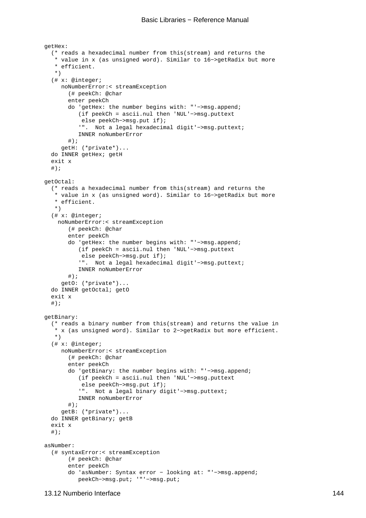```
getHex:
   (* reads a hexadecimal number from this(stream) and returns the
    * value in x (as unsigned word). Similar to 16−>getRadix but more
    * efficient.
    *)
   (# x: @integer;
     noNumberError:< streamException
        (# peekCh: @char
        enter peekCh
        do 'getHex: the number begins with: "'−>msg.append;
           (if peekCh = ascii.nul then 'NUL'−>msg.puttext
            else peekCh−>msg.put if);
           '". Not a legal hexadecimal digit'−>msg.puttext;
           INNER noNumberError
       #);
     getH: (*private*)...
   do INNER getHex; getH
   exit x
   #);
getOctal:
   (* reads a hexadecimal number from this(stream) and returns the
    * value in x (as unsigned word). Similar to 16−>getRadix but more
    * efficient.
    *) 
   (# x: @integer;
    noNumberError:< streamException
        (# peekCh: @char
        enter peekCh
        do 'getHex: the number begins with: "'−>msg.append;
           (if peekCh = ascii.nul then 'NUL'−>msg.puttext
            else peekCh−>msg.put if);
           '". Not a legal hexadecimal digit'−>msg.puttext;
           INNER noNumberError
       #);
     getO: (*private*)...
   do INNER getOctal; getO
   exit x
  #);
getBinary:
   (* reads a binary number from this(stream) and returns the value in
    * x (as unsigned word). Similar to 2−>getRadix but more efficient.
    *)
   (# x: @integer;
     noNumberError:< streamException
        (# peekCh: @char
        enter peekCh
        do 'getBinary: the number begins with: "'−>msg.append;
           (if peekCh = ascii.nul then 'NUL'−>msg.puttext
            else peekCh−>msg.put if);
           '". Not a legal binary digit'−>msg.puttext;
           INNER noNumberError
       #);
     getB: (*private*)...
   do INNER getBinary; getB
   exit x
  \#);
asNumber:
   (# syntaxError:< streamException
        (# peekCh: @char
        enter peekCh
        do 'asNumber: Syntax error − looking at: "'−>msg.append;
           peekCh−>msg.put; '"'−>msg.put;
```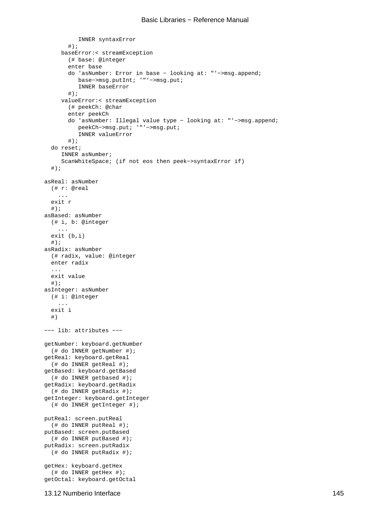```
 INNER syntaxError
       #);
     baseError:< streamException
        (# base: @integer
        enter base
        do 'asNumber: Error in base − looking at: "'−>msg.append;
           base−>msg.putInt; '"'−>msg.put;
           INNER baseError
       #);
     valueError:< streamException
        (# peekCh: @char
        enter peekCh
        do 'asNumber: Illegal value type − looking at: "'−>msg.append;
           peekCh−>msg.put; '"'−>msg.put;
           INNER valueError
       #);
   do reset;
      INNER asNumber;
      ScanWhiteSpace; (if not eos then peek−>syntaxError if)
  #);
asReal: asNumber
   (# r: @real
     ...
   exit r
  #);
asBased: asNumber
   (# i, b: @integer
     ...
   exit (b,i)
   #);
asRadix: asNumber
   (# radix, value: @integer
   enter radix
   ...
   exit value
  \#);
asInteger: asNumber
   (# i: @integer
     ...
   exit i
   #)
−−− lib: attributes −−−
getNumber: keyboard.getNumber
  (# do INNER getNumber #);
getReal: keyboard.getReal
  (# do INNER getReal #);
getBased: keyboard.getBased
   (# do INNER getbased #);
getRadix: keyboard.getRadix
   (# do INNER getRadix #);
getInteger: keyboard.getInteger
   (# do INNER getInteger #);
putReal: screen.putReal
   (# do INNER putReal #);
putBased: screen.putBased
   (# do INNER putBased #);
putRadix: screen.putRadix
   (# do INNER putRadix #);
getHex: keyboard.getHex
   (# do INNER getHex #);
getOctal: keyboard.getOctal
```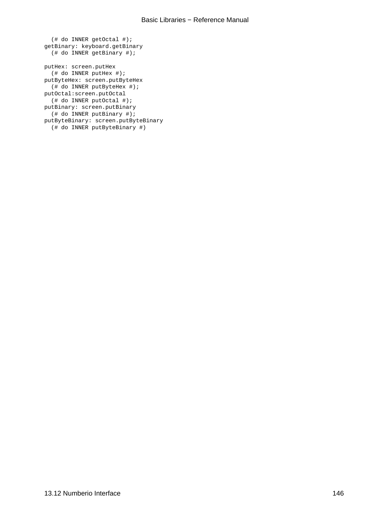```
 (# do INNER getOctal #);
getBinary: keyboard.getBinary
   (# do INNER getBinary #);
putHex: screen.putHex
  (# do INNER putHex #);
putByteHex: screen.putByteHex
  (# do INNER putByteHex #);
putOctal:screen.putOctal
  (# do INNER putOctal #);
putBinary: screen.putBinary
   (# do INNER putBinary #);
putByteBinary: screen.putByteBinary
   (# do INNER putByteBinary #)
```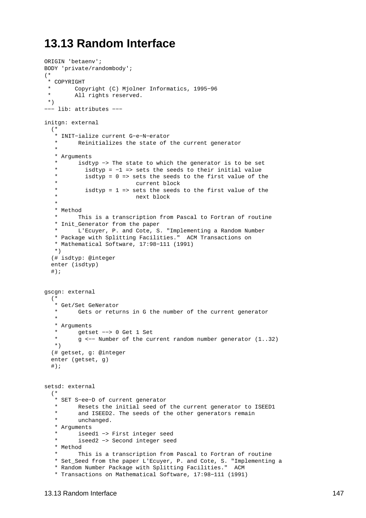### **13.13 Random Interface**

```
ORIGIN 'betaenv';
BODY 'private/randombody';
(*
 * COPYRIGHT
        Copyright (C) Mjolner Informatics, 1995-96
        All rights reserved.
 *)
−−− lib: attributes −−−
initgn: external
   (*
    * INIT−ialize current G−e−N−erator
    * Reinitializes the state of the current generator
 * 
    * Arguments
          isdtyp −> The state to which the generator is to be set
           isdtyp = -1 => sets the seeds to their initial value
            isdtyp = 0 => sets the seeds to the first value of the
                           current block
            isdtyp = 1 => sets the seeds to the first value of the
                           next block
 * 
    * Method
    * This is a transcription from Pascal to Fortran of routine
    * Init_Generator from the paper
          L'Ecuyer, P. and Cote, S. "Implementing a Random Number
    * Package with Splitting Facilities." ACM Transactions on
    * Mathematical Software, 17:98−111 (1991)
   *)
   (# isdtyp: @integer
  enter (isdtyp)
  #);
gscgn: external
   (*
    * Get/Set GeNerator
         Gets or returns in G the number of the current generator
 * 
    * Arguments
    * getset −−> 0 Get 1 Set
   * g <−− Number of the current random number generator (1..32)
   *)
   (# getset, g: @integer
  enter (getset, g)
  #);
setsd: external
   (*
    * SET S−ee−D of current generator
         Resets the initial seed of the current generator to ISEED1
         and ISEED2. The seeds of the other generators remain
         unchanged.
    * Arguments
         iseed1 -> First integer seed
         iseed2 -> Second integer seed
    * Method
         This is a transcription from Pascal to Fortran of routine
    * Set_Seed from the paper L'Ecuyer, P. and Cote, S. "Implementing a
    * Random Number Package with Splitting Facilities." ACM
    * Transactions on Mathematical Software, 17:98−111 (1991)
```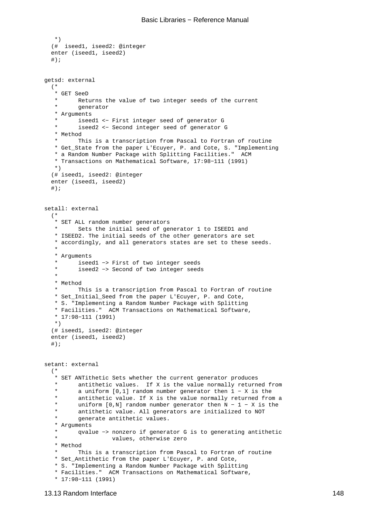```
 *)
   (# iseed1, iseed2: @integer
   enter (iseed1, iseed2)
  \#);
getsd: external
   (*
    * GET SeeD
          Returns the value of two integer seeds of the current
          generator
    * Arguments
          iseed1 <- First integer seed of generator G
          iseed2 <- Second integer seed of generator G
    * Method
          This is a transcription from Pascal to Fortran of routine
    * Get_State from the paper L'Ecuyer, P. and Cote, S. "Implementing
    * a Random Number Package with Splitting Facilities." ACM
    * Transactions on Mathematical Software, 17:98−111 (1991)
    *)
   (# iseed1, iseed2: @integer
   enter (iseed1, iseed2)
  #);
setall: external
   (*
    * SET ALL random number generators
         Sets the initial seed of generator 1 to ISEED1 and
    * ISEED2. The initial seeds of the other generators are set
    * accordingly, and all generators states are set to these seeds.
 * 
    * Arguments
          iseed1 -> First of two integer seeds
          iseed2 −> Second of two integer seeds
 * 
    * Method
          This is a transcription from Pascal to Fortran of routine
    * Set_Initial_Seed from the paper L'Ecuyer, P. and Cote,
    * S. "Implementing a Random Number Package with Splitting
    * Facilities." ACM Transactions on Mathematical Software,
    * 17:98−111 (1991)
   *)
   (# iseed1, iseed2: @integer
   enter (iseed1, iseed2)
  #);
setant: external
   (*
    * SET ANTithetic Sets whether the current generator produces
    * antithetic values. If X is the value normally returned from
          a uniform [0,1] random number generator then 1 - X is the
          antithetic value. If X is the value normally returned from a
          uniform [0,N] random number generator then N − 1 − X is the
          antithetic value. All generators are initialized to NOT
          generate antithetic values.
    * Arguments
          qvalue -> nonzero if generator G is to generating antithetic
                    values, otherwise zero
    * Method
          This is a transcription from Pascal to Fortran of routine
    * Set_Antithetic from the paper L'Ecuyer, P. and Cote,
    * S. "Implementing a Random Number Package with Splitting
    * Facilities." ACM Transactions on Mathematical Software,
    * 17:98−111 (1991)
```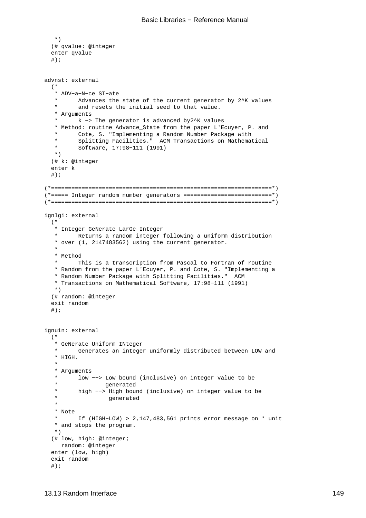```
 *)
   (# qvalue: @integer
   enter qvalue
  \#);
advnst: external
   (*
    * ADV−a−N−ce ST−ate
          Advances the state of the current generator by 2<sup>^</sup>K values
          and resets the initial seed to that value.
    * Arguments
    * k −> The generator is advanced by2^K values
    * Method: routine Advance_State from the paper L'Ecuyer, P. and
          Cote, S. "Implementing a Random Number Package with
    * Splitting Facilities." ACM Transactions on Mathematical
          Software, 17:98-111 (1991)
    *)
   (# k: @integer
  enter k
   #);
(*=================================================================*)
(*===== Integer random number generators ==========================*)
(*=================================================================*)
ignlgi: external
   (*
    * Integer GeNerate LarGe Integer
    * Returns a random integer following a uniform distribution
    * over (1, 2147483562) using the current generator.
 * 
    * Method
          This is a transcription from Pascal to Fortran of routine
    * Random from the paper L'Ecuyer, P. and Cote, S. "Implementing a
    * Random Number Package with Splitting Facilities." ACM
    * Transactions on Mathematical Software, 17:98−111 (1991)
   *)
   (# random: @integer
   exit random
   #);
ignuin: external
   (*
    * GeNerate Uniform INteger
    * Generates an integer uniformly distributed between LOW and
    * HIGH.
 * 
    * Arguments
         low --> Low bound (inclusive) on integer value to be
    * generated
    * high −−> High bound (inclusive) on integer value to be
                  generated
    * 
    * Note
    * If (HIGH−LOW) > 2,147,483,561 prints error message on * unit
    * and stops the program.
   *)
   (# low, high: @integer;
    random: @integer
   enter (low, high)
   exit random
  #);
```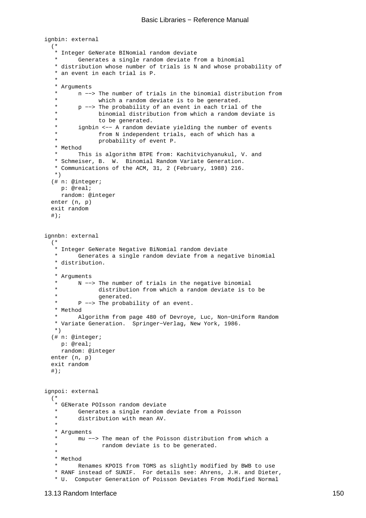```
ignbin: external
   (*
    * Integer GeNerate BINomial random deviate
    * Generates a single random deviate from a binomial
    * distribution whose number of trials is N and whose probability of
    * an event in each trial is P.
 * 
    * Arguments
         n --> The number of trials in the binomial distribution from
                which a random deviate is to be generated.
    * p −−> The probability of an event in each trial of the
                binomial distribution from which a random deviate is
                to be generated.
          ignbin <-- A random deviate yielding the number of events
                from N independent trials, each of which has a
                probability of event P.
    * Method
   * This is algorithm BTPE from: Kachitvichyanukul, V. and
    * Schmeiser, B. W. Binomial Random Variate Generation.
    * Communications of the ACM, 31, 2 (February, 1988) 216.
   *)
   (# n: @integer;
    p: @real;
    random: @integer
   enter (n, p)
   exit random
  #);
ignnbn: external
   (*
    * Integer GeNerate Negative BiNomial random deviate
         Generates a single random deviate from a negative binomial
    * distribution.
 * 
    * Arguments
         N --> The number of trials in the negative binomial
                distribution from which a random deviate is to be
                generated.
    * P −−> The probability of an event.
    * Method
    * Algorithm from page 480 of Devroye, Luc, Non−Uniform Random
    * Variate Generation. Springer−Verlag, New York, 1986.
    *)
   (# n: @integer;
    p: @real;
    random: @integer
   enter (n, p)
   exit random
  #);
ignpoi: external
   (*
    * GENerate POIsson random deviate
    * Generates a single random deviate from a Poisson
    * distribution with mean AV.
 * 
    * Arguments
         mu --> The mean of the Poisson distribution from which a
                random deviate is to be generated.
 * 
    * Method
         Renames KPOIS from TOMS as slightly modified by BWB to use
    * RANF instead of SUNIF. For details see: Ahrens, J.H. and Dieter,
    * U. Computer Generation of Poisson Deviates From Modified Normal
```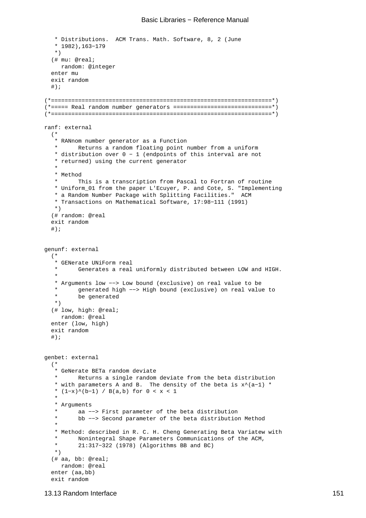```
 * Distributions. ACM Trans. Math. Software, 8, 2 (June
    * 1982),163−179
   *)
   (# mu: @real;
    random: @integer
   enter mu
   exit random
   #);
(*=================================================================*)
(*===== Real random number generators =============================*)
(*=================================================================*)
ranf: external
   (*
    * RANnom number generator as a Function
         Returns a random floating point number from a uniform
    * distribution over 0 − 1 (endpoints of this interval are not
    * returned) using the current generator
 * 
    * Method
          This is a transcription from Pascal to Fortran of routine
    * Uniform_01 from the paper L'Ecuyer, P. and Cote, S. "Implementing
    * a Random Number Package with Splitting Facilities." ACM
    * Transactions on Mathematical Software, 17:98−111 (1991)
   *)
   (# random: @real
   exit random
   #);
genunf: external
   (*
    * GENerate UNiForm real
         Generates a real uniformly distributed between LOW and HIGH.
 * 
    * Arguments low −−> Low bound (exclusive) on real value to be
           * generated high −−> High bound (exclusive) on real value to
    * be generated
    *)
   (# low, high: @real;
    random: @real
   enter (low, high)
   exit random
  \#);
genbet: external
   (*
    * GeNerate BETa random deviate
    * Returns a single random deviate from the beta distribution
   * with parameters A and B. The density of the beta is x^{\wedge}(a-1) *
    * (1−x)^(b−1) / B(a,b) for 0 < x < 1
 * 
    * Arguments
          aa --> First parameter of the beta distribution
          bb --> Second parameter of the beta distribution Method
 * 
    * Method: described in R. C. H. Cheng Generating Beta Variatew with
          Nonintegral Shape Parameters Communications of the ACM,
    * 21:317−322 (1978) (Algorithms BB and BC)
    *)
   (# aa, bb: @real;
     random: @real
   enter (aa,bb)
   exit random
```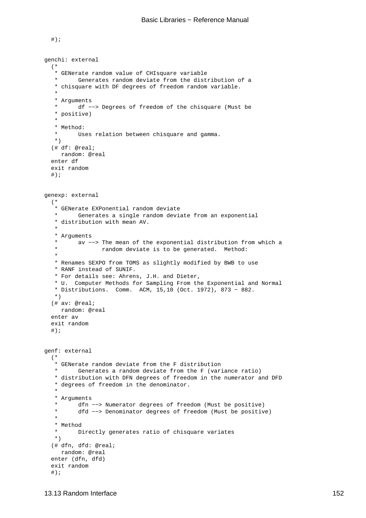```
#);
genchi: external
   (*
    * GENerate random value of CHIsquare variable
   * Generates random deviate from the distribution of a
    * chisquare with DF degrees of freedom random variable.
 * 
    * Arguments
    * df −−> Degrees of freedom of the chisquare (Must be
    * positive)
 * 
    * Method:
    * Uses relation between chisquare and gamma.
    *)
   (# df: @real;
    random: @real
   enter df
  exit random
   #);
genexp: external
   (*
    * GENerate EXPonential random deviate
    * Generates a single random deviate from an exponential
    * distribution with mean AV.
 * 
    * Arguments
         av --> The mean of the exponential distribution from which a
                 random deviate is to be generated. Method:
 * 
    * Renames SEXPO from TOMS as slightly modified by BWB to use
    * RANF instead of SUNIF. 
    * For details see: Ahrens, J.H. and Dieter,
    * U. Computer Methods for Sampling From the Exponential and Normal
    * Distributions. Comm. ACM, 15,10 (Oct. 1972), 873 − 882.
   *)
   (# av: @real;
    random: @real
   enter av
   exit random
   #);
genf: external
   (*
    * GENerate random deviate from the F distribution
    * Generates a random deviate from the F (variance ratio)
    * distribution with DFN degrees of freedom in the numerator and DFD
    * degrees of freedom in the denominator.
 * 
    * Arguments
          dfn --> Numerator degrees of freedom (Must be positive)
    * dfd −−> Denominator degrees of freedom (Must be positive)
 * 
    * Method
    * Directly generates ratio of chisquare variates
    *)
   (# dfn, dfd: @real;
    random: @real
   enter (dfn, dfd)
   exit random
  #);
```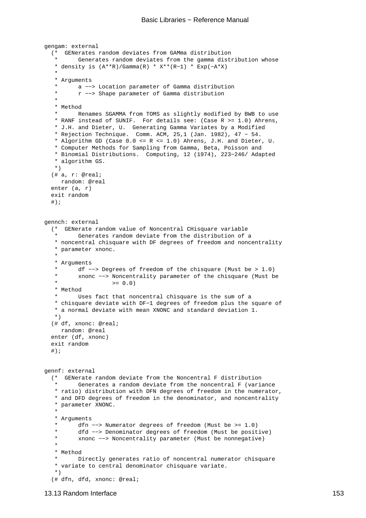```
gengam: external
   (* GENerates random deviates from GAMma distribution
         Generates random deviates from the gamma distribution whose
    * density is (A**R)/Gamma(R) * X**(R−1) * Exp(−A*X)
 * 
    * Arguments
          a --> Location parameter of Gamma distribution
           * r −−> Shape parameter of Gamma distribution
 * 
    * Method
    * Renames SGAMMA from TOMS as slightly modified by BWB to use
    * RANF instead of SUNIF. For details see: (Case R >= 1.0) Ahrens,
    * J.H. and Dieter, U. Generating Gamma Variates by a Modified
    * Rejection Technique. Comm. ACM, 25,1 (Jan. 1982), 47 − 54.
    * Algorithm GD (Case 0.0 <= R <= 1.0) Ahrens, J.H. and Dieter, U.
    * Computer Methods for Sampling from Gamma, Beta, Poisson and
    * Binomial Distributions. Computing, 12 (1974), 223−246/ Adapted
    * algorithm GS.
    *)
   (# a, r: @real;
    random: @real
   enter (a, r)
   exit random
   #);
gennch: external
   (* GENerate random value of Noncentral CHisquare variable
         Generates random deviate from the distribution of a
    * noncentral chisquare with DF degrees of freedom and noncentrality
    * parameter xnonc.
 * 
    * Arguments
           * df −−> Degrees of freedom of the chisquare (Must be > 1.0)
           * xnonc −−> Noncentrality parameter of the chisquare (Must be
                    >= 0.0 * Method
         Uses fact that noncentral chisquare is the sum of a
    * chisquare deviate with DF−1 degrees of freedom plus the square of
    * a normal deviate with mean XNONC and standard deviation 1.
    *)
   (# df, xnonc: @real;
    random: @real
   enter (df, xnonc)
   exit random
  #);
gennf: external
   (* GENerate random deviate from the Noncentral F distribution
          Generates a random deviate from the noncentral F (variance
    * ratio) distribution with DFN degrees of freedom in the numerator,
    * and DFD degrees of freedom in the denominator, and noncentrality
    * parameter XNONC.
 * 
    * Arguments
          dfn --> Numerator degrees of freedom (Must be >= 1.0)
          dfd --> Denominator degrees of freedom (Must be positive)
          xnonc −−> Noncentrality parameter (Must be nonnegative)
 * 
    * Method
    * Directly generates ratio of noncentral numerator chisquare
    * variate to central denominator chisquare variate.
    *)
   (# dfn, dfd, xnonc: @real;
```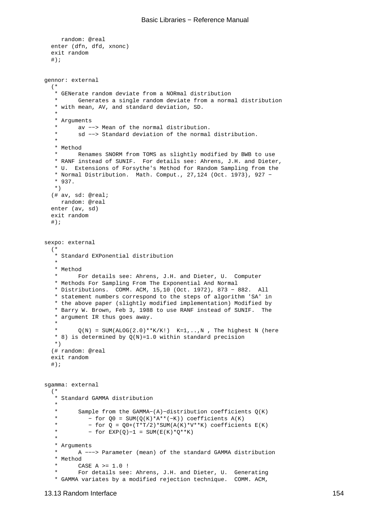```
random: @real
   enter (dfn, dfd, xnonc)
   exit random
  \#);
gennor: external
   (*
    * GENerate random deviate from a NORmal distribution
         Generates a single random deviate from a normal distribution
    * with mean, AV, and standard deviation, SD.
 * 
    * Arguments
          av --> Mean of the normal distribution.
          sd --> Standard deviation of the normal distribution.
 * 
    * Method
    * Renames SNORM from TOMS as slightly modified by BWB to use
    * RANF instead of SUNIF. For details see: Ahrens, J.H. and Dieter,
    * U. Extensions of Forsythe's Method for Random Sampling from the
    * Normal Distribution. Math. Comput., 27,124 (Oct. 1973), 927 −
    * 937.
   *)
   (# av, sd: @real;
    random: @real
   enter (av, sd)
   exit random
  #);
sexpo: external
   (*
   * Standard EXPonential distribution
 * 
    * Method
    * For details see: Ahrens, J.H. and Dieter, U. Computer
    * Methods For Sampling From The Exponential And Normal
    * Distributions. COMM. ACM, 15,10 (Oct. 1972), 873 − 882. All
    * statement numbers correspond to the steps of algorithm 'SA' in
    * the above paper (slightly modified implementation) Modified by
    * Barry W. Brown, Feb 3, 1988 to use RANF instead of SUNIF. The
    * argument IR thus goes away.
 * 
          Q(N) = SUM(ALOG(2.0)**K/K!) K=1,..,N, The highest N (here
    * 8) is determined by Q(N)=1.0 within standard precision
    *)
   (# random: @real
   exit random
  \#);
sgamma: external
   (*
    * Standard GAMMA distribution
 * 
    * Sample from the GAMMA−(A)−distribution coefficients Q(K)
              * − for Q0 = SUM(Q(K)*A**(−K)) coefficients A(K)
             - for Q = Q0+(T*T/2)*SUM(A(K)*V**K) coefficients E(K)− for EXP(Q)-1 = SUM(E(K)*Q**K) * 
    * Arguments
         A ---> Parameter (mean) of the standard GAMMA distribution
    * Method
          CASE A \geq 1.0 !
          For details see: Ahrens, J.H. and Dieter, U. Generating
    * GAMMA variates by a modified rejection technique. COMM. ACM,
```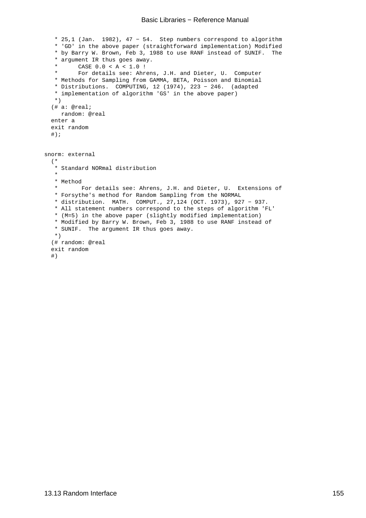```
 * 25,1 (Jan. 1982), 47 − 54. Step numbers correspond to algorithm
    * 'GD' in the above paper (straightforward implementation) Modified
    * by Barry W. Brown, Feb 3, 1988 to use RANF instead of SUNIF. The
    * argument IR thus goes away.
          CASE 0.0 < A < 1.0 !
    * For details see: Ahrens, J.H. and Dieter, U. Computer
    * Methods for Sampling from GAMMA, BETA, Poisson and Binomial
    * Distributions. COMPUTING, 12 (1974), 223 − 246. (adapted
    * implementation of algorithm 'GS' in the above paper)
   *)
   (# a: @real;
    random: @real
   enter a
   exit random
  #);
snorm: external
   (*
    * Standard NORmal distribution
 * 
   * Method
          For details see: Ahrens, J.H. and Dieter, U. Extensions of
   * Forsythe's method for Random Sampling from the NORMAL
    * distribution. MATH. COMPUT., 27,124 (OCT. 1973), 927 − 937.
    * All statement numbers correspond to the steps of algorithm 'FL'
    * (M=5) in the above paper (slightly modified implementation)
    * Modified by Barry W. Brown, Feb 3, 1988 to use RANF instead of
    * SUNIF. The argument IR thus goes away.
   *)
   (# random: @real
   exit random
   #)
```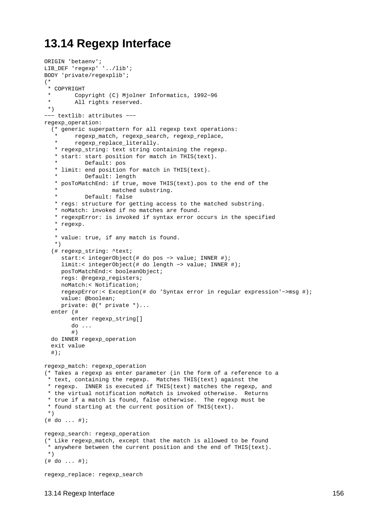## **13.14 Regexp Interface**

```
ORIGIN 'betaenv';
LIB_DEF 'regexp' '../lib';
BODY 'private/regexplib';
(*
  * COPYRIGHT
          * Copyright (C) Mjolner Informatics, 1992−96
  * All rights reserved.
  *)
−−− textlib: attributes −−−
regexp_operation:
   (* generic superpattern for all regexp text operations:
        regexp_match, regexp_search, regexp_replace,
    * regexp_replace_literally.
    * regexp_string: text string containing the regexp.
    * start: start position for match in THIS(text). 
           Default: pos
    * limit: end position for match in THIS(text). 
            Default: length
    * posToMatchEnd: if true, move THIS(text).pos to the end of the
                    matched substring.
           Default: false
    * regs: structure for getting access to the matched substring.
    * noMatch: invoked if no matches are found.
    * regexpError: is invoked if syntax error occurs in the specified
    * regexp.
 * 
    * value: true, if any match is found.
    *)
   (# regexp_string: ^text;
     start:< integerObject(# do pos −> value; INNER #);
     limit:< integerObject(# do length −> value; INNER #);
    posToMatchEnd:< booleanObject;
    regs: @regexp_registers;
    noMatch:< Notification;
    regexpError:< Exception(# do 'Syntax error in regular expression'−>msg #);
    value: @boolean;
    private: @(* private *)...
   enter (#
        enter regexp_string[]
        do ...
         #)
   do INNER regexp_operation
   exit value
  #);
regexp_match: regexp_operation
(* Takes a regexp as enter parameter (in the form of a reference to a
  * text, containing the regexp. Matches THIS(text) against the
  * regexp. INNER is executed if THIS(text) matches the regexp, and
  * the virtual notification noMatch is invoked otherwise. Returns
  * true if a match is found, false otherwise. The regexp must be
  * found starting at the current position of THIS(text).
  *)
(# do ... #);
regexp_search: regexp_operation
(* Like regexp_match, except that the match is allowed to be found
  * anywhere between the current position and the end of THIS(text).
  *)
(# do ... #);
regexp_replace: regexp_search
```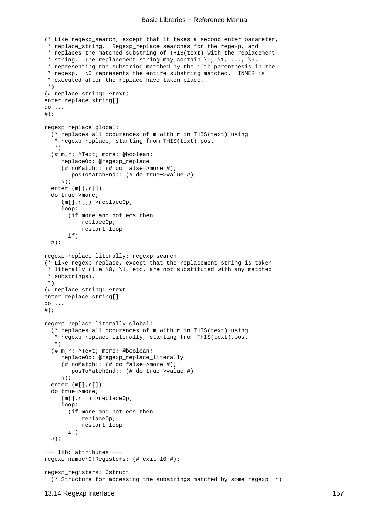```
(* Like regexp_search, except that it takes a second enter parameter,
  * replace_string. Regexp_replace searches for the regexp, and
  * replaces the matched substring of THIS(text) with the replacement
 * string. The replacement string may contain \setminus 0, \setminus 1, ..., \setminus 9,
  * representing the substring matched by the i'th parenthesis in the
  * regexp. \0 represents the entire substring matched. INNER is
  * executed after the replace have taken place.
  *)
(# replace_string: ^text;
enter replace_string[]
do ...
#);
regexp_replace_global:
   (* replaces all occurences of m with r in THIS(text) using
    * regexp_replace, starting from THIS(text).pos.
    *)
   (# m,r: ^Text; more: @boolean;
     replaceOp: @regexp_replace
      (# noMatch:: (# do false−>more #);
         posToMatchEnd:: (# do true−>value #)
     #);
   enter (m[],r[])
   do true−>more;
      (m[],r[])−>replaceOp;
     loop:
        (if more and not eos then
            replaceOp;
            restart loop
        if)
  #);
regexp_replace_literally: regexp_search
(* Like regexp_replace, except that the replacement string is taken
 * literally (i.e \setminus 0, \setminus 1, etc. are not substituted with any matched
  * substrings).
  *)
(# replace_string: ^text
enter replace_string[]
do ...
\#);
regexp_replace_literally_global:
   (* replaces all occurences of m with r in THIS(text) using
    * regexp_replace_literally, starting from THIS(text).pos.
    *)
   (# m,r: ^Text; more: @boolean;
     replaceOp: @regexp_replace_literally
      (# noMatch:: (# do false−>more #);
         posToMatchEnd:: (# do true−>value #)
      #);
   enter (m[],r[])
   do true−>more;
      (m[],r[])−>replaceOp;
     loop:
        (if more and not eos then
            replaceOp;
            restart loop
        if)
  #);
−−− lib: attributes −−−
regexp_numberOfRegisters: (# exit 10 #);
regexp_registers: Cstruct
   (* Structure for accessing the substrings matched by some regexp. *)
```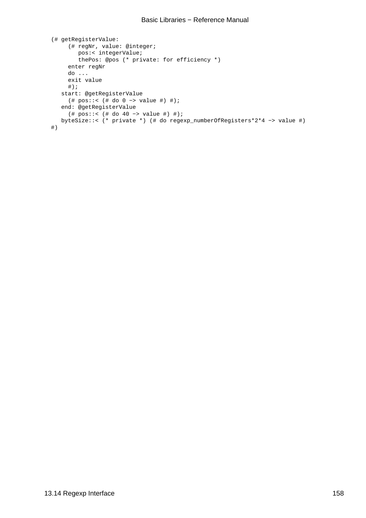```
 (# getRegisterValue:
     (# regNr, value: @integer;
        pos:< integerValue;
        thePos: @pos (* private: for efficiency *)
     enter regNr
     do ...
     exit value
    #);
  start: @getRegisterValue
     (# pos::< (# do 0 −> value #) #);
  end: @getRegisterValue
     (# pos::< (# do 40 −> value #) #);
  byteSize::< (* private *) (# do regexp_numberOfRegisters*2*4 −> value #)
 #)
```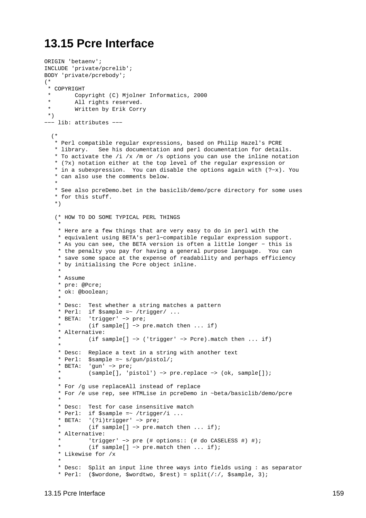### **13.15 Pcre Interface**

```
ORIGIN 'betaenv';
INCLUDE 'private/pcrelib';
BODY 'private/pcrebody';
(*
  * COPYRIGHT
        Copyright (C) Mjolner Informatics, 2000
        All rights reserved.
  * Written by Erik Corry
  *)
−−− lib: attributes −−−
   (*
    * Perl compatible regular expressions, based on Philip Hazel's PCRE
    * library. See his documentation and perl documentation for details.
    * To activate the /i /x /m or /s options you can use the inline notation
    * (?x) notation either at the top level of the regular expression or
    * in a subexpression. You can disable the options again with (?−x). You
    * can also use the comments below.
 * 
    * See also pcreDemo.bet in the basiclib/demo/pcre directory for some uses
    * for this stuff.
    *)
    (* HOW TO DO SOME TYPICAL PERL THINGS
 *
     * Here are a few things that are very easy to do in perl with the
     * equivalent using BETA's perl−compatible regular expression support.
     * As you can see, the BETA version is often a little longer − this is
     * the penalty you pay for having a general purpose language. You can
     * save some space at the expense of readability and perhaps efficiency
     * by initialising the Pcre object inline.
 *
     * Assume
     * pre: @Pcre;
     * ok: @boolean;
 *
     * Desc: Test whether a string matches a pattern
     * Perl: if $sample =~ /trigger/ ...
     * BETA: 'trigger' −> pre;
             (if sample[] \rightarrow pre.match then ... if)
     * Alternative:
            (if sample[] -> ('trigger' -> Pcre).match then ... if)
 *
     * Desc: Replace a text in a string with another text
     * Perl: $sample =~ s/gun/pistol/;
     * BETA: 'gun' −> pre;
              * (sample[], 'pistol') −> pre.replace −> (ok, sample[]);
 *
     * For /g use replaceAll instead of replace
     * For /e use rep, see HTMLise in pcreDemo in ~beta/basiclib/demo/pcre
 *
     * Desc: Test for case insensitive match
     * Perl: if $sample =~ /trigger/i ...
     * BETA: '(?i)trigger' −> pre;
             (if sample[] \rightarrow pre.match then ... if);
     * Alternative:
             'trigger' −> pre (# options:: (# do CASELESS #) #);
             (if sample[] \rightarrow pre.match then ... if);
     * Likewise for /x
 *
     * Desc: Split an input line three ways into fields using : as separator
     * Perl: ($wordone, $wordtwo, $rest) = split(/:/, $sample, 3);
```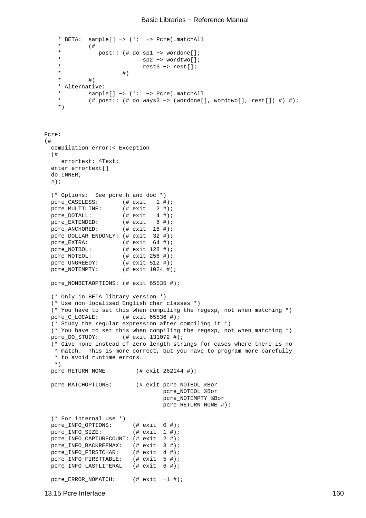```
 * BETA: sample[] −> (':' −> Pcre).matchAll
    * (#
                * post:: (# do sp1 −> wordone[];
   * sp2 −> wordtwo[];<br>x spst? > xost[];
    * rest3 −> rest[];
\star # )
    * #)
    * Alternative:
           sample[] -> (':' -> Pcre).matchAll
    * (# post:: (# do ways3 −> (wordone[], wordtwo[], rest[]) #) #);
    *)
Pcre:
(#
 compilation_error:< Exception
  (#
     errortext: ^Text;
  enter errortext[]
  do INNER;
 \#);
  (* Options: See pcre.h and doc *)
 pcre_CASELESS: (# exit 1 #);pcre_MULTILINE: (# exit 2 #);
 pcre_DOTALL: (# exit 4 #);
  pcre_EXTENDED: (# exit 8 #);
  pcre_ANCHORED: (# exit 16 #);
 pcre_DOLLAR_ENDONLY: (# exit 32 #);
 pcre_EXTRA: (# exit 64 #);
 pcre_NOTBOL: (# exit 128 #);
 pcre_NOTEOL: (# exit 256 #);
 pcre UNGREEDY: (# exit 512 #);
 pcre_NOTEMPTY: (# exit 1024 #);
 pcre_NONBETAOPTIONS: (# exit 65535 #);
  (* Only in BETA library version *)
  (* Use non−localised English char classes *)
  (* You have to set this when compiling the regexp, not when matching *)
 pcre_C_LOCALE: (# exit 65536 #);
  (* Study the regular expression after compiling it *)
  (* You have to set this when compiling the regexp, not when matching *)
 pcre_DO_STUDY: (# exit 131072 #);
  (* Give none instead of zero length strings for cases where there is no
    * match. This is more correct, but you have to program more carefully
   * to avoid runtime errors.
   *)
 pcre_RETURN_NONE: (# exit 262144 #);
 pcre_MATCHOPTIONS: (# exit pcre_NOTBOL %Bor
                                 pcre_NOTEOL %Bor
                                  pcre_NOTEMPTY %Bor
                                  pcre_RETURN_NONE #);
  (* For internal use *)
 pcre_INFO_OPTIONS: (# exit 0 #);
 pcre_INFO_SIZE: (# exit 1 #);
 pcre_INFO_CAPTURECOUNT: (# exit 2 #);
 pcre_INFO_BACKREFMAX: (# exit 3 #);
 pcre_INFO_FIRSTCHAR: (# exit 4 #);<br>pcre_INFO_FIRSTTABLE: (# exit 5 #);
 pcre_INFO_FIRSTTABLE:
 pcre_INFO_LASTLITERAL: (# exit 6 #);
 pcre_ERROR_NOMATCH: (# exit −1 #);
```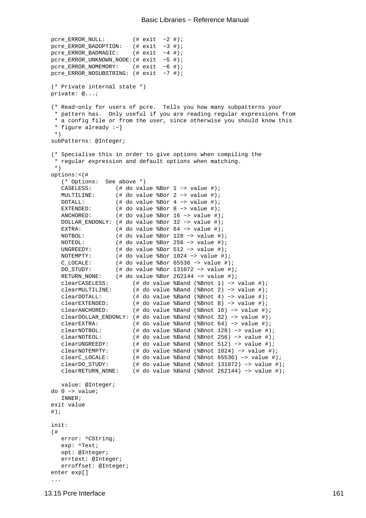```
pcre_ERROR_NULL: (# exit −2 #);
 pcre_ERROR_BADOPTION: (# exit −3 #);
 pcre_ERROR_BADMAGIC: (# exit −4 #);
 pcre_ERROR_UNKNOWN_NODE:(# exit −5 #);
 pcre_ERROR_NOMEMORY: (# exit −6 #);
 pcre_ERROR_NOSUBSTRING: (# exit −7 #);
  (* Private internal state *)
 private: @...;
  (* Read−only for users of pcre. Tells you how many subpatterns your
   * pattern has. Only useful if you are reading regular expressions from
   * a config file or from the user, since otherwise you should know this
   * figure already :−]
   *)
 subPatterns: @Integer;
  (* Specialise this in order to give options when compiling the
   regular expression and default options when matching.
   *)
 options:<(#
     (* Options: See above *)
     CASELESS: (# do value %Bor 1 −> value #);
     MULTILINE: (# do value %Bor 2 −> value #);
     DOTALL: (# do value %Bor 4 −> value #);
     EXTENDED: (# do value %Bor 8 −> value #);
     ANCHORED: (# do value %Bor 16 −> value #);
     DOLLAR_ENDONLY: (# do value %Bor 32 −> value #);
     EXTRA: (# do value %Bor 64 −> value #);
     NOTBOL: (# do value %Bor 128 −> value #);
     NOTEOL: (# do value %Bor 256 −> value #);
     UNGREEDY: (# do value %Bor 512 −> value #);
     NOTEMPTY: (# do value %Bor 1024 −> value #);
     C_LOCALE: (# do value %Bor 65536 −> value #);
    DO_STUDY: (# do value %Bor 131072 -> value #);<br>RETURN_NONE: (# do value %Bor 262144 -> value #);
                  (# do value %Bor 262144 −> value #);
     clearCASELESS: (# do value %Band (%Bnot 1) −> value #);
     clearMULTILINE: (# do value %Band (%Bnot 2) −> value #);
     clearDOTALL: (# do value %Band (%Bnot 4) −> value #);
     clearEXTENDED: (# do value %Band (%Bnot 8) −> value #);
     clearANCHORED: (# do value %Band (%Bnot 16) −> value #);
     clearDOLLAR_ENDONLY: (# do value %Band (%Bnot 32) −> value #);
     clearEXTRA: (# do value %Band (%Bnot 64) −> value #);
     clearNOTBOL: (# do value %Band (%Bnot 128) −> value #);
     clearNOTEOL: (# do value %Band (%Bnot 256) −> value #);
     clearUNGREEDY: (# do value %Band (%Bnot 512) −> value #);
     clearNOTEMPTY: (# do value %Band (%Bnot 1024) −> value #);
 clearC_LOCALE: (# do value %Band (%Bnot 65536) −> value #);
 clearDO_STUDY: (# do value %Band (%Bnot 131072) −> value #);
     clearRETURN_NONE: (# do value %Band (%Bnot 262144) −> value #);
     value: @Integer;
  do 0 −> value;
     INNER;
  exit value
  #);
 init:
  (#
     error: ^CString;
     exp: ^Text;
     opt: @Integer;
     errtext: @Integer;
     erroffset: @Integer;
  enter exp[]
  ...
```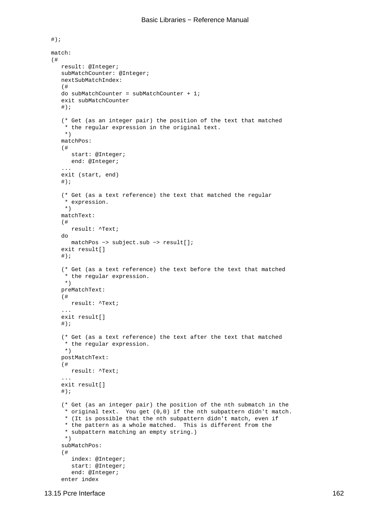```
match:
   (#
     result: @Integer;
     subMatchCounter: @Integer;
     nextSubMatchIndex:
     ( \pm do subMatchCounter = subMatchCounter + 1;
      exit subMatchCounter
     #);
      (* Get (as an integer pair) the position of the text that matched
       * the regular expression in the original text.
       *)
      matchPos:
      (#
        start: @Integer;
         end: @Integer;
 ...
      exit (start, end)
     #);
      (* Get (as a text reference) the text that matched the regular
       * expression.
      *)
     matchText:
      (#
        result: ^Text;
      do
        matchPos −> subject.sub −> result[];
      exit result[]
     \#);
      (* Get (as a text reference) the text before the text that matched
       * the regular expression.
      *)
     preMatchText:
      (#
        result: ^Text;
      ...
      exit result[]
     \#);
      (* Get (as a text reference) the text after the text that matched
       * the regular expression.
       *)
     postMatchText:
      (#
        result: ^Text;
      ...
      exit result[]
     \#);
      (* Get (as an integer pair) the position of the nth submatch in the
       * original text. You get (0,0) if the nth subpattern didn't match.
       * (It is possible that the nth subpattern didn't match, even if
       * the pattern as a whole matched. This is different from the
       * subpattern matching an empty string.)
       *)
      subMatchPos:
      (#
         index: @Integer;
         start: @Integer;
         end: @Integer;
      enter index
```
 $#$ );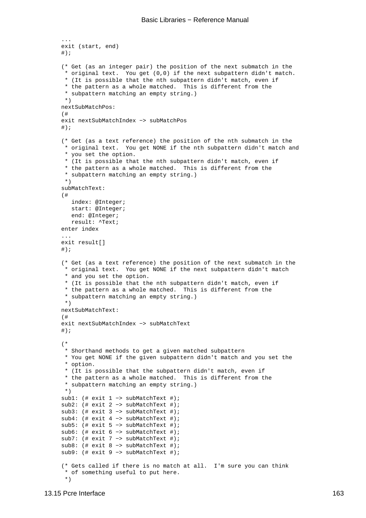```
 ...
     exit (start, end)
     #);
      (* Get (as an integer pair) the position of the next submatch in the
      * original text. You get (0,0) if the next subpattern didn't match.
      * (It is possible that the nth subpattern didn't match, even if
       * the pattern as a whole matched. This is different from the
       * subpattern matching an empty string.)
       *)
     nextSubMatchPos:
      (#
     exit nextSubMatchIndex −> subMatchPos
     #);
      (* Get (as a text reference) the position of the nth submatch in the
       * original text. You get NONE if the nth subpattern didn't match and
       * you set the option.
       * (It is possible that the nth subpattern didn't match, even if
       * the pattern as a whole matched. This is different from the
       * subpattern matching an empty string.)
       *)
     subMatchText:
      (#
        index: @Integer;
        start: @Integer;
        end: @Integer;
        result: ^Text;
     enter index
 ...
     exit result[]
     #);
      (* Get (as a text reference) the position of the next submatch in the
      foriginal text. You get NONE if the next subpattern didn't match
       * and you set the option.
       * (It is possible that the nth subpattern didn't match, even if
       * the pattern as a whole matched. This is different from the
       * subpattern matching an empty string.)
       *)
     nextSubMatchText:
      (#
     exit nextSubMatchIndex −> subMatchText
     #);
      (*
       * Shorthand methods to get a given matched subpattern 
      * You get NONE if the given subpattern didn't match and you set the
      * option.
       * (It is possible that the subpattern didn't match, even if
       * the pattern as a whole matched. This is different from the
       * subpattern matching an empty string.)
      *)
     sub1: (# exit 1 −> subMatchText #);
     sub2: (# exit 2 −> subMatchText #);
     sub3: (# exit 3 −> subMatchText #);
     sub4: (# exit 4 −> subMatchText #);
     sub5: (# exit 5 −> subMatchText #);
     sub6: (# exit 6 −> subMatchText #);
     sub7: (# exit 7 −> subMatchText #);
     sub8: (# exit 8 −> subMatchText #);
     sub9: (# exit 9 −> subMatchText #);
      (* Gets called if there is no match at all. I'm sure you can think
       * of something useful to put here.
       *)
```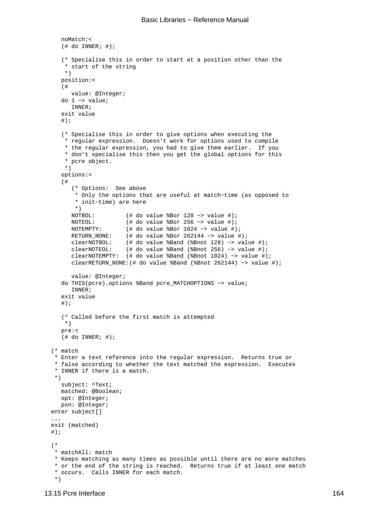```
 noMatch:<
   ( # do INNER; #); (* Specialise this in order to start at a position other than the
     * start of the string
     *)
    position:<
    (#
      value: @Integer;
    do 1 −> value;
       INNER;
    exit value
   #);
    (* Specialise this in order to give options when executing the
     regular expression. Doesn't work for options used to compile
     * the regular expression, you had to give them earlier. If you
     * don't specialise this then you get the global options for this
     * pcre object.
     *)
    options:<
    (#
       (* Options: See above
        * Only the options that are useful at match−time (as opposed to
        * init−time) are here
        *)
       NOTBOL: (# do value %Bor 128 −> value #);
       NOTEOL: (# do value %Bor 256 −> value #);
       NOTEMPTY: (# do value %Bor 1024 −> value #);
       RETURN_NONE: (# do value %Bor 262144 −> value #);
       clearNOTBOL: (# do value %Band (%Bnot 128) −> value #);
       clearNOTEOL: (# do value %Band (%Bnot 256) −> value #);
       clearNOTEMPTY: (# do value %Band (%Bnot 1024) −> value #);
       clearRETURN_NONE:(# do value %Band (%Bnot 262144) −> value #);
       value: @Integer;
    do THIS(pcre).options %Band pcre_MATCHOPTIONS −> value;
       INNER;
    exit value
   #);
    (* Called before the first match is attempted
    *)
   pre:<
   ( # do INNER; #);
 (* match
  * Enter a text reference into the regular expression. Returns true or
  * false according to whether the text matched the expression. Executes
  * INNER if there is a match.
 *)
   subject: ^Text;
   matched: @Boolean;
   opt: @Integer;
   psn: @Integer;
 enter subject[]
 ...
 exit (matched)
\#);
 (*
 * matchAll: match
 * Keeps matching as many times as possible until there are no more matches
  * or the end of the string is reached. Returns true if at least one match
  * occurs. Calls INNER for each match.
  *)
```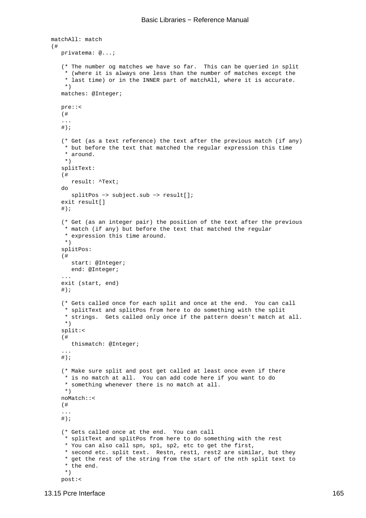```
matchAll: match
 (#
    privatema: @...;
    (* The number og matches we have so far. This can be queried in split
     * (where it is always one less than the number of matches except the
     * last time) or in the INNER part of matchAll, where it is accurate.
     *)
    matches: @Integer;
    pre::<
    (#
    ...
   #);
    (* Get (as a text reference) the text after the previous match (if any)
     * but before the text that matched the regular expression this time
     * around.
     *)
    splitText:
    (#
       result: ^Text;
    do
       splitPos −> subject.sub −> result[];
    exit result[]
    #);
    (* Get (as an integer pair) the position of the text after the previous
     * match (if any) but before the text that matched the regular
     * expression this time around.
     *)
    splitPos:
    (#
       start: @Integer;
       end: @Integer;
    ...
    exit (start, end)
   #);
    (* Gets called once for each split and once at the end. You can call
      * splitText and splitPos from here to do something with the split
     * strings. Gets called only once if the pattern doesn't match at all.
     *)
    split:<
    (#
       thismatch: @Integer;
    ...
   #);
    (* Make sure split and post get called at least once even if there
     * is no match at all. You can add code here if you want to do
     * something whenever there is no match at all.
     *)
    noMatch::<
    (#
     ...
    #);
    (* Gets called once at the end. You can call
     * splitText and splitPos from here to do something with the rest
     * You can also call spn, sp1, sp2, etc to get the first,
     * second etc. split text. Restn, rest1, rest2 are similar, but they
     * get the rest of the string from the start of the nth split text to
     * the end.
     *)
```

```
 post:<
```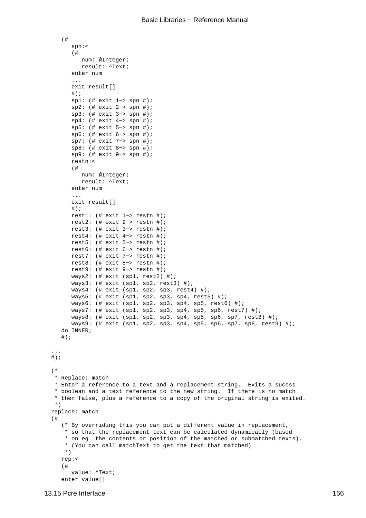```
 (#
         spn:<
         (#
           num: @Integer;
            result: ^Text;
         enter num
 ...
         exit result[]
         #);
         sp1: (# exit 1−> spn #);
         sp2: (# exit 2−> spn #);
         sp3: (# exit 3−> spn #);
         sp4: (# exit 4−> spn #);
         sp5: (# exit 5−> spn #);
         sp6: (# exit 6−> spn #);
         sp7: (# exit 7−> spn #);
         sp8: (# exit 8−> spn #);
         sp9: (# exit 9−> spn #);
         restn:<
         (#
           num: @Integer;
           result: ^Text;
         enter num
         ...
         exit result[]
         #);
         rest1: (# exit 1−> restn #);
         rest2: (# exit 2−> restn #);
         rest3: (# exit 3−> restn #);
         rest4: (# exit 4−> restn #);
         rest5: (# exit 5−> restn #);
         rest6: (# exit 6−> restn #);
         rest7: (# exit 7−> restn #);
         rest8: (# exit 8−> restn #);
         rest9: (# exit 9−> restn #);
         ways2: (# exit (sp1, rest2) #);
         ways3: (# exit (sp1, sp2, rest3) #);
        ways4: (\# exit (spl, sp2, sp3, rest4) #); ways5: (# exit (sp1, sp2, sp3, sp4, rest5) #);
         ways6: (# exit (sp1, sp2, sp3, sp4, sp5, rest6) #);
         ways7: (# exit (sp1, sp2, sp3, sp4, sp5, sp6, rest7) #);
         ways8: (# exit (sp1, sp2, sp3, sp4, sp5, sp6, sp7, rest8) #);
         ways9: (# exit (sp1, sp2, sp3, sp4, sp5, sp6, sp7, sp8, rest9) #);
      do INNER;
      #);
   ...
 #);
   (*
    * Replace: match
   * Enter a reference to a text and a replacement string. Exits a sucess
    * boolean and a text reference to the new string. If there is no match
    * then false, plus a reference to a copy of the original string is exited.
   *)
 replace: match
   (#
      (* By overriding this you can put a different value in replacement,
       * so that the replacement text can be calculated dynamically (based
       * on eg. the contents or position of the matched or submatched texts).
       * (You can call matchText to get the text that matched)
       *)
      rep:<
      (#
         value: ^Text;
      enter value[]
```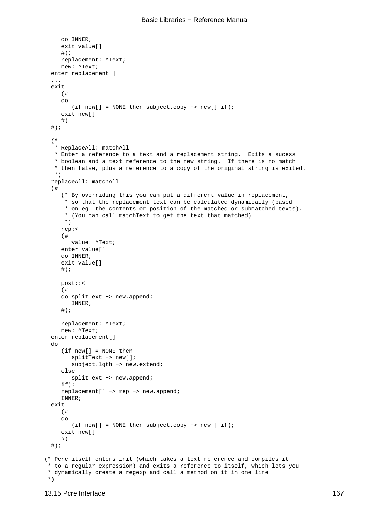```
 do INNER;
      exit value[]
     \#);
      replacement: ^Text;
     new: ^Text;
  enter replacement[]
   ...
 e^{rt} (#
     do
         (if new[] = NONE then subject.copy −> new[] if);
     exit new[]
      #)
 \#);
   (*
    * ReplaceAll: matchAll
   * Enter a reference to a text and a replacement string. Exits a sucess
    * boolean and a text reference to the new string. If there is no match
    * then false, plus a reference to a copy of the original string is exited. 
   *)
 replaceAll: matchAll
   (#
      (* By overriding this you can put a different value in replacement,
       * so that the replacement text can be calculated dynamically (based
       * on eg. the contents or position of the matched or submatched texts).
       * (You can call matchText to get the text that matched)
       *)
      rep:<
      (#
        value: ^Text;
      enter value[]
      do INNER;
      exit value[]
     \#);
     post::<
      (#
      do splitText −> new.append;
         INNER;
     \#);
     replacement: ^Text;
     new: ^Text;
 enter replacement[]
  do
      (if new[] = NONE then
         splitText −> new[];
         subject.lgth −> new.extend;
      else
         splitText −> new.append;
      if);
      replacement[] −> rep −> new.append;
      INNER;
  exit
     (#
     do
         (if new[] = NONE then subject.copy −> new[] if);
      exit new[]
      #)
 #);
(* Pcre itself enters init (which takes a text reference and compiles it
 * to a regular expression) and exits a reference to itself, which lets you
  * dynamically create a regexp and call a method on it in one line
 *)
```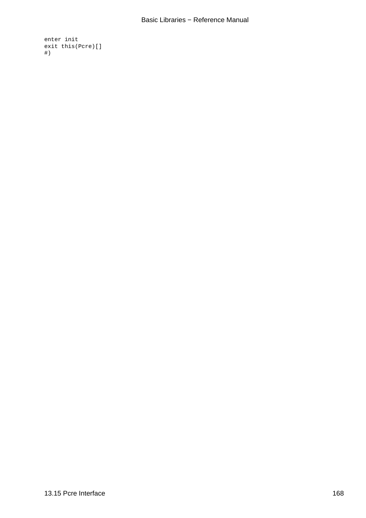```
enter init
exit this(Pcre)[]
#)
```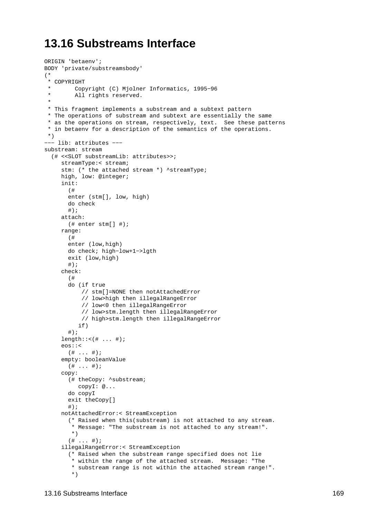# **13.16 Substreams Interface**

```
ORIGIN 'betaenv';
BODY 'private/substreamsbody'
(*
  * COPYRIGHT
         * Copyright (C) Mjolner Informatics, 1995−96
         All rights reserved.
 *
  * This fragment implements a substream and a subtext pattern
  * The operations of substream and subtext are essentially the same
  * as the operations on stream, respectively, text. See these patterns
  * in betaenv for a description of the semantics of the operations.
  *)
−−− lib: attributes −−−
substream: stream
   (# <<SLOT substreamLib: attributes>>;
     streamType:< stream;
     stm: (* the attached stream *) ^streamType;
     high, low: @integer;
     init:
        (#
        enter (stm[], low, high)
        do check
       #);
     attach:
        (# enter stm[] #);
     range:
        (#
        enter (low,high)
        do check; high−low+1−>lgth
        exit (low,high)
        #);
     check:
        (#
        do (if true
            // stm[]=NONE then notAttachedError
            // low>high then illegalRangeError
            // low<0 then illegalRangeError
            // low>stm.length then illegalRangeError
            // high>stm.length then illegalRangeError
           if)
       #);
     length::<(# ... #);
     eos::<
       ( # ... #);empty: booleanValue
       ( # ... #);copy:
        (# theCopy: ^substream;
           copyI: @...
        do copyI
        exit theCopy[]
       #);
     notAttachedError:< StreamException
        (* Raised when this(substream) is not attached to any stream.
         * Message: "The substream is not attached to any stream!".
         *)
       ( # ... #);illegalRangeError:< StreamException
        (* Raised when the substream range specified does not lie
         * within the range of the attached stream. Message: "The
         * substream range is not within the attached stream range!".
         *)
```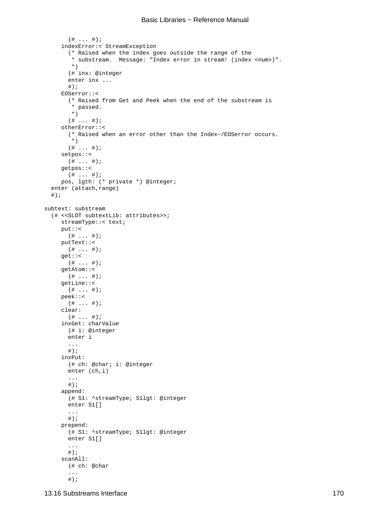```
( # ... #);indexError:< StreamException
        (* Raised when the index goes outside the range of the
         * substream. Message: "Index error in stream! (index <num>)".
         *)
        (# inx: @integer
        enter inx ...
       \#);
     EOSerror::<
        (* Raised from Get and Peek when the end of the substream is
         * passed.
         *)
        (# ... #);
     otherError::<
        (* Raised when an error other than the Index−/EOSerror occurs.
         *)
       ( # ... #);setpos::<
        (# ... #);
     getpos::<
       (# ... #);
     pos, lgth: (* private *) @integer;
   enter (attach,range)
  #);
subtext: substream
   (# <<SLOT subtextLib: attributes>>;
    streamType::< text;
     put::<
       (# ... #);
     putText::<
      ( # ... #);get::<
      ( # ... #);getAtom::<
       (# ... #);
     getLine::<
       ( # ... #);peek::<
       ( # ... #);clear:
        (# ... #);
     inxGet: charValue
       (# i: @integer
        enter i
        ...
       #);
     inxPut:
        (# ch: @char; i: @integer
        enter (ch,i)
        ...
       \#);
     append:
        (# S1: ^streamType; S1lgt: @integer
        enter S1[]
        ...
       #);
     prepend:
        (# S1: ^streamType; S1lgt: @integer
        enter S1[]
        ...
       #);
     scanAll:
        (# ch: @char
        ...
       #);
```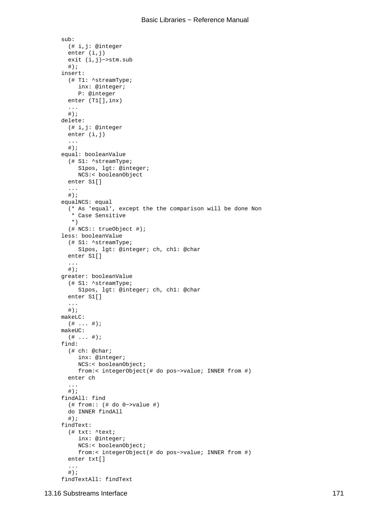```
sub: 
   (# i,j: @integer
   enter (i,j)
   exit (i,j)−>stm.sub
  \#);
insert:
   (# T1: ^streamType;
      inx: @integer;
      P: @integer
   enter (T1[],inx)
   ...
  #);
delete:
   (# i,j: @integer
   enter (i,j)
   ...
  #);
equal: booleanValue
   (# S1: ^streamType;
      S1pos, lgt: @integer;
      NCS:< booleanObject
   enter S1[]
   ...
  #);
equalNCS: equal
   (* As 'equal', except the the comparison will be done Non
    * Case Sensitive
    *)
   (# NCS:: trueObject #);
less: booleanValue
   (# S1: ^streamType;
      S1pos, lgt: @integer; ch, ch1: @char
   enter S1[] 
   ...
  #);
greater: booleanValue
   (# S1: ^streamType;
      S1pos, lgt: @integer; ch, ch1: @char
   enter S1[]
   ...
  #);
makeLC:
   (# ... #);
makeUC:
  (# ... #);
find:
   (# ch: @char;
      inx: @integer;
      NCS:< booleanObject;
      from:< integerObject(# do pos−>value; INNER from #)
   enter ch
   ...
  \# ) \, ;
findAll: find
   (# from:: (# do 0−>value #)
   do INNER findAll
  \#);
findText:
   (# txt: ^text;
      inx: @integer;
      NCS:< booleanObject;
      from:< integerObject(# do pos−>value; INNER from #)
   enter txt[]
   ...
  #);
findTextAll: findText
```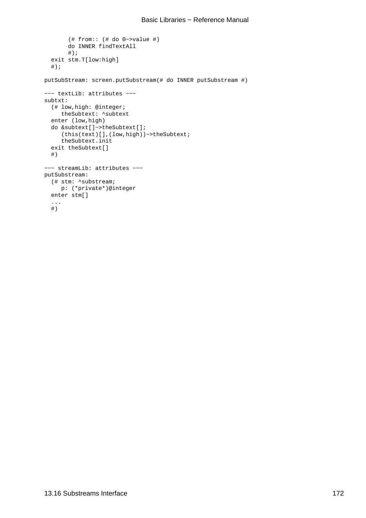```
 (# from:: (# do 0−>value #)
        do INNER findTextAll
       \#);
   exit stm.T[low:high]
  \#);
putSubStream: screen.putSubstream(# do INNER putSubstream #)
−−− textLib: attributes −−−
subtxt:
  (# low,high: @integer;
     theSubtext: ^subtext
   enter (low,high)
   do &subtext[]−>theSubtext[];
      (this(text)[],(low,high))−>theSubtext;
      theSubtext.init
   exit theSubtext[]
   #)
−−− streamLib: attributes −−−
putSubstream:
   (# stm: ^substream;
    p: (*private*)@integer
   enter stm[]
   ...
   #)
```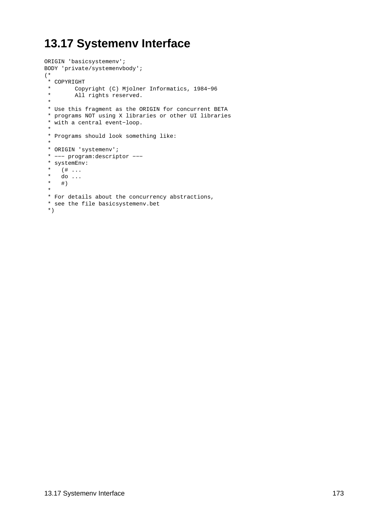# **13.17 Systemenv Interface**

```
ORIGIN 'basicsystemenv'; 
BODY 'private/systemenvbody';
(*
 * COPYRIGHT
  * Copyright (C) Mjolner Informatics, 1984−96
  * All rights reserved.
 *
  * Use this fragment as the ORIGIN for concurrent BETA
  * programs NOT using X libraries or other UI libraries 
  * with a central event−loop.
 * 
  * Programs should look something like:
 * 
 * ORIGIN 'systemenv';
  * −−− program:descriptor −−−
  * systemEnv:
 * (# ...
  * do ...
  * #)
 * 
  * For details about the concurrency abstractions,
  * see the file basicsystemenv.bet
  *)
```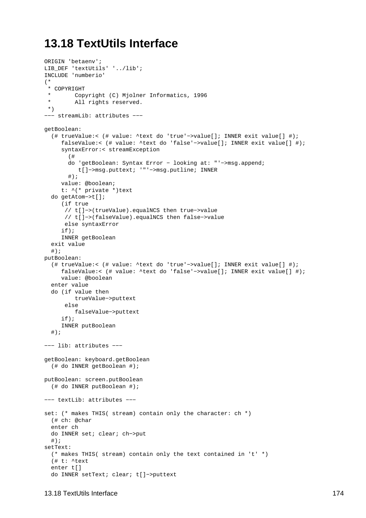## **13.18 TextUtils Interface**

```
ORIGIN 'betaenv';
LIB_DEF 'textUtils' '../lib';
INCLUDE 'numberio'
(*
  * COPYRIGHT
        Copyright (C) Mjolner Informatics, 1996
  * All rights reserved.
  *)
−−− streamLib: attributes −−−
getBoolean:
   (# trueValue:< (# value: ^text do 'true'−>value[]; INNER exit value[] #);
     falseValue:< (# value: ^text do 'false'−>value[]; INNER exit value[] #);
     syntaxError:< streamException
        (# 
        do 'getBoolean: Syntax Error − looking at: "'−>msg.append;
           t[]−>msg.puttext; '"'−>msg.putline; INNER
       \#);
     value: @boolean;
     t: ^(* private *)text
   do getAtom−>t[];
      (if true
       // t[]−>(trueValue).equalNCS then true−>value
       // t[]−>(falseValue).equalNCS then false−>value
       else syntaxError 
      if);
      INNER getBoolean
   exit value
   #);
putBoolean:
   (# trueValue:< (# value: ^text do 'true'−>value[]; INNER exit value[] #);
    falseValue:< (# value: ^text do 'false'−>value[]; INNER exit value[] #);
     value: @boolean
   enter value
   do (if value then
          trueValue−>puttext
       else
          falseValue−>puttext
      if);
      INNER putBoolean
  #);
−−− lib: attributes −−−
getBoolean: keyboard.getBoolean
   (# do INNER getBoolean #);
putBoolean: screen.putBoolean
   (# do INNER putBoolean #);
−−− textLib: attributes −−−
set: (* makes THIS( stream) contain only the character: ch *)
  (# ch: @char
  enter ch
  do INNER set; clear; ch−>put
 #);
setText:
   (* makes THIS( stream) contain only the text contained in 't' *)
  (# t: ^text
  enter t[]
   do INNER setText; clear; t[]−>puttext
```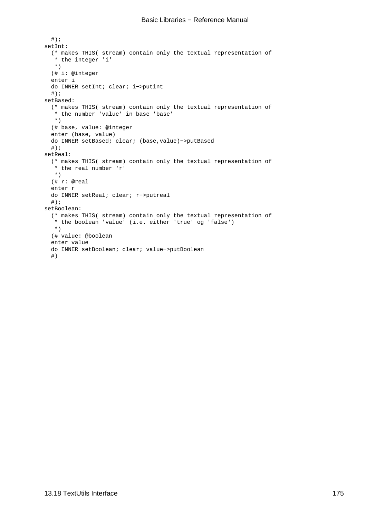```
\#);
setInt:
   (* makes THIS( stream) contain only the textual representation of
    * the integer 'i'
   *)
   (# i: @integer
   enter i
   do INNER setInt; clear; i−>putint
  \#);
setBased:
   (* makes THIS( stream) contain only the textual representation of
    * the number 'value' in base 'base'
   *)
   (# base, value: @integer
   enter (base, value)
   do INNER setBased; clear; (base,value)−>putBased
  \#);
setReal:
   (* makes THIS( stream) contain only the textual representation of
    * the real number 'r'
   *)
   (# r: @real
   enter r
   do INNER setReal; clear; r−>putreal
  \#);
setBoolean:
   (* makes THIS( stream) contain only the textual representation of
    * the boolean 'value' (i.e. either 'true' og 'false')
   *)
   (# value: @boolean
   enter value
   do INNER setBoolean; clear; value−>putBoolean
   #)
```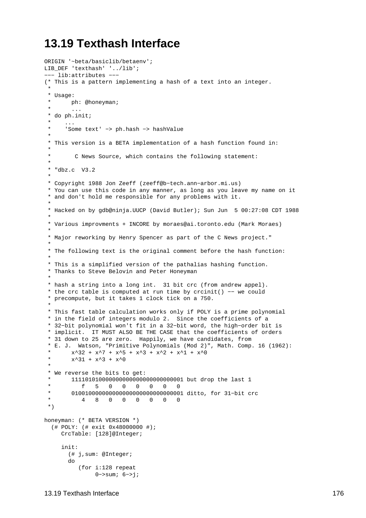# <span id="page-181-0"></span>**13.19 Texthash Interface**

```
ORIGIN '~beta/basiclib/betaenv';
LIB_DEF 'texthash' '../lib';
−−− lib:attributes −−−
(* This is a pattern implementing a hash of a text into an integer.
 * 
  * Usage:
       ph: @honeyman;
\star ...
  * do ph.init;
\star ...
       * 'Some text' −> ph.hash −> hashValue
 * 
  * This version is a BETA implementation of a hash function found in:
 *
         C News Source, which contains the following statement:
 *
  * "dbz.c V3.2
 *
  * Copyright 1988 Jon Zeeff (zeeff@b−tech.ann−arbor.mi.us)
  * You can use this code in any manner, as long as you leave my name on it
  * and don't hold me responsible for any problems with it.
 *
  * Hacked on by gdb@ninja.UUCP (David Butler); Sun Jun 5 00:27:08 CDT 1988
 *
  * Various improvments + INCORE by moraes@ai.toronto.edu (Mark Moraes)
 * 
  * Major reworking by Henry Spencer as part of the C News project."
 *
  * The following text is the original comment before the hash function:
 *
  * This is a simplified version of the pathalias hashing function.
  * Thanks to Steve Belovin and Peter Honeyman
 *
  * hash a string into a long int. 31 bit crc (from andrew appel).
  * the crc table is computed at run time by crcinit() −− we could
  * precompute, but it takes 1 clock tick on a 750.
 *
  * This fast table calculation works only if POLY is a prime polynomial
  * in the field of integers modulo 2. Since the coefficients of a
  * 32−bit polynomial won't fit in a 32−bit word, the high−order bit is
  * implicit. IT MUST ALSO BE THE CASE that the coefficients of orders
  * 31 down to 25 are zero. Happily, we have candidates, from
  * E. J. Watson, "Primitive Polynomials (Mod 2)", Math. Comp. 16 (1962):
       x^32 + x^3 + x^5 + x^3 + x^2 + x^1 + x^0x^31 + x^3 + x^0 *
  * We reverse the bits to get:
        1111010100000000000000000000000000001 but drop the last 1
            * f 5 0 0 0 0 0 0
        01001000000000000000000000000000000001 ditto, for 31-bit crc
            * 4 8 0 0 0 0 0 0
  *)
honeyman: (* BETA VERSION *)
   (# POLY: (# exit 0x48000000 #);
     CrcTable: [128]@Integer;
     init:
       (# j,sum: @Integer;
        do 
           (for i:128 repeat
                0−>sum; 6−>j;
```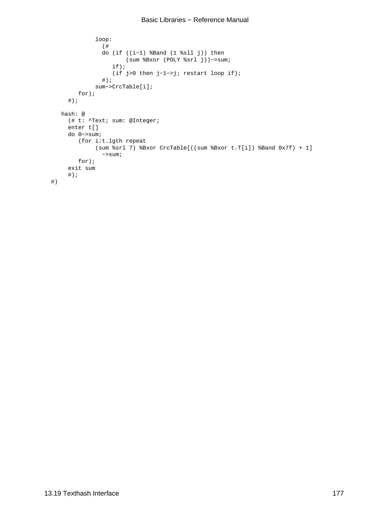```
 loop:
                 (#
                 do (if ((i−1) %Band (1 %sll j)) then
                        (sum %Bxor (POLY %srl j))−>sum;
                     if);
                    (if j>0 then j−1−>j; restart loop if);
                \#);
               sum−>CrcTable[i];
         for);
     \# ) \, ;
   hash: @ 
      (# t: ^Text; sum: @Integer;
      enter t[]
      do 0−>sum;
         (for i:t.lgth repeat
               (sum %srl 7) %Bxor CrcTable[((sum %Bxor t.T[i]) %Band 0x7f) + 1]
                 −>sum;
         for);
      exit sum
     \# ) \, ;
 #)
```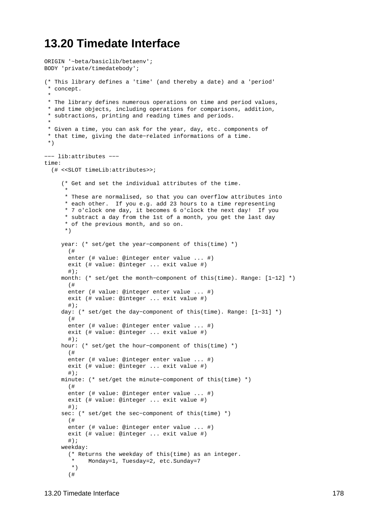# <span id="page-183-0"></span>**13.20 Timedate Interface**

```
ORIGIN '~beta/basiclib/betaenv';
BODY 'private/timedatebody';
(* This library defines a 'time' (and thereby a date) and a 'period'
 * concept.
 * 
  * The library defines numerous operations on time and period values,
 * and time objects, including operations for comparisons, addition,
  * subtractions, printing and reading times and periods.
 * 
  * Given a time, you can ask for the year, day, etc. components of
  * that time, giving the date−related informations of a time.
 *)
−−− lib:attributes −−−
time:
   (# <<SLOT timeLib:attributes>>;
      (* Get and set the individual attributes of the time.
\star * These are normalised, so that you can overflow attributes into
       * each other. If you e.g. add 23 hours to a time representing
       * 7 o'clock one day, it becomes 6 o'clock the next day! If you
       * subtract a day from the 1st of a month, you get the last day
       * of the previous month, and so on.
       *)
     year: (* set/get the year−component of this(time) *)
        (#
        enter (# value: @integer enter value ... #)
        exit (# value: @integer ... exit value #)
       #);
     month: (* set/get the month−component of this(time). Range: [1−12] *)
        (#
        enter (# value: @integer enter value ... #)
        exit (# value: @integer ... exit value #)
       #);
     day: (* set/get the day−component of this(time). Range: [1−31] *)
        (#
        enter (# value: @integer enter value ... #)
        exit (# value: @integer ... exit value #)
       #);
    hour: (* set/get the hour−component of this(time) *)
        (#
        enter (# value: @integer enter value ... #)
        exit (# value: @integer ... exit value #)
       #);
     minute: (* set/get the minute−component of this(time) *)
        (#
        enter (# value: @integer enter value ... #)
        exit (# value: @integer ... exit value #)
       #);
     sec: (* set/get the sec−component of this(time) *)
        (#
        enter (# value: @integer enter value ... #)
        exit (# value: @integer ... exit value #)
       \#);
     weekday:
        (* Returns the weekday of this(time) as an integer.
         * Monday=1, Tuesday=2, etc.Sunday=7
        *)
        (#
```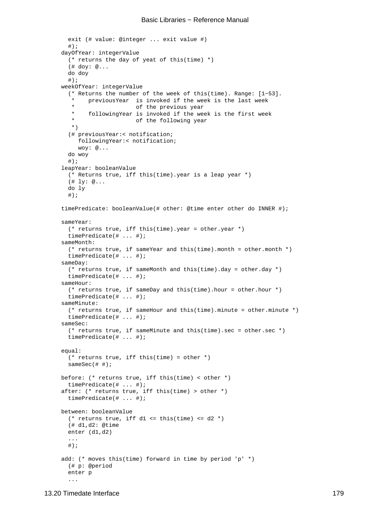```
 exit (# value: @integer ... exit value #)
  \#);
dayOfYear: integerValue
   (* returns the day of yeat of this(time) *)
   (# doy: @...
   do doy
  \# ) \, ;
weekOfYear: integerValue
   (* Returns the number of the week of this(time). Range: [1−53].
        previousYear is invoked if the week is the last week
                       of the previous year
    * followingYear is invoked if the week is the first week
                       of the following year
    *)
   (# previousYear:< notification;
      followingYear:< notification;
      woy: @...
   do woy
  #);
leapYear: booleanValue
   (* Returns true, iff this(time).year is a leap year *)
   (# ly: @...
   do ly
  \#);
timePredicate: booleanValue(# other: @time enter other do INNER #);
sameYear:
   (* returns true, iff this(time).year = other.year *)
   timePredicate(# ... #);
sameMonth:
  (* returns true, if sameYear and this(time).month = other.month *)
   timePredicate(# ... #);
sameDay:
  (* returns true, if sameMonth and this(time).day = other.day *)
   timePredicate(# ... #);
sameHour:
   (* returns true, if sameDay and this(time).hour = other.hour *)
   timePredicate(# ... #);
sameMinute:
   (* returns true, if sameHour and this(time).minute = other.minute *)
   timePredicate(# ... #);
sameSec:
   (* returns true, if sameMinute and this(time).sec = other.sec *)
   timePredicate(# ... #);
equal:
   (* returns true, iff this(time) = other *)
   sameSec(# #);
before: (* returns true, iff this(time) < other *)
   timePredicate(# ... #);
after: (* returns true, iff this(time) > other *)
   timePredicate(# ... #);
between: booleanValue
  (* returns true, iff d1 <= this(time) <= d2 *)
   (# d1,d2: @time
   enter (d1,d2)
   ...
  #);
add: (* moves this(time) forward in time by period 'p' *)
   (# p: @period
   enter p
   ...
```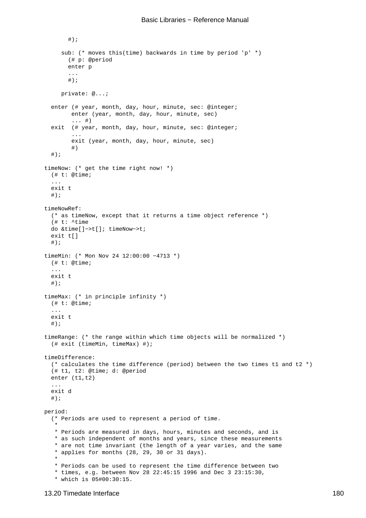```
#);
     sub: (* moves this(time) backwards in time by period 'p' *)
        (# p: @period
        enter p
        ... 
        #);
     private: @...;
  enter (# year, month, day, hour, minute, sec: @integer;
         enter (year, month, day, hour, minute, sec) 
         ... #)
   exit (# year, month, day, hour, minute, sec: @integer;
         ...
         exit (year, month, day, hour, minute, sec) 
         #)
  #);
timeNow: (* get the time right now! *)
   (# t: @time;
   ...
  exit t 
  \#);
timeNowRef:
   (* as timeNow, except that it returns a time object reference *)
   (# t: ^time
  do &time[]−>t[]; timeNow−>t;
  exit t[]
   #);
timeMin: (* Mon Nov 24 12:00:00 −4713 *) 
  (# t: @time;
   ... 
  exit t
  \#);
timeMax: (* in principle infinity *)
   (# t: @time;
   ... 
  exit t
  \#);
timeRange: (* the range within which time objects will be normalized *)
   (# exit (timeMin, timeMax) #);
timeDifference:
   (* calculates the time difference (period) between the two times t1 and t2 *)
   (# t1, t2: @time; d: @period
  enter (t1,t2)
   ... 
  exit d
  #);
period:
   (* Periods are used to represent a period of time.
 * 
    * Periods are measured in days, hours, minutes and seconds, and is
    * as such independent of months and years, since these measurements
    * are not time invariant (the length of a year varies, and the same
    * applies for months (28, 29, 30 or 31 days).
 * 
    * Periods can be used to represent the time difference between two
    * times, e.g. between Nov 28 22:45:15 1996 and Dec 3 23:15:30,
    * which is 05#00:30:15.
```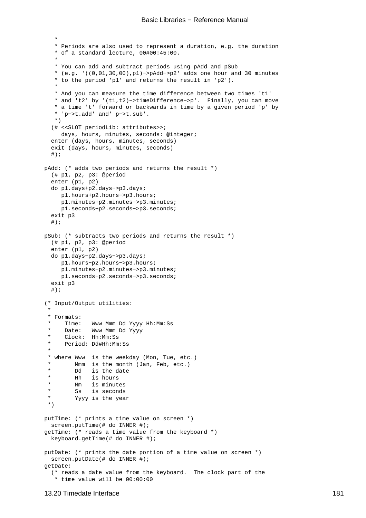```
 * 
    * Periods are also used to represent a duration, e.g. the duration
    * of a standard lecture, 00#00:45:00.
 * 
    * You can add and subtract periods using pAdd and pSub
    * (e.g. '((0,01,30,00),p1)−>pAdd−>p2' adds one hour and 30 minutes
    * to the period 'p1' and returns the result in 'p2').
 * 
    * And you can measure the time difference between two times 't1'
    * and 't2' by '(t1,t2)−>timeDifference−>p'. Finally, you can move
    * a time 't' forward or backwards in time by a given period 'p' by
    * 'p−>t.add' and' p−>t.sub'.
    *)
   (# <<SLOT periodLib: attributes>>;
     days, hours, minutes, seconds: @integer; 
   enter (days, hours, minutes, seconds)
   exit (days, hours, minutes, seconds)
  #);
pAdd: (* adds two periods and returns the result *)
   (# p1, p2, p3: @period
   enter (p1, p2)
   do p1.days+p2.days−>p3.days;
     p1.hours+p2.hours−>p3.hours;
     p1.minutes+p2.minutes−>p3.minutes;
     p1.seconds+p2.seconds−>p3.seconds;
   exit p3
  \# ) \; ;
pSub: (* subtracts two periods and returns the result *)
   (# p1, p2, p3: @period
   enter (p1, p2)
   do p1.days−p2.days−>p3.days;
     p1.hours−p2.hours−>p3.hours;
      p1.minutes−p2.minutes−>p3.minutes;
     p1.seconds−p2.seconds−>p3.seconds;
   exit p3
  #);
(* Input/Output utilities:
 *
  * Formats:
     Time: Www Mmm Dd Yyyy Hh:Mm:Ss
     Date: Www Mmm Dd Yyyy
     Clock: Hh:Mm:Ss
     Period: Dd#Hh:Mm:Ss
 * 
  * where Www is the weekday (Mon, Tue, etc.)
        Mmm is the month (Jan, Feb, etc.)
  * Dd is the date
  * Hh is hours
  * Mm is minutes
  * Ss is seconds
  * Yyyy is the year
  *)
putTime: (* prints a time value on screen *)
 screen.putTime(# do INNER #);
getTime: (* reads a time value from the keyboard *)
  keyboard.getTime(# do INNER #);
putDate: (* prints the date portion of a time value on screen *)
  screen.putDate(# do INNER #);
getDate:
   (* reads a date value from the keyboard. The clock part of the
    time value will be 00:00:00
```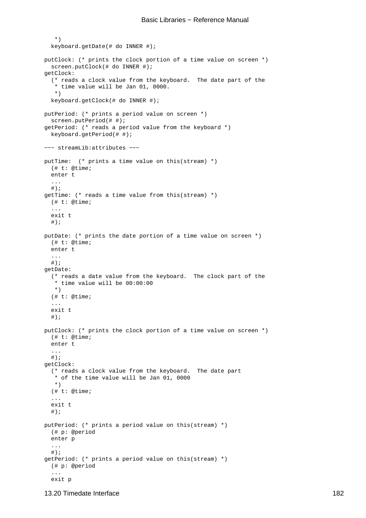```
 *)
   keyboard.getDate(# do INNER #);
putClock: (* prints the clock portion of a time value on screen *)
  screen.putClock(# do INNER #);
getClock:
   (* reads a clock value from the keyboard. The date part of the
    * time value will be Jan 01, 0000.
    *)
   keyboard.getClock(# do INNER #);
putPeriod: (* prints a period value on screen *)
   screen.putPeriod(# #);
getPeriod: (* reads a period value from the keyboard *)
  keyboard.getPeriod(# #);
−−− streamLib:attributes −−−
putTime: (* prints a time value on this(stream) *)
   (# t: @time;
   enter t
   ...
  #);
getTime: (* reads a time value from this(stream) *)
   (# t: @time;
   ...
   exit t
  \# ) \, ;
putDate: (* prints the date portion of a time value on screen *)
   (# t: @time;
   enter t
   ...
  #);
getDate:
   (* reads a date value from the keyboard. The clock part of the
    * time value will be 00:00:00
   *)
   (# t: @time;
   ...
   exit t
  #);
putClock: (* prints the clock portion of a time value on screen *)
   (# t: @time;
   enter t
   ...
  \#);
getClock:
   (* reads a clock value from the keyboard. The date part
    * of the time value will be Jan 01, 0000
   *)
   (# t: @time;
   ...
   exit t
  \#);
putPeriod: (* prints a period value on this(stream) *)
   (# p: @period
   enter p
   ...
  \#);
getPeriod: (* prints a period value on this(stream) *)
   (# p: @period
   ...
   exit p
```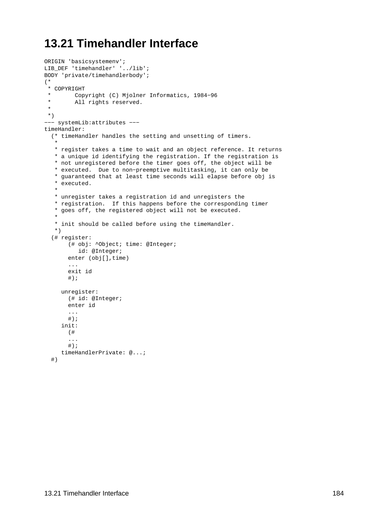# <span id="page-189-0"></span>**13.21 Timehandler Interface**

```
ORIGIN 'basicsystemenv';
LIB_DEF 'timehandler' '../lib';
BODY 'private/timehandlerbody';
(*
  * COPYRIGHT
  * Copyright (C) Mjolner Informatics, 1984−96
  * All rights reserved.
 \ddot{\phantom{0}} *)
−−− systemLib:attributes −−−
timeHandler:
   (* timeHandler handles the setting and unsetting of timers.
    * 
    * register takes a time to wait and an object reference. It returns
    * a unique id identifying the registration. If the registration is
    * not unregistered before the timer goes off, the object will be
    * executed. Due to non−preemptive multitasking, it can only be
    * guaranteed that at least time seconds will elapse before obj is
    * executed.
 * 
    * unregister takes a registration id and unregisters the
    * registration. If this happens before the corresponding timer
    * goes off, the registered object will not be executed.
 * 
    * init should be called before using the timeHandler.
    *)
   (# register:
        (# obj: ^Object; time: @Integer;
           id: @Integer;
        enter (obj[],time)
        ...
        exit id
       #);
     unregister:
        (# id: @Integer;
        enter id
        ...
       \#) ;
     init:
        (#
        ...
       #);
     timeHandlerPrivate: @...;
```
#)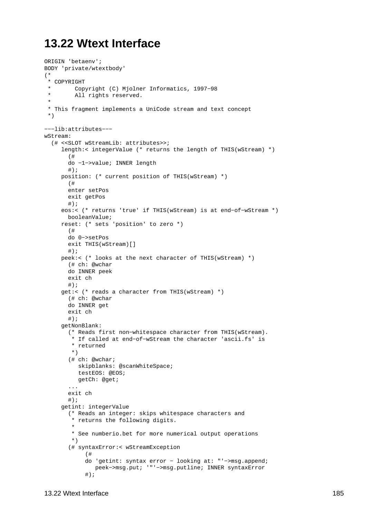# <span id="page-190-0"></span>**13.22 Wtext Interface**

```
ORIGIN 'betaenv';
BODY 'private/wtextbody'
(*
  * COPYRIGHT
         * Copyright (C) Mjolner Informatics, 1997−98
         All rights reserved.
 *
  * This fragment implements a UniCode stream and text concept
  *)
−−−lib:attributes−−−
wStream: 
   (# <<SLOT wStreamLib: attributes>>;
     length:< integerValue (* returns the length of THIS(wStream) *)
        (#
        do −1−>value; INNER length
       \#);
     position: (* current position of THIS(wStream) *)
        (# 
        enter setPos
        exit getPos
       \#);
     eos:< (* returns 'true' if THIS(wStream) is at end−of−wStream *)
        booleanValue;
     reset: (* sets 'position' to zero *)
        (#
        do 0−>setPos
        exit THIS(wStream)[]
        #);
     peek:< (* looks at the next character of THIS(wStream) *)
        (# ch: @wchar
        do INNER peek
        exit ch
       \#);
     get:< (* reads a character from THIS(wStream) *)
        (# ch: @wchar
        do INNER get
        exit ch
       \#);
     getNonBlank: 
        (* Reads first non−whitespace character from THIS(wStream).
         * If called at end−of−wStream the character 'ascii.fs' is
         * returned
         *)
        (# ch: @wchar;
           skipblanks: @scanWhiteSpace;
           testEOS: @EOS;
           getCh: @get;
        ...
        exit ch
       \#);
     getint: integerValue
        (* Reads an integer: skips whitespace characters and
         * returns the following digits. 
 * 
         * See numberio.bet for more numerical output operations
         *)
        (# syntaxError:< wStreamException
             (# 
             do 'getint: syntax error − looking at: "'−>msg.append;
                peek−>msg.put; '"'−>msg.putline; INNER syntaxError
            #);
```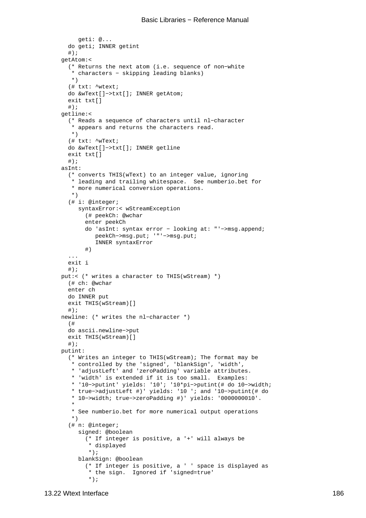```
 geti: @... 
       do geti; INNER getint
       \#);
     getAtom:<
        (* Returns the next atom (i.e. sequence of non−white
         * characters − skipping leading blanks)
        *)
        (# txt: ^wtext;
       do &wText[]−>txt[]; INNER getAtom;
        exit txt[]
       \#) :
     getline:<
        (* Reads a sequence of characters until nl−character
         * appears and returns the characters read.
        *)
        (# txt: ^wText;
       do &wText[]−>txt[]; INNER getline
       exit txt[]
       \#);
     asInt:
        (* converts THIS(wText) to an integer value, ignoring
         * leading and trailing whitespace. See numberio.bet for
         * more numerical conversion operations.
         *)
        (# i: @integer;
           syntaxError:< wStreamException
             (# peekCh: @wchar
             enter peekCh
             do 'asInt: syntax error − looking at: "'−>msg.append;
               peekCh−>msg.put; '"'−>msg.put;
                INNER syntaxError
             #)
        ...
        exit i
       #);
     put:< (* writes a character to THIS(wStream) *)
        (# ch: @wchar
        enter ch
       do INNER put
        exit THIS(wStream)[]
       #);
     newline: (* writes the nl−character *) 
        (#
       do ascii.newline−>put
       exit THIS(wStream)[]
        #);
     putint: 
        (* Writes an integer to THIS(wStream); The format may be
         * controlled by the 'signed', 'blankSign', 'width',
         * 'adjustLeft' and 'zeroPadding' variable attributes.
         * 'width' is extended if it is too small. Examples:
         * '10−>putint' yields: '10'; '10*pi−>putint(# do 10−>width;
         * true−>adjustLeft #)' yields: '10 '; and '10−>putint(# do
         * 10−>width; true−>zeroPadding #)' yields: '0000000010'.
 * 
         * See numberio.bet for more numerical output operations
         *)
        (# n: @integer;
           signed: @boolean
             (* If integer is positive, a '+' will always be
              * displayed
              *);
           blankSign: @boolean 
             (* If integer is positive, a ' ' space is displayed as
              * the sign. Ignored if 'signed=true'
              *);
```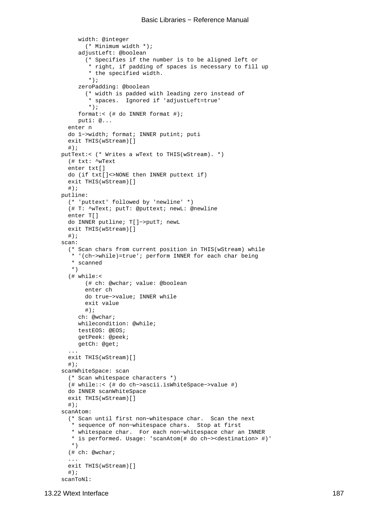```
 width: @integer
        (* Minimum width *);
      adjustLeft: @boolean
        (* Specifies if the number is to be aligned left or
         * right, if padding of spaces is necessary to fill up
         * the specified width.
         *);
      zeroPadding: @boolean
        (* width is padded with leading zero instead of
         * spaces. Ignored if 'adjustLeft=true'
         *);
      format:< (# do INNER format #);
      puti: @...
   enter n
   do 1−>width; format; INNER putint; puti
   exit THIS(wStream)[]
  \#) :
putText:< (* Writes a wText to THIS(wStream). *)
   (# txt: ^wText
   enter txt[]
   do (if txt[]<>NONE then INNER puttext if)
   exit THIS(wStream)[]
  \#);
putline: 
   (* 'puttext' followed by 'newline' *)
   (# T: ^wText; putT: @puttext; newL: @newline
   enter T[]
   do INNER putline; T[]−>putT; newL
   exit THIS(wStream)[]
  \#);
scan: 
   (* Scan chars from current position in THIS(wStream) while
    * '(ch−>while)=true'; perform INNER for each char being
    * scanned
    *)
   (# while:<
        (# ch: @wchar; value: @boolean
        enter ch
        do true−>value; INNER while
        exit value
        #);
      ch: @wchar;
      whilecondition: @while;
      testEOS: @EOS;
      getPeek: @peek;
      getCh: @get;
   ...
   exit THIS(wStream)[]
  \#);
scanWhiteSpace: scan 
   (* Scan whitespace characters *)
   (# while::< (# do ch−>ascii.isWhiteSpace−>value #)
   do INNER scanWhiteSpace
   exit THIS(wStream)[]
  \#);
scanAtom: 
   (* Scan until first non−whitespace char. Scan the next
    * sequence of non−whitespace chars. Stop at first
    * whitespace char. For each non−whitespace char an INNER
    * is performed. Usage: 'scanAtom(# do ch−><destination> #)'
    *)
   (# ch: @wchar;
   ...
   exit THIS(wStream)[]
  \#);
scanToNl:
```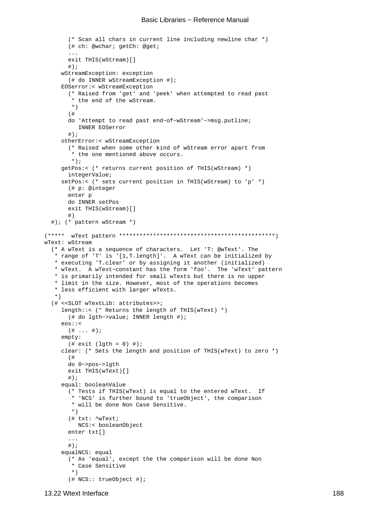#### Basic Libraries − Reference Manual

```
 (* Scan all chars in current line including newline char *)
        (# ch: @wchar; getCh: @get;
        ...
        exit THIS(wStream)[]
       \#);
     wStreamException: exception
        (# do INNER wStreamException #);
     EOSerror:< wStreamException
        (* Raised from 'get' and 'peek' when attempted to read past
         * the end of the wStream.
         *)
        (# 
        do 'Attempt to read past end−of−wStream'−>msg.putline; 
           INNER EOSerror
        #);
     otherError:< wStreamException
        (* Raised when some other kind of wStream error apart from
         the one mentioned above occurs.
         *);
     getPos:< (* returns current position of THIS(wStream) *)
        integerValue;
     setPos:< (* sets current position in THIS(wStream) to 'p' *)
        (# p: @integer
        enter p
        do INNER setPos
        exit THIS(wStream)[]
        #)
   #); (* pattern wStream *)
(***** wText pattern **********************************************)
wText: wStream
   (* A wText is a sequence of characters. Let 'T: @wText'. The
    * range of 'T' is '[1,T.length]'. A wText can be initialized by
    * executing 'T.clear' or by assigning it another (initialized)
    * wText. A wText−constant has the form 'foo'. The 'wText' pattern
    * is primarily intended for small wTexts but there is no upper
    * limit in the size. However, most of the operations becomes
    * less efficient with larger wTexts.
    *)
   (# <<SLOT wTextLib: attributes>>;
     length::< (* Returns the length of THIS(wText) *) 
        (# do lgth−>value; INNER length #);
     eos::<
       (# ... #);
     empty: 
      (\# \text{exit} (\text{lqth} = 0) \#);clear: (* Sets the length and position of THIS(wText) to zero *)
        (#
        do 0−>pos−>lgth
        exit THIS(wText)[]
       \#);
     equal: booleanValue
        (* Tests if THIS(wText) is equal to the entered wText. If
         * 'NCS' is further bound to 'trueObject', the comparison
         * will be done Non Case Sensitive.
         *)
        (# txt: ^wText;
           NCS:< booleanObject
        enter txt[]
        ...
       #);
     equalNCS: equal
        (* As 'equal', except the the comparison will be done Non
         * Case Sensitive
         *)
        (# NCS:: trueObject #);
```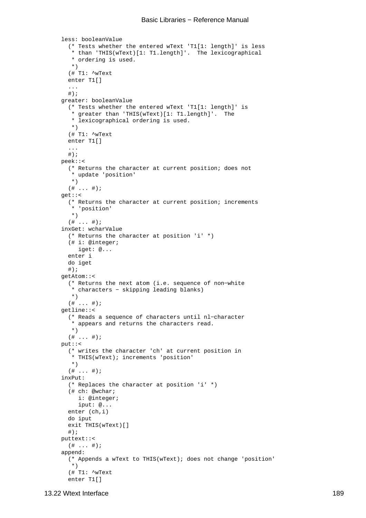```
less: booleanValue
   (* Tests whether the entered wText 'T1[1: length]' is less
    * than 'THIS(wText)[1: T1.length]'. The lexicographical
    * ordering is used.
    *)
   (# T1: ^wText
   enter T1[]
   ...
  #);
greater: booleanValue
   (* Tests whether the entered wText 'T1[1: length]' is
    * greater than 'THIS(wText)[1: T1.length]'. The
   * lexicographical ordering is used.
   *)
   (# T1: ^wText
   enter T1[]
   ...
  #);
peek::<
   (* Returns the character at current position; does not
    * update 'position'
    *)
  ( # ... #);get::<
   (* Returns the character at current position; increments
    * 'position'
   *) 
   (# ... #);
inxGet: wcharValue
   (* Returns the character at position 'i' *)
   (# i: @integer;
      iget: @...
   enter i
   do iget
  \#);
getAtom::<
   (* Returns the next atom (i.e. sequence of non−white
    * characters − skipping leading blanks)
    *)
  ( # ... #);getline::<
   (* Reads a sequence of characters until nl−character
    * appears and returns the characters read.
    *)
  ( # ... #);put::<
   (* writes the character 'ch' at current position in
    * THIS(wText); increments 'position'
    *) 
   (# ... #);
inxPut: 
   (* Replaces the character at position 'i' *)
   (# ch: @wchar;
      i: @integer;
      iput: @...
   enter (ch,i)
   do iput
   exit THIS(wText)[]
  \#);
puttext::<
  ( # ... #);append: 
   (* Appends a wText to THIS(wText); does not change 'position'
    *)
   (# T1: ^wText
   enter T1[]
```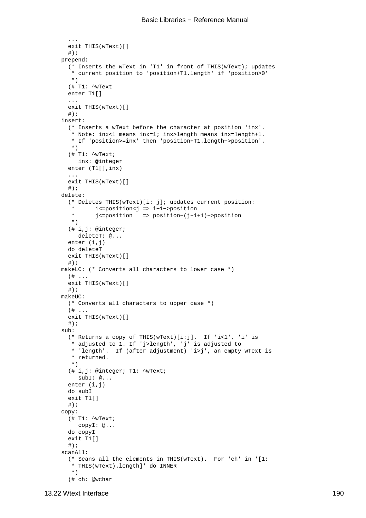```
 ...
  exit THIS(wText)[]
  \#);
prepend: 
   (* Inserts the wText in 'T1' in front of THIS(wText); updates
    * current position to 'position+T1.length' if 'position>0'
   *)
   (# T1: ^wText
   enter T1[]
   ...
  exit THIS(wText)[]
  #);
insert: 
   (* Inserts a wText before the character at position 'inx'.
    * Note: inx<1 means inx=1; inx>length means inx=length+1.
    * If 'position>=inx' then 'position+T1.length−>position'.
   *)
   (# T1: ^wText;
      inx: @integer
   enter (T1[],inx)
   ...
   exit THIS(wText)[]
  \#);
delete: 
   (* Deletes THIS(wText)[i: j]; updates current position:
    * i<=position<j => i−1−>position
           * j<=position => position−(j−i+1)−>position
    *)
   (# i,j: @integer; 
      deleteT: @...
   enter (i,j)
   do deleteT
   exit THIS(wText)[]
   #);
makeLC: (* Converts all characters to lower case *)
  ( \# \ldots exit THIS(wText)[]
  #);
makeUC: 
   (* Converts all characters to upper case *)
  ( \# \ldots exit THIS(wText)[]
  \#);
sub:
   (* Returns a copy of THIS(wText)[i:j]. If 'i<1', 'i' is
    * adjusted to 1. If 'j>length', 'j' is adjusted to
    * 'length'. If (after adjustment) 'i>j', an empty wText is
    * returned.
    *)
   (# i,j: @integer; T1: ^wText;
     subI: @...
   enter (i,j)
   do subI
   exit T1[]
  \#);
copy: 
  (# T1: \simwText;
     copyI: @...
   do copyI
   exit T1[]
  \#);
scanAll: 
   (* Scans all the elements in THIS(wText). For 'ch' in '[1:
    * THIS(wText).length]' do INNER
    *)
   (# ch: @wchar
```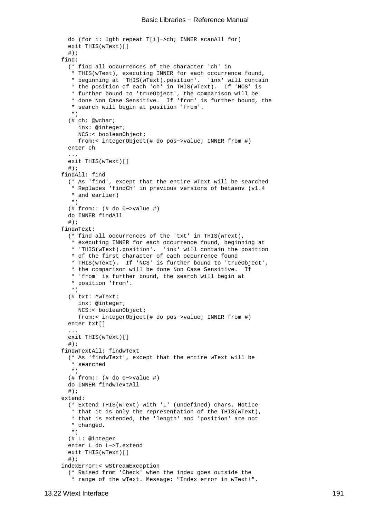```
 do (for i: lgth repeat T[i]−>ch; INNER scanAll for)
        exit THIS(wText)[]
       #);
    find:
        (* find all occurrences of the character 'ch' in
         * THIS(wText), executing INNER for each occurrence found,
        * beginning at 'THIS(wText).position'. 'inx' will contain
         * the position of each 'ch' in THIS(wText). If 'NCS' is
         * further bound to 'trueObject', the comparison will be
         * done Non Case Sensitive. If 'from' is further bound, the
         * search will begin at position 'from'.
        *)
        (# ch: @wchar;
           inx: @integer;
          NCS:< booleanObject;
          from:< integerObject(# do pos−>value; INNER from #)
        enter ch
        ...
       exit THIS(wText)[]
        #);
    findAll: find
        (* As 'find', except that the entire wText will be searched.
         * Replaces 'findCh' in previous versions of betaenv (v1.4
        * and earlier)
        *)
        (# from:: (# do 0−>value #)
       do INNER findAll
       \#);
    findwText:
        (* find all occurrences of the 'txt' in THIS(wText),
         * executing INNER for each occurrence found, beginning at
         * 'THIS(wText).position'. 'inx' will contain the position
         * of the first character of each occurrence found
         * THIS(wText). If 'NCS' is further bound to 'trueObject',
         * the comparison will be done Non Case Sensitive. If
         * 'from' is further bound, the search will begin at
        * position 'from'.
        *)
        (# txt: ^wText;
           inx: @integer;
          NCS:< booleanObject;
           from:< integerObject(# do pos−>value; INNER from #)
        enter txt[]
        ...
       exit THIS(wText)[]
        #);
    findwTextAll: findwText
        (* As 'findwText', except that the entire wText will be
         * searched
        *)
        (# from:: (# do 0−>value #)
       do INNER findwTextAll
      \#);
    extend: 
        (* Extend THIS(wText) with 'L' (undefined) chars. Notice
         * that it is only the representation of the THIS(wText),
        * that is extended, the 'length' and 'position' are not
        * changed.
        *)
        (# L: @integer
       enter L do L−>T.extend
       exit THIS(wText)[]
       #);
    indexError:< wStreamException
 (* Raised from 'Check' when the index goes outside the
 * range of the wText. Message: "Index error in wText!".
```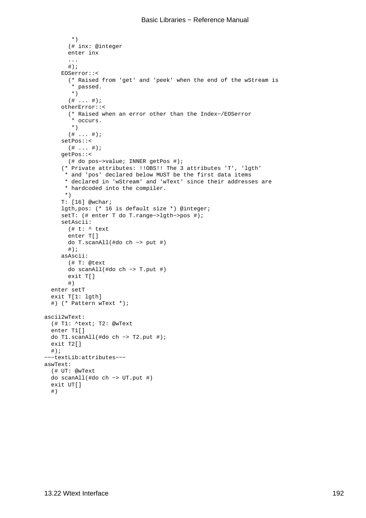```
 *)
        (# inx: @integer 
        enter inx
        ...
        #);
     EOSerror::<
        (* Raised from 'get' and 'peek' when the end of the wStream is
         * passed.
         *) 
       ( # ... #);otherError::<
        (* Raised when an error other than the Index−/EOSerror
         * occurs.
         *) 
       ( # ... #)setPos::<
        (# ... #);
     getPos::<
        (# do pos−>value; INNER getPos #);
      (* Private attributes: !!OBS!! The 3 attributes 'T', 'lgth'
       * and 'pos' declared below MUST be the first data items
       * declared in 'wStream' and 'wText' since their addresses are
       * hardcoded into the compiler.
       *)
     T: [16] @wchar;
     lgth,pos: (* 16 is default size *) @integer;
     setT: (# enter T do T.range−>lgth−>pos #);
     setAscii:
        (# t: ^ text
        enter T[]
        do T.scanAll(#do ch −> put #)
       #);
     asAscii:
        (# T: @text
        do scanAll(#do ch −> T.put #)
        exit T[]
        #)
   enter setT
   exit T[1: lgth]
   #) (* Pattern wText *); 
ascii2wText:
   (# T1: ^text; T2: @wText
   enter T1[]
   do T1.scanAll(#do ch −> T2.put #); 
   exit T2[]
 \#);
−−−textLib:attributes−−−
aswText:
   (# UT: @wText
   do scanAll(#do ch −> UT.put #)
   exit UT[]
   #)
```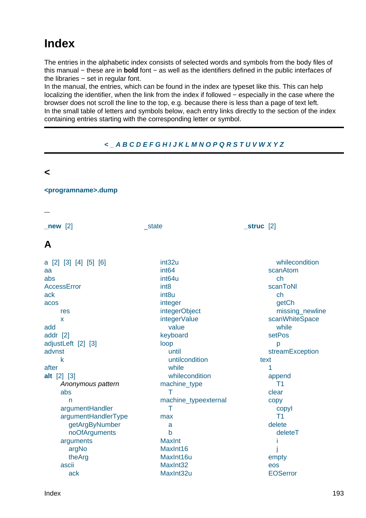# **Index**

The entries in the alphabetic index consists of selected words and symbols from the body files of this manual – these are in **bold** font – as well as the identifiers defined in the public interfaces of the libraries  $-$  set in regular font.

In the manual, the entries, which can be found in the index are typeset like this. This can help localizing the identifier, when the link from the index if followed – especially in the case where the browser does not scroll the line to the top, e.g. because there is less than a page of text left. In the small table of letters and symbols below, each entry links directly to the section of the index containing entries starting with the corresponding letter or symbol.

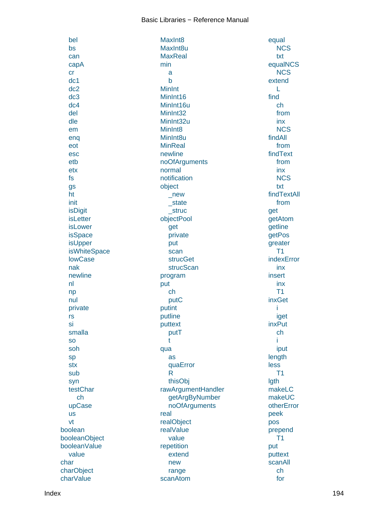bel bs can  $capA$  $cr$  $dc1$  $dc2$  $dc3$  $dc4$ del dle em enq eot esc etb etx  $fs$ gs ht init **isDigit isLetter** isLower **isSpace** isUpper **isWhiteSpace** lowCase nak newline  $n<sup>l</sup>$  $np$ nul private  $rs$ si smalla **SO** soh sp stx sub syn testChar ch upCase **us** vt boolean booleanObject booleanValue value char charObject charValue

MaxInt<sub>8</sub> MaxInt8u **MaxReal** min a  $\mathbf b$ **MinInt** MinInt16 MinInt16u MinInt32 MinInt32u MinInt<sub>8</sub> MinInt<sub>8u</sub> **MinReal** newline noOfArguments normal notification object  $new$ \_state struc objectPool get private put scan **strucGet** strucScan program put  $ch$ putC putint putline puttext putT t qua as quaError R thisObj rawArgumentHandler getArgByNumber noOfArguments real realObject realValue value repetition extend new range scanAtom

equal **NCS** txt equalNCS **NCS** extend Ĺ find  $ch$ from  $inx$ **NCS** findAll from findText from  $inx$ **NCS** txt findTextAll from get getAtom getline getPos greater  $T1$ indexError  $inx$ insert  $inx$  $T1$ **inxGet** i. iget **inxPut**  $ch$ i. iput length **less**  $T1$ lgth makeLC makeUC otherError peek pos prepend  $T1$ put puttext scanAll  $ch$ for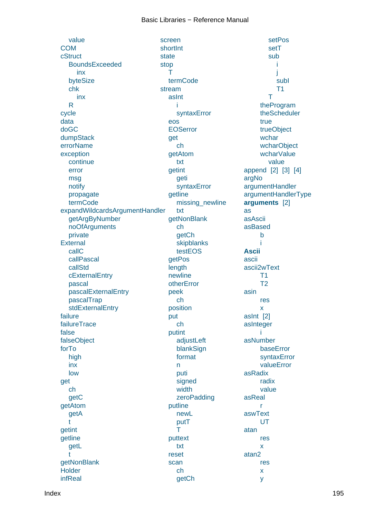value screen **COM** shortInt cStruct state **BoundsExceeded** stop T inx byteSize chk stream inx  $\mathsf{R}$ cycle data eos doGC dumpStack get errorName exception continue error msg notify propagate termCode expandWildcardsArgumentHandler getArgByNumber noOfArguments private **External** callC callPascal callStd cExternalEntry pascal pascalExternalEntry pascalTrap stdExternalEntry failure put failureTrace false falseObject forTo high inx low get  $ch$ getC getAtom getA t getint getline getL t getNonBlank Holder **infReal** 

termCode aslnt Ť syntaxError **EOSerror** ch getAtom txt getint geti syntaxError qetline missing\_newline txt getNonBlank  $ch$ **getCh** skipblanks testEOS getPos length newline otherError peek ch position  $ch$ putint adjustLeft blankSign format  $\overline{n}$ puti signed width zeroPadding putline newL putT Τ puttext txt reset scan  $ch$ getCh

**setPos** setT sub Ť j subl  $T1$ T theProgram theScheduler true trueObject wchar wcharObject wcharValue value append [2] [3] [4] argNo argumentHandler argumentHandlerType arguments [2] as asAscii asBased  $\mathbf b$ Ť **Ascii** ascii ascii2wText  $T1$  $T<sub>2</sub>$ asin res  $\overline{\mathsf{x}}$ asint [2] asInteger Ť. asNumber baseError syntaxError valueError asRadix radix value asReal r aswText UT atan res  $\overline{\mathbf{x}}$ atan2 res X У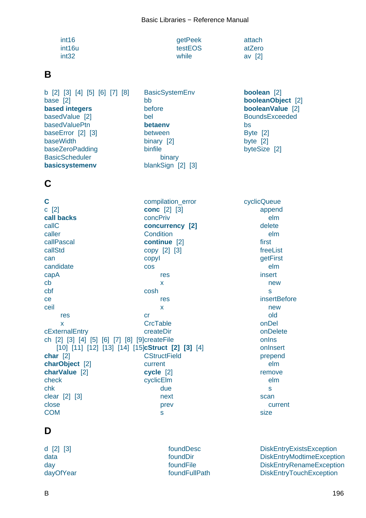| int <sub>16</sub> | getPeek |
|-------------------|---------|
| int16u            | testEOS |
| int32             | while   |

**b<sub>b</sub>** 

hel

before

betaeny

between

binfile

binary  $[2]$ 

**BasicSystemEnv** 

binary

blankSign [2] [3]

#### B

b [2] [3] [4] [5] [6] [7] [8] base [2] **based integers** basedValue [2] basedValuePtn baseError [2] [3] baseWidth baseZeroPadding **BasicScheduler** basicsystemenv

### C

 $\mathbf C$ compilation\_error  $c$  [2] **conc** [2] [3] call backs concPriv callC concurrency [2] caller Condition callPascal continue [2] callStd copy [2] [3] can copyl candidate **COS** capA res  $cb$  $\mathbf{x}$  $chf$ cosh ce res ceil  $\overline{\mathsf{x}}$ res  $cr$ CrcTable  $\mathsf{x}$ cExternalEntry createDir ch [2] [3] [4] [5] [6] [7] [8] [9] create File  $[10]$   $[11]$   $[12]$   $[13]$   $[14]$   $[15]$ cStruct  $[2]$   $[3]$   $[4]$ char  $[2]$ **CStructField** charObject [2] current charValue [2] cycle [2] check cyclicElm  $chk$ due clear [2] [3] next close prev **COM** s.

boolean [2] booleanObject [2] booleanValue [2] **BoundsExceeded**  $bs$ **Byte** [2] byte  $[2]$ byteSize [2]

attach atZero

av [2]

cyclicQueue append elm delete elm first freeList **aetFirst**  $elm$ insert new  $\overline{\mathbf{s}}$ **insertBefore** new old onDel onDelete onlns onlnsert prepend  $elm$ remove elm  $\mathbf{s}$ scan current size

#### D

d [2] [3] data day dayOfYear foundDesc foundDir foundFile foundFullPath **DiskEntryExistsException DiskEntryModtimeException DiskEntryRenameException DiskEntryTouchException**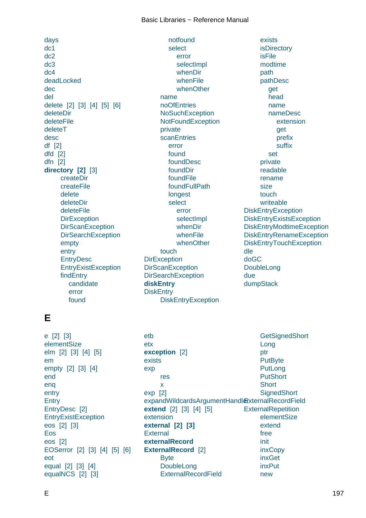days  $dc1$  $dc2$  $dc3$  $dc4$ deadLocked dec del delete [2] [3] [4] [5] [6] deleteDir deleteFile deleteT desc  $df$  [2]  $dfd$  [2]  $dfn$  [2] directory [2] [3] createDir createFile delete deleteDir deleteFile **DirException DirScanException DirSearchException** empty entry **EntryDesc EntryExistException** findEntry candidate error found

notfound select error selectImpl whenDir whenFile whenOther name noOfEntries **NoSuchException** NotFoundException private scanEntries error found foundDesc foundDir foundFile foundFullPath longest select error selectImpl whenDir whenFile whenOther touch **DirException DirScanException DirSearchException** diskEntry **DiskEntry DiskEntryException** 

exists **isDirectory isFile** modtime path pathDesc get head name nameDesc extension get prefix suffix set private readable rename size touch writeable **DiskEntryException DiskEntryExistsException DiskEntryModtimeException DiskEntryRenameException DiskEntryTouchException** dle doGC DoubleLong due dumpStack

# Е

 $e$  [2] [3] elementSize elm [2] [3] [4] [5]  $em$ empty [2] [3] [4] end eng entry Entry EntryDesc [2] EntryExistException eos [2] [3] Eos eos [2] EOSerror [2] [3] [4] [5] [6] eot equal [2] [3] [4] equalNCS  $[2]$   $[3]$ 

**GetSignedShort** etb etx Long exception [2] ptr **PutByte** exists PutLong exp res **PutShort Short**  $\mathbf{x}$ exp [2] **SignedShort** expandWildcardsArgumentHandlexternalRecordField extend [2] [3] [4] [5] **ExternalRepetition** elementSize extension external [2] [3] extend **External** free externalRecord init **ExternalRecord** [2] *inxCopy* **Byte inxGet DoubleLong inxPut ExternalRecordField** new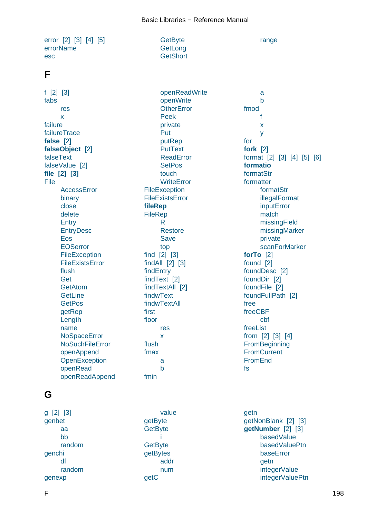error [2] [3] [4] [5] errorName esc

### **[F](#page-109-0)**

f [\[2\]](#page-105-0) [3] fabs res x [fa](#page-130-0)[ilur](#page-133-0)[e](#page-141-0) **[failure](#page-140-0)Trace false** [\[2\]](#page-140-0) **false[O](#page-140-0)bject** [2] [falseTe](#page-105-0)xt [falseValue](#page-105-0) [2] **[file](#page-9-0) [2] [3] [File](#page-12-0) [Acce](#page-134-0)s[sEr](#page-179-0)ror** [binary](#page-179-0) [clo](#page-13-0)[se](#page-7-0) delete **[Entry](#page-126-0) [EntryD](#page-126-0)esc** [Eos](#page-126-0) **[EOSer](#page-126-0)ror [FileEx](#page-125-0)ception [FileExistsE](#page-125-0)rror** [flush](#page-125-0) [Get](#page-127-0) [GetAtom](#page-126-0) **[GetLine](#page-127-0) [GetP](#page-126-0)os** [getR](#page-125-0)ep **[Length](#page-125-0)** [name](#page-125-0) **[NoSpac](#page-125-0)eError** [NoSuch](#page-127-0)FileError [openAp](#page-125-0)pend **[OpenE](#page-125-0)xception** [openRead](#page-127-0) [openReadAppen](#page-127-0)d

#### [openRea](#page-118-0)dWrite openWrite **OtherError** Peek [private](#page-126-0) [Put](#page-126-0) [putRep](#page-127-0) **[PutTe](#page-125-0)xt [ReadE](#page-127-0)rror [Set](#page-125-0)Pos** [touch](#page-127-0) **[WriteErr](#page-125-0)or FileE[xception](#page-127-0) FileE[xistsErr](#page-125-0)or fileR[ep](#page-125-0)** [FileRep](#page-126-0) R [Restore](#page-127-0) **[Sa](#page-37-0)ve** [top](#page-128-0) find [\[2\]](#page-128-0) [3] findAll [\[2\]](#page-128-0) [3] findE[ntry](#page-128-0) findT[ext](#page-128-0) [2] [findT](#page-176-0)[ext](#page-196-0)[All](#page-103-0) [\[2\]](#page-103-0) [findwT](#page-176-0)[ext](#page-196-0) [findwText](#page-114-0)[All](#page-103-0) [first](#page-176-0) [floor](#page-176-0) [res](#page-196-0) x [flush](#page-92-0) [fmax](#page-141-0)

**GetByte GetLong GetShort** 

> fmod f [x](#page-140-0) [y](#page-140-0) [for](#page-141-0) **fork** [\[](#page-141-0)2] form[at](#page-141-0) [2] [3] [4] [5] [6] **form[at](#page-141-0)io** [form](#page-103-0)atStr [form](#page-43-0)[a](#page-146-0)[tte](#page-89-0)r fo[rma](#page-147-0)[tStr](#page-148-0) [illega](#page-7-0)lFormat [input](#page-134-0)Error [matc](#page-134-0)h [missingFi](#page-134-0)eld [missingMarke](#page-134-0)r [private](#page-134-0) [scanForMark](#page-134-0)er **forTo** [2] found [\[2\]](#page-134-0) foun[dDesc](#page-134-0) [2] foun[dDir](#page-134-0) [2] [foundF](#page-17-0)[ile](#page-96-0) [2] [foundF](#page-114-0)[ull](#page-115-0)[Pa](#page-114-0)[th](#page-115-0) [2]

range

a b

free [freeCBF](#page-114-0) [cbf](#page-114-0) [freeList](#page-114-0) [from](#page-120-0) [2] [3] [4] **[FromBeg](#page-121-0)inning From[Cur](#page-121-0)rent** [FromEn](#page-92-0)[d](#page-103-0) [fs](#page-125-0)

# **G**

g [2] [\[3\]](#page-126-0) genbet aa bb r[and](#page-152-0)om [genchi](#page-156-0) [df](#page-156-0) [random](#page-156-0) [genexp](#page-157-0)

value **getByte GetByte** i **GetB[yte](#page-179-0)** [getBytes](#page-111-0) [add](#page-117-0)r [n](#page-111-0)um [getC](#page-118-0)

[a](#page-141-0) [b](#page-141-0)

[fmin](#page-126-0)

getn getNonBlank [2] [3] **getNumber** [2] [3] basedValue basedValue[Ptn](#page-97-0) [baseErr](#page-190-0)[o](#page-143-0)[r](#page-96-0) [getn](#page-21-0) [integerValue](#page-144-0) [integerValuePtn](#page-144-0)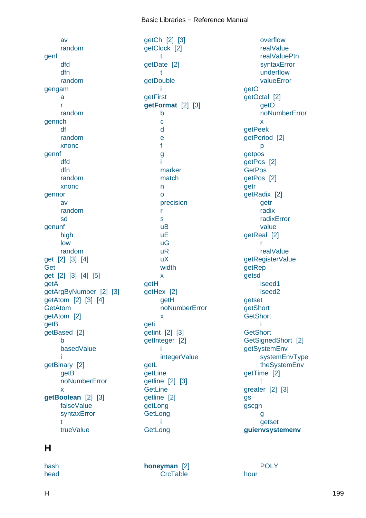av random genf dfd [dfn](#page-157-0) [random](#page-157-0) gengam<br>a<br>r [random](#page-157-0) [gennch](#page-158-0) [d](#page-158-0)f [r](#page-158-0)andom [xnonc](#page-158-0) [gennf](#page-158-0) [dfd](#page-158-0) [dfn](#page-158-0) [random](#page-158-0) [x](#page-158-0)nonc genn[or](#page-158-0) [av](#page-158-0) [random](#page-159-0) [sd](#page-158-0) [genunf](#page-159-0) [hig](#page-159-0)h [low](#page-159-0) [ran](#page-159-0)dom [get](#page-156-0) [[2\]](#page-156-0) [3] [4] Get get [[2\]](#page-156-0) [\[3\]](#page-156-0) [4] [5] getA [getA](#page-175-0)[rgB](#page-190-0)[yN](#page-194-0)u[mb](#page-96-0)er [2] [3] [getA](#page-125-0)tom [2] [\[3](#page-123-0)] [\[4](#page-123-0)] [Get](#page-97-0)[Ato](#page-101-0)[m](#page-106-0) [getAto](#page-96-0)m [2] [getB](#page-107-0) [getBased](#page-175-0) [\[2](#page-191-0)] b [bas](#page-98-0)[edV](#page-101-0)alue i [getBinary](#page-145-0) [\[2\]](#page-150-0) [g](#page-145-0)etB [noNumberE](#page-145-0)rror [x](#page-145-0) **[getBoolea](#page-149-0)[n](#page-151-0)** [2] [3] [false](#page-149-0)Value [syntaxError](#page-149-0) [t](#page-149-0) [trueVal](#page-14-0)[ue](#page-179-0)

getCh [2] [3] getClock [2] t [getDat](#page-97-0)[e](#page-99-0) [2[\]](#page-100-0) t **[getDouble](#page-187-0)** [i](#page-187-0) [getFirst](#page-186-0) **[getF](#page-111-0)[o](#page-187-0)[rmat](#page-111-0)** [2] [3] b [b](#page-111-0)[cd](#page-93-0)[e](#page-24-0)[f](#page-130-0)[g](#page-131-0)[i](#page-129-0)  $\overline{c}$  $\overline{\mathsf{d}}$  $\mathbf e$  $f$ g Ť. [m](#page-130-0)arker [m](#page-130-0)atch [n](#page-131-0)<br>[o](#page-129-0) [precisio](#page-129-0)n r<br>s [uB](#page-130-0) [uE](#page-129-0) [u](#page-130-0)G [u](#page-131-0)R [uX](#page-130-0) [wid](#page-131-0)th [x](#page-131-0) getH getH[ex](#page-130-0) [2] [getH](#page-129-0) [n](#page-130-0)oNumberError [x](#page-149-0) [geti](#page-149-0) getint [\[2\]](#page-149-0) [3] getIn[teger](#page-149-0) [2] [i](#page-149-0) i[nteg](#page-96-0)[erV](#page-97-0)alue [getL](#page-190-0) [getLine](#page-145-0) getlin[e](#page-145-0) [2] [3] **GetLi[ne](#page-145-0)** [getlin](#page-96-0)e [2] [getLong](#page-175-0) **[GetLon](#page-191-0)[g](#page-194-0)** i **[GetLon](#page-98-0)[g](#page-101-0)** 

overflow realValue realValuePtn syntaxError [underflow](#page-145-0) [valueError](#page-144-0) getO getO[ctal](#page-144-0) [2] [getO](#page-145-0) [noNumber](#page-144-0)Error [x](#page-149-0) [getPeek](#page-149-0) getP[eriod](#page-149-0) [2] p getp[os](#page-149-0) [getPos](#page-99-0) [2] **[GetPos](#page-187-0)** getP[os](#page-187-0) [2] [getr](#page-175-0) [getRadi](#page-193-0)[x](#page-125-0) [\[2](#page-197-0)] getr [rad](#page-100-0)[ix](#page-104-0) radix[Err](#page-150-0)or [valu](#page-145-0)e getR[eal](#page-145-0) [2] r [realValue](#page-145-0) getR[egiste](#page-145-0)[rV](#page-150-0)alue [getRep](#page-145-0) getsd [iseed1](#page-145-0) [iseed2](#page-163-0) [getset](#page-127-0) [getSho](#page-153-0)rt **GetS[hort](#page-153-0)** i **[GetSho](#page-152-0)rt** [GetSigne](#page-111-0)dShort [2] [getSystem](#page-117-0)Env [s](#page-111-0)ystemEnvType [theS](#page-118-0)ystem[Env](#page-118-0) [getTime](#page-117-0) [2] t greater [\[2\]](#page-89-0) [3] gs [gscgn](#page-186-0)<br>[g](#page-187-0) [ge](#page-176-0)[tse](#page-194-0)t **[gu](#page-105-0)[ienv](#page-152-0)systemenv**

## **H**

hash head **[honeyma](#page-119-0)n** [2] **CrcTable** 

**[POLY](#page-44-0)** hour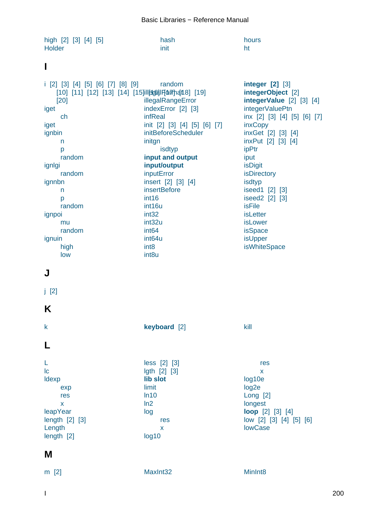high [2] [3] [4] [5] **Holder** 

hash init

hours ht

#### **[I](#page-174-0)**

i [\[2\]](#page-94-0) [3] [4] [5] [6] [7] [8] [9] [10] [11] [12] [13] [14] [15]ill**ega**l**Hom**hat18] [19] [20] [ig](#page-180-0)[et](#page-110-0) [ch](#page-110-0) iget [ignb](#page-136-0)[in](#page-102-0) n [p](#page-136-0) random [ignlgi](#page-155-0) [ra](#page-155-0)ndom ignn[bn](#page-155-0) [n](#page-155-0) [p](#page-154-0) [random](#page-154-0) [ignpoi](#page-155-0) [m](#page-155-0)u [random](#page-155-0) [ignuin](#page-155-0) high [low](#page-156-0) [ran](#page-181-0)dom illegalRangeError indexError [2] [3] infRe[al](#page-154-0) [in](#page-134-0)[it](#page-98-0) [2] [\[3\]](#page-101-0) [\[4\]](#page-101-0) [[5\]](#page-102-0) [6] [7] [initBeforeSchedule](#page-174-0)r [initgn](#page-175-0) [isd](#page-96-0)typ **[inp](#page-166-0)[ut a](#page-174-0)[nd](#page-181-0) [outp](#page-189-0)[ut](#page-119-0) [input/output](#page-92-0)** [inputE](#page-152-0)rror insert [\[2\]](#page-152-0) [3] [4] [insertBefore](#page-24-0) [int16](#page-18-0) [int16u](#page-134-0) [int32](#page-176-0) [int32u](#page-93-0) [int64](#page-94-0) [int64u](#page-94-0) [int8](#page-94-0) [int8u](#page-94-0)

**[int](#page-104-0)eger [2]** [3] **integerObject** [2] **integerValue** [2] [3] [4] integerValuePtn [inx](#page-9-0) [2] [[3\]](#page-9-0) [[4\]](#page-94-0) [\[5\]](#page-95-0) [6] [7] [inxCopy](#page-12-0) [inxGet](#page-12-0) [2] [3] [\[4\]](#page-95-0) [inxPut](#page-144-0) [\[2\]](#page-103-0) [\[3\]](#page-103-0) [\[4\]](#page-104-0) [ipPt](#page-96-0)r [iput](#page-120-0) [isDigit](#page-175-0) [isDirec](#page-175-0)t[ory](#page-194-0) [isdtyp](#page-140-0) [iseed](#page-102-0)1 [2] [3] [iseed2](#page-105-0) [2] [3] [isFile](#page-124-0) **[isLette](#page-152-0)r** [isLower](#page-153-0) [isSpace](#page-153-0) [isUppe](#page-124-0)r

**[isWhiteS](#page-105-0)pace** 

## **[J](#page-154-0)**

j [2]

### **K**

| $\mathsf k$                                                                                        | keyboard [2]                                                                                 | kill                                                                                                                                         |
|----------------------------------------------------------------------------------------------------|----------------------------------------------------------------------------------------------|----------------------------------------------------------------------------------------------------------------------------------------------|
|                                                                                                    |                                                                                              |                                                                                                                                              |
| L<br> c <br>Idexp<br>exp<br>res<br>X<br>leapYear<br>$length$ $[2]$ $[3]$<br>Length<br>$length$ [2] | less [2] [3]<br>lgth [2] [3]<br>lib slot<br>limit<br>In10<br>ln2<br>log<br>res<br>X<br>log10 | res<br>X<br>log10e<br>log <sub>2e</sub><br><b>Long [2]</b><br>longest<br><b>loop</b> $[2]$ $[3]$ $[4]$<br>low [2] [3] [4] [5] [6]<br>lowCase |
| M                                                                                                  |                                                                                              |                                                                                                                                              |

m [\[2\]](#page-97-0) [MaxIn](#page-139-0)t32 MinInt8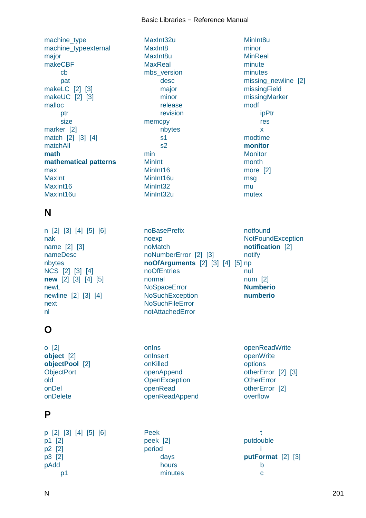machine\_type machine\_typeexternal major [makeCBF](#page-108-0) cb [pat](#page-109-0) [makeL](#page-142-0)C [2] [3] [makeUC](#page-121-0) [2] [3] mall[oc](#page-121-0) [ptr](#page-121-0) [size](#page-176-0) [marker](#page-176-0) [[2\]](#page-195-0) [match](#page-118-0) [2] [3] [4] matc[hAll](#page-118-0) **math [mathem](#page-129-0)[ati](#page-132-0)[cal](#page-134-0) [pa](#page-134-0)tterns** [max](#page-167-0) **[MaxInt](#page-170-0)** [MaxIn](#page-7-0)t16 [MaxInt16u](#page-20-0)

# **[N](#page-95-0)**

n [\[2\]](#page-95-0) [3] [4] [5] [6] nak name [2] [3] name[Desc](#page-155-0) [nb](#page-131-0)[yte](#page-134-0)s [NCS](#page-105-0) [2] [3] [4] **[new](#page-112-0)** [[2\]](#page-125-0) [[3\]](#page-123-0) [4] [5] [newL](#page-123-0) [newline](#page-118-0) [[2\]](#page-103-0) [[3\]](#page-103-0) [4] [next](#page-101-0) [nl](#page-11-0)

# **[O](#page-92-0)**

[o](#page-104-0) [2] **object** [2] **objectPool** [2] **O[bjec](#page-132-0)tPort** [old](#page-130-0) [onDel](#page-11-0) [onDelete](#page-19-0)

### **[P](#page-92-0)**

p [\[2\]](#page-92-0) [3] [4] [5] [6] p1 [2] p2 [2] p3 [2] [pA](#page-177-0)[dd](#page-187-0) [p](#page-186-0)1

MaxInt32u MaxInt8 MaxInt8u **MaxReal** mbs version desc [majo](#page-95-0)r [mino](#page-95-0)r [release](#page-142-0) [revisi](#page-142-0)on mem[cpy](#page-142-0) [nbytes](#page-142-0) [s1](#page-142-0) [s2](#page-142-0) [min](#page-118-0) **MinI[nt](#page-118-0)** MinInt<sub>16</sub> MinI[nt16](#page-118-0)u [MinI](#page-96-0)nt<sub>32</sub> [MinInt32u](#page-95-0)

[noBasePre](#page-95-0)fix noexp noMatch noNumberError [2] [3] **[noOfArgumen](#page-146-0)ts** [2] [3] [4] [5] [np](#page-114-0) [noOfEn](#page-147-0)tries [normal](#page-161-0) **[NoSpaceError](#page-149-0) [NoSuchException](#page-18-0)** [NoSuchFileE](#page-114-0)rror [notAttac](#page-105-0)[hedErr](#page-127-0)or [notfoun](#page-92-0)d **NotFoundException notification** [2] notify [nul](#page-112-0) [num](#page-16-0) [2] **[Numb](#page-106-0)erio [num](#page-104-0)berio**

[onIns](#page-174-0) onInsert onKilled openAppend **[OpenE](#page-92-0)xception** [openRea](#page-92-0)d [openRea](#page-91-0)[dApp](#page-126-0)end

[Peek](#page-126-0) peek [2] period

> days [h](#page-125-0)ours [min](#page-101-0)utes

openReadWrite openWrite options otherError [2] [3] **[OtherError](#page-126-0)** [otherError](#page-126-0) [2] [overflow](#page-166-0)

MinInt8u minor **MinReal** minute [minutes](#page-95-0)

[missin](#page-142-0)g\_newline [2]

[missingF](#page-95-0)ield [missing](#page-183-0)Marker

[ipPtr](#page-98-0) [res](#page-134-0) x [modtim](#page-140-0)e **moni[tor](#page-140-0) Moni[tor](#page-140-0)** mont[h](#page-140-0) [more](#page-124-0) [2] [msg](#page-43-0) [mu](#page-90-0) [mutex](#page-183-0)

[modf](#page-186-0)

[t](#page-145-0) putdouble i **putFormat** [2] [3] [b](#page-187-0) [c](#page-110-0)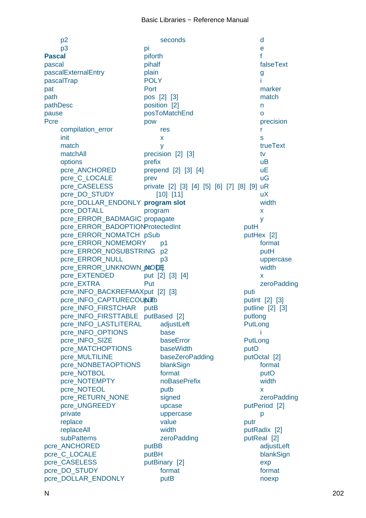p2 p3 **Pascal** pascal pasc[alE](#page-186-0)xternalEntry [pasc](#page-51-0)[alTr](#page-186-0)ap pat [path](#page-108-0) [pathDesc](#page-108-0) [pause](#page-108-0) [Pcr](#page-121-0)[e](#page-124-0) compilation\_error [init](#page-123-0) [m](#page-90-0)atch matchAll [options](#page-165-0) [pcr](#page-166-0)e\_ANCHORED [pcre\\_C](#page-167-0)\_LOCALE [pcre\\_CA](#page-170-0)SELESS [pcre\\_DO](#page-166-0)\_STUDY [pcre\\_DOLLAR\\_EN](#page-165-0)DONLY **[program](#page-175-0) [slo](#page-195-0)[t](#page-93-0)** [pcre\\_DOTALL](#page-165-0) [pcre\\_ERROR\\_BA](#page-165-0)DMAGIC [propaga](#page-161-0)[te](#page-166-0) [pcre\\_ERROR\\_BA](#page-165-0)DOPTION Pro[tectedInt](#page-107-0) [pcre\\_ERROR\\_NOMATCH](#page-165-0) [pSub](#page-8-0) [pcre\\_ERROR\\_](#page-165-0)NOMEMORY [pcre\\_ERROR\\_NOSUBSTR](#page-166-0)[ING](#page-106-0) p2 [pcre\\_ERROR\\_NULL](#page-166-0) [pcre\\_ERROR\\_UNKNOWN](#page-165-0)\_**MOD**<br>[2] [pcre\\_EXTENDED](#page-166-0) [pcre\\_EXTRA](#page-166-0) [pcre\\_INFO\\_BACKRE](#page-166-0)FMAX put [\[](#page-118-0)[2\]](#page-186-0) [3] pcre\_INFO\_CAPTURECOU**pU**ttb [pcre\\_INFO\\_FIRST](#page-165-0)CHAR [putB](#page-175-0) [pcre\\_INFO\\_F](#page-165-0)IRSTTABLE [putB](#page-125-0)ased [2] [pcre\\_INFO\\_LASTLITERAL](#page-165-0) [pcre\\_INFO\\_OPTIONS](#page-165-0) [pcre\\_INFO\\_SIZE](#page-165-0) [pcre\\_MATCHOPTIONS](#page-165-0) [pcre\\_MULTILINE](#page-165-0) [pcre\\_NONBETAOPTIO](#page-165-0)NS [pcre\\_NOTBOL](#page-165-0) [pcre\\_NOTEMPTY](#page-165-0) [pcre\\_NOTEOL](#page-165-0) [pcre\\_RETURN\\_NONE](#page-165-0) [pcre\\_UNGREEDY](#page-165-0) private [replace](#page-165-0) [replaceAll](#page-165-0) **[subPatterns](#page-165-0)** pcre[\\_ANCHO](#page-166-0)RED pcre[\\_C\\_LOC](#page-171-0)ALE pcre[\\_CASELES](#page-172-0)S pcre[\\_DO\\_STUDY](#page-166-0) [pcre\\_DOLLAR\\_END](#page-165-0)ONLY seconds pi piforth pihalf plain **[PO](#page-137-0)LY** [Port](#page-137-0) [pos](#page-137-0) [2] [3] [positio](#page-147-0)n [2] [posToM](#page-181-0)atchEnd [pow](#page-91-0) [res](#page-197-0) [x](#page-190-0) [y](#page-161-0) [precision](#page-140-0) [2] [3] prefix prep[en](#page-140-0)d [2] [3] [4] prev [private](#page-129-0) [2] [\[3](#page-132-0)] [\[4](#page-147-0)] [5] [6] [7] [8] [9] [uR](#page-134-0) [10] [11] [progr](#page-92-0)am [p1](#page-109-0) [p3](#page-92-0) put [[2\]](#page-186-0) [3] [4] Put [ad](#page-101-0)[just](#page-107-0)Left base baseError [base](#page-145-0)[Wid](#page-150-0)th [baseZeroP](#page-146-0)adding [blank](#page-146-0)Sign [format](#page-146-0) [noBasePre](#page-146-0)fix [putb](#page-146-0) [signed](#page-146-0) [upcase](#page-146-0) [uppercase](#page-146-0) [value](#page-146-0) [width](#page-146-0) [zeroPaddin](#page-146-0)g putBB putB[H](#page-146-0) putBi[nary](#page-146-0) [2] [format](#page-146-0) [pu](#page-148-0)tB d e f falseText [g](#page-132-0) [i](#page-133-0) [m](#page-133-0)arker [match](#page-134-0) [n](#page-133-0) [o](#page-132-0) [precisio](#page-132-0)n r [s](#page-134-0) [trueText](#page-132-0) tv [u](#page-132-0)B [u](#page-134-0)E [uG](#page-134-0) [uX](#page-133-0) [wid](#page-133-0)th x [y](#page-133-0) putH putHex [\[2\]](#page-132-0) [fo](#page-132-0)rmat [p](#page-132-0)utH uppercase [wi](#page-147-0)[d](#page-148-0)[th](#page-151-0) x [zeroPaddin](#page-148-0)g puti putint [\[2\]](#page-148-0) [3] putlin[e](#page-148-0) [2] [3] putlo[ng](#page-148-0) [PutL](#page-99-0)[o](#page-191-0)[ng](#page-96-0) i [PutLon](#page-192-0)[g](#page-96-0) [putO](#page-110-0) [putOctal](#page-117-0) [2] [f](#page-110-0)ormat [putO](#page-119-0) [w](#page-148-0)idt[h](#page-151-0) [x](#page-148-0) [zeroPa](#page-148-0)dding putP[eriod](#page-148-0) [2] [p](#page-148-0) putr putR[adix](#page-148-0) [2] [putReal](#page-187-0) [[2\]](#page-187-0) [a](#page-187-0)djustLeft blan[kSi](#page-150-0)gn [exp](#page-147-0) [for](#page-146-0)[mat](#page-150-0) [noexp](#page-147-0)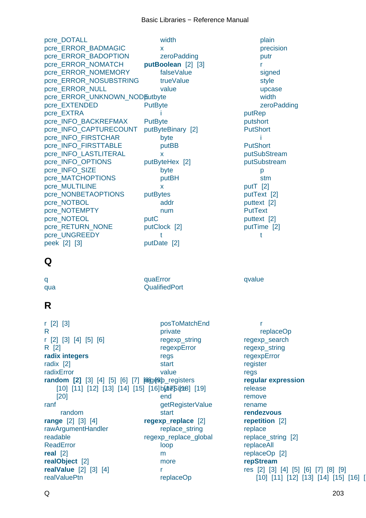| pcre_DOTALL                                       | width                 | plain                                                                                          |
|---------------------------------------------------|-----------------------|------------------------------------------------------------------------------------------------|
| pcre ERROR BADMAGIC                               | X.                    | precision                                                                                      |
| pcre_ERROR_BADOPTION                              | zeroPadding           | putr                                                                                           |
| pcre_ERROR_NOMATCH                                | putBoolean [2] [3]    | r                                                                                              |
| pcre_ERROR_NOMEMORY                               | falseValue            | signed                                                                                         |
| pcre_ERROR_NOSUBSTRING                            | trueValue             | style                                                                                          |
| pcre_ERROR_NULL                                   | value                 | upcase                                                                                         |
| pcre_ERROR_UNKNOWN_NODEutbyte                     |                       | width                                                                                          |
| pcre_EXTENDED                                     | <b>PutByte</b>        | zeroPadding                                                                                    |
| pcre_EXTRA                                        |                       | putRep                                                                                         |
| pcre_INFO_BACKREFMAX                              | <b>PutByte</b>        | putshort                                                                                       |
| pcre_INFO_CAPTURECOUNT                            | putByteBinary [2]     | <b>PutShort</b>                                                                                |
| pcre_INFO_FIRSTCHAR                               | byte                  |                                                                                                |
| pcre_INFO_FIRSTTABLE                              | putBB                 | <b>PutShort</b>                                                                                |
| pcre_INFO_LASTLITERAL                             | X.                    | putSubStream                                                                                   |
| pcre_INFO_OPTIONS                                 |                       |                                                                                                |
|                                                   | putByteHex [2]        | putSubstream                                                                                   |
| pcre_INFO_SIZE                                    | byte                  | p                                                                                              |
| pcre MATCHOPTIONS                                 | putBH                 | stm                                                                                            |
| pcre MULTILINE                                    | X                     | putT [2]                                                                                       |
| pcre NONBETAOPTIONS                               | putBytes              | putText [2]                                                                                    |
| pcre_NOTBOL                                       | addr                  | puttext [2]                                                                                    |
| pcre_NOTEMPTY                                     | num                   | <b>PutText</b>                                                                                 |
| pcre_NOTEOL                                       | putC                  | puttext [2]                                                                                    |
| pcre_RETURN_NONE                                  | putClock [2]          | putTime [2]                                                                                    |
| pcre_UNGREEDY                                     | t                     | t                                                                                              |
| peek [2] [3]                                      | putDate [2]           |                                                                                                |
|                                                   |                       |                                                                                                |
|                                                   |                       |                                                                                                |
|                                                   |                       |                                                                                                |
| Q                                                 |                       |                                                                                                |
|                                                   |                       |                                                                                                |
| q                                                 | quaError              | qvalue                                                                                         |
| qua                                               | QualifiedPort         |                                                                                                |
|                                                   |                       |                                                                                                |
|                                                   |                       |                                                                                                |
| R                                                 |                       |                                                                                                |
|                                                   |                       |                                                                                                |
| $r$ [2] [3]                                       | posToMatchEnd         | r                                                                                              |
| R.                                                | private               | replaceOp                                                                                      |
| r [2] [3] [4] [5] [6]                             | regexp_string         | regexp_search                                                                                  |
| R [2]                                             | regexpError           | regexp_string                                                                                  |
| radix integers                                    | regs                  | regexpError                                                                                    |
| radix [2]                                         | start                 | register                                                                                       |
| radixError                                        | value                 | regs                                                                                           |
| random [2] [3] [4] [5] [6] [7] [@]g@\$p_registers |                       | regular expression                                                                             |
| [10] [11] [12] [13] [14] [15] [16] bMeBite8] [19] |                       | release                                                                                        |
| $[20]$                                            | end                   | remove                                                                                         |
| ranf                                              | getRegisterValue      | rename                                                                                         |
| random                                            | start                 | rendezvous                                                                                     |
| <b>range</b> [2] [3] [4]                          | regexp_replace [2]    | repetition [2]                                                                                 |
| rawArgumentHandler                                |                       | replace                                                                                        |
| readable                                          | replace_string        |                                                                                                |
|                                                   | regexp_replace_global | replace_string [2]                                                                             |
| <b>ReadError</b>                                  | loop                  | replaceAll                                                                                     |
| real $[2]$                                        | m                     | replaceOp [2]                                                                                  |
| realObject [2]                                    | more                  | repStream                                                                                      |
| realValue [2] [3] [4]<br>realValuePtn             | r<br>replaceOp        | res [2] [3] [4] [5] [6] [7] [8] [9]<br>$[10]$ $[11]$ $[12]$ $[13]$ $[14]$ $[15]$ $[16]$ $[17]$ |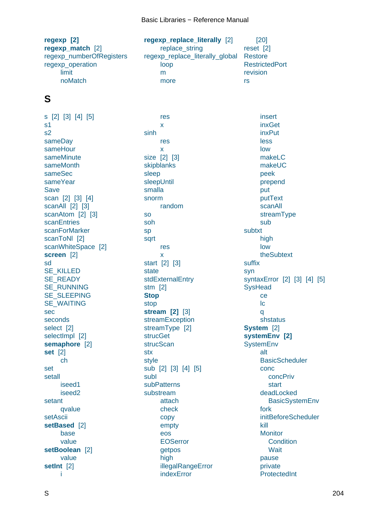**regexp [2] regexp\_match** [2] regexp\_numberOfRegisters [regexp\\_](#page-29-0)[ope](#page-7-0)ration limit [noMatch](#page-29-0) **regexp\_replace\_literally** [2] replace\_string regexp\_replace\_literally\_global loop [m](#page-29-0) [more](#page-162-0)

[20] reset [2] Restore RestrictedPort [revi](#page-190-0)[sion](#page-141-0) [rs](#page-128-0)

## **[S](#page-161-0)**

s [2] [\[3\]](#page-161-0) [4] [5] s1 s2 sameDay [sa](#page-92-0)[me](#page-131-0)[Hou](#page-134-0)[r](#page-92-0) [sam](#page-118-0)eMinute [sam](#page-118-0)eMonth [sameSec](#page-184-0) [sameYear](#page-184-0) [Save](#page-184-0) [scan](#page-184-0) [2] [3] [4] [scanAll](#page-184-0) [2] [3] [scanAtom](#page-184-0) [2] [3] **[scanE](#page-128-0)ntries** [scanF](#page-192-0)[orM](#page-93-0)[ark](#page-99-0)[er](#page-106-0) [scanTo](#page-175-0)[Nl](#page-195-0) [[2\]](#page-103-0) [scanWhite](#page-192-0)[Spa](#page-96-0)[ce](#page-99-0) [2] **[screen](#page-115-0)** [2] sd [SE\\_KILLE](#page-192-0)[D](#page-100-0) [SE\\_READY](#page-192-0) [SE\\_RU](#page-18-0)[NNI](#page-96-0)NG [SE\\_](#page-159-0)SLEEPING [SE\\_WAITING](#page-93-0) [sec](#page-93-0) [seconds](#page-93-0) [select](#page-93-0) [2] [selectImpl](#page-93-0) [2] **[sem](#page-183-0)aphore** [2] **[set](#page-186-0)** [2] [c](#page-114-0)[h](#page-115-0) [set](#page-115-0) [setall](#page-43-0) [ise](#page-179-0)ed1 [ise](#page-179-0)ed2 [seta](#page-123-0)[nt](#page-153-0) [qvalue](#page-153-0) setAscii **[setBased](#page-153-0)** [2] base [value](#page-154-0) **[setBoole](#page-197-0)a[n](#page-180-0)** [2] [value](#page-14-0) **setInt** [\[2\]](#page-180-0) [i](#page-14-0)

[res](#page-162-0) x sinh res [x](#page-138-0) size [\[2](#page-138-0)] [3] [skipblank](#page-139-0)s sleep sleep[U](#page-139-0)nt[il](#page-93-0) [smal](#page-118-0)l[a](#page-124-0) [snorm](#page-97-0) random [so](#page-90-0) [soh](#page-105-0) [sp](#page-160-0) [sqr](#page-104-0)t res x [star](#page-105-0)t [2] [3] [state](#page-140-0) stdE[xtern](#page-140-0)alEntry stm [\[2](#page-140-0)[\]](#page-161-0) **[Stop](#page-163-0)** [stop](#page-109-0) **[stream](#page-108-0) [2]** [3] [strea](#page-174-0)[mE](#page-177-0)xception [stream](#page-15-0)Type [2] **[struc](#page-105-0)Get [strucScan](#page-13-0)** [stx](#page-100-0) [style](#page-174-0) [sub](#page-106-0) [2] [3] [4] [5] [subI](#page-107-0) **[sub](#page-104-0)Patterns** [subst](#page-146-0)ream [att](#page-185-0)[ach](#page-195-0) check [copy](#page-166-0) [empty](#page-174-0) [eos](#page-174-0) **[EOSe](#page-174-0)rror** [getpo](#page-174-0)s [high](#page-174-0) [illeg](#page-174-0)alRangeError [indexErro](#page-175-0)r

insert inxGet inxPut less [low](#page-176-0) [makeL](#page-175-0)C [makeU](#page-175-0)C [peek](#page-176-0) [prep](#page-177-0)end [put](#page-176-0) [putText](#page-176-0) [scanA](#page-175-0)ll [streamT](#page-175-0)ype [sub](#page-175-0) subtxt [high](#page-175-0) [low](#page-175-0) [theS](#page-176-0)ubtext [suffix](#page-177-0) syn synta[xErr](#page-177-0)or [2] [3] [4] [5] **[SysH](#page-123-0)[ead](#page-177-0)** ce lc [q](#page-179-0) [shsta](#page-93-0)tus **Syst[em](#page-93-0)** [2] **syst[em](#page-93-0)Env [2] Syst[em](#page-93-0)Env** [alt](#page-93-0) **[Bas](#page-43-0)[icS](#page-91-0)[che](#page-7-0)duler** [conc](#page-43-0) [conc](#page-89-0)Priv start [deadLocked](#page-92-0) **[Ba](#page-91-0)[sicSys](#page-92-0)temEnv** fork [initBeforeSch](#page-91-0)eduler kill **[M](#page-89-0)[onitor](#page-91-0) Condition [Wait](#page-92-0)** [pau](#page-90-0)se [private](#page-90-0) **Pr[otectedInt](#page-90-0)**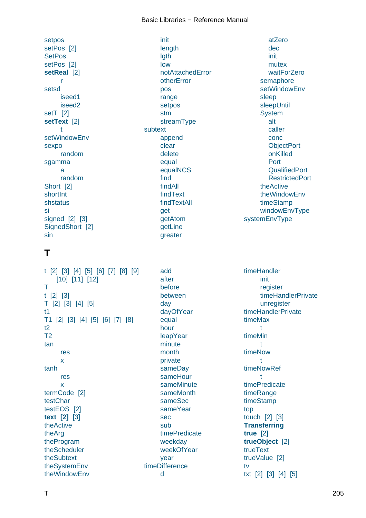setpos setPos [2] **SetPos** setPos [2] setReal [2]  $r<sub>1</sub>$ setsd iseed1 iseed<sub>2</sub> set $T$  [2] setText [2]  $\mathsf{t}$ setWindowEnv sexpo random sgamma a random Short [2] shortInt shstatus si signed [2] [3] SignedShort [2] sin

# T

t [2] [3] [4] [5] [6] [7] [8] [9]  $[10]$   $[11]$   $[12]$ T  $t$  [2] [3]  $T$  [2] [3] [4] [5]  $t1$ T1 [2] [3] [4] [5] [6] [7] [8]  $t2$  $T<sub>2</sub>$ tan res  $\mathbf{x}$ tanh res  $\overline{\mathbf{x}}$ termCode [2] testChar testEOS [2] text  $[2]$   $[3]$ the Active theArg theProgram theScheduler theSubtext theSystemEnv theWindowEnv

init length lgth low notAttachedError otherError pos range setpos stm streamType subtext append clear delete equal equalNCS find findAll findText findTextAll get getAtom getLine greater

add after before between day dayOfYear equal hour **leapYear** minute month private sameDay sameHour sameMinute sameMonth sameSec sameYear sec sub timePredicate weekday weekOfYear year timeDifference  $\mathsf{d}$ 

atZero dec init mutex waitForZero semaphore setWindowEnv sleep sleepUntil **System** alt caller conc **ObjectPort** onKilled Port QualifiedPort **RestrictedPort** the Active theWindowEnv timeStamp windowEnvType systemEnvType

timeHandler init register timeHandlerPrivate unregister timeHandlerPrivate timeMax  $\mathbf t$ timeMin  $\ddagger$ timeNow  $\ddagger$ timeNowRef  $^{\dagger}$ timePredicate timeRange timeStamp top touch [2] [3] **Transferring** true  $[2]$ trueObject [2] trueText trueValue [2] tv txt [2] [3] [4] [5]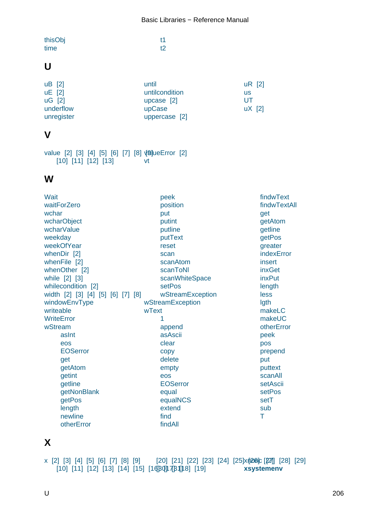#### thisObi time

| × |
|---|
|   |

# $\mathbf U$

| $\mathsf{u}\mathsf{B}$ [2] | until          | uR [2]    |  |
|----------------------------|----------------|-----------|--|
| uE [2]                     | untilcondition | <b>us</b> |  |
| uG [2]                     | upcase $[2]$   | UT        |  |
| underflow                  | upCase         | $uX$ [2]  |  |
| unregister                 | uppercase [2]  |           |  |

#### $\mathbf{V}$

value [2] [3] [4] [5] [6] [7] [8] valueError [2]  $[10]$   $[11]$   $[12]$   $[13]$ vt

#### W

Wait peek waitForZero position wchar put wcharObject putint wcharValue putline weekday putText weekOfYear reset whenDir [2] scan whenFile [2] scanAtom whenOther [2] scanToNI while [2] [3] scanWhiteSpace whilecondition [2] **setPos** wStreamException width [2] [3] [4] [5] [6] [7] [8] windowEnvType wStreamException writeable wText **WriteFrror**  $\mathbf{1}$ wStream append asAscii aslnt clear eos **EOSerror** copy delete get getAtom empty getint eos getline **EOSerror** getNonBlank equal **getPos** equalNCS length extend newline find otherError findAll

findwText findwTextAll get getAtom getline **getPos** greater indexError insert **inxGet inxPut** length less lgth makeLC makeUC otherError peek pos prepend put puttext scanAll setAscii **setPos** setT sub T

### X

x [2] [3] [4] [5] [6] [7] [8] [9] [20] [21] [22] [23] [24] [25]xh26hc [221] [28] [29]  $[10]$  [11] [12] [13] [14] [15] [16] [16] [1] [1] [19] xsystemenv